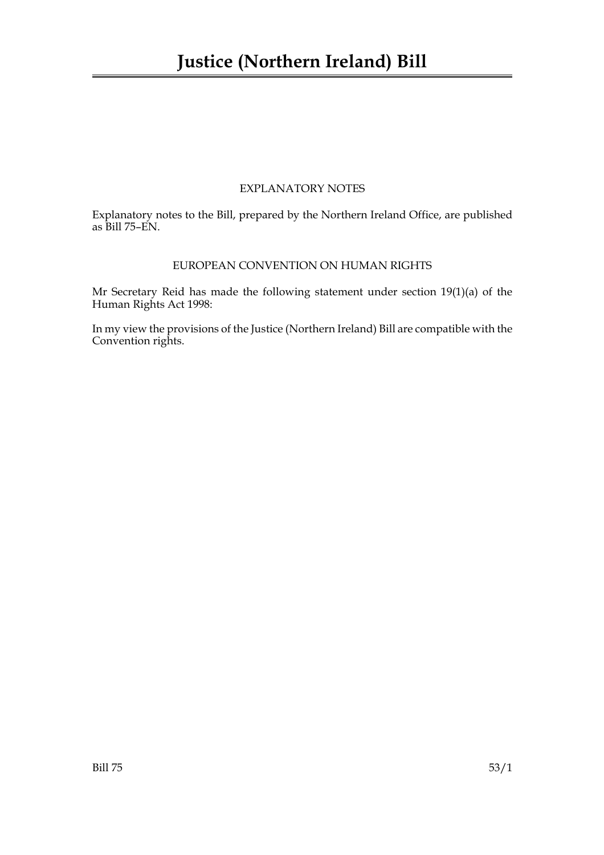# EXPLANATORY NOTES

Explanatory notes to the Bill, prepared by the Northern Ireland Office, are published as Bill 75–EN.

# EUROPEAN CONVENTION ON HUMAN RIGHTS

Mr Secretary Reid has made the following statement under section 19(1)(a) of the Human Rights Act 1998:

In my view the provisions of the Justice (Northern Ireland) Bill are compatible with the Convention rights.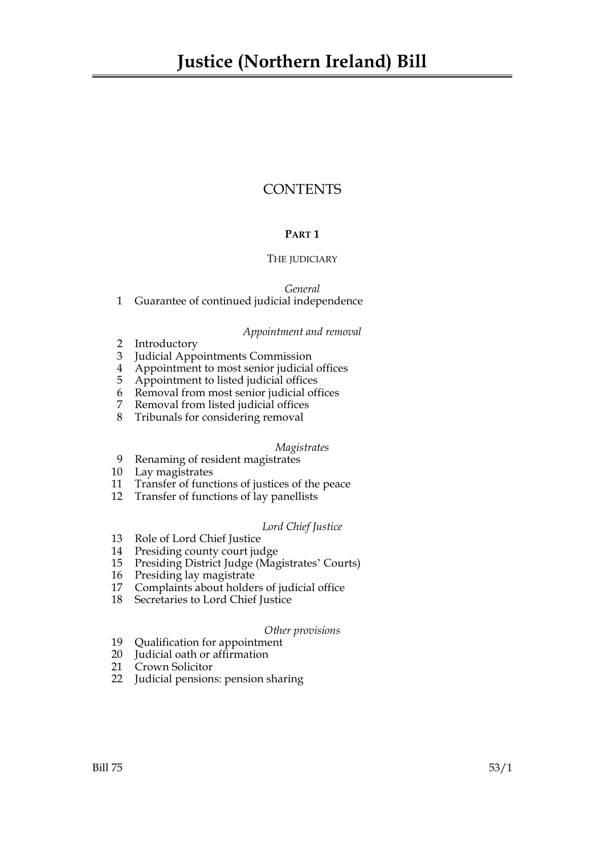# **CONTENTS**

# **PART 1**

# THE JUDICIARY

*General*

# 1 Guarantee of continued judicial independence

# *Appointment and removal*

- 2 Introductory
- 3 Judicial Appointments Commission
- 4 Appointment to most senior judicial offices
- 5 Appointment to listed judicial offices
- 6 Removal from most senior judicial offices
- 7 Removal from listed judicial offices
- 8 Tribunals for considering removal

# *Magistrates*

- 9 Renaming of resident magistrates
- 10 Lay magistrates
- 11 Transfer of functions of justices of the peace
- 12 Transfer of functions of lay panellists

# *Lord Chief Justice*

- 13 Role of Lord Chief Justice
- 14 Presiding county court judge
- 15 Presiding District Judge (Magistrates' Courts)
- 16 Presiding lay magistrate
- 17 Complaints about holders of judicial office
- 18 Secretaries to Lord Chief Justice

# *Other provisions*

- 19 Qualification for appointment
- 20 Judicial oath or affirmation
- 21 Crown Solicitor
- 22 Judicial pensions: pension sharing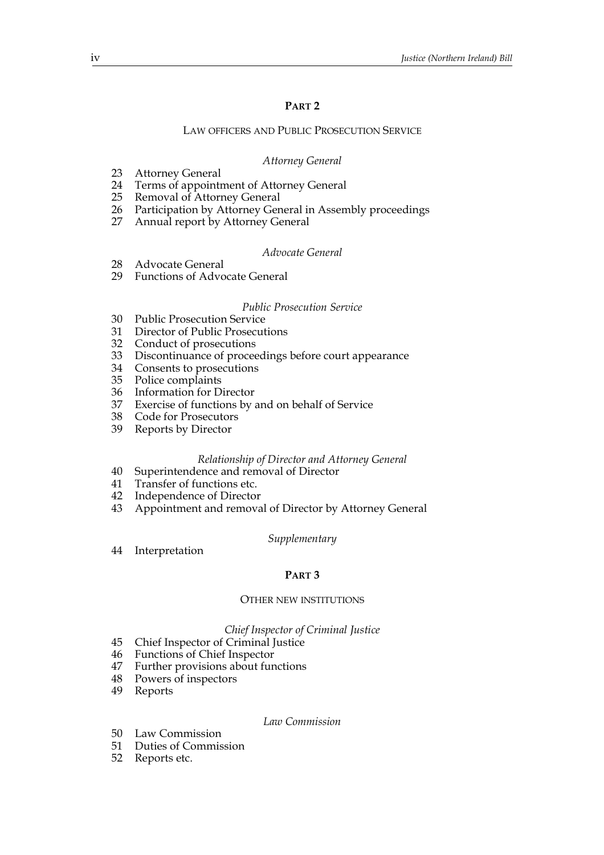# **PART 2**

## LAW OFFICERS AND PUBLIC PROSECUTION SERVICE

## *Attorney General*

- 23 Attorney General
- 24 Terms of appointment of Attorney General<br>25 Removal of Attorney General
- Removal of Attorney General
- 26 Participation by Attorney General in Assembly proceedings
- Annual report by Attorney General

## *Advocate General*

- 28 Advocate General
- 29 Functions of Advocate General

## *Public Prosecution Service*

- 30 Public Prosecution Service
- 31 Director of Public Prosecutions
- 32 Conduct of prosecutions
- 33 Discontinuance of proceedings before court appearance
- 34 Consents to prosecutions
- 35 Police complaints
- 36 Information for Director<br>37 Exercise of functions by a
- Exercise of functions by and on behalf of Service
- 38 Code for Prosecutors
- 39 Reports by Director

#### *Relationship of Director and Attorney General*

- 40 Superintendence and removal of Director
- 41 Transfer of functions etc.
- 42 Independence of Director
- 43 Appointment and removal of Director by Attorney General

#### *Supplementary*

44 Interpretation

### **PART 3**

#### OTHER NEW INSTITUTIONS

#### *Chief Inspector of Criminal Justice*

- 45 Chief Inspector of Criminal Justice
- 46 Functions of Chief Inspector<br>47 Further provisions about fun
- Further provisions about functions
- 48 Powers of inspectors
- 49 Reports

#### *Law Commission*

- 50 Law Commission
- 51 Duties of Commission
- 52 Reports etc.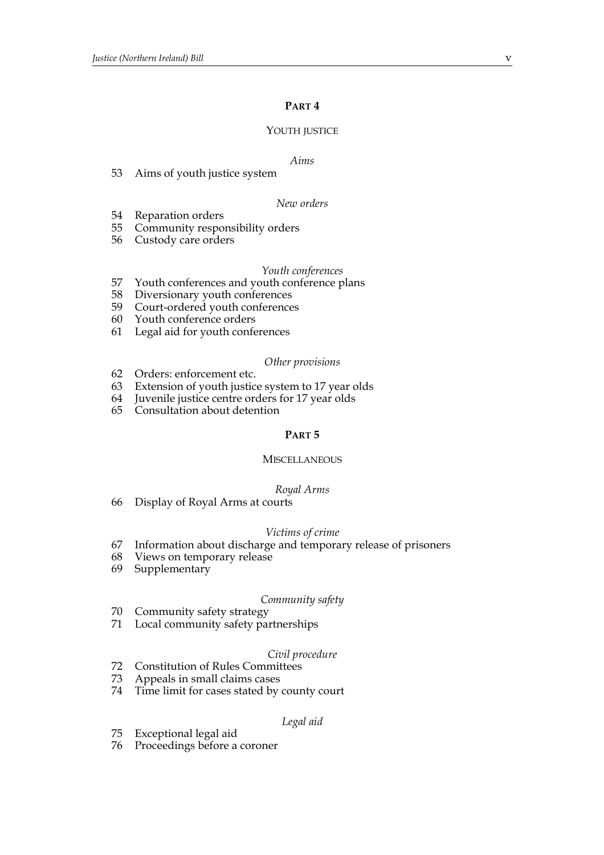# **PART 4**

#### YOUTH JUSTICE

#### *Aims*

53 Aims of youth justice system

#### *New orders*

- 54 Reparation orders
- 55 Community responsibility orders
- 56 Custody care orders

#### *Youth conferences*

- 57 Youth conferences and youth conference plans<br>58 Diversionary youth conferences
- Diversionary youth conferences
- 59 Court-ordered youth conferences
- 60 Youth conference orders
- 61 Legal aid for youth conferences

#### *Other provisions*

- 62 Orders: enforcement etc.
- 63 Extension of youth justice system to 17 year olds
- 64 Juvenile justice centre orders for 17 year olds
- 65 Consultation about detention

## **PART 5**

## **MISCELLANEOUS**

#### *Royal Arms*

66 Display of Royal Arms at courts

#### *Victims of crime*

- 67 Information about discharge and temporary release of prisoners
- 68 Views on temporary release
- 69 Supplementary

#### *Community safety*

- 70 Community safety strategy
- 71 Local community safety partnerships

## *Civil procedure*

- 72 Constitution of Rules Committees
- 73 Appeals in small claims cases
- 74 Time limit for cases stated by county court

#### *Legal aid*

- 75 Exceptional legal aid
- 76 Proceedings before a coroner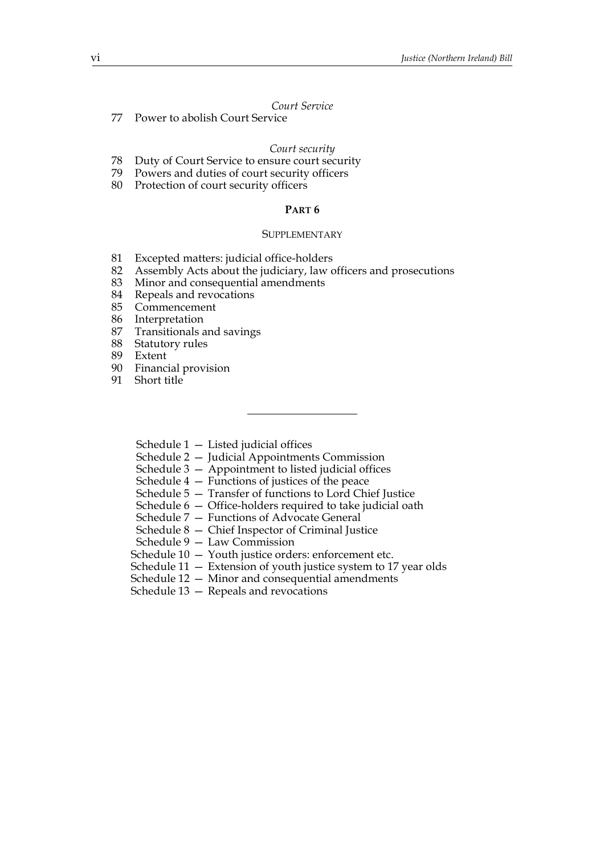## *Court Service*

77 Power to abolish Court Service

#### *Court security*

- 78 Duty of Court Service to ensure court security
- 79 Powers and duties of court security officers
- 80 Protection of court security officers

# **PART 6**

#### **SUPPLEMENTARY**

- 81 Excepted matters: judicial office-holders
- 82 Assembly Acts about the judiciary, law officers and prosecutions
- 83 Minor and consequential amendments
- 84 Repeals and revocations
- 85 Commencement
- 86 Interpretation
- 87 Transitionals and savings
- 88 Statutory rules
- 89 Extent
- 90 Financial provision
- 91 Short title
	- Schedule  $1 -$  Listed judicial offices
	- Schedule 2 Judicial Appointments Commission
	- Schedule 3 Appointment to listed judicial offices
	- Schedule  $4$  Functions of justices of the peace
	- Schedule 5 Transfer of functions to Lord Chief Justice
	- Schedule 6 Office-holders required to take judicial oath
	- Schedule 7 Functions of Advocate General
	- Schedule 8 Chief Inspector of Criminal Justice
	- Schedule 9 Law Commission
	- Schedule 10 Youth justice orders: enforcement etc.
	- Schedule 11 Extension of youth justice system to 17 year olds
	- Schedule 12 Minor and consequential amendments
	- Schedule 13 Repeals and revocations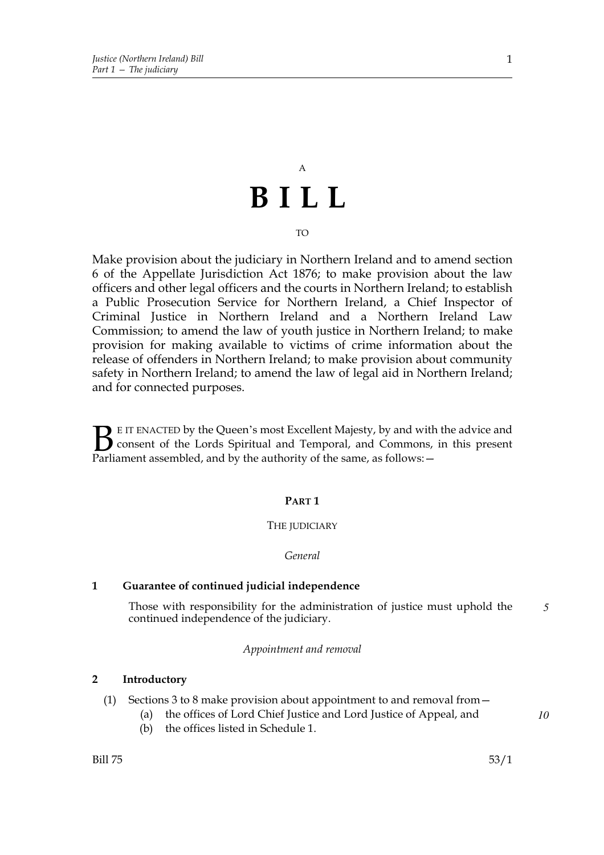# A **BILL**

TO

Make provision about the judiciary in Northern Ireland and to amend section 6 of the Appellate Jurisdiction Act 1876; to make provision about the law officers and other legal officers and the courts in Northern Ireland; to establish a Public Prosecution Service for Northern Ireland, a Chief Inspector of Criminal Justice in Northern Ireland and a Northern Ireland Law Commission; to amend the law of youth justice in Northern Ireland; to make provision for making available to victims of crime information about the release of offenders in Northern Ireland; to make provision about community safety in Northern Ireland; to amend the law of legal aid in Northern Ireland; and for connected purposes.

E IT ENACTED by the Queen's most Excellent Majesty, by and with the advice and consent of the Lords Spiritual and Temporal, and Commons, in this present **B** E IT ENACTED by the Queen's most Excellent Majesty, by and with consent of the Lords Spiritual and Temporal, and Commons, Parliament assembled, and by the authority of the same, as follows:  $-$ 

## **PART 1**

#### THE JUDICIARY

#### *General*

# **1 Guarantee of continued judicial independence**

Those with responsibility for the administration of justice must uphold the continued independence of the judiciary. *5*

*Appointment and removal*

## **2 Introductory**

- (1) Sections 3 to 8 make provision about appointment to and removal from—
	- (a) the offices of Lord Chief Justice and Lord Justice of Appeal, and
	- (b) the offices listed in Schedule 1.

 $Bill 75$  53/1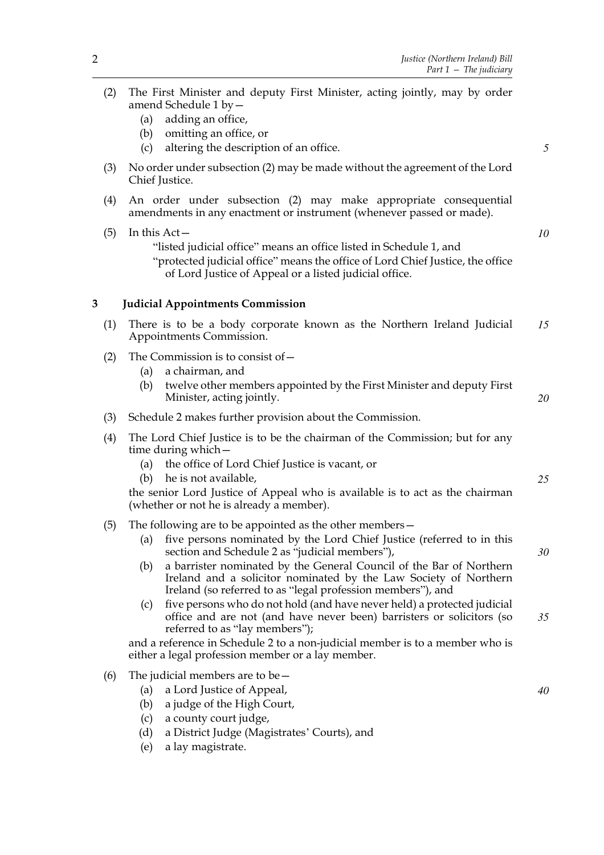*5*

*10*

*20*

*25*

*30*

*40*

- (2) The First Minister and deputy First Minister, acting jointly, may by order amend Schedule 1 by—
	- (a) adding an office,
	- (b) omitting an office, or
	- (c) altering the description of an office.
- (3) No order under subsection (2) may be made without the agreement of the Lord Chief Justice.
- (4) An order under subsection (2) may make appropriate consequential amendments in any enactment or instrument (whenever passed or made).
- $(5)$  In this Act "listed judicial office" means an office listed in Schedule 1, and "protected judicial office" means the office of Lord Chief Justice, the office of Lord Justice of Appeal or a listed judicial office.

## **3 Judicial Appointments Commission**

- (1) There is to be a body corporate known as the Northern Ireland Judicial Appointments Commission. *15*
- (2) The Commission is to consist of—
	- (a) a chairman, and
	- (b) twelve other members appointed by the First Minister and deputy First Minister, acting jointly.
- (3) Schedule 2 makes further provision about the Commission.
- (4) The Lord Chief Justice is to be the chairman of the Commission; but for any time during which—
	- (a) the office of Lord Chief Justice is vacant, or
	- (b) he is not available,

the senior Lord Justice of Appeal who is available is to act as the chairman (whether or not he is already a member).

- (5) The following are to be appointed as the other members—
	- (a) five persons nominated by the Lord Chief Justice (referred to in this section and Schedule 2 as "judicial members"),
	- (b) a barrister nominated by the General Council of the Bar of Northern Ireland and a solicitor nominated by the Law Society of Northern Ireland (so referred to as "legal profession members"), and
	- (c) five persons who do not hold (and have never held) a protected judicial office and are not (and have never been) barristers or solicitors (so referred to as "lay members"); *35*

and a reference in Schedule 2 to a non-judicial member is to a member who is either a legal profession member or a lay member.

- (6) The judicial members are to be  $-$ 
	- (a) a Lord Justice of Appeal,
	- (b) a judge of the High Court,
	- (c) a county court judge,
	- (d) a District Judge (Magistrates' Courts), and
	- (e) a lay magistrate.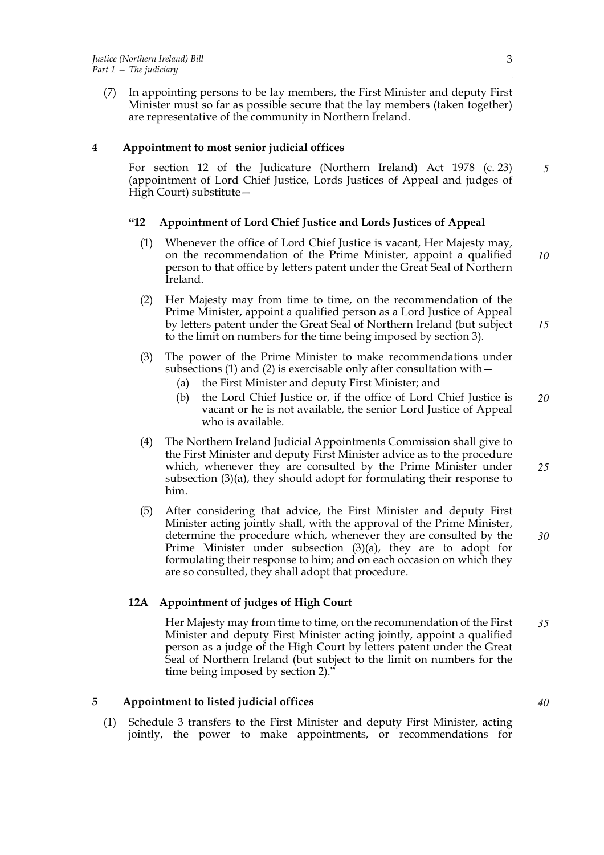(7) In appointing persons to be lay members, the First Minister and deputy First Minister must so far as possible secure that the lay members (taken together) are representative of the community in Northern Ireland.

# **4 Appointment to most senior judicial offices**

For section 12 of the Judicature (Northern Ireland) Act 1978 (c. 23) (appointment of Lord Chief Justice, Lords Justices of Appeal and judges of High Court) substitute— *5*

# **"12 Appointment of Lord Chief Justice and Lords Justices of Appeal**

- (1) Whenever the office of Lord Chief Justice is vacant, Her Majesty may, on the recommendation of the Prime Minister, appoint a qualified person to that office by letters patent under the Great Seal of Northern Ireland. *10*
- (2) Her Majesty may from time to time, on the recommendation of the Prime Minister, appoint a qualified person as a Lord Justice of Appeal by letters patent under the Great Seal of Northern Ireland (but subject to the limit on numbers for the time being imposed by section 3). *15*
- (3) The power of the Prime Minister to make recommendations under subsections (1) and (2) is exercisable only after consultation with—
	- (a) the First Minister and deputy First Minister; and
	- (b) the Lord Chief Justice or, if the office of Lord Chief Justice is vacant or he is not available, the senior Lord Justice of Appeal who is available. *20*
- (4) The Northern Ireland Judicial Appointments Commission shall give to the First Minister and deputy First Minister advice as to the procedure which, whenever they are consulted by the Prime Minister under subsection (3)(a), they should adopt for formulating their response to him. *25*
- (5) After considering that advice, the First Minister and deputy First Minister acting jointly shall, with the approval of the Prime Minister, determine the procedure which, whenever they are consulted by the Prime Minister under subsection (3)(a), they are to adopt for formulating their response to him; and on each occasion on which they are so consulted, they shall adopt that procedure. *30*

# **12A Appointment of judges of High Court**

Her Majesty may from time to time, on the recommendation of the First Minister and deputy First Minister acting jointly, appoint a qualified person as a judge of the High Court by letters patent under the Great Seal of Northern Ireland (but subject to the limit on numbers for the time being imposed by section 2)." *35*

# **5 Appointment to listed judicial offices**

(1) Schedule 3 transfers to the First Minister and deputy First Minister, acting jointly, the power to make appointments, or recommendations for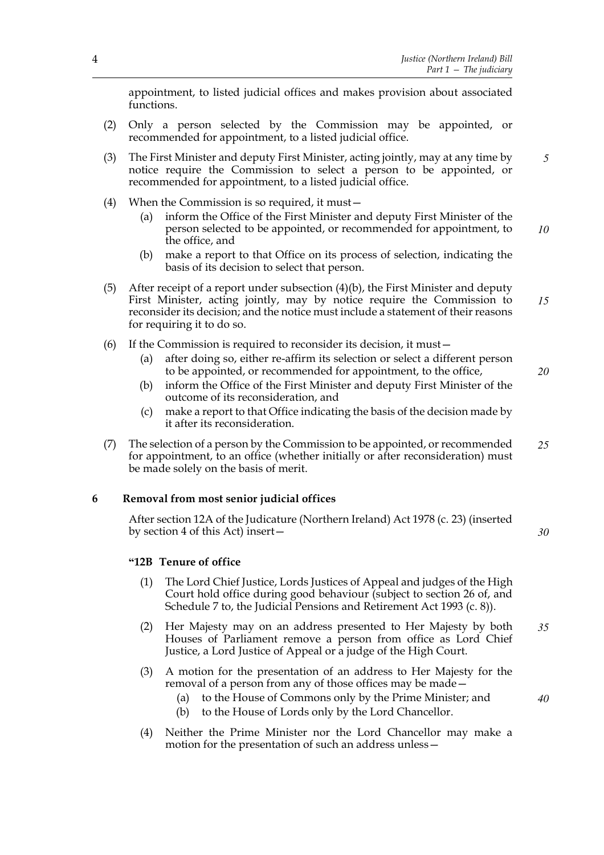*5*

*20*

appointment, to listed judicial offices and makes provision about associated functions.

- (2) Only a person selected by the Commission may be appointed, or recommended for appointment, to a listed judicial office.
- (3) The First Minister and deputy First Minister, acting jointly, may at any time by notice require the Commission to select a person to be appointed, or recommended for appointment, to a listed judicial office.
- (4) When the Commission is so required, it must—
	- (a) inform the Office of the First Minister and deputy First Minister of the person selected to be appointed, or recommended for appointment, to the office, and *10*
	- (b) make a report to that Office on its process of selection, indicating the basis of its decision to select that person.
- (5) After receipt of a report under subsection (4)(b), the First Minister and deputy First Minister, acting jointly, may by notice require the Commission to reconsider its decision; and the notice must include a statement of their reasons for requiring it to do so. *15*
- (6) If the Commission is required to reconsider its decision, it must—
	- (a) after doing so, either re-affirm its selection or select a different person to be appointed, or recommended for appointment, to the office,
	- (b) inform the Office of the First Minister and deputy First Minister of the outcome of its reconsideration, and
	- (c) make a report to that Office indicating the basis of the decision made by it after its reconsideration.
- (7) The selection of a person by the Commission to be appointed, or recommended for appointment, to an office (whether initially or after reconsideration) must be made solely on the basis of merit. *25*

## **6 Removal from most senior judicial offices**

After section 12A of the Judicature (Northern Ireland) Act 1978 (c. 23) (inserted by section 4 of this Act) insert— *30*

## **"12B Tenure of office**

- (1) The Lord Chief Justice, Lords Justices of Appeal and judges of the High Court hold office during good behaviour (subject to section 26 of, and Schedule 7 to, the Judicial Pensions and Retirement Act 1993 (c. 8)).
- (2) Her Majesty may on an address presented to Her Majesty by both Houses of Parliament remove a person from office as Lord Chief Justice, a Lord Justice of Appeal or a judge of the High Court. *35*
- (3) A motion for the presentation of an address to Her Majesty for the removal of a person from any of those offices may be made—
	- (a) to the House of Commons only by the Prime Minister; and
	- (b) to the House of Lords only by the Lord Chancellor.
- (4) Neither the Prime Minister nor the Lord Chancellor may make a motion for the presentation of such an address unless—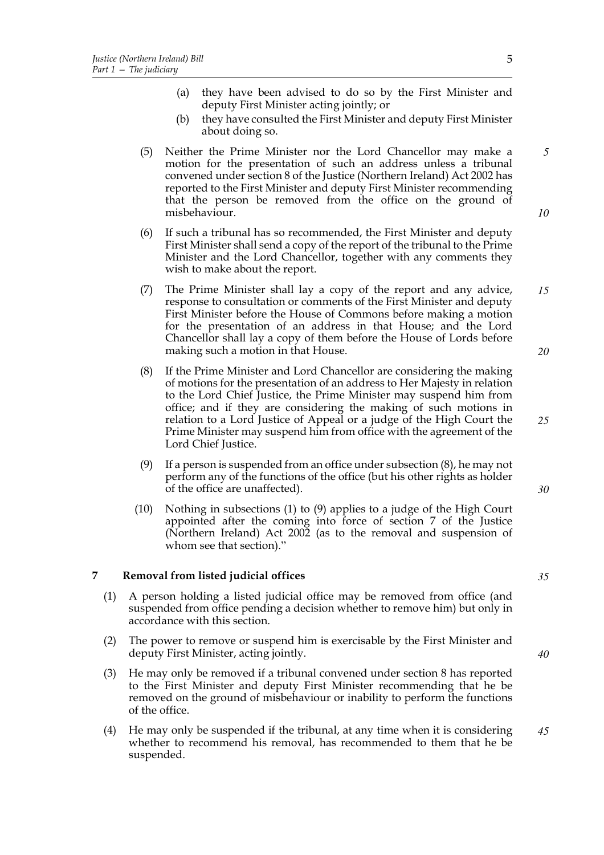- (a) they have been advised to do so by the First Minister and deputy First Minister acting jointly; or
- (b) they have consulted the First Minister and deputy First Minister about doing so.
- (5) Neither the Prime Minister nor the Lord Chancellor may make a motion for the presentation of such an address unless a tribunal convened under section 8 of the Justice (Northern Ireland) Act 2002 has reported to the First Minister and deputy First Minister recommending that the person be removed from the office on the ground of misbehaviour. *10*
- (6) If such a tribunal has so recommended, the First Minister and deputy First Minister shall send a copy of the report of the tribunal to the Prime Minister and the Lord Chancellor, together with any comments they wish to make about the report.
- (7) The Prime Minister shall lay a copy of the report and any advice, response to consultation or comments of the First Minister and deputy First Minister before the House of Commons before making a motion for the presentation of an address in that House; and the Lord Chancellor shall lay a copy of them before the House of Lords before making such a motion in that House. *15 20*
- (8) If the Prime Minister and Lord Chancellor are considering the making of motions for the presentation of an address to Her Majesty in relation to the Lord Chief Justice, the Prime Minister may suspend him from office; and if they are considering the making of such motions in relation to a Lord Justice of Appeal or a judge of the High Court the Prime Minister may suspend him from office with the agreement of the Lord Chief Justice.
- (9) If a person is suspended from an office under subsection (8), he may not perform any of the functions of the office (but his other rights as holder of the office are unaffected).
- (10) Nothing in subsections (1) to (9) applies to a judge of the High Court appointed after the coming into force of section 7 of the Justice (Northern Ireland) Act 2002 (as to the removal and suspension of whom see that section)."

# **7 Removal from listed judicial offices**

- (1) A person holding a listed judicial office may be removed from office (and suspended from office pending a decision whether to remove him) but only in accordance with this section.
- (2) The power to remove or suspend him is exercisable by the First Minister and deputy First Minister, acting jointly.
- (3) He may only be removed if a tribunal convened under section 8 has reported to the First Minister and deputy First Minister recommending that he be removed on the ground of misbehaviour or inability to perform the functions of the office.
- (4) He may only be suspended if the tribunal, at any time when it is considering whether to recommend his removal, has recommended to them that he be suspended. *45*

5

*5*

*35*

*40*

*25*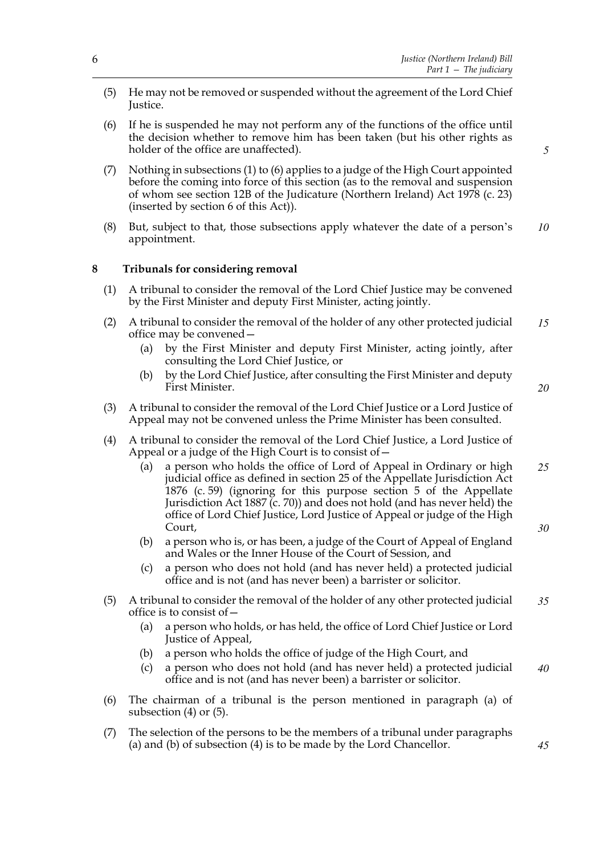- (5) He may not be removed or suspended without the agreement of the Lord Chief Justice.
- (6) If he is suspended he may not perform any of the functions of the office until the decision whether to remove him has been taken (but his other rights as holder of the office are unaffected).
- (7) Nothing in subsections (1) to (6) applies to a judge of the High Court appointed before the coming into force of this section (as to the removal and suspension of whom see section 12B of the Judicature (Northern Ireland) Act 1978 (c. 23) (inserted by section 6 of this Act)).
- (8) But, subject to that, those subsections apply whatever the date of a person's appointment. *10*

# **8 Tribunals for considering removal**

- (1) A tribunal to consider the removal of the Lord Chief Justice may be convened by the First Minister and deputy First Minister, acting jointly.
- (2) A tribunal to consider the removal of the holder of any other protected judicial office may be convened— *15*
	- (a) by the First Minister and deputy First Minister, acting jointly, after consulting the Lord Chief Justice, or
	- (b) by the Lord Chief Justice, after consulting the First Minister and deputy First Minister.
- (3) A tribunal to consider the removal of the Lord Chief Justice or a Lord Justice of Appeal may not be convened unless the Prime Minister has been consulted.
- (4) A tribunal to consider the removal of the Lord Chief Justice, a Lord Justice of Appeal or a judge of the High Court is to consist of—
	- (a) a person who holds the office of Lord of Appeal in Ordinary or high judicial office as defined in section 25 of the Appellate Jurisdiction Act 1876 (c. 59) (ignoring for this purpose section 5 of the Appellate Jurisdiction Act 1887 (c. 70)) and does not hold (and has never held) the office of Lord Chief Justice, Lord Justice of Appeal or judge of the High Court, *25*
	- (b) a person who is, or has been, a judge of the Court of Appeal of England and Wales or the Inner House of the Court of Session, and
	- (c) a person who does not hold (and has never held) a protected judicial office and is not (and has never been) a barrister or solicitor.
- (5) A tribunal to consider the removal of the holder of any other protected judicial office is to consist of— *35*
	- (a) a person who holds, or has held, the office of Lord Chief Justice or Lord Justice of Appeal,
	- (b) a person who holds the office of judge of the High Court, and
	- (c) a person who does not hold (and has never held) a protected judicial office and is not (and has never been) a barrister or solicitor. *40*
- (6) The chairman of a tribunal is the person mentioned in paragraph (a) of subsection (4) or (5).
- (7) The selection of the persons to be the members of a tribunal under paragraphs (a) and (b) of subsection (4) is to be made by the Lord Chancellor.

*5*

*20*

*30*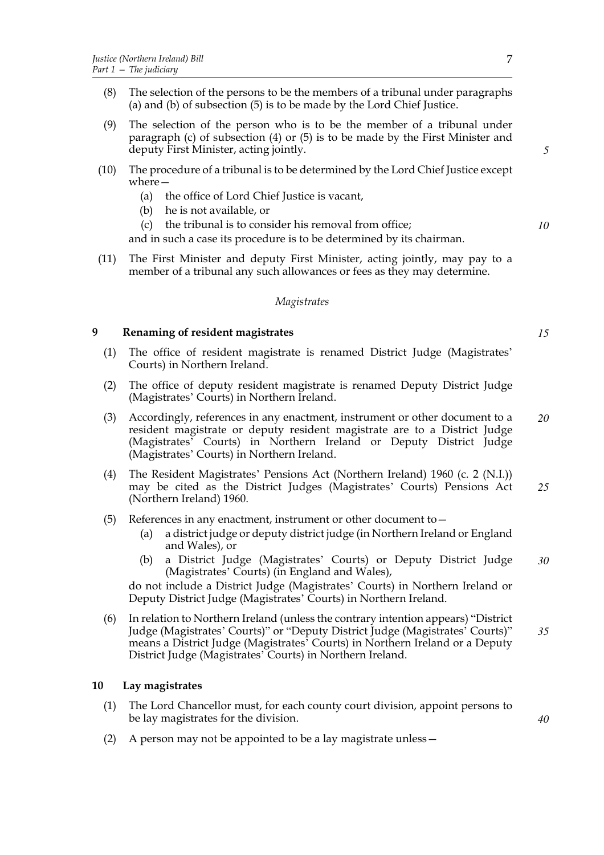- (8) The selection of the persons to be the members of a tribunal under paragraphs (a) and (b) of subsection (5) is to be made by the Lord Chief Justice.
- (9) The selection of the person who is to be the member of a tribunal under paragraph (c) of subsection (4) or (5) is to be made by the First Minister and deputy First Minister, acting jointly.
- (10) The procedure of a tribunal is to be determined by the Lord Chief Justice except where—
	- (a) the office of Lord Chief Justice is vacant,
	- (b) he is not available, or
	- (c) the tribunal is to consider his removal from office;

and in such a case its procedure is to be determined by its chairman.

(11) The First Minister and deputy First Minister, acting jointly, may pay to a member of a tribunal any such allowances or fees as they may determine.

## *Magistrates*

# **9 Renaming of resident magistrates**

- (1) The office of resident magistrate is renamed District Judge (Magistrates' Courts) in Northern Ireland.
- (2) The office of deputy resident magistrate is renamed Deputy District Judge (Magistrates' Courts) in Northern Ireland.
- (3) Accordingly, references in any enactment, instrument or other document to a resident magistrate or deputy resident magistrate are to a District Judge (Magistrates' Courts) in Northern Ireland or Deputy District Judge (Magistrates' Courts) in Northern Ireland. *20*
- (4) The Resident Magistrates' Pensions Act (Northern Ireland) 1960 (c. 2 (N.I.)) may be cited as the District Judges (Magistrates' Courts) Pensions Act (Northern Ireland) 1960. *25*
- (5) References in any enactment, instrument or other document to—
	- (a) a district judge or deputy district judge (in Northern Ireland or England and Wales), or
	- (b) a District Judge (Magistrates' Courts) or Deputy District Judge (Magistrates' Courts) (in England and Wales), *30*

do not include a District Judge (Magistrates' Courts) in Northern Ireland or Deputy District Judge (Magistrates' Courts) in Northern Ireland.

(6) In relation to Northern Ireland (unless the contrary intention appears) "District Judge (Magistrates' Courts)" or "Deputy District Judge (Magistrates' Courts)" means a District Judge (Magistrates' Courts) in Northern Ireland or a Deputy District Judge (Magistrates' Courts) in Northern Ireland. *35*

## **10 Lay magistrates**

- (1) The Lord Chancellor must, for each county court division, appoint persons to be lay magistrates for the division.
- (2) A person may not be appointed to be a lay magistrate unless—

*15*

*40*

*5*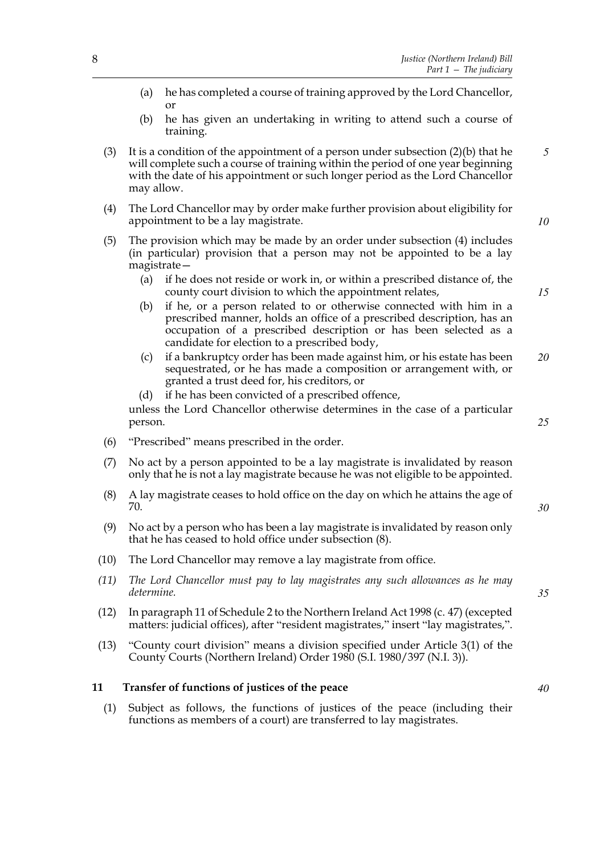- (a) he has completed a course of training approved by the Lord Chancellor, or
- (b) he has given an undertaking in writing to attend such a course of training.
- (3) It is a condition of the appointment of a person under subsection (2)(b) that he will complete such a course of training within the period of one year beginning with the date of his appointment or such longer period as the Lord Chancellor may allow. *5*
- (4) The Lord Chancellor may by order make further provision about eligibility for appointment to be a lay magistrate.
- (5) The provision which may be made by an order under subsection (4) includes (in particular) provision that a person may not be appointed to be a lay magistrate—
	- (a) if he does not reside or work in, or within a prescribed distance of, the county court division to which the appointment relates,
	- (b) if he, or a person related to or otherwise connected with him in a prescribed manner, holds an office of a prescribed description, has an occupation of a prescribed description or has been selected as a candidate for election to a prescribed body,
	- (c) if a bankruptcy order has been made against him, or his estate has been sequestrated, or he has made a composition or arrangement with, or granted a trust deed for, his creditors, or *20*
	- (d) if he has been convicted of a prescribed offence,

unless the Lord Chancellor otherwise determines in the case of a particular person.

- (6) "Prescribed" means prescribed in the order.
- (7) No act by a person appointed to be a lay magistrate is invalidated by reason only that he is not a lay magistrate because he was not eligible to be appointed.
- (8) A lay magistrate ceases to hold office on the day on which he attains the age of 70.
- (9) No act by a person who has been a lay magistrate is invalidated by reason only that he has ceased to hold office under subsection (8).
- (10) The Lord Chancellor may remove a lay magistrate from office.
- *(11) The Lord Chancellor must pay to lay magistrates any such allowances as he may determine.*
- (12) In paragraph 11 of Schedule 2 to the Northern Ireland Act 1998 (c. 47) (excepted matters: judicial offices), after "resident magistrates," insert "lay magistrates,".
- (13) "County court division" means a division specified under Article 3(1) of the County Courts (Northern Ireland) Order 1980 (S.I. 1980/397 (N.I. 3)).

# **11 Transfer of functions of justices of the peace**

(1) Subject as follows, the functions of justices of the peace (including their functions as members of a court) are transferred to lay magistrates.

*35*

*10*

*15*

*25*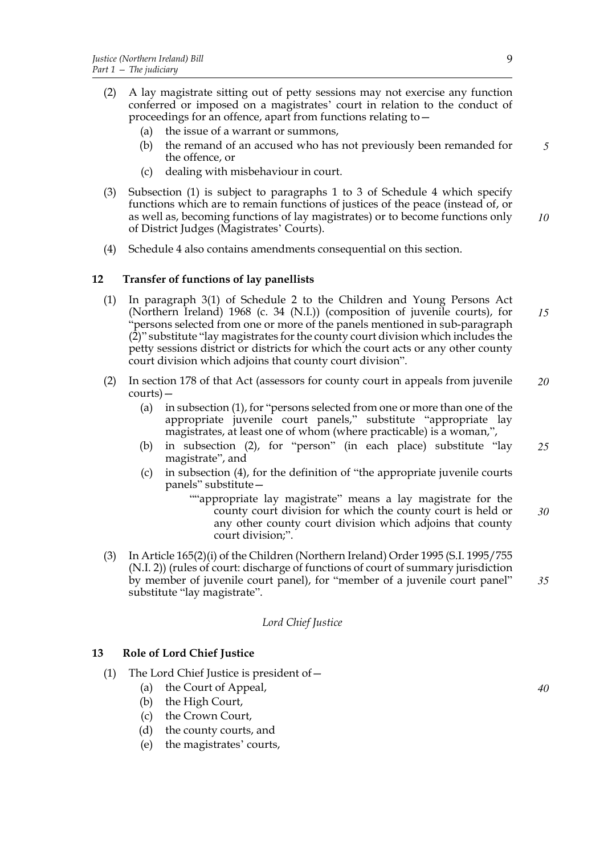- (2) A lay magistrate sitting out of petty sessions may not exercise any function conferred or imposed on a magistrates' court in relation to the conduct of proceedings for an offence, apart from functions relating to—
	- (a) the issue of a warrant or summons,
	- (b) the remand of an accused who has not previously been remanded for the offence, or *5*
	- (c) dealing with misbehaviour in court.
- (3) Subsection (1) is subject to paragraphs 1 to 3 of Schedule 4 which specify functions which are to remain functions of justices of the peace (instead of, or as well as, becoming functions of lay magistrates) or to become functions only of District Judges (Magistrates' Courts). *10*
- (4) Schedule 4 also contains amendments consequential on this section.

# **12 Transfer of functions of lay panellists**

- (1) In paragraph 3(1) of Schedule 2 to the Children and Young Persons Act (Northern Ireland) 1968 (c. 34 (N.I.)) (composition of juvenile courts), for "persons selected from one or more of the panels mentioned in sub-paragraph  $(2)$ " substitute "lay magistrates for the county court division which includes the petty sessions district or districts for which the court acts or any other county court division which adjoins that county court division". *15*
- (2) In section 178 of that Act (assessors for county court in appeals from juvenile courts)— *20*
	- (a) in subsection (1), for "persons selected from one or more than one of the appropriate juvenile court panels," substitute "appropriate lay magistrates, at least one of whom (where practicable) is a woman,",
	- (b) in subsection (2), for "person" (in each place) substitute "lay magistrate", and *25*
	- (c) in subsection (4), for the definition of "the appropriate juvenile courts panels" substitute—
		- ""appropriate lay magistrate" means a lay magistrate for the county court division for which the county court is held or any other county court division which adjoins that county court division;". *30*
- (3) In Article 165(2)(i) of the Children (Northern Ireland) Order 1995 (S.I. 1995/755 (N.I. 2)) (rules of court: discharge of functions of court of summary jurisdiction by member of juvenile court panel), for "member of a juvenile court panel" substitute "lay magistrate". *35*

# *Lord Chief Justice*

# **13 Role of Lord Chief Justice**

- (1) The Lord Chief Justice is president of—
	- (a) the Court of Appeal,
	- (b) the High Court,
	- (c) the Crown Court,
	- (d) the county courts, and
	- (e) the magistrates' courts,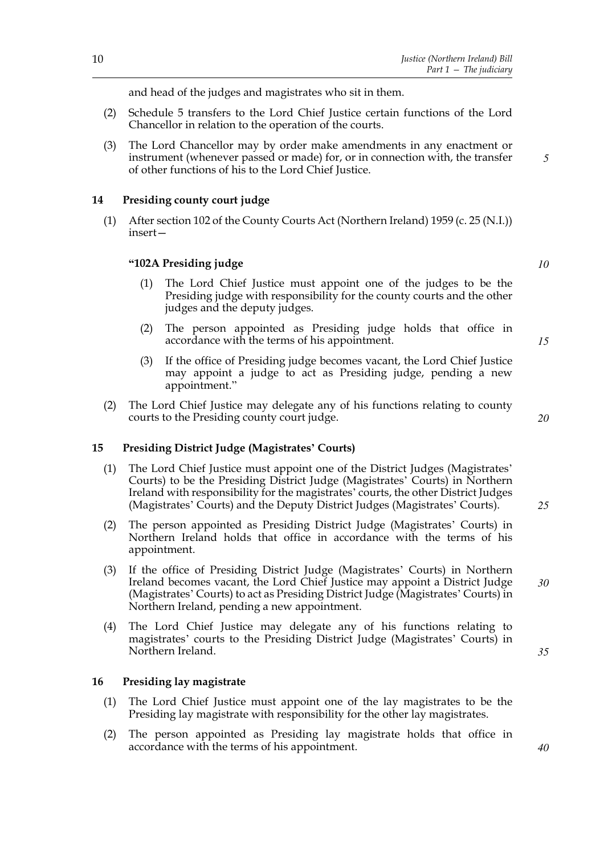and head of the judges and magistrates who sit in them.

- (2) Schedule 5 transfers to the Lord Chief Justice certain functions of the Lord Chancellor in relation to the operation of the courts.
- (3) The Lord Chancellor may by order make amendments in any enactment or instrument (whenever passed or made) for, or in connection with, the transfer of other functions of his to the Lord Chief Justice.

## **14 Presiding county court judge**

(1) After section 102 of the County Courts Act (Northern Ireland) 1959 (c. 25 (N.I.)) insert—

## **"102A Presiding judge**

- (1) The Lord Chief Justice must appoint one of the judges to be the Presiding judge with responsibility for the county courts and the other judges and the deputy judges.
- (2) The person appointed as Presiding judge holds that office in accordance with the terms of his appointment.
- (3) If the office of Presiding judge becomes vacant, the Lord Chief Justice may appoint a judge to act as Presiding judge, pending a new appointment."
- (2) The Lord Chief Justice may delegate any of his functions relating to county courts to the Presiding county court judge.

## **15 Presiding District Judge (Magistrates' Courts)**

- (1) The Lord Chief Justice must appoint one of the District Judges (Magistrates' Courts) to be the Presiding District Judge (Magistrates' Courts) in Northern Ireland with responsibility for the magistrates' courts, the other District Judges (Magistrates' Courts) and the Deputy District Judges (Magistrates' Courts).
- (2) The person appointed as Presiding District Judge (Magistrates' Courts) in Northern Ireland holds that office in accordance with the terms of his appointment.
- (3) If the office of Presiding District Judge (Magistrates' Courts) in Northern Ireland becomes vacant, the Lord Chief Justice may appoint a District Judge (Magistrates' Courts) to act as Presiding District Judge (Magistrates' Courts) in Northern Ireland, pending a new appointment.
- (4) The Lord Chief Justice may delegate any of his functions relating to magistrates' courts to the Presiding District Judge (Magistrates' Courts) in Northern Ireland.

#### **16 Presiding lay magistrate**

- (1) The Lord Chief Justice must appoint one of the lay magistrates to be the Presiding lay magistrate with responsibility for the other lay magistrates.
- (2) The person appointed as Presiding lay magistrate holds that office in accordance with the terms of his appointment.

*10*

*5*

*20*

*15*

*25*

*35*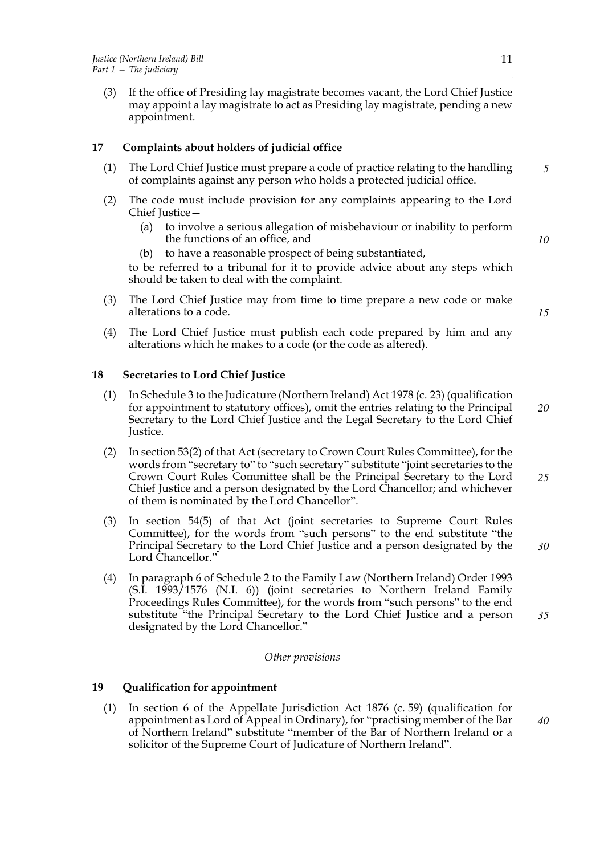(3) If the office of Presiding lay magistrate becomes vacant, the Lord Chief Justice may appoint a lay magistrate to act as Presiding lay magistrate, pending a new appointment.

# **17 Complaints about holders of judicial office**

- (1) The Lord Chief Justice must prepare a code of practice relating to the handling of complaints against any person who holds a protected judicial office. *5*
- (2) The code must include provision for any complaints appearing to the Lord Chief Justice—
	- (a) to involve a serious allegation of misbehaviour or inability to perform the functions of an office, and
	- (b) to have a reasonable prospect of being substantiated,

to be referred to a tribunal for it to provide advice about any steps which should be taken to deal with the complaint.

- (3) The Lord Chief Justice may from time to time prepare a new code or make alterations to a code.
- (4) The Lord Chief Justice must publish each code prepared by him and any alterations which he makes to a code (or the code as altered).

## **18 Secretaries to Lord Chief Justice**

- (1) In Schedule 3 to the Judicature (Northern Ireland) Act 1978 (c. 23) (qualification for appointment to statutory offices), omit the entries relating to the Principal Secretary to the Lord Chief Justice and the Legal Secretary to the Lord Chief Justice.
- (2) In section 53(2) of that Act (secretary to Crown Court Rules Committee), for the words from "secretary to" to "such secretary" substitute "joint secretaries to the Crown Court Rules Committee shall be the Principal Secretary to the Lord Chief Justice and a person designated by the Lord Chancellor; and whichever of them is nominated by the Lord Chancellor". *25*
- (3) In section 54(5) of that Act (joint secretaries to Supreme Court Rules Committee), for the words from "such persons" to the end substitute "the Principal Secretary to the Lord Chief Justice and a person designated by the Lord Chancellor." *30*
- (4) In paragraph 6 of Schedule 2 to the Family Law (Northern Ireland) Order 1993 (S.I. 1993/1576 (N.I. 6)) (joint secretaries to Northern Ireland Family Proceedings Rules Committee), for the words from "such persons" to the end substitute "the Principal Secretary to the Lord Chief Justice and a person designated by the Lord Chancellor."

## *Other provisions*

# **19 Qualification for appointment**

(1) In section 6 of the Appellate Jurisdiction Act 1876 (c. 59) (qualification for appointment as Lord of Appeal in Ordinary), for "practising member of the Bar of Northern Ireland" substitute "member of the Bar of Northern Ireland or a solicitor of the Supreme Court of Judicature of Northern Ireland".

*10*

*15*

*20*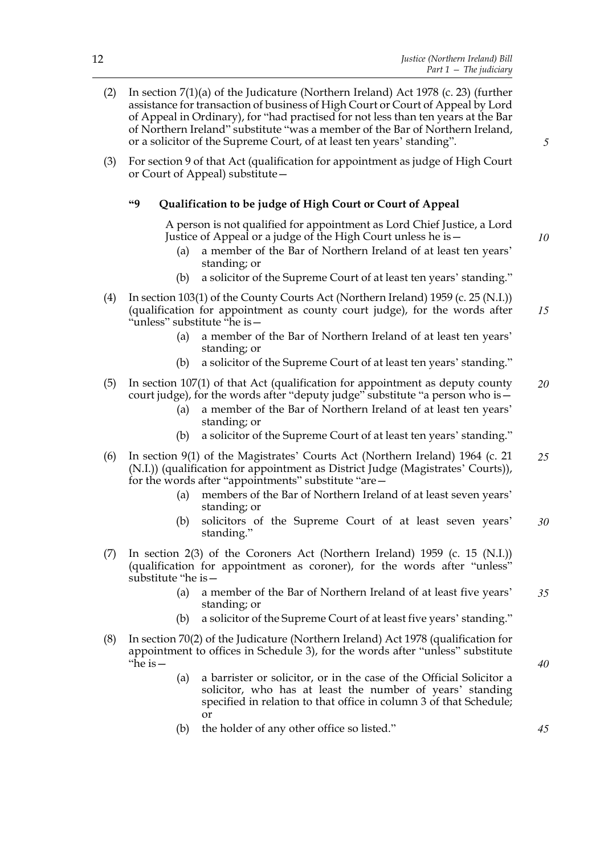| (2) | In section $7(1)(a)$ of the Judicature (Northern Ireland) Act 1978 (c. 23) (further<br>assistance for transaction of business of High Court or Court of Appeal by Lord<br>of Appeal in Ordinary), for "had practised for not less than ten years at the Bar<br>of Northern Ireland" substitute "was a member of the Bar of Northern Ireland,<br>or a solicitor of the Supreme Court, of at least ten years' standing". | 5  |
|-----|------------------------------------------------------------------------------------------------------------------------------------------------------------------------------------------------------------------------------------------------------------------------------------------------------------------------------------------------------------------------------------------------------------------------|----|
| (3) | For section 9 of that Act (qualification for appointment as judge of High Court<br>or Court of Appeal) substitute –                                                                                                                                                                                                                                                                                                    |    |
|     | 69<br>Qualification to be judge of High Court or Court of Appeal                                                                                                                                                                                                                                                                                                                                                       |    |
|     | A person is not qualified for appointment as Lord Chief Justice, a Lord<br>Justice of Appeal or a judge of the High Court unless he is -<br>a member of the Bar of Northern Ireland of at least ten years'<br>(a)<br>standing; or                                                                                                                                                                                      | 10 |
|     | a solicitor of the Supreme Court of at least ten years' standing."<br>(b)                                                                                                                                                                                                                                                                                                                                              |    |
| (4) | In section 103(1) of the County Courts Act (Northern Ireland) 1959 (c. 25 (N.I.))<br>(qualification for appointment as county court judge), for the words after<br>"unless" substitute "he is-                                                                                                                                                                                                                         | 15 |
|     | a member of the Bar of Northern Ireland of at least ten years'<br>(a)<br>standing; or                                                                                                                                                                                                                                                                                                                                  |    |
|     | a solicitor of the Supreme Court of at least ten years' standing."<br>(b)                                                                                                                                                                                                                                                                                                                                              |    |
| (5) | In section 107(1) of that Act (qualification for appointment as deputy county<br>court judge), for the words after "deputy judge" substitute "a person who is -<br>a member of the Bar of Northern Ireland of at least ten years'<br>(a)<br>standing; or                                                                                                                                                               | 20 |
|     | a solicitor of the Supreme Court of at least ten years' standing."<br>(b)                                                                                                                                                                                                                                                                                                                                              |    |
| (6) | In section 9(1) of the Magistrates' Courts Act (Northern Ireland) 1964 (c. 21<br>(N.I.)) (qualification for appointment as District Judge (Magistrates' Courts)),<br>for the words after "appointments" substitute "are-<br>members of the Bar of Northern Ireland of at least seven years'<br>(a)                                                                                                                     | 25 |
|     | standing; or<br>solicitors of the Supreme Court of at least seven years'<br>(b)<br>standing.                                                                                                                                                                                                                                                                                                                           | 30 |
| (7) | In section $2(3)$ of the Coroners Act (Northern Ireland) 1959 (c. 15 (N.I.))<br>(qualification for appointment as coroner), for the words after "unless"<br>substitute "he is -                                                                                                                                                                                                                                        |    |
|     | a member of the Bar of Northern Ireland of at least five years'<br>(a)<br>standing; or                                                                                                                                                                                                                                                                                                                                 | 35 |
|     | a solicitor of the Supreme Court of at least five years' standing."<br>(b)                                                                                                                                                                                                                                                                                                                                             |    |
| (8) | In section $70(2)$ of the Judicature (Northern Ireland) Act 1978 (qualification for<br>appointment to offices in Schedule 3), for the words after "unless" substitute<br>"he is $-$                                                                                                                                                                                                                                    | 40 |
|     | a barrister or solicitor, or in the case of the Official Solicitor a<br>(a)<br>solicitor, who has at least the number of years' standing<br>specified in relation to that office in column 3 of that Schedule;<br>or                                                                                                                                                                                                   |    |
|     | the holder of any other office so listed."<br>(b)                                                                                                                                                                                                                                                                                                                                                                      | 45 |
|     |                                                                                                                                                                                                                                                                                                                                                                                                                        |    |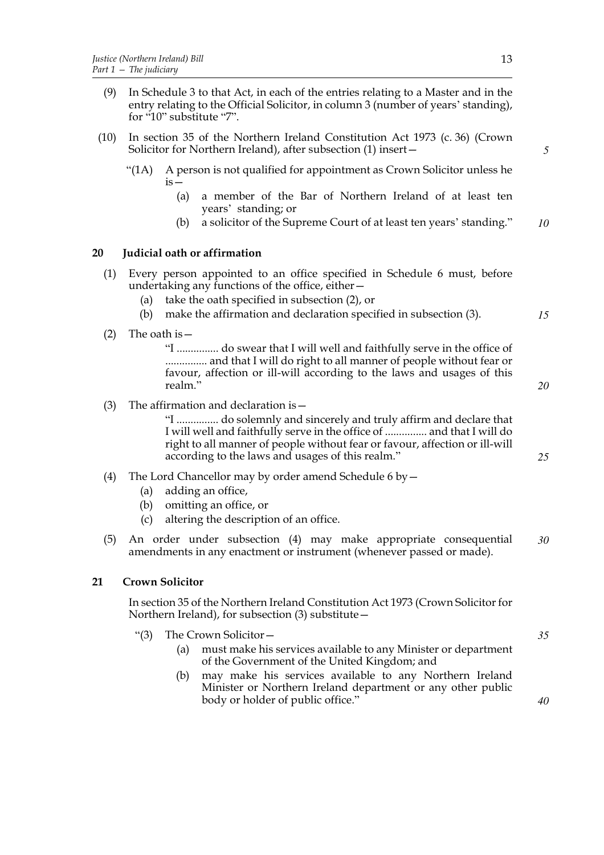- (9) In Schedule 3 to that Act, in each of the entries relating to a Master and in the entry relating to the Official Solicitor, in column 3 (number of years' standing), for "10" substitute "7".
- (10) In section 35 of the Northern Ireland Constitution Act 1973 (c. 36) (Crown Solicitor for Northern Ireland), after subsection (1) insert—
	- "(1A) A person is not qualified for appointment as Crown Solicitor unless he  $is -$ 
		- (a) a member of the Bar of Northern Ireland of at least ten years' standing; or
		- (b) a solicitor of the Supreme Court of at least ten years' standing." *10*

# **20 Judicial oath or affirmation**

- (1) Every person appointed to an office specified in Schedule 6 must, before undertaking any functions of the office, either—
	- (a) take the oath specified in subsection (2), or
	- (b) make the affirmation and declaration specified in subsection (3).
- (2) The oath is  $-$

"I ............... do swear that I will well and faithfully serve in the office of ............... and that I will do right to all manner of people without fear or favour, affection or ill-will according to the laws and usages of this realm."

(3) The affirmation and declaration is  $-$ 

"I ............... do solemnly and sincerely and truly affirm and declare that I will well and faithfully serve in the office of ............... and that I will do right to all manner of people without fear or favour, affection or ill-will according to the laws and usages of this realm."

- (4) The Lord Chancellor may by order amend Schedule 6 by—
	- (a) adding an office,
	- (b) omitting an office, or
	- (c) altering the description of an office.
- (5) An order under subsection (4) may make appropriate consequential amendments in any enactment or instrument (whenever passed or made). *30*

# **21 Crown Solicitor**

In section 35 of the Northern Ireland Constitution Act 1973 (Crown Solicitor for Northern Ireland), for subsection (3) substitute—

- "(3) The Crown Solicitor—
	- (a) must make his services available to any Minister or department of the Government of the United Kingdom; and
	- (b) may make his services available to any Northern Ireland Minister or Northern Ireland department or any other public body or holder of public office."

*5*

*15*

*20*

*25*

*35*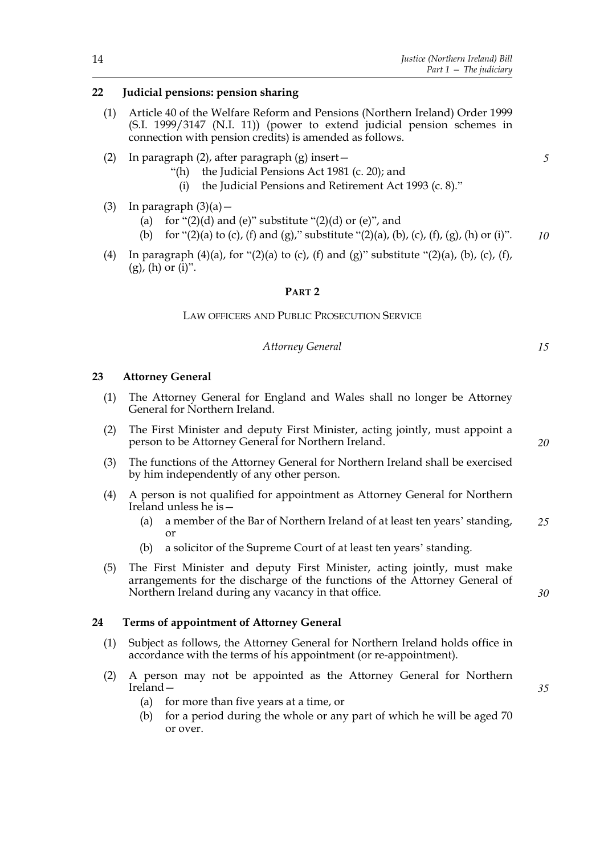# **22 Judicial pensions: pension sharing**

- (1) Article 40 of the Welfare Reform and Pensions (Northern Ireland) Order 1999 (S.I. 1999/3147 (N.I. 11)) (power to extend judicial pension schemes in connection with pension credits) is amended as follows.
- (2) In paragraph (2), after paragraph (g) insert—
	- "(h) the Judicial Pensions Act 1981 (c. 20); and
		- (i) the Judicial Pensions and Retirement Act 1993 (c. 8)."
- (3) In paragraph  $(3)(a)$ 
	- (a) for  $\lq(2)(d)$  and (e)" substitute  $\lq(2)(d)$  or (e)", and
	- (b) for "(2)(a) to (c), (f) and (g)," substitute "(2)(a), (b), (c), (f), (g), (h) or (i)". *10*
- (4) In paragraph (4)(a), for "(2)(a) to (c), (f) and (g)" substitute "(2)(a), (b), (c), (f),  $(g)$ ,  $(h)$  or  $(i)$ ".

## **PART 2**

LAW OFFICERS AND PUBLIC PROSECUTION SERVICE

## *Attorney General*

# **23 Attorney General**

- (1) The Attorney General for England and Wales shall no longer be Attorney General for Northern Ireland.
- (2) The First Minister and deputy First Minister, acting jointly, must appoint a person to be Attorney General for Northern Ireland.
- (3) The functions of the Attorney General for Northern Ireland shall be exercised by him independently of any other person.
- (4) A person is not qualified for appointment as Attorney General for Northern Ireland unless he is—
	- (a) a member of the Bar of Northern Ireland of at least ten years' standing, or *25*
	- (b) a solicitor of the Supreme Court of at least ten years' standing.
- (5) The First Minister and deputy First Minister, acting jointly, must make arrangements for the discharge of the functions of the Attorney General of Northern Ireland during any vacancy in that office.

## **24 Terms of appointment of Attorney General**

- (1) Subject as follows, the Attorney General for Northern Ireland holds office in accordance with the terms of his appointment (or re-appointment).
- (2) A person may not be appointed as the Attorney General for Northern Ireland—

*35*

*30*

- (a) for more than five years at a time, or
- (b) for a period during the whole or any part of which he will be aged 70 or over.

*5*

*20*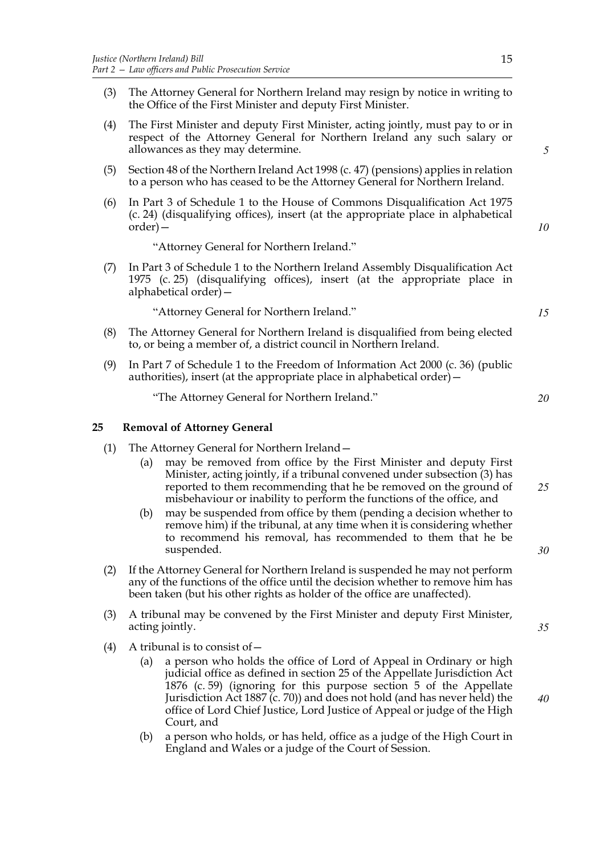- (3) The Attorney General for Northern Ireland may resign by notice in writing to the Office of the First Minister and deputy First Minister.
- (4) The First Minister and deputy First Minister, acting jointly, must pay to or in respect of the Attorney General for Northern Ireland any such salary or allowances as they may determine.
- (5) Section 48 of the Northern Ireland Act 1998 (c. 47) (pensions) applies in relation to a person who has ceased to be the Attorney General for Northern Ireland.
- (6) In Part 3 of Schedule 1 to the House of Commons Disqualification Act 1975 (c. 24) (disqualifying offices), insert (at the appropriate place in alphabetical order)—

"Attorney General for Northern Ireland."

(7) In Part 3 of Schedule 1 to the Northern Ireland Assembly Disqualification Act 1975 (c. 25) (disqualifying offices), insert (at the appropriate place in alphabetical order)—

"Attorney General for Northern Ireland."

- (8) The Attorney General for Northern Ireland is disqualified from being elected to, or being a member of, a district council in Northern Ireland.
- (9) In Part 7 of Schedule 1 to the Freedom of Information Act 2000 (c. 36) (public authorities), insert (at the appropriate place in alphabetical order)—

"The Attorney General for Northern Ireland."

## **25 Removal of Attorney General**

- (1) The Attorney General for Northern Ireland—
	- (a) may be removed from office by the First Minister and deputy First Minister, acting jointly, if a tribunal convened under subsection (3) has reported to them recommending that he be removed on the ground of misbehaviour or inability to perform the functions of the office, and *25*
	- (b) may be suspended from office by them (pending a decision whether to remove him) if the tribunal, at any time when it is considering whether to recommend his removal, has recommended to them that he be suspended.
- (2) If the Attorney General for Northern Ireland is suspended he may not perform any of the functions of the office until the decision whether to remove him has been taken (but his other rights as holder of the office are unaffected).
- (3) A tribunal may be convened by the First Minister and deputy First Minister, acting jointly.
- (4) A tribunal is to consist of  $-$ 
	- (a) a person who holds the office of Lord of Appeal in Ordinary or high judicial office as defined in section 25 of the Appellate Jurisdiction Act 1876 (c. 59) (ignoring for this purpose section 5 of the Appellate Jurisdiction Act 1887 (c. 70)) and does not hold (and has never held) the office of Lord Chief Justice, Lord Justice of Appeal or judge of the High Court, and
	- (b) a person who holds, or has held, office as a judge of the High Court in England and Wales or a judge of the Court of Session.

*20*

*15*

*5*

*10*

*30*

*35*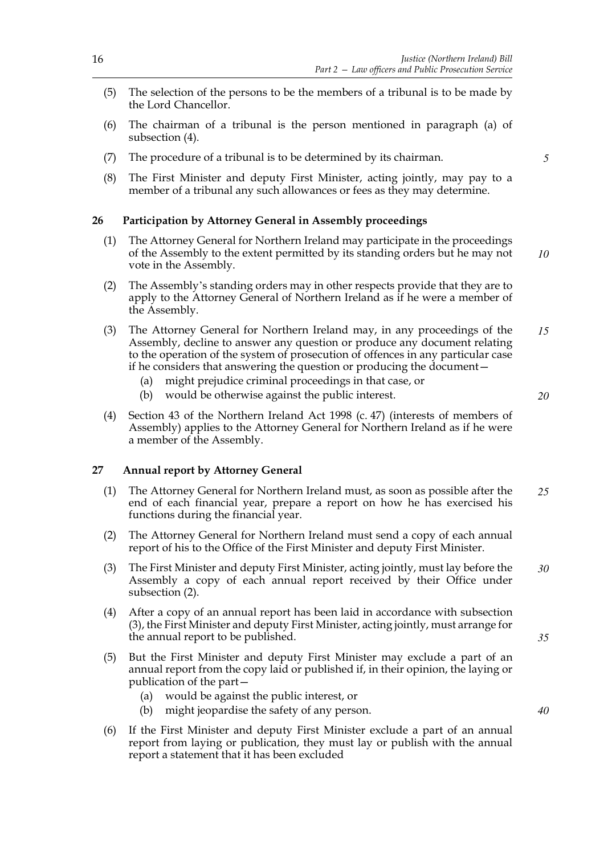- (5) The selection of the persons to be the members of a tribunal is to be made by the Lord Chancellor.
- (6) The chairman of a tribunal is the person mentioned in paragraph (a) of subsection (4).
- (7) The procedure of a tribunal is to be determined by its chairman.
- (8) The First Minister and deputy First Minister, acting jointly, may pay to a member of a tribunal any such allowances or fees as they may determine.

## **26 Participation by Attorney General in Assembly proceedings**

- (1) The Attorney General for Northern Ireland may participate in the proceedings of the Assembly to the extent permitted by its standing orders but he may not vote in the Assembly. *10*
- (2) The Assembly's standing orders may in other respects provide that they are to apply to the Attorney General of Northern Ireland as if he were a member of the Assembly.
- (3) The Attorney General for Northern Ireland may, in any proceedings of the Assembly, decline to answer any question or produce any document relating to the operation of the system of prosecution of offences in any particular case if he considers that answering the question or producing the document— *15*
	- (a) might prejudice criminal proceedings in that case, or
	- (b) would be otherwise against the public interest.
- (4) Section 43 of the Northern Ireland Act 1998 (c. 47) (interests of members of Assembly) applies to the Attorney General for Northern Ireland as if he were a member of the Assembly.

#### **27 Annual report by Attorney General**

- (1) The Attorney General for Northern Ireland must, as soon as possible after the end of each financial year, prepare a report on how he has exercised his functions during the financial year. *25*
- (2) The Attorney General for Northern Ireland must send a copy of each annual report of his to the Office of the First Minister and deputy First Minister.
- (3) The First Minister and deputy First Minister, acting jointly, must lay before the Assembly a copy of each annual report received by their Office under subsection (2). *30*
- (4) After a copy of an annual report has been laid in accordance with subsection (3), the First Minister and deputy First Minister, acting jointly, must arrange for the annual report to be published.
- (5) But the First Minister and deputy First Minister may exclude a part of an annual report from the copy laid or published if, in their opinion, the laying or publication of the part—
	- (a) would be against the public interest, or
	- (b) might jeopardise the safety of any person.
- (6) If the First Minister and deputy First Minister exclude a part of an annual report from laying or publication, they must lay or publish with the annual report a statement that it has been excluded

*5*

*20*

*35*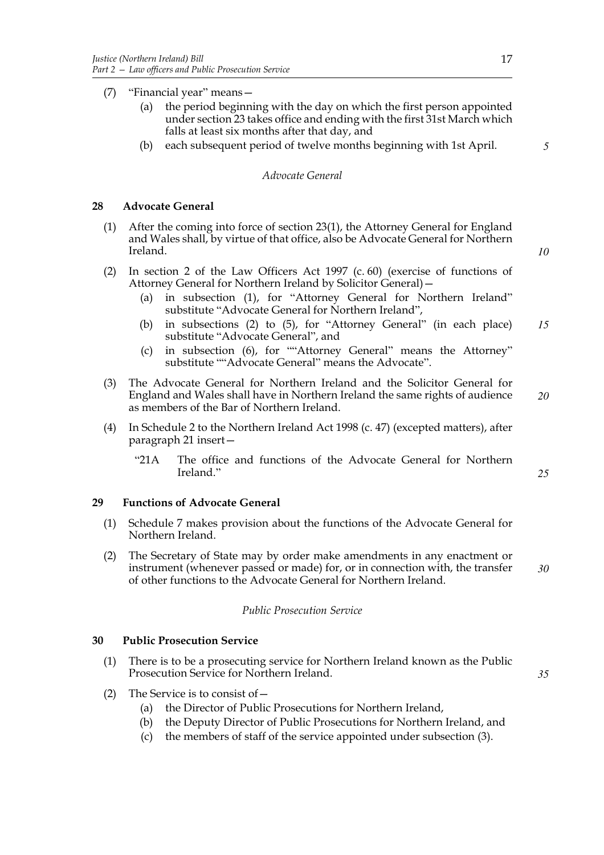- (7) "Financial year" means—
	- (a) the period beginning with the day on which the first person appointed under section 23 takes office and ending with the first 31st March which falls at least six months after that day, and
	- (b) each subsequent period of twelve months beginning with 1st April.

#### *Advocate General*

# **28 Advocate General**

- (1) After the coming into force of section 23(1), the Attorney General for England and Wales shall, by virtue of that office, also be Advocate General for Northern Ireland.
- (2) In section 2 of the Law Officers Act 1997 (c. 60) (exercise of functions of Attorney General for Northern Ireland by Solicitor General)—
	- (a) in subsection (1), for "Attorney General for Northern Ireland" substitute "Advocate General for Northern Ireland",
	- (b) in subsections (2) to (5), for "Attorney General" (in each place) substitute "Advocate General", and *15*
	- (c) in subsection (6), for ""Attorney General" means the Attorney" substitute ""Advocate General" means the Advocate".
- (3) The Advocate General for Northern Ireland and the Solicitor General for England and Wales shall have in Northern Ireland the same rights of audience as members of the Bar of Northern Ireland. *20*
- (4) In Schedule 2 to the Northern Ireland Act 1998 (c. 47) (excepted matters), after paragraph 21 insert—
	- "21A The office and functions of the Advocate General for Northern Ireland."

## **29 Functions of Advocate General**

- (1) Schedule 7 makes provision about the functions of the Advocate General for Northern Ireland.
- (2) The Secretary of State may by order make amendments in any enactment or instrument (whenever passed or made) for, or in connection with, the transfer of other functions to the Advocate General for Northern Ireland. *30*

## *Public Prosecution Service*

## **30 Public Prosecution Service**

- (1) There is to be a prosecuting service for Northern Ireland known as the Public Prosecution Service for Northern Ireland.
- (2) The Service is to consist of—
	- (a) the Director of Public Prosecutions for Northern Ireland,
	- (b) the Deputy Director of Public Prosecutions for Northern Ireland, and
	- (c) the members of staff of the service appointed under subsection (3).

*5*

*10*

*25*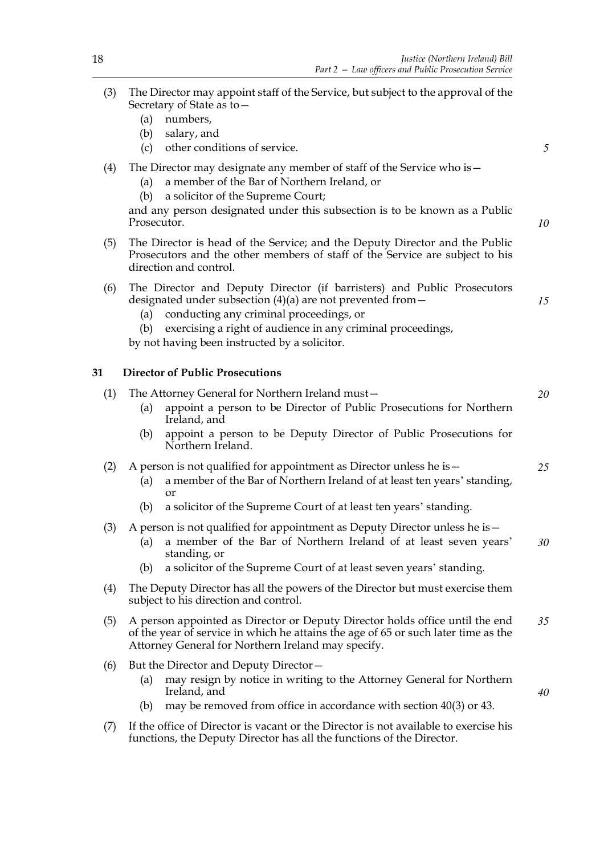*5*

*10*

*20*

- (3) The Director may appoint staff of the Service, but subject to the approval of the Secretary of State as to—
	- (a) numbers,
	- (b) salary, and
	- (c) other conditions of service.
- (4) The Director may designate any member of staff of the Service who is—
	- (a) a member of the Bar of Northern Ireland, or
	- (b) a solicitor of the Supreme Court;

and any person designated under this subsection is to be known as a Public Prosecutor.

(5) The Director is head of the Service; and the Deputy Director and the Public Prosecutors and the other members of staff of the Service are subject to his direction and control.

| (6) The Director and Deputy Director (if barristers) and Public Prosecutors |  |
|-----------------------------------------------------------------------------|--|
| designated under subsection $(4)(a)$ are not prevented from $-$             |  |
|                                                                             |  |

- (a) conducting any criminal proceedings, or
- (b) exercising a right of audience in any criminal proceedings,

by not having been instructed by a solicitor.

(1) The Attorney General for Northern Ireland must—

# **31 Director of Public Prosecutions**

- (a) appoint a person to be Director of Public Prosecutions for Northern Ireland, and (b) appoint a person to be Deputy Director of Public Prosecutions for Northern Ireland. (2) A person is not qualified for appointment as Director unless he is  $-$ (a) a member of the Bar of Northern Ireland of at least ten years' standing, or (b) a solicitor of the Supreme Court of at least ten years' standing. (3) A person is not qualified for appointment as Deputy Director unless he is— (a) a member of the Bar of Northern Ireland of at least seven years' standing, or (b) a solicitor of the Supreme Court of at least seven years' standing. (4) The Deputy Director has all the powers of the Director but must exercise them subject to his direction and control. (5) A person appointed as Director or Deputy Director holds office until the end of the year of service in which he attains the age of 65 or such later time as the Attorney General for Northern Ireland may specify. (6) But the Director and Deputy Director— (a) may resign by notice in writing to the Attorney General for Northern Ireland, and (b) may be removed from office in accordance with section 40(3) or 43. *25 30 35 40*
- (7) If the office of Director is vacant or the Director is not available to exercise his functions, the Deputy Director has all the functions of the Director.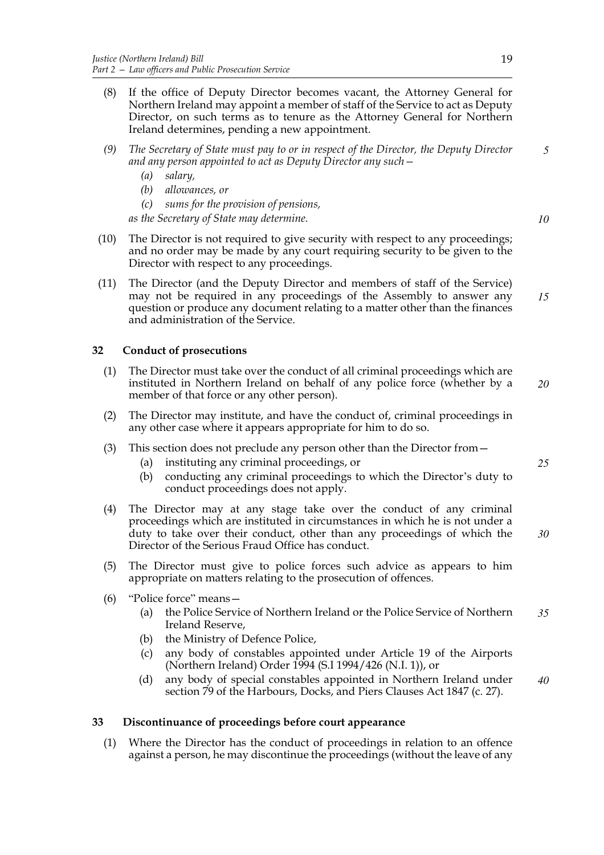- (8) If the office of Deputy Director becomes vacant, the Attorney General for Northern Ireland may appoint a member of staff of the Service to act as Deputy Director, on such terms as to tenure as the Attorney General for Northern Ireland determines, pending a new appointment.
- *(9) The Secretary of State must pay to or in respect of the Director, the Deputy Director and any person appointed to act as Deputy Director any such— 5*
	- *(a) salary,*
	- *(b) allowances, or*
	- *(c) sums for the provision of pensions,*

*as the Secretary of State may determine.*

- (10) The Director is not required to give security with respect to any proceedings; and no order may be made by any court requiring security to be given to the Director with respect to any proceedings.
- (11) The Director (and the Deputy Director and members of staff of the Service) may not be required in any proceedings of the Assembly to answer any question or produce any document relating to a matter other than the finances and administration of the Service. *15*

# **32 Conduct of prosecutions**

- (1) The Director must take over the conduct of all criminal proceedings which are instituted in Northern Ireland on behalf of any police force (whether by a member of that force or any other person). *20*
- (2) The Director may institute, and have the conduct of, criminal proceedings in any other case where it appears appropriate for him to do so.
- (3) This section does not preclude any person other than the Director from—
	- (a) instituting any criminal proceedings, or
	- (b) conducting any criminal proceedings to which the Director's duty to conduct proceedings does not apply.
- (4) The Director may at any stage take over the conduct of any criminal proceedings which are instituted in circumstances in which he is not under a duty to take over their conduct, other than any proceedings of which the Director of the Serious Fraud Office has conduct. *30*
- (5) The Director must give to police forces such advice as appears to him appropriate on matters relating to the prosecution of offences.
- (6) "Police force" means—
	- (a) the Police Service of Northern Ireland or the Police Service of Northern Ireland Reserve, *35*
	- (b) the Ministry of Defence Police,
	- (c) any body of constables appointed under Article 19 of the Airports (Northern Ireland) Order 1994 (S.I 1994/426 (N.I. 1)), or
	- (d) any body of special constables appointed in Northern Ireland under section 79 of the Harbours, Docks, and Piers Clauses Act 1847 (c. 27). *40*

# **33 Discontinuance of proceedings before court appearance**

(1) Where the Director has the conduct of proceedings in relation to an offence against a person, he may discontinue the proceedings (without the leave of any *25*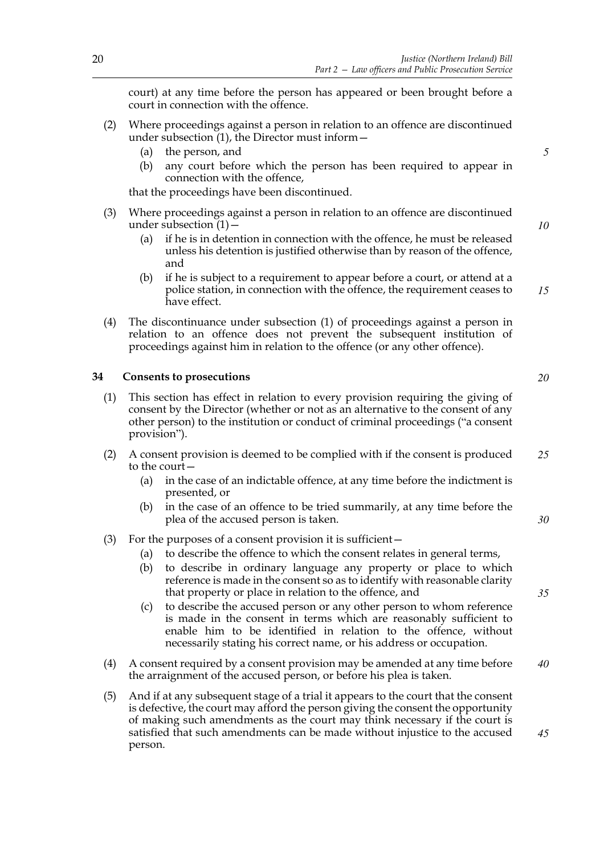court) at any time before the person has appeared or been brought before a court in connection with the offence.

- (2) Where proceedings against a person in relation to an offence are discontinued under subsection (1), the Director must inform—
	- (a) the person, and
	- (b) any court before which the person has been required to appear in connection with the offence,

that the proceedings have been discontinued.

- (3) Where proceedings against a person in relation to an offence are discontinued under subsection  $(1)$  –
	- (a) if he is in detention in connection with the offence, he must be released unless his detention is justified otherwise than by reason of the offence, and
	- (b) if he is subject to a requirement to appear before a court, or attend at a police station, in connection with the offence, the requirement ceases to have effect.
- (4) The discontinuance under subsection (1) of proceedings against a person in relation to an offence does not prevent the subsequent institution of proceedings against him in relation to the offence (or any other offence).

## **34 Consents to prosecutions**

- (1) This section has effect in relation to every provision requiring the giving of consent by the Director (whether or not as an alternative to the consent of any other person) to the institution or conduct of criminal proceedings ("a consent provision").
- (2) A consent provision is deemed to be complied with if the consent is produced to the court— *25*
	- (a) in the case of an indictable offence, at any time before the indictment is presented, or
	- (b) in the case of an offence to be tried summarily, at any time before the plea of the accused person is taken.
- (3) For the purposes of a consent provision it is sufficient—
	- (a) to describe the offence to which the consent relates in general terms,
	- (b) to describe in ordinary language any property or place to which reference is made in the consent so as to identify with reasonable clarity that property or place in relation to the offence, and
	- (c) to describe the accused person or any other person to whom reference is made in the consent in terms which are reasonably sufficient to enable him to be identified in relation to the offence, without necessarily stating his correct name, or his address or occupation.
- (4) A consent required by a consent provision may be amended at any time before the arraignment of the accused person, or before his plea is taken. *40*
- (5) And if at any subsequent stage of a trial it appears to the court that the consent is defective, the court may afford the person giving the consent the opportunity of making such amendments as the court may think necessary if the court is satisfied that such amendments can be made without injustice to the accused person. *45*

*5*

*10*

*15*

*20*

*30*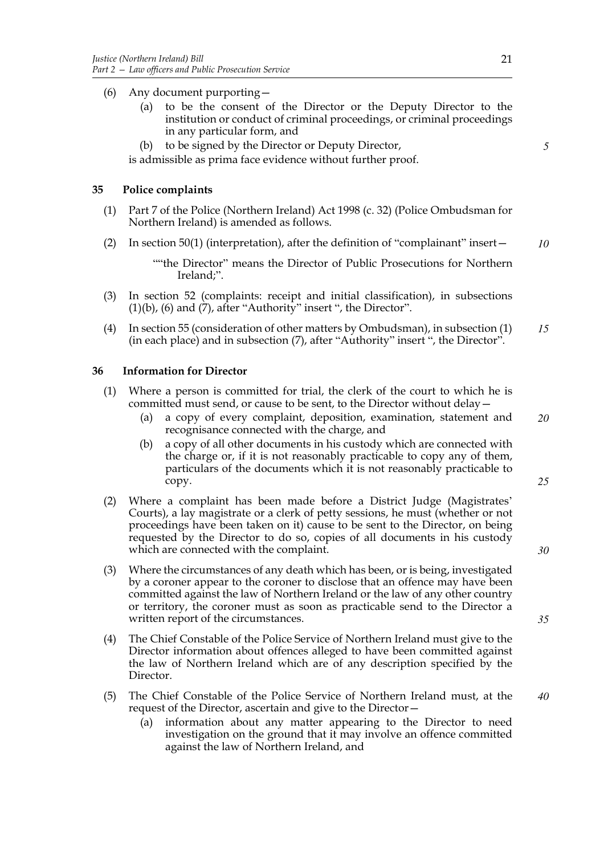- (6) Any document purporting—
	- (a) to be the consent of the Director or the Deputy Director to the institution or conduct of criminal proceedings, or criminal proceedings in any particular form, and
	- (b) to be signed by the Director or Deputy Director,

is admissible as prima face evidence without further proof.

## **35 Police complaints**

- (1) Part 7 of the Police (Northern Ireland) Act 1998 (c. 32) (Police Ombudsman for Northern Ireland) is amended as follows.
- (2) In section 50(1) (interpretation), after the definition of "complainant" insert— *10*

""the Director" means the Director of Public Prosecutions for Northern Ireland;".

- (3) In section 52 (complaints: receipt and initial classification), in subsections  $(1)(b)$ ,  $(6)$  and  $(7)$ , after "Authority" insert ", the Director".
- (4) In section 55 (consideration of other matters by Ombudsman), in subsection (1) (in each place) and in subsection (7), after "Authority" insert ", the Director". *15*

## **36 Information for Director**

- (1) Where a person is committed for trial, the clerk of the court to which he is committed must send, or cause to be sent, to the Director without delay—
	- (a) a copy of every complaint, deposition, examination, statement and recognisance connected with the charge, and *20*
	- (b) a copy of all other documents in his custody which are connected with the charge or, if it is not reasonably practicable to copy any of them, particulars of the documents which it is not reasonably practicable to copy.
- (2) Where a complaint has been made before a District Judge (Magistrates' Courts), a lay magistrate or a clerk of petty sessions, he must (whether or not proceedings have been taken on it) cause to be sent to the Director, on being requested by the Director to do so, copies of all documents in his custody which are connected with the complaint.
- (3) Where the circumstances of any death which has been, or is being, investigated by a coroner appear to the coroner to disclose that an offence may have been committed against the law of Northern Ireland or the law of any other country or territory, the coroner must as soon as practicable send to the Director a written report of the circumstances.
- (4) The Chief Constable of the Police Service of Northern Ireland must give to the Director information about offences alleged to have been committed against the law of Northern Ireland which are of any description specified by the Director.
- (5) The Chief Constable of the Police Service of Northern Ireland must, at the request of the Director, ascertain and give to the Director—
	- (a) information about any matter appearing to the Director to need investigation on the ground that it may involve an offence committed against the law of Northern Ireland, and

*5*

*35*

*30*

*25*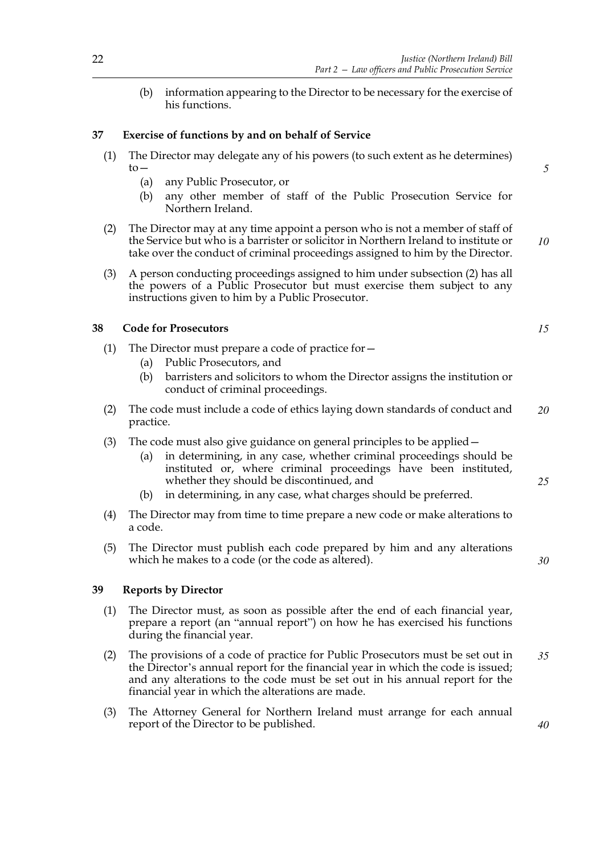(b) information appearing to the Director to be necessary for the exercise of his functions.

# **37 Exercise of functions by and on behalf of Service**

- (1) The Director may delegate any of his powers (to such extent as he determines)  $to-$ 
	- (a) any Public Prosecutor, or
	- (b) any other member of staff of the Public Prosecution Service for Northern Ireland.
- (2) The Director may at any time appoint a person who is not a member of staff of the Service but who is a barrister or solicitor in Northern Ireland to institute or take over the conduct of criminal proceedings assigned to him by the Director. *10*
- (3) A person conducting proceedings assigned to him under subsection (2) has all the powers of a Public Prosecutor but must exercise them subject to any instructions given to him by a Public Prosecutor.

# **38 Code for Prosecutors**

- (1) The Director must prepare a code of practice for—
	- (a) Public Prosecutors, and
	- (b) barristers and solicitors to whom the Director assigns the institution or conduct of criminal proceedings.
- (2) The code must include a code of ethics laying down standards of conduct and practice. *20*
- (3) The code must also give guidance on general principles to be applied—
	- (a) in determining, in any case, whether criminal proceedings should be instituted or, where criminal proceedings have been instituted, whether they should be discontinued, and
	- (b) in determining, in any case, what charges should be preferred.
- (4) The Director may from time to time prepare a new code or make alterations to a code.
- (5) The Director must publish each code prepared by him and any alterations which he makes to a code (or the code as altered).

## **39 Reports by Director**

- (1) The Director must, as soon as possible after the end of each financial year, prepare a report (an "annual report") on how he has exercised his functions during the financial year.
- (2) The provisions of a code of practice for Public Prosecutors must be set out in the Director's annual report for the financial year in which the code is issued; and any alterations to the code must be set out in his annual report for the financial year in which the alterations are made. *35*
- (3) The Attorney General for Northern Ireland must arrange for each annual report of the Director to be published.

*15*

*5*

*25*

*40*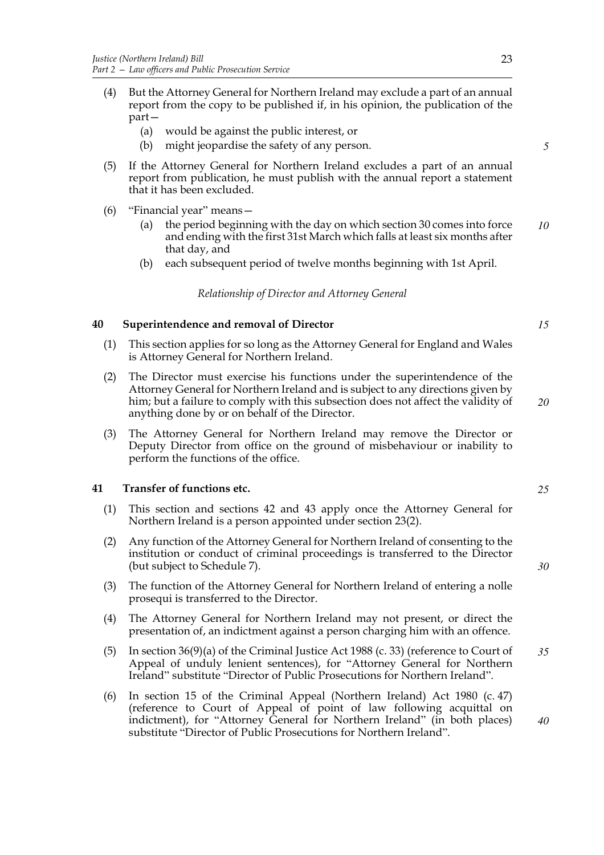- (4) But the Attorney General for Northern Ireland may exclude a part of an annual report from the copy to be published if, in his opinion, the publication of the part—
	- (a) would be against the public interest, or
	- (b) might jeopardise the safety of any person.
- (5) If the Attorney General for Northern Ireland excludes a part of an annual report from publication, he must publish with the annual report a statement that it has been excluded.
- (6) "Financial year" means—
	- (a) the period beginning with the day on which section 30 comes into force and ending with the first 31st March which falls at least six months after that day, and *10*
	- (b) each subsequent period of twelve months beginning with 1st April.

*Relationship of Director and Attorney General*

# **40 Superintendence and removal of Director**

- (1) This section applies for so long as the Attorney General for England and Wales is Attorney General for Northern Ireland.
- (2) The Director must exercise his functions under the superintendence of the Attorney General for Northern Ireland and is subject to any directions given by him; but a failure to comply with this subsection does not affect the validity of anything done by or on behalf of the Director. *20*
- (3) The Attorney General for Northern Ireland may remove the Director or Deputy Director from office on the ground of misbehaviour or inability to perform the functions of the office.

# **41 Transfer of functions etc.**

- (1) This section and sections 42 and 43 apply once the Attorney General for Northern Ireland is a person appointed under section 23(2).
- (2) Any function of the Attorney General for Northern Ireland of consenting to the institution or conduct of criminal proceedings is transferred to the Director (but subject to Schedule 7).
- (3) The function of the Attorney General for Northern Ireland of entering a nolle prosequi is transferred to the Director.
- (4) The Attorney General for Northern Ireland may not present, or direct the presentation of, an indictment against a person charging him with an offence.
- (5) In section 36(9)(a) of the Criminal Justice Act 1988 (c. 33) (reference to Court of Appeal of unduly lenient sentences), for "Attorney General for Northern Ireland" substitute "Director of Public Prosecutions for Northern Ireland".
- (6) In section 15 of the Criminal Appeal (Northern Ireland) Act 1980 (c. 47) (reference to Court of Appeal of point of law following acquittal on indictment), for "Attorney General for Northern Ireland" (in both places) substitute "Director of Public Prosecutions for Northern Ireland".

*15*

*5*

*25*

*30*

*35*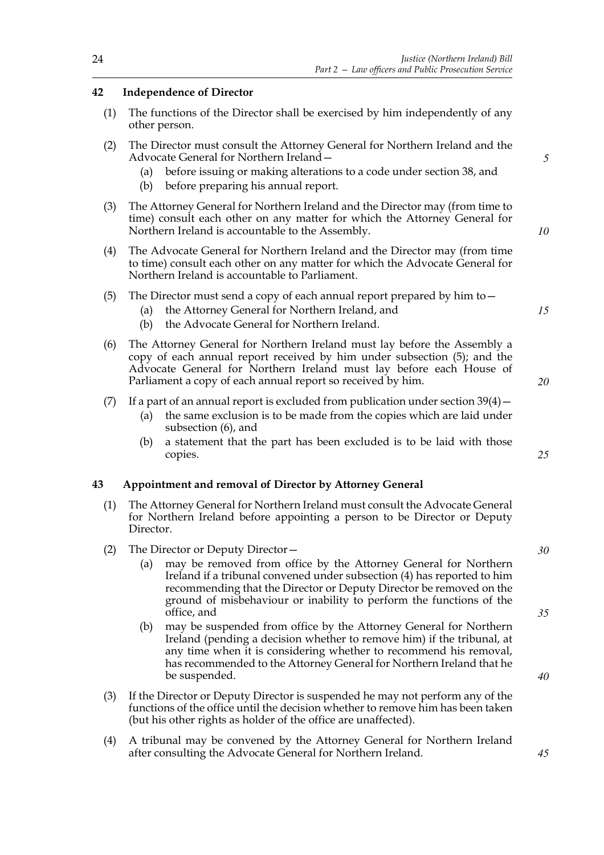# **42 Independence of Director**

- (1) The functions of the Director shall be exercised by him independently of any other person.
- (2) The Director must consult the Attorney General for Northern Ireland and the Advocate General for Northern Ireland—
	- (a) before issuing or making alterations to a code under section 38, and
	- (b) before preparing his annual report.
- (3) The Attorney General for Northern Ireland and the Director may (from time to time) consult each other on any matter for which the Attorney General for Northern Ireland is accountable to the Assembly.
- (4) The Advocate General for Northern Ireland and the Director may (from time to time) consult each other on any matter for which the Advocate General for Northern Ireland is accountable to Parliament.
- (5) The Director must send a copy of each annual report prepared by him to—
	- (a) the Attorney General for Northern Ireland, and
	- (b) the Advocate General for Northern Ireland.
- (6) The Attorney General for Northern Ireland must lay before the Assembly a copy of each annual report received by him under subsection (5); and the Advocate General for Northern Ireland must lay before each House of Parliament a copy of each annual report so received by him.
- (7) If a part of an annual report is excluded from publication under section  $39(4)$ 
	- (a) the same exclusion is to be made from the copies which are laid under subsection (6), and
	- (b) a statement that the part has been excluded is to be laid with those copies.

# **43 Appointment and removal of Director by Attorney General**

- (1) The Attorney General for Northern Ireland must consult the Advocate General for Northern Ireland before appointing a person to be Director or Deputy Director.
- (2) The Director or Deputy Director—
	- (a) may be removed from office by the Attorney General for Northern Ireland if a tribunal convened under subsection (4) has reported to him recommending that the Director or Deputy Director be removed on the ground of misbehaviour or inability to perform the functions of the office, and
	- (b) may be suspended from office by the Attorney General for Northern Ireland (pending a decision whether to remove him) if the tribunal, at any time when it is considering whether to recommend his removal, has recommended to the Attorney General for Northern Ireland that he be suspended.
- (3) If the Director or Deputy Director is suspended he may not perform any of the functions of the office until the decision whether to remove him has been taken (but his other rights as holder of the office are unaffected).
- (4) A tribunal may be convened by the Attorney General for Northern Ireland after consulting the Advocate General for Northern Ireland.

*15*

*10*

*5*

*20*

*25*

*30*

*35*

*40*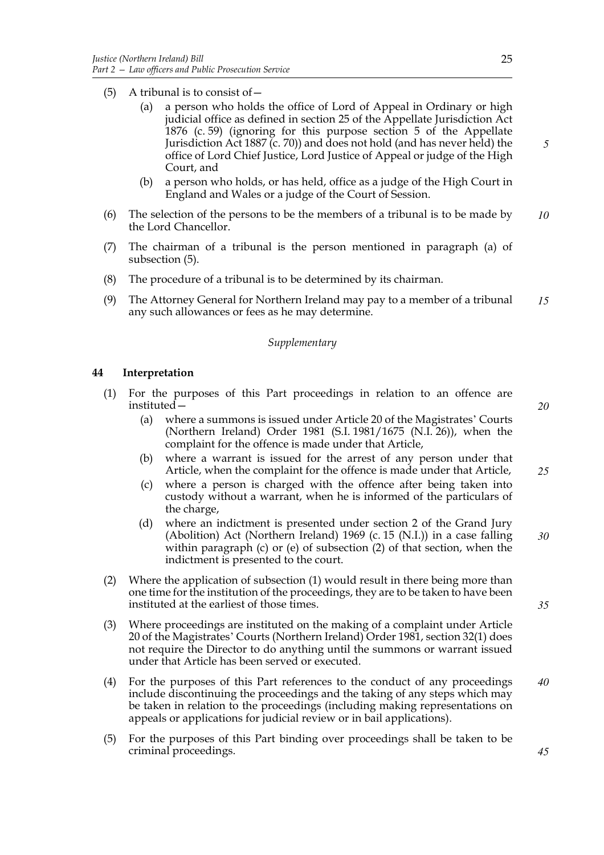- (5) A tribunal is to consist of  $-$ 
	- (a) a person who holds the office of Lord of Appeal in Ordinary or high judicial office as defined in section 25 of the Appellate Jurisdiction Act 1876 (c. 59) (ignoring for this purpose section 5 of the Appellate Jurisdiction Act 1887 (c. 70)) and does not hold (and has never held) the office of Lord Chief Justice, Lord Justice of Appeal or judge of the High Court, and
	- (b) a person who holds, or has held, office as a judge of the High Court in England and Wales or a judge of the Court of Session.
- (6) The selection of the persons to be the members of a tribunal is to be made by the Lord Chancellor. *10*
- (7) The chairman of a tribunal is the person mentioned in paragraph (a) of subsection (5).
- (8) The procedure of a tribunal is to be determined by its chairman.
- (9) The Attorney General for Northern Ireland may pay to a member of a tribunal any such allowances or fees as he may determine. *15*

## *Supplementary*

## **44 Interpretation**

(1) For the purposes of this Part proceedings in relation to an offence are instituted—

*20*

- (a) where a summons is issued under Article 20 of the Magistrates' Courts (Northern Ireland) Order 1981 (S.I. 1981/1675 (N.I. 26)), when the complaint for the offence is made under that Article,
- (b) where a warrant is issued for the arrest of any person under that Article, when the complaint for the offence is made under that Article, *25*
- (c) where a person is charged with the offence after being taken into custody without a warrant, when he is informed of the particulars of the charge,
- (d) where an indictment is presented under section 2 of the Grand Jury (Abolition) Act (Northern Ireland) 1969 (c. 15 (N.I.)) in a case falling within paragraph (c) or (e) of subsection (2) of that section, when the indictment is presented to the court. *30*
- (2) Where the application of subsection (1) would result in there being more than one time for the institution of the proceedings, they are to be taken to have been instituted at the earliest of those times.
- (3) Where proceedings are instituted on the making of a complaint under Article 20 of the Magistrates' Courts (Northern Ireland) Order 1981, section 32(1) does not require the Director to do anything until the summons or warrant issued under that Article has been served or executed.
- (4) For the purposes of this Part references to the conduct of any proceedings include discontinuing the proceedings and the taking of any steps which may be taken in relation to the proceedings (including making representations on appeals or applications for judicial review or in bail applications). *40*
- (5) For the purposes of this Part binding over proceedings shall be taken to be criminal proceedings.

*5*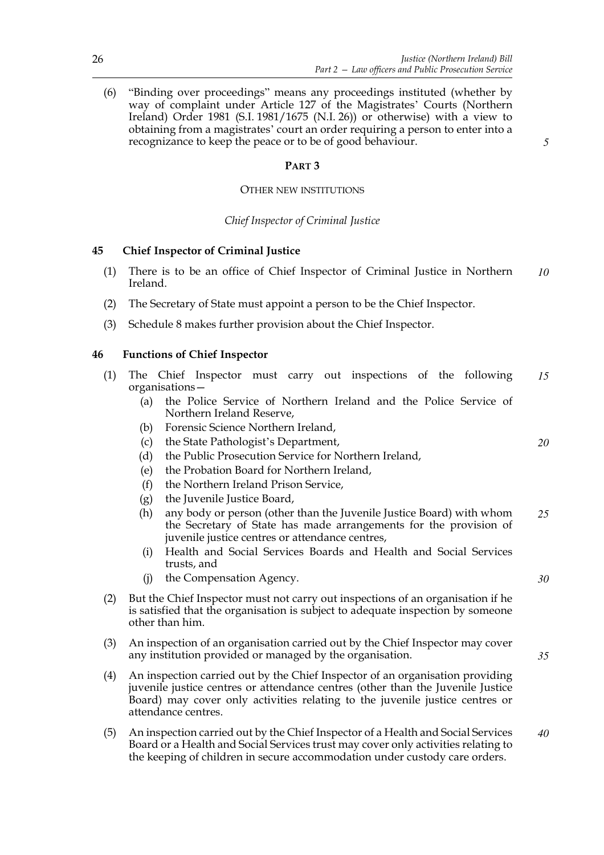(6) "Binding over proceedings" means any proceedings instituted (whether by way of complaint under Article 127 of the Magistrates' Courts (Northern Ireland) Order 1981 (S.I. 1981/1675 (N.I. 26)) or otherwise) with a view to obtaining from a magistrates' court an order requiring a person to enter into a recognizance to keep the peace or to be of good behaviour.

# **PART 3**

# OTHER NEW INSTITUTIONS

# *Chief Inspector of Criminal Justice*

# **45 Chief Inspector of Criminal Justice**

- (1) There is to be an office of Chief Inspector of Criminal Justice in Northern Ireland. *10*
- (2) The Secretary of State must appoint a person to be the Chief Inspector.
- (3) Schedule 8 makes further provision about the Chief Inspector.

# **46 Functions of Chief Inspector**

- (1) The Chief Inspector must carry out inspections of the following organisations— *15*
	- (a) the Police Service of Northern Ireland and the Police Service of Northern Ireland Reserve,
	- (b) Forensic Science Northern Ireland,
	- (c) the State Pathologist's Department,
	- (d) the Public Prosecution Service for Northern Ireland,
	- (e) the Probation Board for Northern Ireland,
	- (f) the Northern Ireland Prison Service,
	- (g) the Juvenile Justice Board,
	- (h) any body or person (other than the Juvenile Justice Board) with whom the Secretary of State has made arrangements for the provision of juvenile justice centres or attendance centres, *25*
	- (i) Health and Social Services Boards and Health and Social Services trusts, and
	- (j) the Compensation Agency.
- (2) But the Chief Inspector must not carry out inspections of an organisation if he is satisfied that the organisation is subject to adequate inspection by someone other than him.
- (3) An inspection of an organisation carried out by the Chief Inspector may cover any institution provided or managed by the organisation.
- (4) An inspection carried out by the Chief Inspector of an organisation providing juvenile justice centres or attendance centres (other than the Juvenile Justice Board) may cover only activities relating to the juvenile justice centres or attendance centres.
- (5) An inspection carried out by the Chief Inspector of a Health and Social Services Board or a Health and Social Services trust may cover only activities relating to the keeping of children in secure accommodation under custody care orders. *40*

*5*

*30*

*35*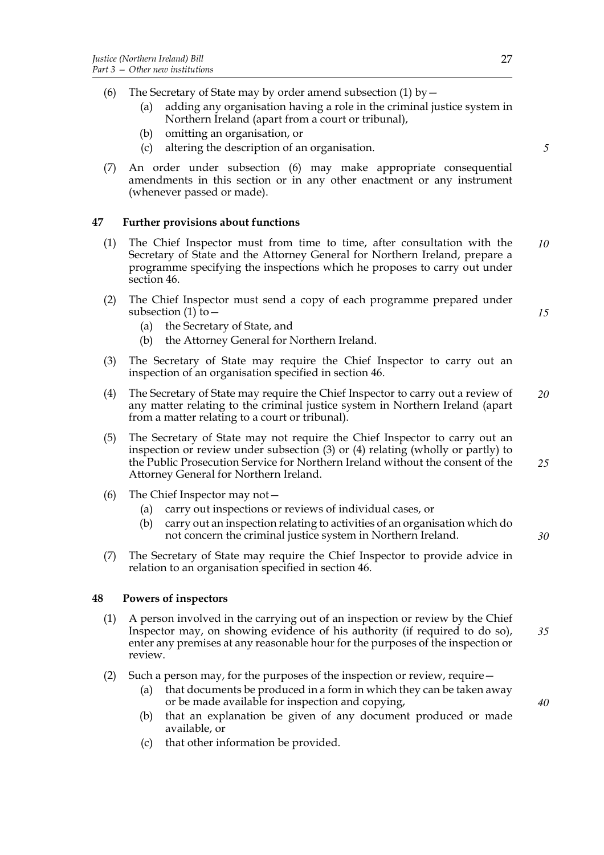- (6) The Secretary of State may by order amend subsection (1) by  $-$ 
	- (a) adding any organisation having a role in the criminal justice system in Northern Ireland (apart from a court or tribunal),
	- (b) omitting an organisation, or
	- (c) altering the description of an organisation.
- (7) An order under subsection (6) may make appropriate consequential amendments in this section or in any other enactment or any instrument (whenever passed or made).

# **47 Further provisions about functions**

- (1) The Chief Inspector must from time to time, after consultation with the Secretary of State and the Attorney General for Northern Ireland, prepare a programme specifying the inspections which he proposes to carry out under section 46. *10*
- (2) The Chief Inspector must send a copy of each programme prepared under subsection (1) to—
	- (a) the Secretary of State, and
	- (b) the Attorney General for Northern Ireland.
- (3) The Secretary of State may require the Chief Inspector to carry out an inspection of an organisation specified in section 46.
- (4) The Secretary of State may require the Chief Inspector to carry out a review of any matter relating to the criminal justice system in Northern Ireland (apart from a matter relating to a court or tribunal). *20*
- (5) The Secretary of State may not require the Chief Inspector to carry out an inspection or review under subsection (3) or (4) relating (wholly or partly) to the Public Prosecution Service for Northern Ireland without the consent of the Attorney General for Northern Ireland. *25*
- (6) The Chief Inspector may not—
	- (a) carry out inspections or reviews of individual cases, or
	- (b) carry out an inspection relating to activities of an organisation which do not concern the criminal justice system in Northern Ireland.
- (7) The Secretary of State may require the Chief Inspector to provide advice in relation to an organisation specified in section 46.

# **48 Powers of inspectors**

- (1) A person involved in the carrying out of an inspection or review by the Chief Inspector may, on showing evidence of his authority (if required to do so), enter any premises at any reasonable hour for the purposes of the inspection or review. *35*
- (2) Such a person may, for the purposes of the inspection or review, require—
	- (a) that documents be produced in a form in which they can be taken away or be made available for inspection and copying,
	- (b) that an explanation be given of any document produced or made available, or
	- (c) that other information be provided.

*5*

*15*

*30*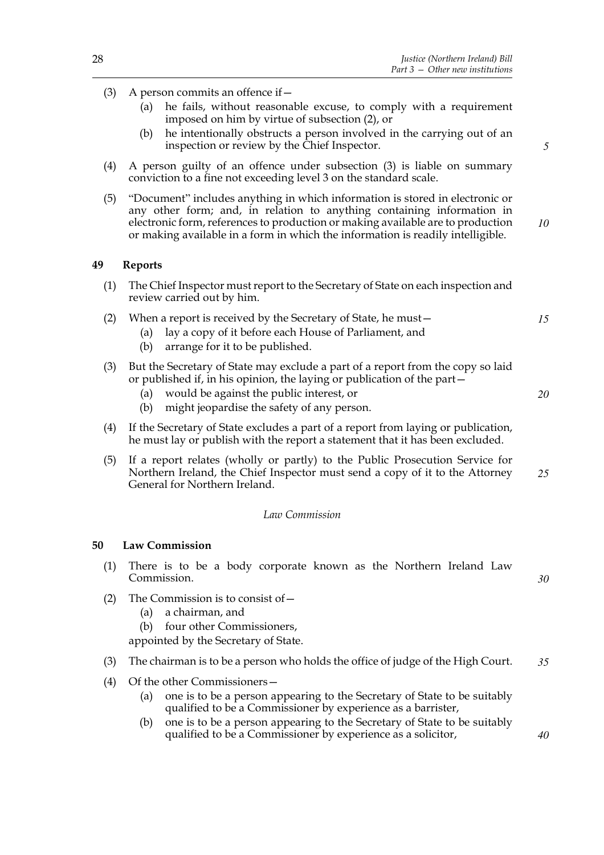- (3) A person commits an offence if—
	- (a) he fails, without reasonable excuse, to comply with a requirement imposed on him by virtue of subsection (2), or
	- (b) he intentionally obstructs a person involved in the carrying out of an inspection or review by the Chief Inspector.
- (4) A person guilty of an offence under subsection (3) is liable on summary conviction to a fine not exceeding level 3 on the standard scale.
- (5) "Document" includes anything in which information is stored in electronic or any other form; and, in relation to anything containing information in electronic form, references to production or making available are to production or making available in a form in which the information is readily intelligible. *10*

## **49 Reports**

- (1) The Chief Inspector must report to the Secretary of State on each inspection and review carried out by him.
- (2) When a report is received by the Secretary of State, he must—
	- (a) lay a copy of it before each House of Parliament, and
	- (b) arrange for it to be published.
- (3) But the Secretary of State may exclude a part of a report from the copy so laid or published if, in his opinion, the laying or publication of the part—
	- (a) would be against the public interest, or
	- (b) might jeopardise the safety of any person.
- (4) If the Secretary of State excludes a part of a report from laying or publication, he must lay or publish with the report a statement that it has been excluded.
- (5) If a report relates (wholly or partly) to the Public Prosecution Service for Northern Ireland, the Chief Inspector must send a copy of it to the Attorney General for Northern Ireland. *25*

#### *Law Commission*

#### **50 Law Commission**

- (1) There is to be a body corporate known as the Northern Ireland Law Commission.
- (2) The Commission is to consist of  $-$ 
	- (a) a chairman, and
	- (b) four other Commissioners,

appointed by the Secretary of State.

- (3) The chairman is to be a person who holds the office of judge of the High Court. *35*
- (4) Of the other Commissioners—
	- (a) one is to be a person appearing to the Secretary of State to be suitably qualified to be a Commissioner by experience as a barrister,
	- (b) one is to be a person appearing to the Secretary of State to be suitably qualified to be a Commissioner by experience as a solicitor,

*5*

*15*

*20*

*30*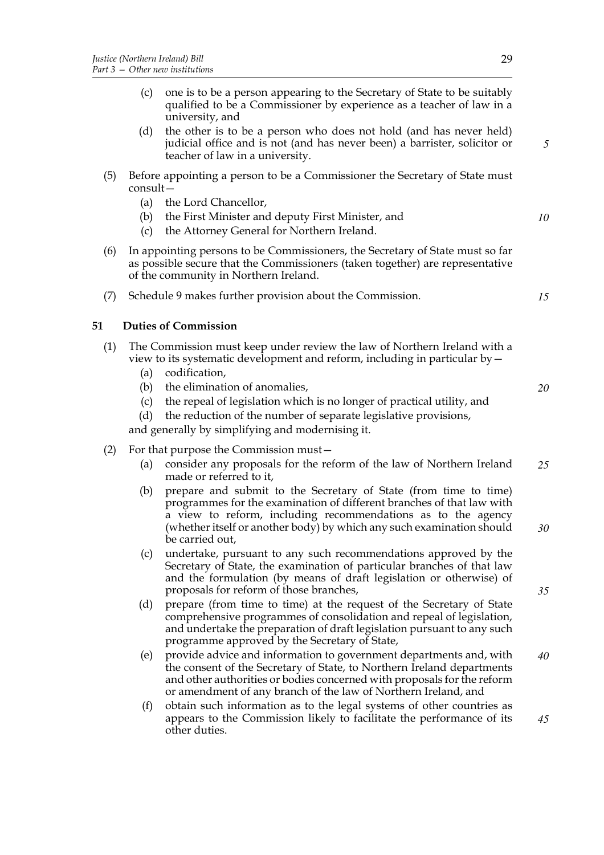- (c) one is to be a person appearing to the Secretary of State to be suitably qualified to be a Commissioner by experience as a teacher of law in a university, and
- (d) the other is to be a person who does not hold (and has never held) judicial office and is not (and has never been) a barrister, solicitor or teacher of law in a university.
- (5) Before appointing a person to be a Commissioner the Secretary of State must consult—
	- (a) the Lord Chancellor,
	- (b) the First Minister and deputy First Minister, and
	- (c) the Attorney General for Northern Ireland.
- (6) In appointing persons to be Commissioners, the Secretary of State must so far as possible secure that the Commissioners (taken together) are representative of the community in Northern Ireland.
- (7) Schedule 9 makes further provision about the Commission.

# **51 Duties of Commission**

- (1) The Commission must keep under review the law of Northern Ireland with a view to its systematic development and reform, including in particular by—
	- (a) codification,
	- (b) the elimination of anomalies,
	- (c) the repeal of legislation which is no longer of practical utility, and
	- (d) the reduction of the number of separate legislative provisions,

and generally by simplifying and modernising it.

- (2) For that purpose the Commission must—
	- (a) consider any proposals for the reform of the law of Northern Ireland made or referred to it, *25*
	- (b) prepare and submit to the Secretary of State (from time to time) programmes for the examination of different branches of that law with a view to reform, including recommendations as to the agency (whether itself or another body) by which any such examination should be carried out, *30*
	- (c) undertake, pursuant to any such recommendations approved by the Secretary of State, the examination of particular branches of that law and the formulation (by means of draft legislation or otherwise) of proposals for reform of those branches,
	- (d) prepare (from time to time) at the request of the Secretary of State comprehensive programmes of consolidation and repeal of legislation, and undertake the preparation of draft legislation pursuant to any such programme approved by the Secretary of State,
	- (e) provide advice and information to government departments and, with the consent of the Secretary of State, to Northern Ireland departments and other authorities or bodies concerned with proposals for the reform or amendment of any branch of the law of Northern Ireland, and *40*
	- (f) obtain such information as to the legal systems of other countries as appears to the Commission likely to facilitate the performance of its other duties. *45*

*5*

*10*

*15*

*20*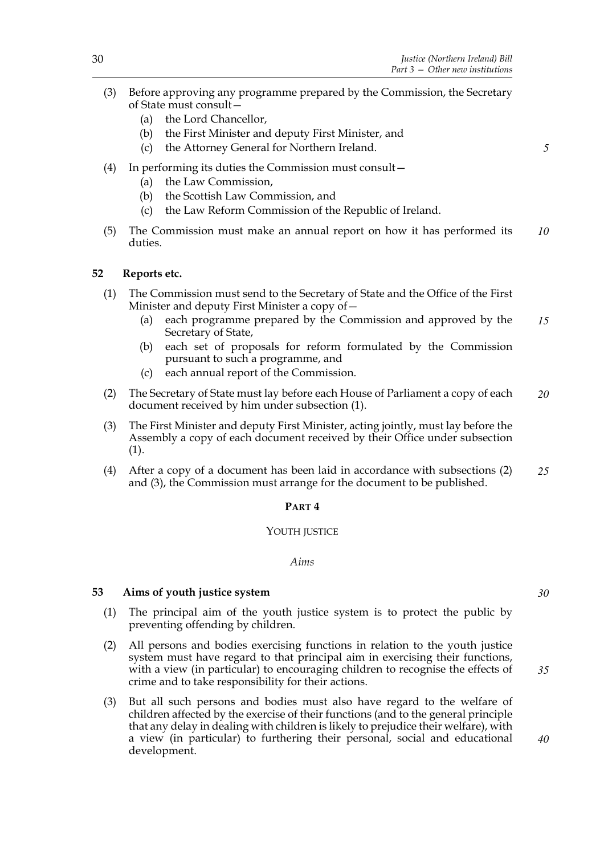- (3) Before approving any programme prepared by the Commission, the Secretary of State must consult—
	- (a) the Lord Chancellor,
	- (b) the First Minister and deputy First Minister, and
	- (c) the Attorney General for Northern Ireland.
- (4) In performing its duties the Commission must consult—
	- (a) the Law Commission,
	- (b) the Scottish Law Commission, and
	- (c) the Law Reform Commission of the Republic of Ireland.
- (5) The Commission must make an annual report on how it has performed its duties. *10*

# **52 Reports etc.**

- (1) The Commission must send to the Secretary of State and the Office of the First Minister and deputy First Minister a copy of—
	- (a) each programme prepared by the Commission and approved by the Secretary of State, *15*
	- (b) each set of proposals for reform formulated by the Commission pursuant to such a programme, and
	- (c) each annual report of the Commission.
- (2) The Secretary of State must lay before each House of Parliament a copy of each document received by him under subsection (1). *20*
- (3) The First Minister and deputy First Minister, acting jointly, must lay before the Assembly a copy of each document received by their Office under subsection (1).
- (4) After a copy of a document has been laid in accordance with subsections (2) and (3), the Commission must arrange for the document to be published. *25*

## **PART 4**

## YOUTH JUSTICE

## *Aims*

## **53 Aims of youth justice system**

- (1) The principal aim of the youth justice system is to protect the public by preventing offending by children.
- (2) All persons and bodies exercising functions in relation to the youth justice system must have regard to that principal aim in exercising their functions, with a view (in particular) to encouraging children to recognise the effects of crime and to take responsibility for their actions.
- (3) But all such persons and bodies must also have regard to the welfare of children affected by the exercise of their functions (and to the general principle that any delay in dealing with children is likely to prejudice their welfare), with a view (in particular) to furthering their personal, social and educational development.

*30*

*35*

*40*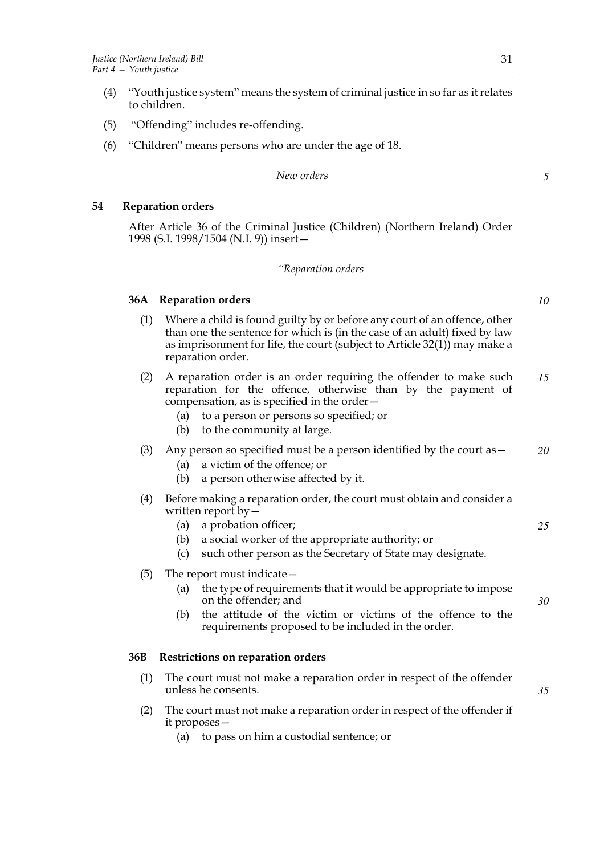- (4) "Youth justice system" means the system of criminal justice in so far as it relates to children.
- (5) "Offending" includes re-offending.
- (6) "Children" means persons who are under the age of 18.

#### *New orders*

# **54 Reparation orders**

After Article 36 of the Criminal Justice (Children) (Northern Ireland) Order 1998 (S.I. 1998/1504 (N.I. 9)) insert—

#### *"Reparation orders*

## **36A Reparation orders**

- (1) Where a child is found guilty by or before any court of an offence, other than one the sentence for which is (in the case of an adult) fixed by law as imprisonment for life, the court (subject to Article 32(1)) may make a reparation order.
- (2) A reparation order is an order requiring the offender to make such reparation for the offence, otherwise than by the payment of compensation, as is specified in the order— *15*
	- (a) to a person or persons so specified; or
	- (b) to the community at large.
- (3) Any person so specified must be a person identified by the court as  $-$ *20*
	- (a) a victim of the offence; or
	- (b) a person otherwise affected by it.
- (4) Before making a reparation order, the court must obtain and consider a written report by—
	- (a) a probation officer;
	- (b) a social worker of the appropriate authority; or
	- (c) such other person as the Secretary of State may designate.
- (5) The report must indicate—
	- (a) the type of requirements that it would be appropriate to impose on the offender; and
	- (b) the attitude of the victim or victims of the offence to the requirements proposed to be included in the order.

## **36B Restrictions on reparation orders**

- (1) The court must not make a reparation order in respect of the offender unless he consents.
- (2) The court must not make a reparation order in respect of the offender if it proposes—
	- (a) to pass on him a custodial sentence; or

*10*

*25*

*30*

*35*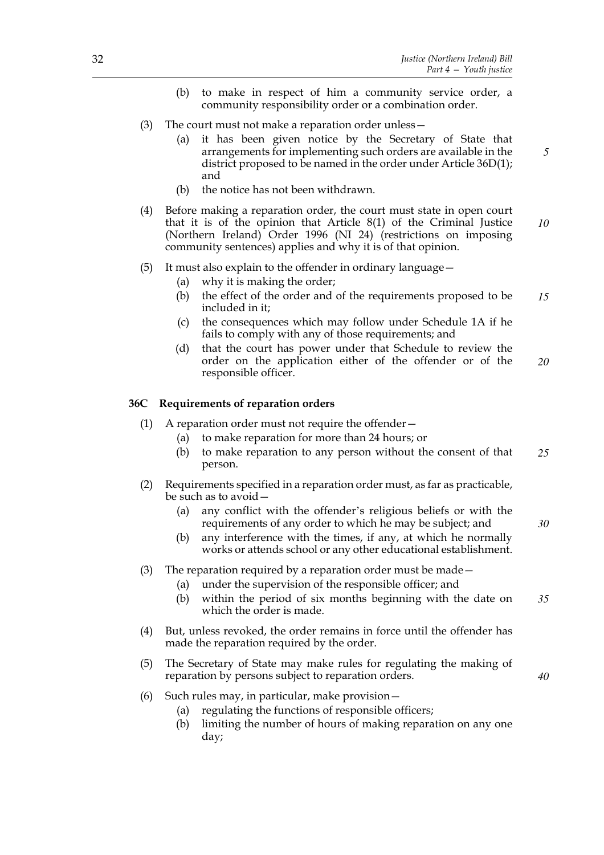*5*

*30*

*40*

- (b) to make in respect of him a community service order, a community responsibility order or a combination order.
- (3) The court must not make a reparation order unless—
	- (a) it has been given notice by the Secretary of State that arrangements for implementing such orders are available in the district proposed to be named in the order under Article 36D(1); and
	- (b) the notice has not been withdrawn.
- (4) Before making a reparation order, the court must state in open court that it is of the opinion that Article 8(1) of the Criminal Justice (Northern Ireland) Order 1996 (NI 24) (restrictions on imposing community sentences) applies and why it is of that opinion. *10*

#### (5) It must also explain to the offender in ordinary language—

- (a) why it is making the order;
- (b) the effect of the order and of the requirements proposed to be included in it; *15*
- (c) the consequences which may follow under Schedule 1A if he fails to comply with any of those requirements; and
- (d) that the court has power under that Schedule to review the order on the application either of the offender or of the responsible officer. *20*

#### **36C Requirements of reparation orders**

- (1) A reparation order must not require the offender—
	- (a) to make reparation for more than 24 hours; or
		- (b) to make reparation to any person without the consent of that person. *25*
- (2) Requirements specified in a reparation order must, as far as practicable, be such as to avoid—
	- (a) any conflict with the offender's religious beliefs or with the requirements of any order to which he may be subject; and
	- (b) any interference with the times, if any, at which he normally works or attends school or any other educational establishment.

### (3) The reparation required by a reparation order must be made—

- (a) under the supervision of the responsible officer; and
- (b) within the period of six months beginning with the date on which the order is made. *35*
- (4) But, unless revoked, the order remains in force until the offender has made the reparation required by the order.
- (5) The Secretary of State may make rules for regulating the making of reparation by persons subject to reparation orders.
- (6) Such rules may, in particular, make provision—
	- (a) regulating the functions of responsible officers;
	- (b) limiting the number of hours of making reparation on any one day;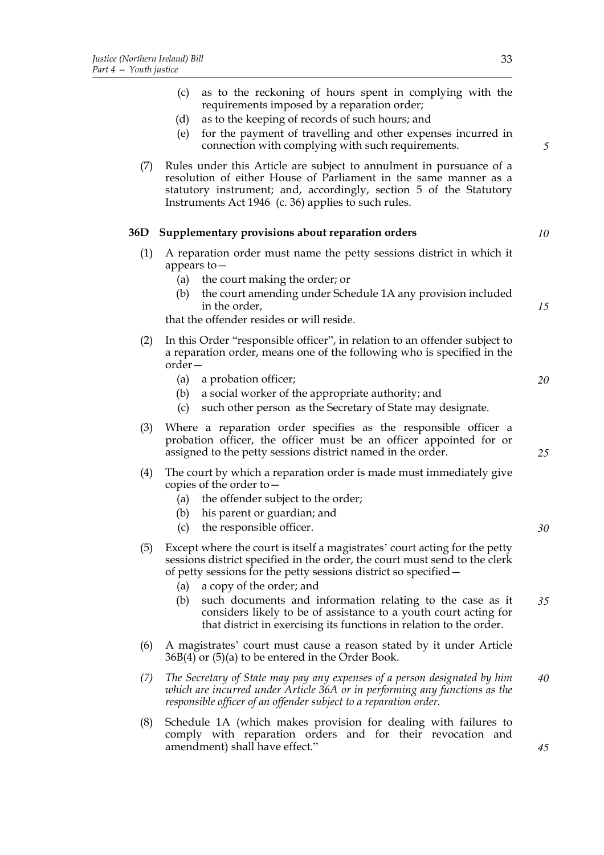|     | as to the reckoning of hours spent in complying with the<br>(c)<br>requirements imposed by a reparation order;<br>as to the keeping of records of such hours; and<br>(d)<br>for the payment of travelling and other expenses incurred in<br>(e)<br>connection with complying with such requirements. | 5  |
|-----|------------------------------------------------------------------------------------------------------------------------------------------------------------------------------------------------------------------------------------------------------------------------------------------------------|----|
| (7) | Rules under this Article are subject to annulment in pursuance of a<br>resolution of either House of Parliament in the same manner as a<br>statutory instrument; and, accordingly, section 5 of the Statutory<br>Instruments Act 1946 (c. 36) applies to such rules.                                 |    |
| 36D | Supplementary provisions about reparation orders                                                                                                                                                                                                                                                     | 10 |
| (1) | A reparation order must name the petty sessions district in which it<br>appears to $-$<br>the court making the order; or<br>(a)<br>the court amending under Schedule 1A any provision included<br>(b)                                                                                                |    |
|     | in the order,<br>that the offender resides or will reside.                                                                                                                                                                                                                                           | 15 |
|     |                                                                                                                                                                                                                                                                                                      |    |
| (2) | In this Order "responsible officer", in relation to an offender subject to<br>a reparation order, means one of the following who is specified in the<br>order –                                                                                                                                      |    |
|     | a probation officer;<br>(a)<br>a social worker of the appropriate authority; and<br>(b)<br>such other person as the Secretary of State may designate.<br>(c)                                                                                                                                         | 20 |
| (3) | Where a reparation order specifies as the responsible officer a<br>probation officer, the officer must be an officer appointed for or<br>assigned to the petty sessions district named in the order.                                                                                                 | 25 |
| (4) | The court by which a reparation order is made must immediately give<br>copies of the order to $-$<br>the offender subject to the order;<br>(a)<br>his parent or guardian; and<br>(b)<br>the responsible officer.<br>(c)                                                                              | 30 |
| (5) | Except where the court is itself a magistrates' court acting for the petty<br>sessions district specified in the order, the court must send to the clerk<br>of petty sessions for the petty sessions district so specified –<br>a copy of the order; and<br>(a)                                      |    |
|     | (b)<br>such documents and information relating to the case as it<br>considers likely to be of assistance to a youth court acting for<br>that district in exercising its functions in relation to the order.                                                                                          | 35 |
| (6) | A magistrates' court must cause a reason stated by it under Article<br>36B(4) or (5)(a) to be entered in the Order Book.                                                                                                                                                                             |    |
| (7) | The Secretary of State may pay any expenses of a person designated by him<br>which are incurred under Article 36A or in performing any functions as the<br>responsible officer of an offender subject to a reparation order.                                                                         | 40 |
| (8) | Schedule 1A (which makes provision for dealing with failures to<br>comply with reparation orders and for their revocation and<br>amendment) shall have effect."                                                                                                                                      | 45 |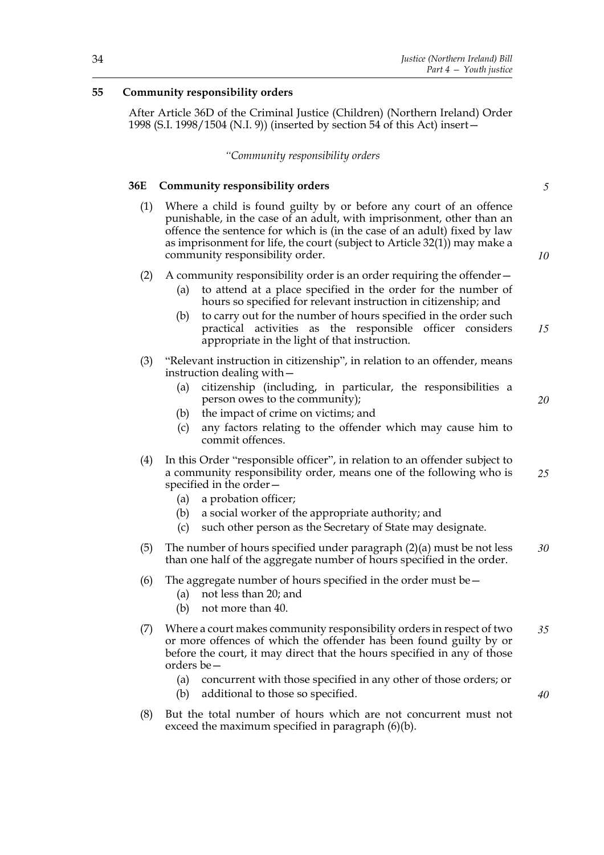# **55 Community responsibility orders**

After Article 36D of the Criminal Justice (Children) (Northern Ireland) Order 1998 (S.I. 1998/1504 (N.I. 9)) (inserted by section 54 of this Act) insert—

#### *"Community responsibility orders*

### **36E Community responsibility orders**

- (1) Where a child is found guilty by or before any court of an offence punishable, in the case of an adult, with imprisonment, other than an offence the sentence for which is (in the case of an adult) fixed by law as imprisonment for life, the court (subject to Article 32(1)) may make a community responsibility order.
- (2) A community responsibility order is an order requiring the offender—
	- (a) to attend at a place specified in the order for the number of hours so specified for relevant instruction in citizenship; and
	- (b) to carry out for the number of hours specified in the order such practical activities as the responsible officer considers appropriate in the light of that instruction. *15*
- (3) "Relevant instruction in citizenship", in relation to an offender, means instruction dealing with—
	- (a) citizenship (including, in particular, the responsibilities a person owes to the community);
	- (b) the impact of crime on victims; and
	- (c) any factors relating to the offender which may cause him to commit offences.
- (4) In this Order "responsible officer", in relation to an offender subject to a community responsibility order, means one of the following who is specified in the order— *25*
	- (a) a probation officer;
	- (b) a social worker of the appropriate authority; and
	- (c) such other person as the Secretary of State may designate.
- (5) The number of hours specified under paragraph (2)(a) must be not less than one half of the aggregate number of hours specified in the order. *30*
- (6) The aggregate number of hours specified in the order must be  $-$ 
	- (a) not less than 20; and
	- (b) not more than 40.
- (7) Where a court makes community responsibility orders in respect of two or more offences of which the offender has been found guilty by or before the court, it may direct that the hours specified in any of those orders be— *35*
	- (a) concurrent with those specified in any other of those orders; or
	- (b) additional to those so specified.
- (8) But the total number of hours which are not concurrent must not exceed the maximum specified in paragraph (6)(b).

*5*

*10*

*20*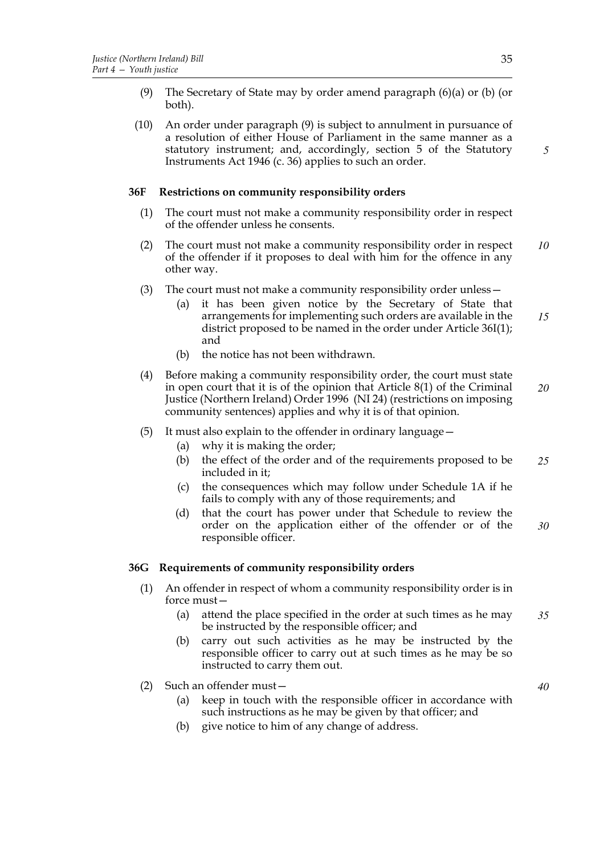- (9) The Secretary of State may by order amend paragraph (6)(a) or (b) (or both).
- (10) An order under paragraph (9) is subject to annulment in pursuance of a resolution of either House of Parliament in the same manner as a statutory instrument; and, accordingly, section 5 of the Statutory Instruments Act 1946 (c. 36) applies to such an order.

# **36F Restrictions on community responsibility orders**

- (1) The court must not make a community responsibility order in respect of the offender unless he consents.
- (2) The court must not make a community responsibility order in respect of the offender if it proposes to deal with him for the offence in any other way. *10*
- (3) The court must not make a community responsibility order unless
	- it has been given notice by the Secretary of State that arrangements for implementing such orders are available in the district proposed to be named in the order under Article 36I(1); and *15*
	- (b) the notice has not been withdrawn.
- (4) Before making a community responsibility order, the court must state in open court that it is of the opinion that Article 8(1) of the Criminal Justice (Northern Ireland) Order 1996 (NI 24) (restrictions on imposing community sentences) applies and why it is of that opinion. *20*
- (5) It must also explain to the offender in ordinary language—
	- (a) why it is making the order;
	- (b) the effect of the order and of the requirements proposed to be included in it; *25*
	- (c) the consequences which may follow under Schedule 1A if he fails to comply with any of those requirements; and
	- (d) that the court has power under that Schedule to review the order on the application either of the offender or of the responsible officer. *30*

#### **36G Requirements of community responsibility orders**

- (1) An offender in respect of whom a community responsibility order is in force must—
	- (a) attend the place specified in the order at such times as he may be instructed by the responsible officer; and *35*
	- (b) carry out such activities as he may be instructed by the responsible officer to carry out at such times as he may be so instructed to carry them out.
- (2) Such an offender must—
	- (a) keep in touch with the responsible officer in accordance with such instructions as he may be given by that officer; and
	- (b) give notice to him of any change of address.

*5*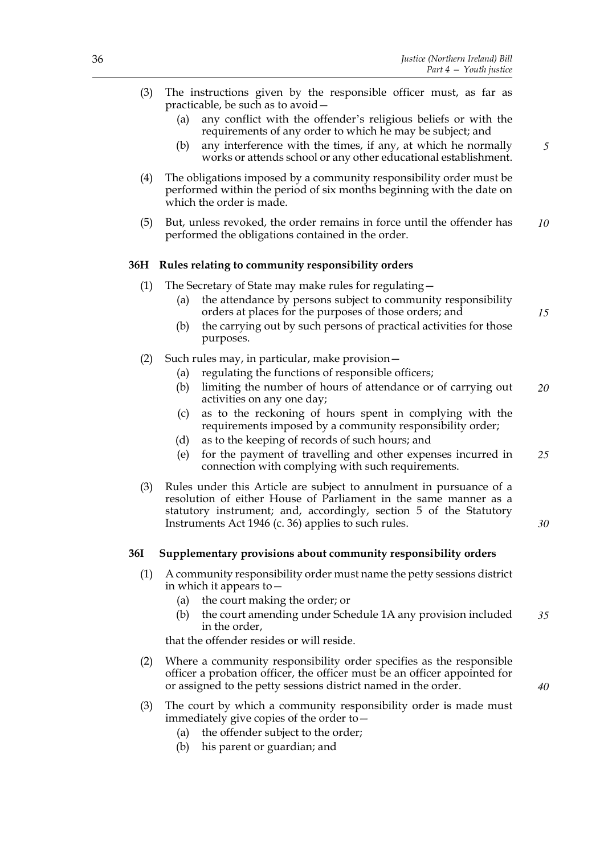| (3)        | The instructions given by the responsible officer must, as far as<br>practicable, be such as to avoid -<br>any conflict with the offender's religious beliefs or with the<br>(a)                                                                                     |    |  |  |  |
|------------|----------------------------------------------------------------------------------------------------------------------------------------------------------------------------------------------------------------------------------------------------------------------|----|--|--|--|
|            | requirements of any order to which he may be subject; and<br>any interference with the times, if any, at which he normally<br>(b)<br>works or attends school or any other educational establishment.                                                                 | 5  |  |  |  |
| (4)        | The obligations imposed by a community responsibility order must be<br>performed within the period of six months beginning with the date on<br>which the order is made.                                                                                              |    |  |  |  |
| (5)        | But, unless revoked, the order remains in force until the offender has<br>performed the obligations contained in the order.                                                                                                                                          |    |  |  |  |
|            | 36H Rules relating to community responsibility orders                                                                                                                                                                                                                |    |  |  |  |
| (1)        | The Secretary of State may make rules for regulating -                                                                                                                                                                                                               |    |  |  |  |
|            | the attendance by persons subject to community responsibility<br>(a)<br>orders at places for the purposes of those orders; and                                                                                                                                       | 15 |  |  |  |
|            | the carrying out by such persons of practical activities for those<br>(b)<br>purposes.                                                                                                                                                                               |    |  |  |  |
| (2)        | Such rules may, in particular, make provision-                                                                                                                                                                                                                       |    |  |  |  |
|            | regulating the functions of responsible officers;<br>(a)                                                                                                                                                                                                             |    |  |  |  |
|            | limiting the number of hours of attendance or of carrying out<br>(b)<br>activities on any one day;                                                                                                                                                                   | 20 |  |  |  |
|            | as to the reckoning of hours spent in complying with the<br>(c)<br>requirements imposed by a community responsibility order;                                                                                                                                         |    |  |  |  |
|            | as to the keeping of records of such hours; and<br>(d)                                                                                                                                                                                                               |    |  |  |  |
|            | for the payment of travelling and other expenses incurred in<br>(e)<br>connection with complying with such requirements.                                                                                                                                             | 25 |  |  |  |
| (3)        | Rules under this Article are subject to annulment in pursuance of a<br>resolution of either House of Parliament in the same manner as a<br>statutory instrument; and, accordingly, section 5 of the Statutory<br>Instruments Act 1946 (c. 36) applies to such rules. | 30 |  |  |  |
|            |                                                                                                                                                                                                                                                                      |    |  |  |  |
| <b>36I</b> | Supplementary provisions about community responsibility orders                                                                                                                                                                                                       |    |  |  |  |
| (1)        | A community responsibility order must name the petty sessions district<br>in which it appears to $-$                                                                                                                                                                 |    |  |  |  |
|            | the court making the order; or<br>(a)                                                                                                                                                                                                                                |    |  |  |  |
|            | the court amending under Schedule 1A any provision included<br>(b)<br>in the order,                                                                                                                                                                                  | 35 |  |  |  |
|            | that the offender resides or will reside.                                                                                                                                                                                                                            |    |  |  |  |
| (2)        | Where a community responsibility order specifies as the responsible<br>officer a probation officer, the officer must be an officer appointed for<br>or assigned to the petty sessions district named in the order.                                                   | 40 |  |  |  |

- (3) The court by which a community responsibility order is made must immediately give copies of the order to—
	- (a) the offender subject to the order;
	- (b) his parent or guardian; and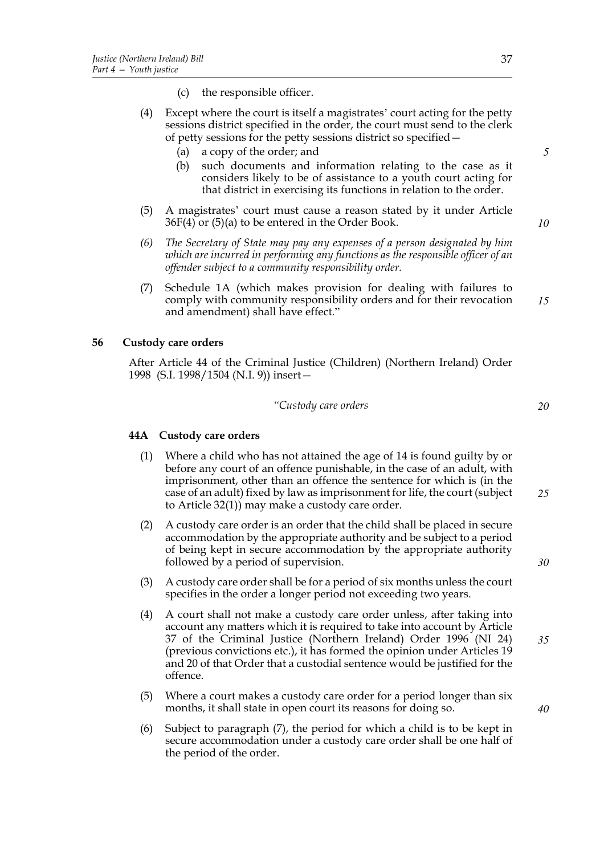- (c) the responsible officer.
- (4) Except where the court is itself a magistrates' court acting for the petty sessions district specified in the order, the court must send to the clerk of petty sessions for the petty sessions district so specified—
	- (a) a copy of the order; and
	- (b) such documents and information relating to the case as it considers likely to be of assistance to a youth court acting for that district in exercising its functions in relation to the order.
- (5) A magistrates' court must cause a reason stated by it under Article 36F(4) or (5)(a) to be entered in the Order Book.
- *(6) The Secretary of State may pay any expenses of a person designated by him which are incurred in performing any functions as the responsible officer of an offender subject to a community responsibility order.*
- (7) Schedule 1A (which makes provision for dealing with failures to comply with community responsibility orders and for their revocation and amendment) shall have effect." *15*

### **56 Custody care orders**

After Article 44 of the Criminal Justice (Children) (Northern Ireland) Order 1998 (S.I. 1998/1504 (N.I. 9)) insert—

#### *"Custody care orders*

#### **44A Custody care orders**

- (1) Where a child who has not attained the age of 14 is found guilty by or before any court of an offence punishable, in the case of an adult, with imprisonment, other than an offence the sentence for which is (in the case of an adult) fixed by law as imprisonment for life, the court (subject to Article 32(1)) may make a custody care order.
- (2) A custody care order is an order that the child shall be placed in secure accommodation by the appropriate authority and be subject to a period of being kept in secure accommodation by the appropriate authority followed by a period of supervision.
- (3) A custody care order shall be for a period of six months unless the court specifies in the order a longer period not exceeding two years.
- (4) A court shall not make a custody care order unless, after taking into account any matters which it is required to take into account by Article 37 of the Criminal Justice (Northern Ireland) Order 1996 (NI 24) (previous convictions etc.), it has formed the opinion under Articles 19 and 20 of that Order that a custodial sentence would be justified for the offence.
- (5) Where a court makes a custody care order for a period longer than six months, it shall state in open court its reasons for doing so.
- (6) Subject to paragraph (7), the period for which a child is to be kept in secure accommodation under a custody care order shall be one half of the period of the order.

*10*

*5*

*20*

*30*

*35*

*40*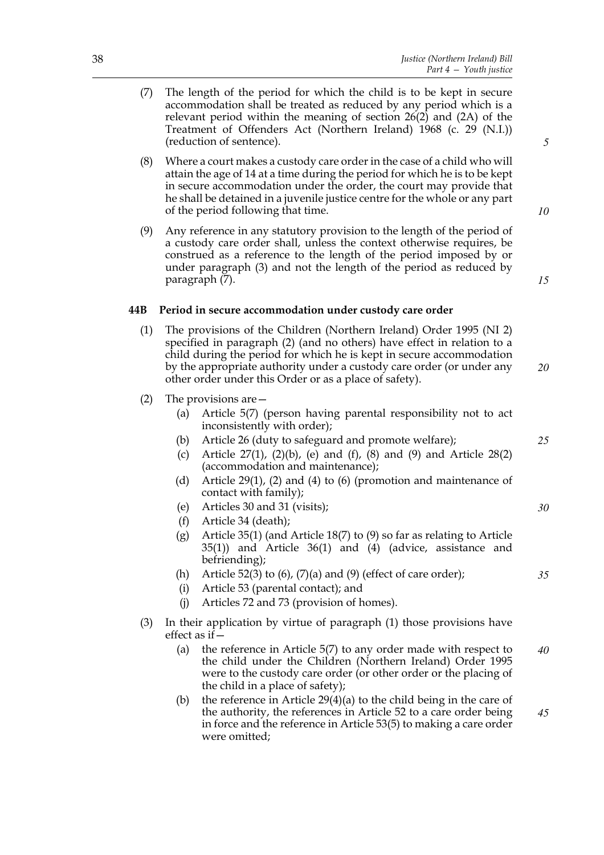- (7) The length of the period for which the child is to be kept in secure accommodation shall be treated as reduced by any period which is a relevant period within the meaning of section 26(2) and (2A) of the Treatment of Offenders Act (Northern Ireland) 1968 (c. 29 (N.I.)) (reduction of sentence).
- (8) Where a court makes a custody care order in the case of a child who will attain the age of 14 at a time during the period for which he is to be kept in secure accommodation under the order, the court may provide that he shall be detained in a juvenile justice centre for the whole or any part of the period following that time.
- (9) Any reference in any statutory provision to the length of the period of a custody care order shall, unless the context otherwise requires, be construed as a reference to the length of the period imposed by or under paragraph (3) and not the length of the period as reduced by paragraph (7).

# **44B Period in secure accommodation under custody care order**

- (1) The provisions of the Children (Northern Ireland) Order 1995 (NI 2) specified in paragraph (2) (and no others) have effect in relation to a child during the period for which he is kept in secure accommodation by the appropriate authority under a custody care order (or under any other order under this Order or as a place of safety).
- (2) The provisions are—
	- (a) Article 5(7) (person having parental responsibility not to act inconsistently with order);
	- (b) Article 26 (duty to safeguard and promote welfare);
	- (c) Article  $27(1)$ ,  $(2)(b)$ , (e) and  $(f)$ ,  $(8)$  and  $(9)$  and Article  $28(2)$ (accommodation and maintenance);
	- (d) Article 29(1), (2) and (4) to (6) (promotion and maintenance of contact with family);
	- (e) Articles 30 and 31 (visits);
	- (f) Article 34 (death);
	- (g) Article 35(1) (and Article 18(7) to (9) so far as relating to Article 35(1)) and Article 36(1) and (4) (advice, assistance and befriending);
	- (h) Article 52(3) to  $(6)$ ,  $(7)(a)$  and  $(9)$  (effect of care order);
	- (i) Article 53 (parental contact); and
	- (j) Articles 72 and 73 (provision of homes).
- (3) In their application by virtue of paragraph (1) those provisions have effect as if—
	- (a) the reference in Article 5(7) to any order made with respect to the child under the Children (Northern Ireland) Order 1995 were to the custody care order (or other order or the placing of the child in a place of safety); *40*
	- (b) the reference in Article  $29(4)(a)$  to the child being in the care of the authority, the references in Article 52 to a care order being in force and the reference in Article 53(5) to making a care order were omitted; *45*

*5*

*15*

*10*

*20*

*25*

*30*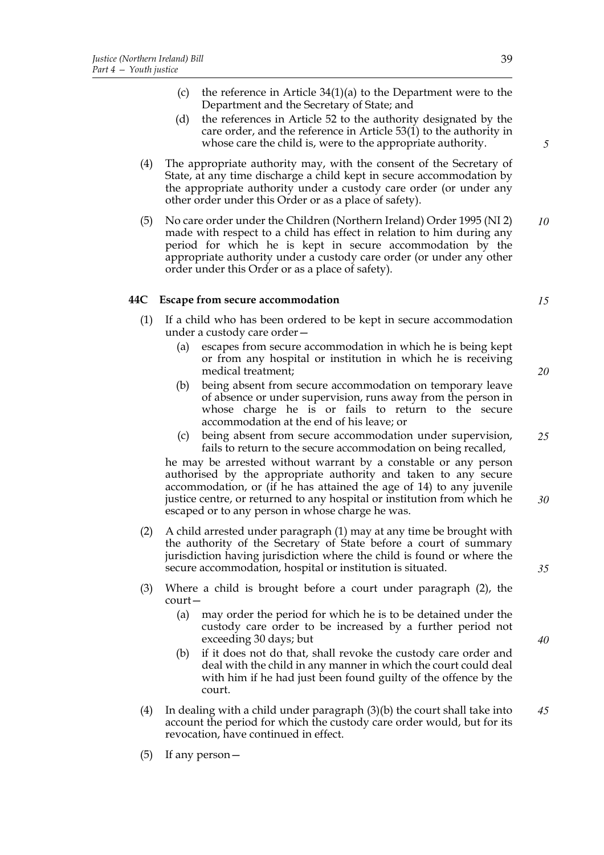- (c) the reference in Article 34(1)(a) to the Department were to the Department and the Secretary of State; and
- (d) the references in Article 52 to the authority designated by the care order, and the reference in Article 53(1) to the authority in whose care the child is, were to the appropriate authority.
- (4) The appropriate authority may, with the consent of the Secretary of State, at any time discharge a child kept in secure accommodation by the appropriate authority under a custody care order (or under any other order under this Order or as a place of safety).
- (5) No care order under the Children (Northern Ireland) Order 1995 (NI 2) made with respect to a child has effect in relation to him during any period for which he is kept in secure accommodation by the appropriate authority under a custody care order (or under any other order under this Order or as a place of safety). *10*

# **44C Escape from secure accommodation**

- (1) If a child who has been ordered to be kept in secure accommodation under a custody care order—
	- (a) escapes from secure accommodation in which he is being kept or from any hospital or institution in which he is receiving medical treatment;
	- (b) being absent from secure accommodation on temporary leave of absence or under supervision, runs away from the person in whose charge he is or fails to return to the secure accommodation at the end of his leave; or
	- (c) being absent from secure accommodation under supervision, fails to return to the secure accommodation on being recalled, *25*

he may be arrested without warrant by a constable or any person authorised by the appropriate authority and taken to any secure accommodation, or (if he has attained the age of 14) to any juvenile justice centre, or returned to any hospital or institution from which he escaped or to any person in whose charge he was.

- (2) A child arrested under paragraph (1) may at any time be brought with the authority of the Secretary of State before a court of summary jurisdiction having jurisdiction where the child is found or where the secure accommodation, hospital or institution is situated.
- (3) Where a child is brought before a court under paragraph (2), the court—
	- (a) may order the period for which he is to be detained under the custody care order to be increased by a further period not exceeding 30 days; but
	- (b) if it does not do that, shall revoke the custody care order and deal with the child in any manner in which the court could deal with him if he had just been found guilty of the offence by the court.
- (4) In dealing with a child under paragraph (3)(b) the court shall take into account the period for which the custody care order would, but for its revocation, have continued in effect. *45*
- (5) If any person—

*15*

*5*

*20*

*35*

*30*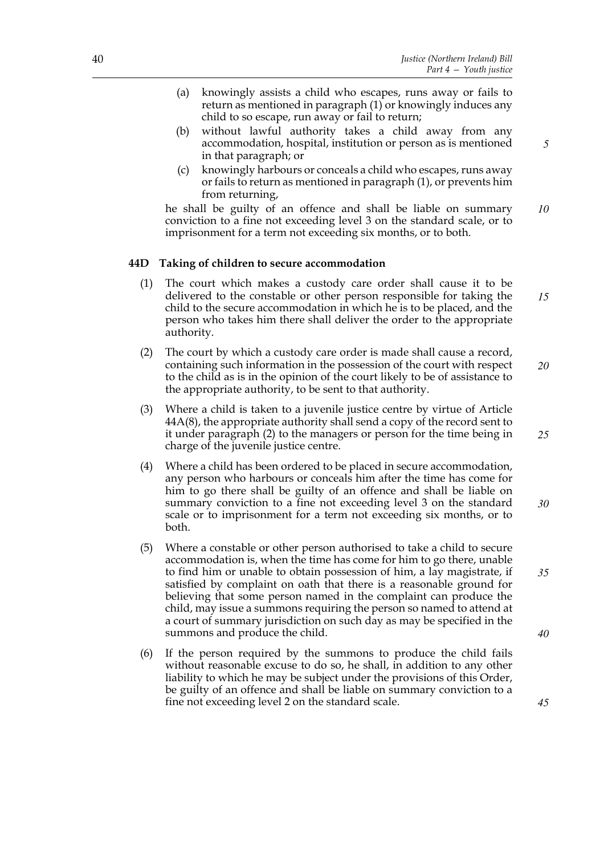- (a) knowingly assists a child who escapes, runs away or fails to return as mentioned in paragraph (1) or knowingly induces any child to so escape, run away or fail to return;
- (b) without lawful authority takes a child away from any accommodation, hospital, institution or person as is mentioned in that paragraph; or
- (c) knowingly harbours or conceals a child who escapes, runs away or fails to return as mentioned in paragraph (1), or prevents him from returning,

he shall be guilty of an offence and shall be liable on summary conviction to a fine not exceeding level 3 on the standard scale, or to imprisonment for a term not exceeding six months, or to both.

# **44D Taking of children to secure accommodation**

- (1) The court which makes a custody care order shall cause it to be delivered to the constable or other person responsible for taking the child to the secure accommodation in which he is to be placed, and the person who takes him there shall deliver the order to the appropriate authority. *15*
- (2) The court by which a custody care order is made shall cause a record, containing such information in the possession of the court with respect to the child as is in the opinion of the court likely to be of assistance to the appropriate authority, to be sent to that authority. *20*
- (3) Where a child is taken to a juvenile justice centre by virtue of Article 44A(8), the appropriate authority shall send a copy of the record sent to it under paragraph (2) to the managers or person for the time being in charge of the juvenile justice centre.
- (4) Where a child has been ordered to be placed in secure accommodation, any person who harbours or conceals him after the time has come for him to go there shall be guilty of an offence and shall be liable on summary conviction to a fine not exceeding level 3 on the standard scale or to imprisonment for a term not exceeding six months, or to both.
- (5) Where a constable or other person authorised to take a child to secure accommodation is, when the time has come for him to go there, unable to find him or unable to obtain possession of him, a lay magistrate, if satisfied by complaint on oath that there is a reasonable ground for believing that some person named in the complaint can produce the child, may issue a summons requiring the person so named to attend at a court of summary jurisdiction on such day as may be specified in the summons and produce the child.
- (6) If the person required by the summons to produce the child fails without reasonable excuse to do so, he shall, in addition to any other liability to which he may be subject under the provisions of this Order, be guilty of an offence and shall be liable on summary conviction to a fine not exceeding level 2 on the standard scale.

*5*

*10*

*25*

*30*

*35*

*45*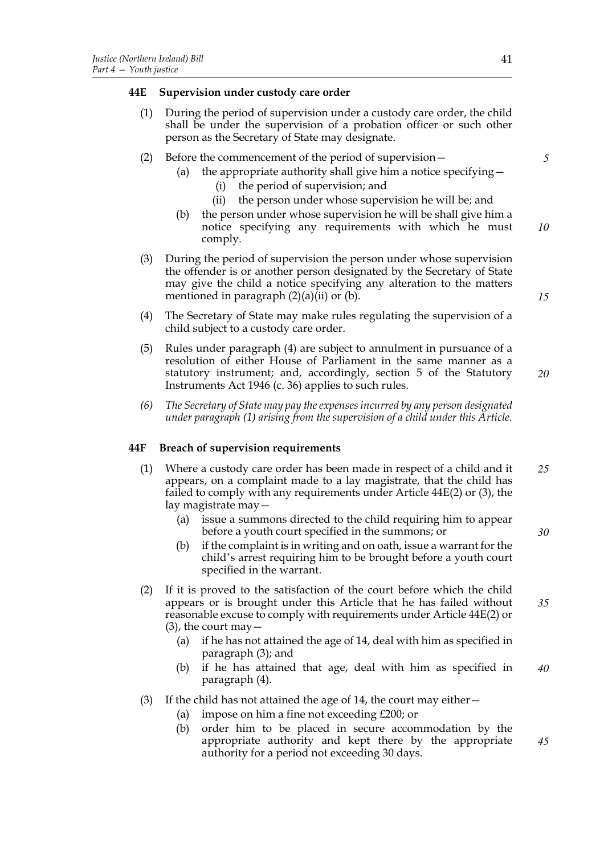### **44E Supervision under custody care order**

- (1) During the period of supervision under a custody care order, the child shall be under the supervision of a probation officer or such other person as the Secretary of State may designate.
- (2) Before the commencement of the period of supervision—
	- (a) the appropriate authority shall give him a notice specifying  $-$ 
		- (i) the period of supervision; and
		- (ii) the person under whose supervision he will be; and
	- (b) the person under whose supervision he will be shall give him a notice specifying any requirements with which he must comply. *10*
- (3) During the period of supervision the person under whose supervision the offender is or another person designated by the Secretary of State may give the child a notice specifying any alteration to the matters mentioned in paragraph  $(2)(a)(ii)$  or  $(b)$ .
- (4) The Secretary of State may make rules regulating the supervision of a child subject to a custody care order.
- (5) Rules under paragraph (4) are subject to annulment in pursuance of a resolution of either House of Parliament in the same manner as a statutory instrument; and, accordingly, section 5 of the Statutory Instruments Act 1946 (c. 36) applies to such rules. *20*
- *(6) The Secretary of State may pay the expenses incurred by any person designated under paragraph (1) arising from the supervision of a child under this Article.*

# **44F Breach of supervision requirements**

- (1) Where a custody care order has been made in respect of a child and it appears, on a complaint made to a lay magistrate, that the child has failed to comply with any requirements under Article 44E(2) or (3), the lay magistrate may— *25*
	- (a) issue a summons directed to the child requiring him to appear before a youth court specified in the summons; or
	- (b) if the complaint is in writing and on oath, issue a warrant for the child's arrest requiring him to be brought before a youth court specified in the warrant.
- (2) If it is proved to the satisfaction of the court before which the child appears or is brought under this Article that he has failed without reasonable excuse to comply with requirements under Article 44E(2) or  $(3)$ , the court may  $-$ *35*
	- (a) if he has not attained the age of 14, deal with him as specified in paragraph (3); and
	- (b) if he has attained that age, deal with him as specified in paragraph (4). *40*
- (3) If the child has not attained the age of 14, the court may either  $-$ 
	- (a) impose on him a fine not exceeding  $£200$ ; or
	- (b) order him to be placed in secure accommodation by the appropriate authority and kept there by the appropriate authority for a period not exceeding 30 days.

*5*

*15*

*30*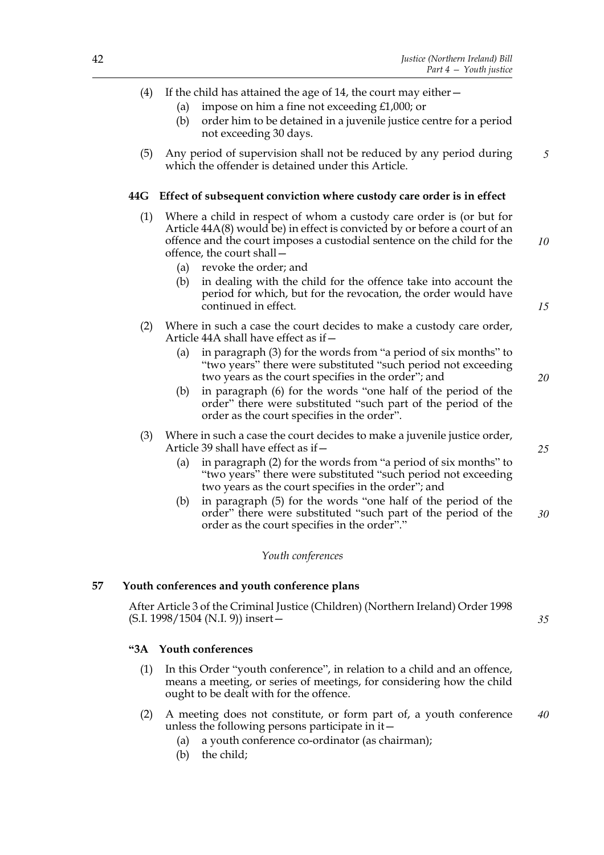- (a) impose on him a fine not exceeding £1,000; or
- (b) order him to be detained in a juvenile justice centre for a period not exceeding 30 days.
- (5) Any period of supervision shall not be reduced by any period during which the offender is detained under this Article. *5*

### **44G Effect of subsequent conviction where custody care order is in effect**

- (1) Where a child in respect of whom a custody care order is (or but for Article 44A(8) would be) in effect is convicted by or before a court of an offence and the court imposes a custodial sentence on the child for the offence, the court shall— *10*
	- (a) revoke the order; and
	- (b) in dealing with the child for the offence take into account the period for which, but for the revocation, the order would have continued in effect.
- (2) Where in such a case the court decides to make a custody care order, Article 44A shall have effect as if—
	- (a) in paragraph (3) for the words from "a period of six months" to "two years" there were substituted "such period not exceeding two years as the court specifies in the order"; and
	- (b) in paragraph (6) for the words "one half of the period of the order" there were substituted "such part of the period of the order as the court specifies in the order".
- (3) Where in such a case the court decides to make a juvenile justice order, Article 39 shall have effect as if—
	- (a) in paragraph (2) for the words from "a period of six months" to "two years" there were substituted "such period not exceeding two years as the court specifies in the order"; and
	- (b) in paragraph (5) for the words "one half of the period of the order" there were substituted "such part of the period of the order as the court specifies in the order"."

#### *Youth conferences*

#### **57 Youth conferences and youth conference plans**

After Article 3 of the Criminal Justice (Children) (Northern Ireland) Order 1998 (S.I. 1998/1504 (N.I. 9)) insert—

# **"3A Youth conferences**

- (1) In this Order "youth conference", in relation to a child and an offence, means a meeting, or series of meetings, for considering how the child ought to be dealt with for the offence.
- (2) A meeting does not constitute, or form part of, a youth conference unless the following persons participate in it— *40*
	- (a) a youth conference co-ordinator (as chairman);
	- (b) the child;

*25*

*20*

*15*

*30*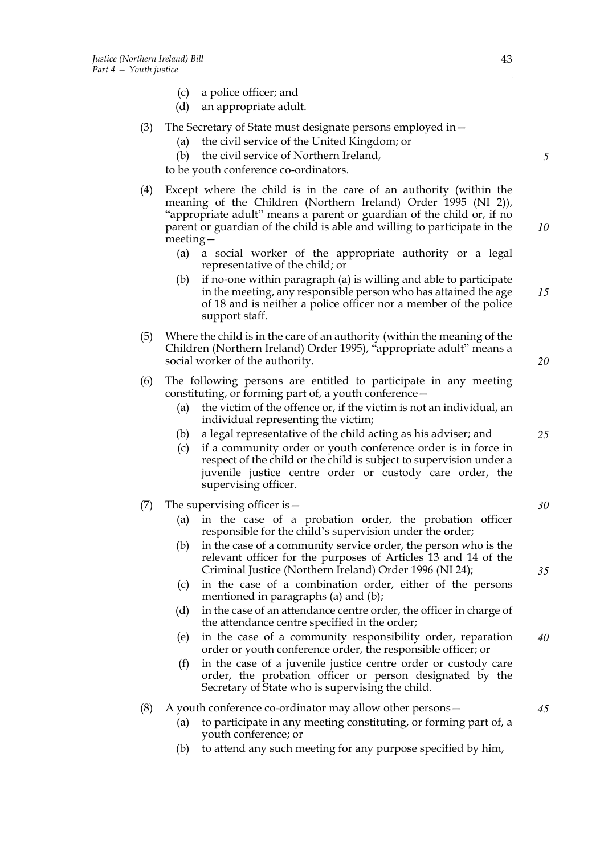- (c) a police officer; and
- (d) an appropriate adult.
- (3) The Secretary of State must designate persons employed in—
	- (a) the civil service of the United Kingdom; or
	- (b) the civil service of Northern Ireland,

to be youth conference co-ordinators.

- (4) Except where the child is in the care of an authority (within the meaning of the Children (Northern Ireland) Order 1995 (NI 2)), "appropriate adult" means a parent or guardian of the child or, if no parent or guardian of the child is able and willing to participate in the meeting— *10*
	- (a) a social worker of the appropriate authority or a legal representative of the child; or
	- (b) if no-one within paragraph (a) is willing and able to participate in the meeting, any responsible person who has attained the age of 18 and is neither a police officer nor a member of the police support staff. *15*
- (5) Where the child is in the care of an authority (within the meaning of the Children (Northern Ireland) Order 1995), "appropriate adult" means a social worker of the authority.
- (6) The following persons are entitled to participate in any meeting constituting, or forming part of, a youth conference—
	- (a) the victim of the offence or, if the victim is not an individual, an individual representing the victim;
	- (b) a legal representative of the child acting as his adviser; and
	- (c) if a community order or youth conference order is in force in respect of the child or the child is subject to supervision under a juvenile justice centre order or custody care order, the supervising officer.

### (7) The supervising officer is—

- (a) in the case of a probation order, the probation officer responsible for the child's supervision under the order;
- (b) in the case of a community service order, the person who is the relevant officer for the purposes of Articles 13 and 14 of the Criminal Justice (Northern Ireland) Order 1996 (NI 24);
- (c) in the case of a combination order, either of the persons mentioned in paragraphs (a) and (b);
- (d) in the case of an attendance centre order, the officer in charge of the attendance centre specified in the order;
- (e) in the case of a community responsibility order, reparation order or youth conference order, the responsible officer; or *40*
- (f) in the case of a juvenile justice centre order or custody care order, the probation officer or person designated by the Secretary of State who is supervising the child.

#### (8) A youth conference co-ordinator may allow other persons—

- (a) to participate in any meeting constituting, or forming part of, a youth conference; or
- (b) to attend any such meeting for any purpose specified by him,

*5*

*20*

*25*

*30*

*35*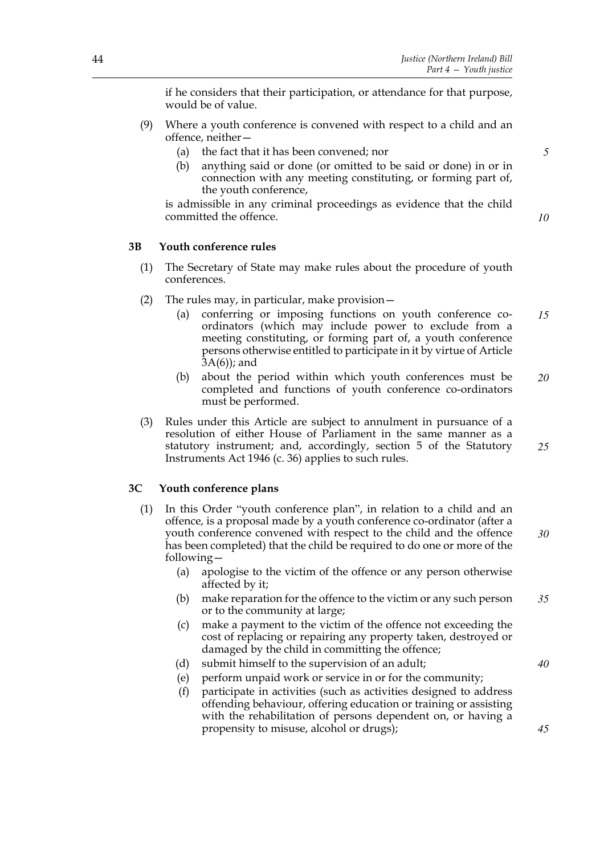if he considers that their participation, or attendance for that purpose, would be of value.

- (9) Where a youth conference is convened with respect to a child and an offence, neither—
	- (a) the fact that it has been convened; nor
	- (b) anything said or done (or omitted to be said or done) in or in connection with any meeting constituting, or forming part of, the youth conference,

is admissible in any criminal proceedings as evidence that the child committed the offence.

*10*

*40*

*45*

*5*

# **3B Youth conference rules**

- (1) The Secretary of State may make rules about the procedure of youth conferences.
- (2) The rules may, in particular, make provision—
	- (a) conferring or imposing functions on youth conference coordinators (which may include power to exclude from a meeting constituting, or forming part of, a youth conference persons otherwise entitled to participate in it by virtue of Article  $(3A(6))$ ; and *15*
	- (b) about the period within which youth conferences must be completed and functions of youth conference co-ordinators must be performed. *20*
- (3) Rules under this Article are subject to annulment in pursuance of a resolution of either House of Parliament in the same manner as a statutory instrument; and, accordingly, section 5 of the Statutory Instruments Act 1946 (c. 36) applies to such rules. *25*

# **3C Youth conference plans**

- (1) In this Order "youth conference plan", in relation to a child and an offence, is a proposal made by a youth conference co-ordinator (after a youth conference convened with respect to the child and the offence has been completed) that the child be required to do one or more of the following— *30*
	- (a) apologise to the victim of the offence or any person otherwise affected by it;
	- (b) make reparation for the offence to the victim or any such person or to the community at large; *35*
	- (c) make a payment to the victim of the offence not exceeding the cost of replacing or repairing any property taken, destroyed or damaged by the child in committing the offence;
	- (d) submit himself to the supervision of an adult;
	- (e) perform unpaid work or service in or for the community;
	- (f) participate in activities (such as activities designed to address offending behaviour, offering education or training or assisting with the rehabilitation of persons dependent on, or having a propensity to misuse, alcohol or drugs);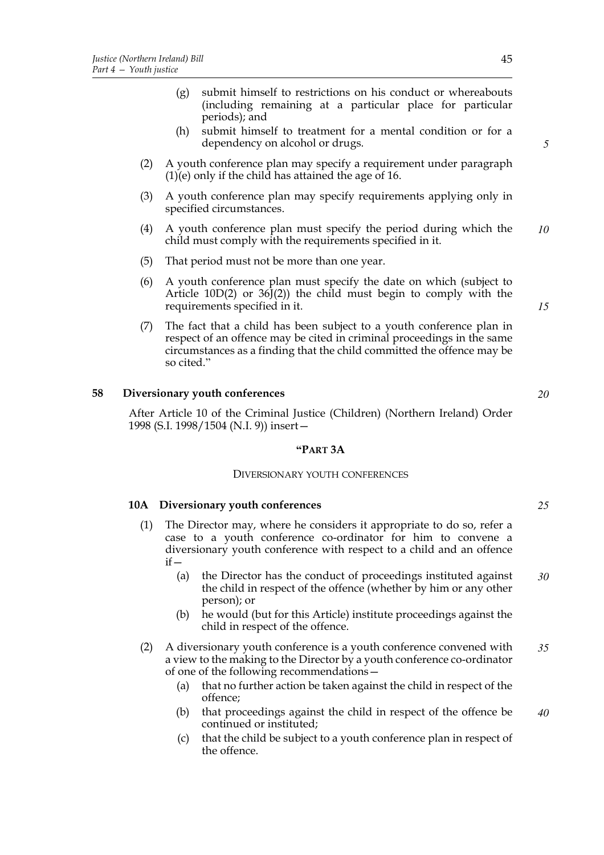- (g) submit himself to restrictions on his conduct or whereabouts (including remaining at a particular place for particular periods); and
- (h) submit himself to treatment for a mental condition or for a dependency on alcohol or drugs.
- (2) A youth conference plan may specify a requirement under paragraph (1)(e) only if the child has attained the age of 16.
- (3) A youth conference plan may specify requirements applying only in specified circumstances.
- (4) A youth conference plan must specify the period during which the child must comply with the requirements specified in it. *10*
- (5) That period must not be more than one year.
- (6) A youth conference plan must specify the date on which (subject to Article 10D(2) or  $36J(2)$  the child must begin to comply with the requirements specified in it.
- (7) The fact that a child has been subject to a youth conference plan in respect of an offence may be cited in criminal proceedings in the same circumstances as a finding that the child committed the offence may be so cited."

### **58 Diversionary youth conferences**

After Article 10 of the Criminal Justice (Children) (Northern Ireland) Order 1998 (S.I. 1998/1504 (N.I. 9)) insert—

#### **"PART 3A**

#### DIVERSIONARY YOUTH CONFERENCES

### **10A Diversionary youth conferences**

- (1) The Director may, where he considers it appropriate to do so, refer a case to a youth conference co-ordinator for him to convene a diversionary youth conference with respect to a child and an offence  $if -$ 
	- (a) the Director has the conduct of proceedings instituted against the child in respect of the offence (whether by him or any other person); or *30*
	- (b) he would (but for this Article) institute proceedings against the child in respect of the offence.
- (2) A diversionary youth conference is a youth conference convened with a view to the making to the Director by a youth conference co-ordinator of one of the following recommendations— *35*
	- (a) that no further action be taken against the child in respect of the offence;
	- (b) that proceedings against the child in respect of the offence be continued or instituted; *40*
	- (c) that the child be subject to a youth conference plan in respect of the offence.

*15*

*5*

*20*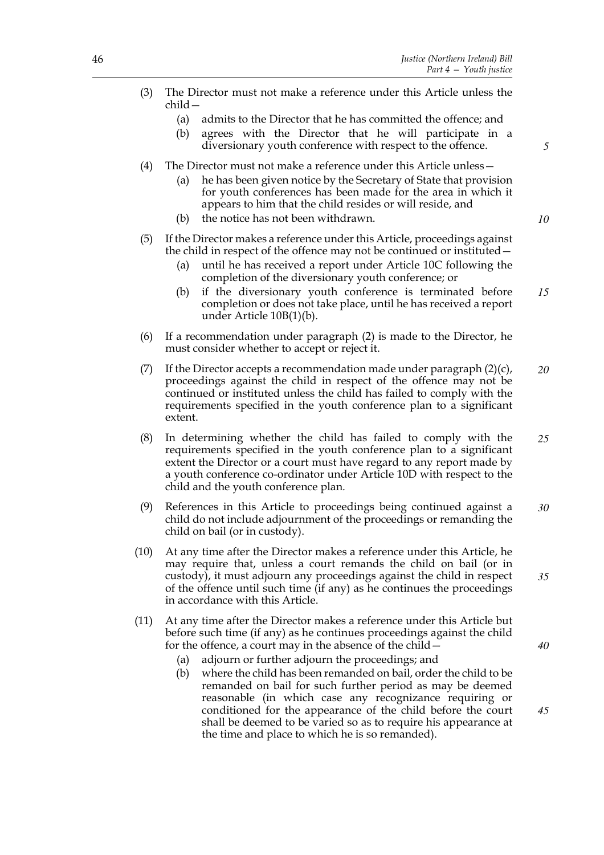*5*

*10*

*35*

| (3) The Director must not make a reference under this Article unless the |  |  |  |  |
|--------------------------------------------------------------------------|--|--|--|--|
| child –                                                                  |  |  |  |  |

- (a) admits to the Director that he has committed the offence; and
- (b) agrees with the Director that he will participate in a diversionary youth conference with respect to the offence.
- (4) The Director must not make a reference under this Article unless—
	- (a) he has been given notice by the Secretary of State that provision for youth conferences has been made for the area in which it appears to him that the child resides or will reside, and
	- (b) the notice has not been withdrawn.
- (5) If the Director makes a reference under this Article, proceedings against the child in respect of the offence may not be continued or instituted—
	- (a) until he has received a report under Article 10C following the completion of the diversionary youth conference; or
	- (b) if the diversionary youth conference is terminated before completion or does not take place, until he has received a report under Article 10B(1)(b). *15*
- (6) If a recommendation under paragraph (2) is made to the Director, he must consider whether to accept or reject it.
- (7) If the Director accepts a recommendation made under paragraph  $(2)(c)$ , proceedings against the child in respect of the offence may not be continued or instituted unless the child has failed to comply with the requirements specified in the youth conference plan to a significant extent. *20*
- (8) In determining whether the child has failed to comply with the requirements specified in the youth conference plan to a significant extent the Director or a court must have regard to any report made by a youth conference co-ordinator under Article 10D with respect to the child and the youth conference plan. *25*
- (9) References in this Article to proceedings being continued against a child do not include adjournment of the proceedings or remanding the child on bail (or in custody). *30*
- (10) At any time after the Director makes a reference under this Article, he may require that, unless a court remands the child on bail (or in custody), it must adjourn any proceedings against the child in respect of the offence until such time (if any) as he continues the proceedings in accordance with this Article.
- (11) At any time after the Director makes a reference under this Article but before such time (if any) as he continues proceedings against the child for the offence, a court may in the absence of the child—
	- (a) adjourn or further adjourn the proceedings; and
	- (b) where the child has been remanded on bail, order the child to be remanded on bail for such further period as may be deemed reasonable (in which case any recognizance requiring or conditioned for the appearance of the child before the court shall be deemed to be varied so as to require his appearance at the time and place to which he is so remanded). *45*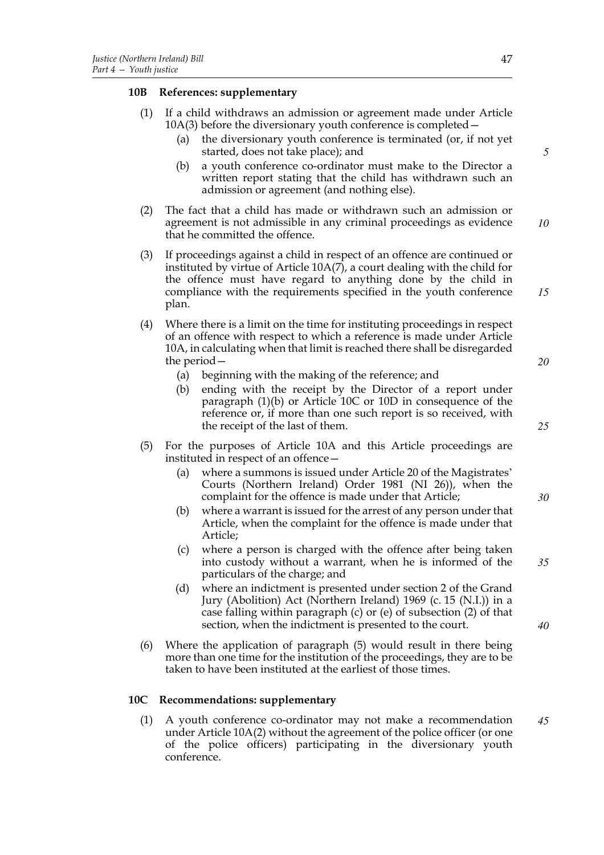# **10B References: supplementary**

- (1) If a child withdraws an admission or agreement made under Article 10A(3) before the diversionary youth conference is completed—
	- (a) the diversionary youth conference is terminated (or, if not yet started, does not take place); and
	- (b) a youth conference co-ordinator must make to the Director a written report stating that the child has withdrawn such an admission or agreement (and nothing else).
- (2) The fact that a child has made or withdrawn such an admission or agreement is not admissible in any criminal proceedings as evidence that he committed the offence. *10*
- (3) If proceedings against a child in respect of an offence are continued or instituted by virtue of Article 10A(7), a court dealing with the child for the offence must have regard to anything done by the child in compliance with the requirements specified in the youth conference plan.
- (4) Where there is a limit on the time for instituting proceedings in respect of an offence with respect to which a reference is made under Article 10A, in calculating when that limit is reached there shall be disregarded the period—
	- (a) beginning with the making of the reference; and
	- (b) ending with the receipt by the Director of a report under paragraph (1)(b) or Article 10C or 10D in consequence of the reference or, if more than one such report is so received, with the receipt of the last of them.
- (5) For the purposes of Article 10A and this Article proceedings are instituted in respect of an offence—
	- (a) where a summons is issued under Article 20 of the Magistrates' Courts (Northern Ireland) Order 1981 (NI 26)), when the complaint for the offence is made under that Article;
	- (b) where a warrant is issued for the arrest of any person under that Article, when the complaint for the offence is made under that Article;
	- (c) where a person is charged with the offence after being taken into custody without a warrant, when he is informed of the particulars of the charge; and
	- (d) where an indictment is presented under section 2 of the Grand Jury (Abolition) Act (Northern Ireland) 1969 (c. 15 (N.I.)) in a case falling within paragraph (c) or (e) of subsection (2) of that section, when the indictment is presented to the court.
- (6) Where the application of paragraph (5) would result in there being more than one time for the institution of the proceedings, they are to be taken to have been instituted at the earliest of those times.

# **10C Recommendations: supplementary**

(1) A youth conference co-ordinator may not make a recommendation under Article 10A(2) without the agreement of the police officer (or one of the police officers) participating in the diversionary youth conference. *45*

*5*

*15*

*20*

*25*

*30*

*35*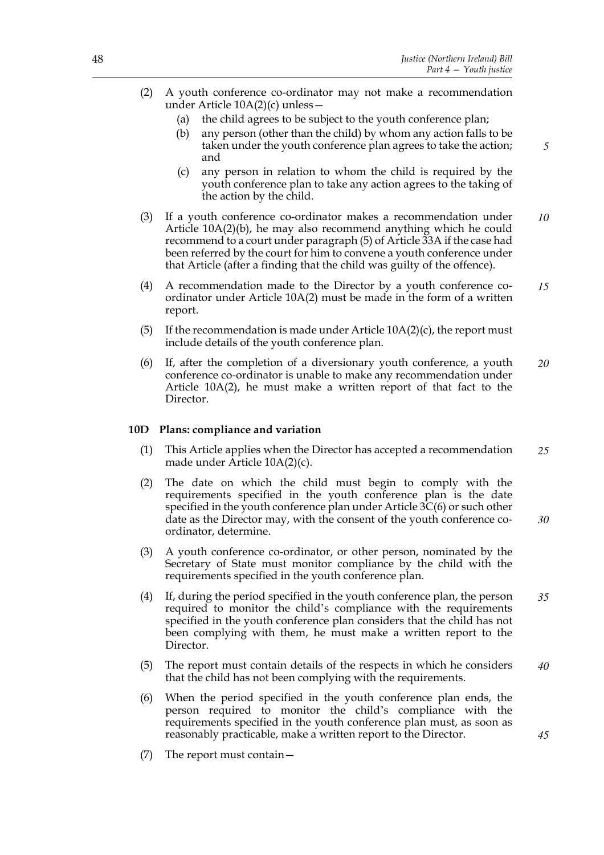*5*

- (2) A youth conference co-ordinator may not make a recommendation under Article 10A(2)(c) unless—
	- (a) the child agrees to be subject to the youth conference plan;
	- (b) any person (other than the child) by whom any action falls to be taken under the youth conference plan agrees to take the action; and
	- (c) any person in relation to whom the child is required by the youth conference plan to take any action agrees to the taking of the action by the child.
- (3) If a youth conference co-ordinator makes a recommendation under Article 10A(2)(b), he may also recommend anything which he could recommend to a court under paragraph (5) of Article 33A if the case had been referred by the court for him to convene a youth conference under that Article (after a finding that the child was guilty of the offence). *10*
- (4) A recommendation made to the Director by a youth conference coordinator under Article 10A(2) must be made in the form of a written report. *15*
- (5) If the recommendation is made under Article  $10A(2)(c)$ , the report must include details of the youth conference plan.
- (6) If, after the completion of a diversionary youth conference, a youth conference co-ordinator is unable to make any recommendation under Article 10A(2), he must make a written report of that fact to the Director. *20*

#### **10D Plans: compliance and variation**

- (1) This Article applies when the Director has accepted a recommendation made under Article 10A(2)(c). *25*
- (2) The date on which the child must begin to comply with the requirements specified in the youth conference plan is the date specified in the youth conference plan under Article 3C(6) or such other date as the Director may, with the consent of the youth conference coordinator, determine. *30*
- (3) A youth conference co-ordinator, or other person, nominated by the Secretary of State must monitor compliance by the child with the requirements specified in the youth conference plan.
- (4) If, during the period specified in the youth conference plan, the person required to monitor the child's compliance with the requirements specified in the youth conference plan considers that the child has not been complying with them, he must make a written report to the Director. *35*
- (5) The report must contain details of the respects in which he considers that the child has not been complying with the requirements. *40*
- (6) When the period specified in the youth conference plan ends, the person required to monitor the child's compliance with the requirements specified in the youth conference plan must, as soon as reasonably practicable, make a written report to the Director.
- (7) The report must contain—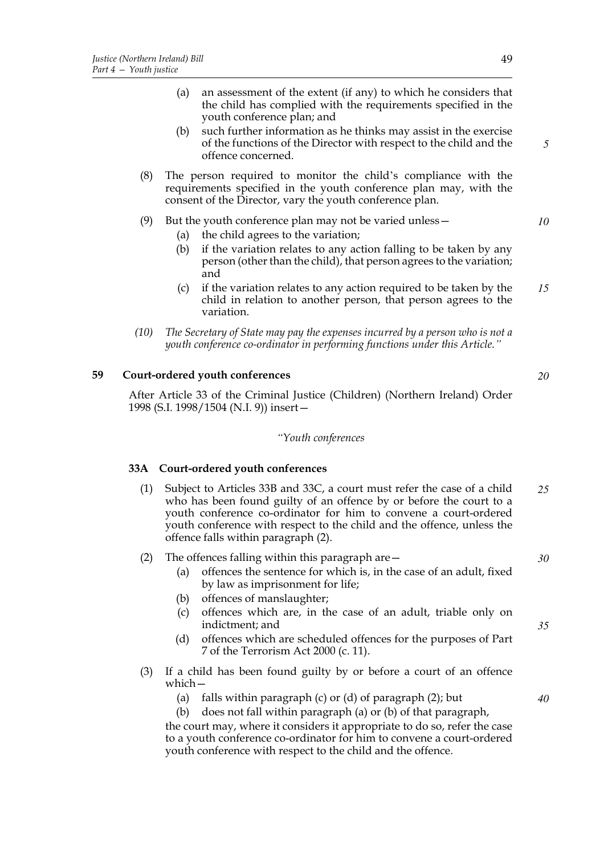- (a) an assessment of the extent (if any) to which he considers that the child has complied with the requirements specified in the youth conference plan; and
- (b) such further information as he thinks may assist in the exercise of the functions of the Director with respect to the child and the offence concerned.
- (8) The person required to monitor the child's compliance with the requirements specified in the youth conference plan may, with the consent of the Director, vary the youth conference plan.
- (9) But the youth conference plan may not be varied unless—
	- (a) the child agrees to the variation;
	- (b) if the variation relates to any action falling to be taken by any person (other than the child), that person agrees to the variation; and
	- (c) if the variation relates to any action required to be taken by the child in relation to another person, that person agrees to the variation. *15*
- *(10) The Secretary of State may pay the expenses incurred by a person who is not a youth conference co-ordinator in performing functions under this Article."*

# **59 Court-ordered youth conferences**

After Article 33 of the Criminal Justice (Children) (Northern Ireland) Order 1998 (S.I. 1998/1504 (N.I. 9)) insert—

### *"Youth conferences*

# **33A Court-ordered youth conferences**

- (1) Subject to Articles 33B and 33C, a court must refer the case of a child who has been found guilty of an offence by or before the court to a youth conference co-ordinator for him to convene a court-ordered youth conference with respect to the child and the offence, unless the offence falls within paragraph (2). *25*
- (2) The offences falling within this paragraph are  $-$ *30*
	- (a) offences the sentence for which is, in the case of an adult, fixed by law as imprisonment for life;
	- (b) offences of manslaughter;
	- (c) offences which are, in the case of an adult, triable only on indictment; and
	- (d) offences which are scheduled offences for the purposes of Part 7 of the Terrorism Act 2000 (c. 11).
- (3) If a child has been found guilty by or before a court of an offence which—
	- (a) falls within paragraph  $(c)$  or  $(d)$  of paragraph  $(2)$ ; but
	- (b) does not fall within paragraph (a) or (b) of that paragraph,

the court may, where it considers it appropriate to do so, refer the case to a youth conference co-ordinator for him to convene a court-ordered youth conference with respect to the child and the offence.

*5*

*10*

*20*

*35*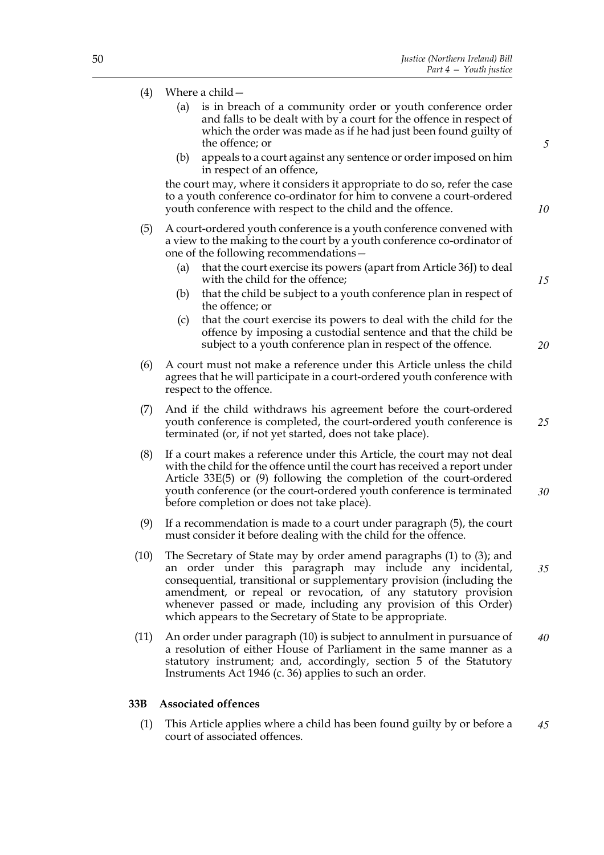- (4) Where a child—
	- (a) is in breach of a community order or youth conference order and falls to be dealt with by a court for the offence in respect of which the order was made as if he had just been found guilty of the offence; or
	- (b) appeals to a court against any sentence or order imposed on him in respect of an offence,

the court may, where it considers it appropriate to do so, refer the case to a youth conference co-ordinator for him to convene a court-ordered youth conference with respect to the child and the offence.

- (5) A court-ordered youth conference is a youth conference convened with a view to the making to the court by a youth conference co-ordinator of one of the following recommendations—
	- (a) that the court exercise its powers (apart from Article 36J) to deal with the child for the offence;
	- (b) that the child be subject to a youth conference plan in respect of the offence; or
	- (c) that the court exercise its powers to deal with the child for the offence by imposing a custodial sentence and that the child be subject to a youth conference plan in respect of the offence.
- (6) A court must not make a reference under this Article unless the child agrees that he will participate in a court-ordered youth conference with respect to the offence.
- (7) And if the child withdraws his agreement before the court-ordered youth conference is completed, the court-ordered youth conference is terminated (or, if not yet started, does not take place).
- (8) If a court makes a reference under this Article, the court may not deal with the child for the offence until the court has received a report under Article 33E(5) or (9) following the completion of the court-ordered youth conference (or the court-ordered youth conference is terminated before completion or does not take place). *30*
- (9) If a recommendation is made to a court under paragraph (5), the court must consider it before dealing with the child for the offence.
- (10) The Secretary of State may by order amend paragraphs (1) to (3); and an order under this paragraph may include any incidental, consequential, transitional or supplementary provision (including the amendment, or repeal or revocation, of any statutory provision whenever passed or made, including any provision of this Order) which appears to the Secretary of State to be appropriate. *35*
- (11) An order under paragraph (10) is subject to annulment in pursuance of a resolution of either House of Parliament in the same manner as a statutory instrument; and, accordingly, section 5 of the Statutory Instruments Act 1946 (c. 36) applies to such an order. *40*

#### **33B Associated offences**

(1) This Article applies where a child has been found guilty by or before a court of associated offences. *45*

*5*

*10*

*20*

*25*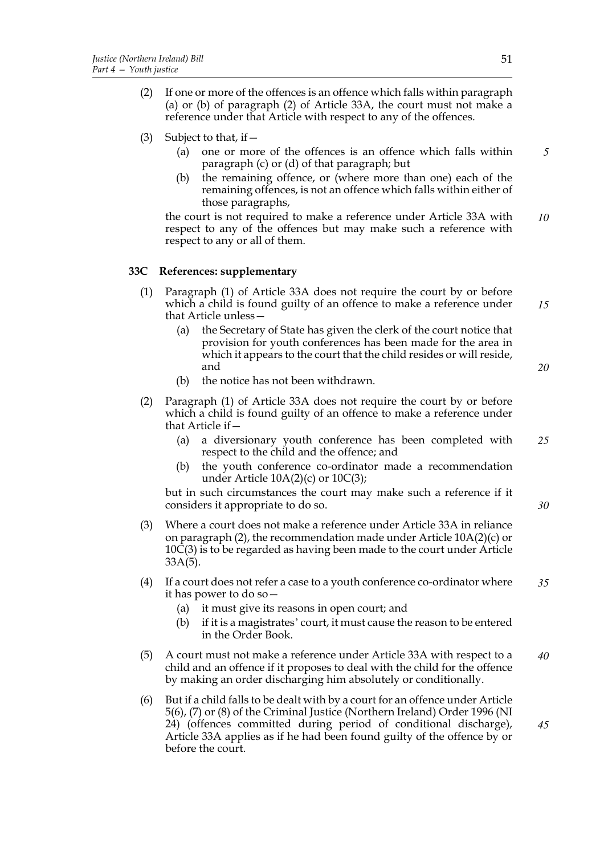- (2) If one or more of the offences is an offence which falls within paragraph (a) or (b) of paragraph (2) of Article 33A, the court must not make a reference under that Article with respect to any of the offences.
- (3) Subject to that, if  $-$ 
	- (a) one or more of the offences is an offence which falls within paragraph (c) or (d) of that paragraph; but *5*
	- (b) the remaining offence, or (where more than one) each of the remaining offences, is not an offence which falls within either of those paragraphs,

the court is not required to make a reference under Article 33A with respect to any of the offences but may make such a reference with respect to any or all of them. *10*

# **33C References: supplementary**

- (1) Paragraph (1) of Article 33A does not require the court by or before which a child is found guilty of an offence to make a reference under that Article unless— *15*
	- (a) the Secretary of State has given the clerk of the court notice that provision for youth conferences has been made for the area in which it appears to the court that the child resides or will reside, and
	- (b) the notice has not been withdrawn.
- (2) Paragraph (1) of Article 33A does not require the court by or before which a child is found guilty of an offence to make a reference under that Article if—
	- (a) a diversionary youth conference has been completed with respect to the child and the offence; and *25*
	- (b) the youth conference co-ordinator made a recommendation under Article  $10A(2)(c)$  or  $10C(3)$ ;

but in such circumstances the court may make such a reference if it considers it appropriate to do so.

- (3) Where a court does not make a reference under Article 33A in reliance on paragraph (2), the recommendation made under Article 10A(2)(c) or 10C(3) is to be regarded as having been made to the court under Article 33A(5).
- (4) If a court does not refer a case to a youth conference co-ordinator where it has power to do so— *35*
	- (a) it must give its reasons in open court; and
	- (b) if it is a magistrates' court, it must cause the reason to be entered in the Order Book.
- (5) A court must not make a reference under Article 33A with respect to a child and an offence if it proposes to deal with the child for the offence by making an order discharging him absolutely or conditionally. *40*
- (6) But if a child falls to be dealt with by a court for an offence under Article 5(6), (7) or (8) of the Criminal Justice (Northern Ireland) Order 1996 (NI 24) (offences committed during period of conditional discharge), Article 33A applies as if he had been found guilty of the offence by or before the court. *45*

*20*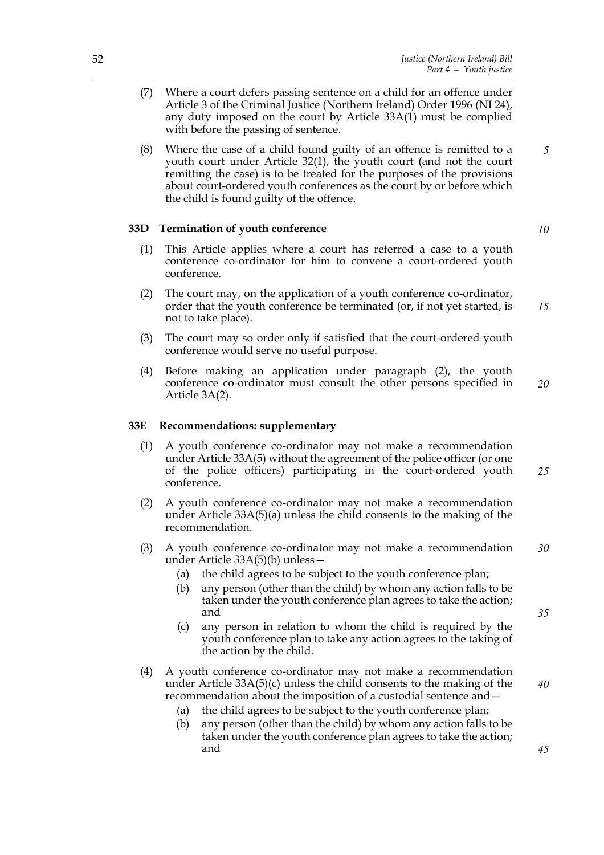- (7) Where a court defers passing sentence on a child for an offence under Article 3 of the Criminal Justice (Northern Ireland) Order 1996 (NI 24), any duty imposed on the court by Article 33A(1) must be complied with before the passing of sentence.
- (8) Where the case of a child found guilty of an offence is remitted to a youth court under Article 32(1), the youth court (and not the court remitting the case) is to be treated for the purposes of the provisions about court-ordered youth conferences as the court by or before which the child is found guilty of the offence. *5*

# **33D Termination of youth conference**

- (1) This Article applies where a court has referred a case to a youth conference co-ordinator for him to convene a court-ordered youth conference.
- (2) The court may, on the application of a youth conference co-ordinator, order that the youth conference be terminated (or, if not yet started, is not to take place). *15*
- (3) The court may so order only if satisfied that the court-ordered youth conference would serve no useful purpose.
- (4) Before making an application under paragraph (2), the youth conference co-ordinator must consult the other persons specified in Article 3A(2). *20*

#### **33E Recommendations: supplementary**

- (1) A youth conference co-ordinator may not make a recommendation under Article 33A(5) without the agreement of the police officer (or one of the police officers) participating in the court-ordered youth conference. *25*
- (2) A youth conference co-ordinator may not make a recommendation under Article 33A(5)(a) unless the child consents to the making of the recommendation.
- (3) A youth conference co-ordinator may not make a recommendation under Article 33A(5)(b) unless— *30*
	- (a) the child agrees to be subject to the youth conference plan;
	- (b) any person (other than the child) by whom any action falls to be taken under the youth conference plan agrees to take the action; and
	- (c) any person in relation to whom the child is required by the youth conference plan to take any action agrees to the taking of the action by the child.
- (4) A youth conference co-ordinator may not make a recommendation under Article 33A(5)(c) unless the child consents to the making of the recommendation about the imposition of a custodial sentence and—
	- (a) the child agrees to be subject to the youth conference plan;
	- (b) any person (other than the child) by whom any action falls to be taken under the youth conference plan agrees to take the action; and

*10*

*35*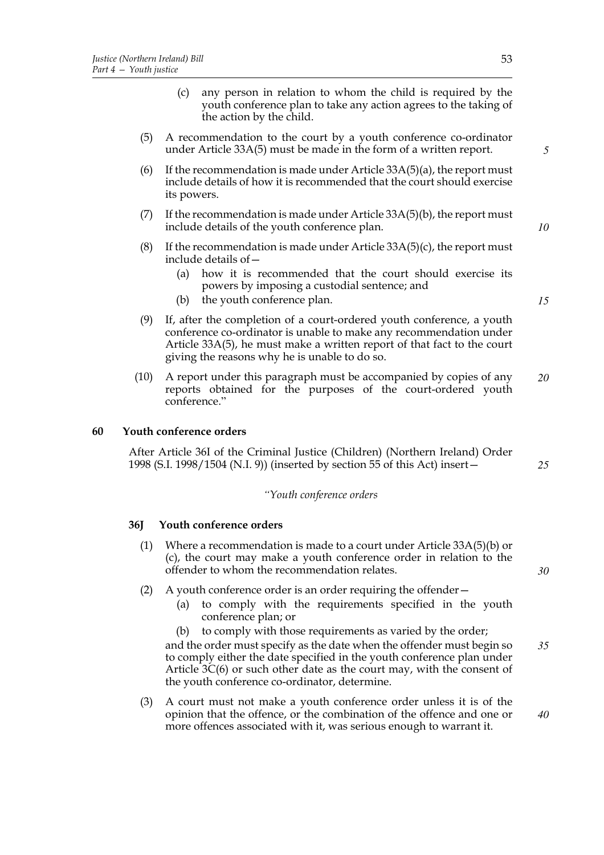- (5) A recommendation to the court by a youth conference co-ordinator under Article 33A(5) must be made in the form of a written report.
- (6) If the recommendation is made under Article  $33A(5)(a)$ , the report must include details of how it is recommended that the court should exercise its powers.
- (7) If the recommendation is made under Article  $33A(5)(b)$ , the report must include details of the youth conference plan.
- (8) If the recommendation is made under Article  $33A(5)(c)$ , the report must include details of—
	- (a) how it is recommended that the court should exercise its powers by imposing a custodial sentence; and
	- (b) the youth conference plan.

the action by the child.

- (9) If, after the completion of a court-ordered youth conference, a youth conference co-ordinator is unable to make any recommendation under Article 33A(5), he must make a written report of that fact to the court giving the reasons why he is unable to do so.
- (10) A report under this paragraph must be accompanied by copies of any reports obtained for the purposes of the court-ordered youth conference." *20*

### **60 Youth conference orders**

After Article 36I of the Criminal Justice (Children) (Northern Ireland) Order 1998 (S.I. 1998/1504 (N.I. 9)) (inserted by section 55 of this Act) insert—

### *"Youth conference orders*

#### **36J Youth conference orders**

- (1) Where a recommendation is made to a court under Article 33A(5)(b) or (c), the court may make a youth conference order in relation to the offender to whom the recommendation relates.
- (2) A youth conference order is an order requiring the offender—
	- (a) to comply with the requirements specified in the youth conference plan; or

(b) to comply with those requirements as varied by the order; and the order must specify as the date when the offender must begin so to comply either the date specified in the youth conference plan under Article 3C(6) or such other date as the court may, with the consent of the youth conference co-ordinator, determine. *35*

(3) A court must not make a youth conference order unless it is of the opinion that the offence, or the combination of the offence and one or more offences associated with it, was serious enough to warrant it. *40*

*5*

*10*

*15*

*25*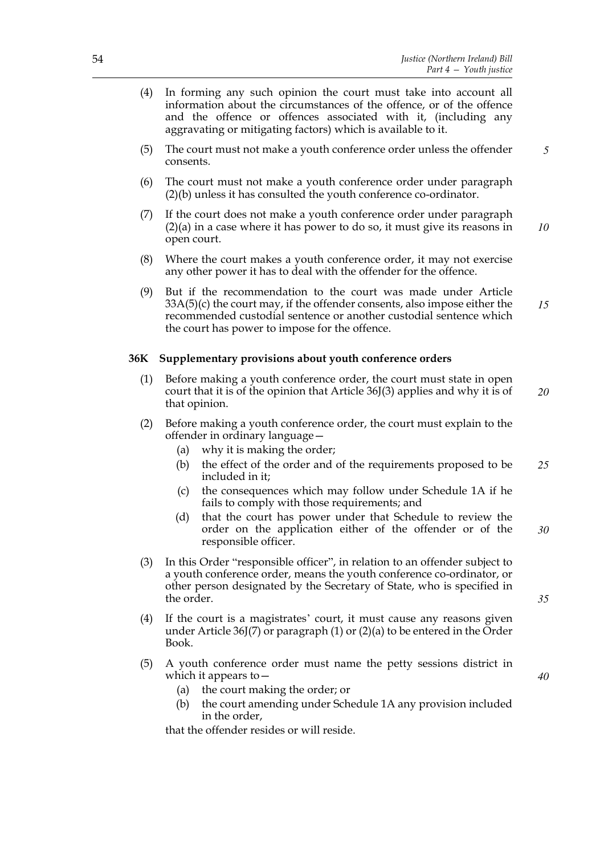- (4) In forming any such opinion the court must take into account all information about the circumstances of the offence, or of the offence and the offence or offences associated with it, (including any aggravating or mitigating factors) which is available to it.
- (5) The court must not make a youth conference order unless the offender consents. *5*
- (6) The court must not make a youth conference order under paragraph (2)(b) unless it has consulted the youth conference co-ordinator.
- (7) If the court does not make a youth conference order under paragraph (2)(a) in a case where it has power to do so, it must give its reasons in open court. *10*
- (8) Where the court makes a youth conference order, it may not exercise any other power it has to deal with the offender for the offence.
- (9) But if the recommendation to the court was made under Article 33A(5)(c) the court may, if the offender consents, also impose either the recommended custodial sentence or another custodial sentence which the court has power to impose for the offence. *15*

### **36K Supplementary provisions about youth conference orders**

- (1) Before making a youth conference order, the court must state in open court that it is of the opinion that Article 36J(3) applies and why it is of that opinion. *20*
- (2) Before making a youth conference order, the court must explain to the offender in ordinary language—
	- (a) why it is making the order;
	- (b) the effect of the order and of the requirements proposed to be included in it; *25*
	- (c) the consequences which may follow under Schedule 1A if he fails to comply with those requirements; and
	- (d) that the court has power under that Schedule to review the order on the application either of the offender or of the responsible officer. *30*
- (3) In this Order "responsible officer", in relation to an offender subject to a youth conference order, means the youth conference co-ordinator, or other person designated by the Secretary of State, who is specified in the order.

(5) A youth conference order must name the petty sessions district in

(4) If the court is a magistrates' court, it must cause any reasons given under Article  $36J(7)$  or paragraph (1) or (2)(a) to be entered in the Order

*40*

*35*

(a) the court making the order; or

Book.

which it appears to—

(b) the court amending under Schedule 1A any provision included in the order,

that the offender resides or will reside.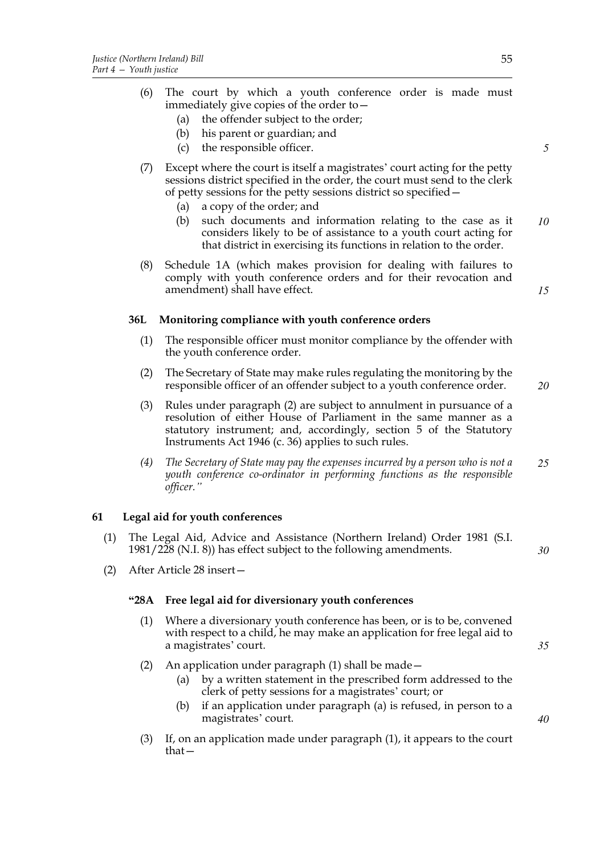- (a) the offender subject to the order;
- (b) his parent or guardian; and
- (c) the responsible officer.
- (7) Except where the court is itself a magistrates' court acting for the petty sessions district specified in the order, the court must send to the clerk of petty sessions for the petty sessions district so specified—
	- (a) a copy of the order; and
	- (b) such documents and information relating to the case as it considers likely to be of assistance to a youth court acting for that district in exercising its functions in relation to the order. *10*
- (8) Schedule 1A (which makes provision for dealing with failures to comply with youth conference orders and for their revocation and amendment) shall have effect.

# **36L Monitoring compliance with youth conference orders**

- (1) The responsible officer must monitor compliance by the offender with the youth conference order.
- (2) The Secretary of State may make rules regulating the monitoring by the responsible officer of an offender subject to a youth conference order. *20*
- (3) Rules under paragraph (2) are subject to annulment in pursuance of a resolution of either House of Parliament in the same manner as a statutory instrument; and, accordingly, section 5 of the Statutory Instruments Act 1946 (c. 36) applies to such rules.
- *(4) The Secretary of State may pay the expenses incurred by a person who is not a youth conference co-ordinator in performing functions as the responsible officer." 25*

### **61 Legal aid for youth conferences**

- (1) The Legal Aid, Advice and Assistance (Northern Ireland) Order 1981 (S.I. 1981/228 (N.I. 8)) has effect subject to the following amendments.
- (2) After Article 28 insert—

#### **"28A Free legal aid for diversionary youth conferences**

- (1) Where a diversionary youth conference has been, or is to be, convened with respect to a child, he may make an application for free legal aid to a magistrates' court.
- (2) An application under paragraph (1) shall be made—
	- (a) by a written statement in the prescribed form addressed to the clerk of petty sessions for a magistrates' court; or
	- (b) if an application under paragraph (a) is refused, in person to a magistrates' court.
- (3) If, on an application made under paragraph (1), it appears to the court that—

*5*

*15*

*35*

*30*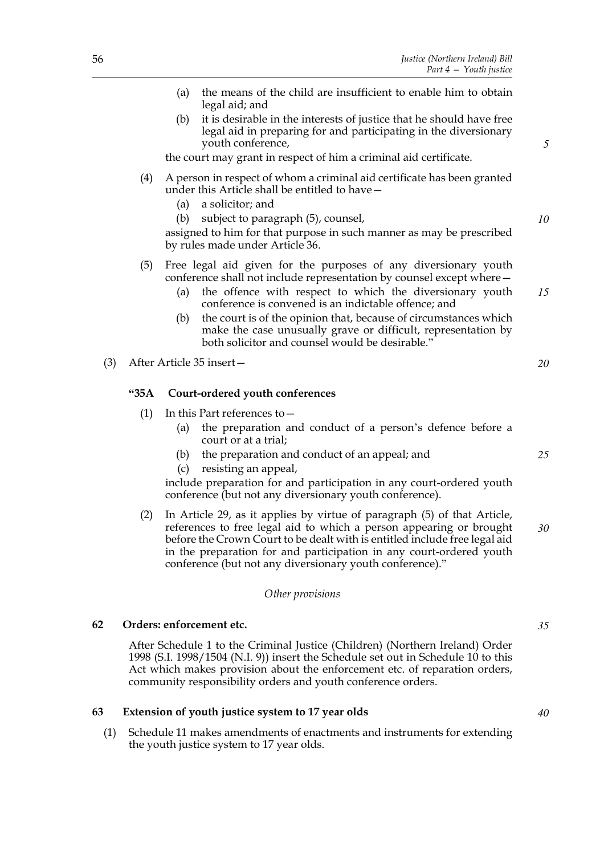|     |      | the means of the child are insufficient to enable him to obtain<br>(a)<br>legal aid; and                                                                                                                                                                                                             |    |
|-----|------|------------------------------------------------------------------------------------------------------------------------------------------------------------------------------------------------------------------------------------------------------------------------------------------------------|----|
|     |      | it is desirable in the interests of justice that he should have free<br>(b)<br>legal aid in preparing for and participating in the diversionary<br>youth conference,                                                                                                                                 | 5  |
|     |      | the court may grant in respect of him a criminal aid certificate.                                                                                                                                                                                                                                    |    |
|     | (4)  | A person in respect of whom a criminal aid certificate has been granted<br>under this Article shall be entitled to have -<br>a solicitor; and<br>(a)                                                                                                                                                 |    |
|     |      | (b)<br>subject to paragraph (5), counsel,<br>assigned to him for that purpose in such manner as may be prescribed<br>by rules made under Article 36.                                                                                                                                                 | 10 |
|     | (5)  | Free legal aid given for the purposes of any diversionary youth<br>conference shall not include representation by counsel except where -                                                                                                                                                             |    |
|     |      | the offence with respect to which the diversionary youth<br>(a)<br>conference is convened is an indictable offence; and                                                                                                                                                                              | 15 |
|     |      | the court is of the opinion that, because of circumstances which<br>(b)<br>make the case unusually grave or difficult, representation by<br>both solicitor and counsel would be desirable."                                                                                                          |    |
| (3) |      | After Article 35 insert-                                                                                                                                                                                                                                                                             | 20 |
|     | "35A | Court-ordered youth conferences                                                                                                                                                                                                                                                                      |    |
|     | (1)  | In this Part references to -                                                                                                                                                                                                                                                                         |    |
|     |      | the preparation and conduct of a person's defence before a<br>(a)<br>court or at a trial;                                                                                                                                                                                                            |    |
|     |      | the preparation and conduct of an appeal; and<br>(b)                                                                                                                                                                                                                                                 | 25 |
|     |      | resisting an appeal,<br>(c)                                                                                                                                                                                                                                                                          |    |
|     |      | include preparation for and participation in any court-ordered youth<br>conference (but not any diversionary youth conference).                                                                                                                                                                      |    |
|     | (2)  | In Article 29, as it applies by virtue of paragraph (5) of that Article,<br>references to free legal aid to which a person appearing or brought<br>before the Crown Court to be dealt with is entitled include free legal aid<br>in the preparation for and participation in any court-ordered youth | 30 |

# *Other provisions*

conference (but not any diversionary youth conference)."

#### **62 Orders: enforcement etc.**

After Schedule 1 to the Criminal Justice (Children) (Northern Ireland) Order 1998 (S.I. 1998/1504 (N.I. 9)) insert the Schedule set out in Schedule  $10$  to this Act which makes provision about the enforcement etc. of reparation orders, community responsibility orders and youth conference orders.

### **63 Extension of youth justice system to 17 year olds**

(1) Schedule 11 makes amendments of enactments and instruments for extending the youth justice system to 17 year olds.

*35*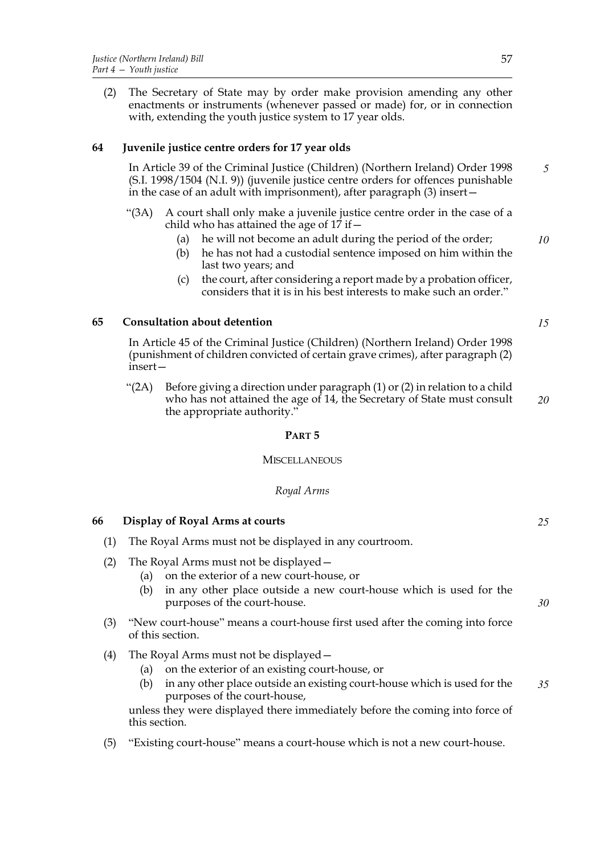(2) The Secretary of State may by order make provision amending any other enactments or instruments (whenever passed or made) for, or in connection with, extending the youth justice system to 17 year olds.

# **64 Juvenile justice centre orders for 17 year olds**

In Article 39 of the Criminal Justice (Children) (Northern Ireland) Order 1998 (S.I. 1998/1504 (N.I. 9)) (juvenile justice centre orders for offences punishable in the case of an adult with imprisonment), after paragraph (3) insert— *5*

- "(3A) A court shall only make a juvenile justice centre order in the case of a child who has attained the age of  $17$  if  $-$ 
	- (a) he will not become an adult during the period of the order;
	- (b) he has not had a custodial sentence imposed on him within the last two years; and
	- (c) the court, after considering a report made by a probation officer, considers that it is in his best interests to make such an order."

# **65 Consultation about detention**

In Article 45 of the Criminal Justice (Children) (Northern Ireland) Order 1998 (punishment of children convicted of certain grave crimes), after paragraph (2) insert—

"(2A) Before giving a direction under paragraph  $(1)$  or  $(2)$  in relation to a child who has not attained the age of 14, the Secretary of State must consult the appropriate authority." *20*

# **PART 5**

#### **MISCELLANEOUS**

# *Royal Arms*

# **66 Display of Royal Arms at courts**

- (1) The Royal Arms must not be displayed in any courtroom.
- (2) The Royal Arms must not be displayed—
	- (a) on the exterior of a new court-house, or
	- (b) in any other place outside a new court-house which is used for the purposes of the court-house.
- (3) "New court-house" means a court-house first used after the coming into force of this section.
- (4) The Royal Arms must not be displayed—
	- (a) on the exterior of an existing court-house, or
	- (b) in any other place outside an existing court-house which is used for the purposes of the court-house, *35*

unless they were displayed there immediately before the coming into force of this section.

(5) "Existing court-house" means a court-house which is not a new court-house.

*10*

*15*

*25*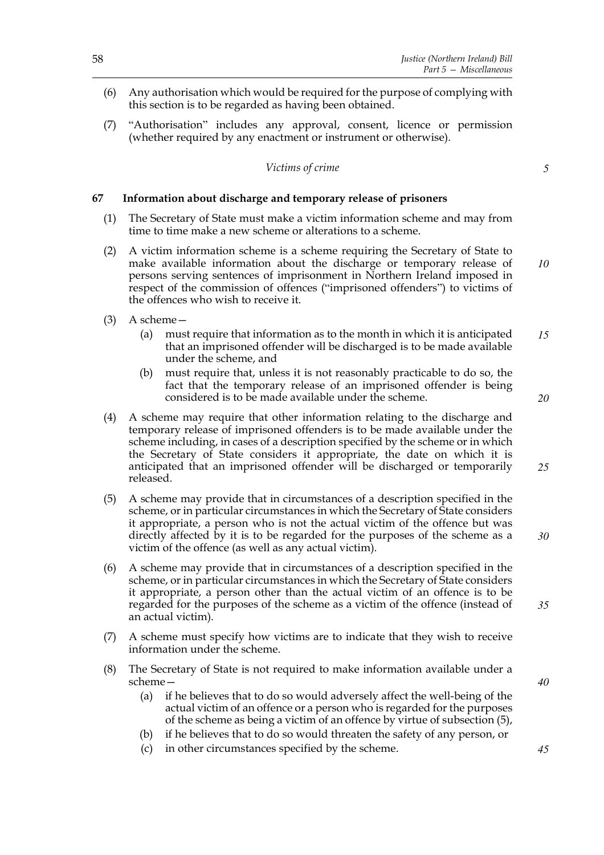- (6) Any authorisation which would be required for the purpose of complying with this section is to be regarded as having been obtained.
- (7) "Authorisation" includes any approval, consent, licence or permission (whether required by any enactment or instrument or otherwise).

### *Victims of crime*

#### **67 Information about discharge and temporary release of prisoners**

- (1) The Secretary of State must make a victim information scheme and may from time to time make a new scheme or alterations to a scheme.
- (2) A victim information scheme is a scheme requiring the Secretary of State to make available information about the discharge or temporary release of persons serving sentences of imprisonment in Northern Ireland imposed in respect of the commission of offences ("imprisoned offenders") to victims of the offences who wish to receive it.
- (3) A scheme—
	- (a) must require that information as to the month in which it is anticipated that an imprisoned offender will be discharged is to be made available under the scheme, and *15*
	- (b) must require that, unless it is not reasonably practicable to do so, the fact that the temporary release of an imprisoned offender is being considered is to be made available under the scheme.
- (4) A scheme may require that other information relating to the discharge and temporary release of imprisoned offenders is to be made available under the scheme including, in cases of a description specified by the scheme or in which the Secretary of State considers it appropriate, the date on which it is anticipated that an imprisoned offender will be discharged or temporarily released.
- (5) A scheme may provide that in circumstances of a description specified in the scheme, or in particular circumstances in which the Secretary of State considers it appropriate, a person who is not the actual victim of the offence but was directly affected by it is to be regarded for the purposes of the scheme as a victim of the offence (as well as any actual victim).
- (6) A scheme may provide that in circumstances of a description specified in the scheme, or in particular circumstances in which the Secretary of State considers it appropriate, a person other than the actual victim of an offence is to be regarded for the purposes of the scheme as a victim of the offence (instead of an actual victim).
- (7) A scheme must specify how victims are to indicate that they wish to receive information under the scheme.
- (8) The Secretary of State is not required to make information available under a scheme—
	- (a) if he believes that to do so would adversely affect the well-being of the actual victim of an offence or a person who is regarded for the purposes of the scheme as being a victim of an offence by virtue of subsection (5),
	- (b) if he believes that to do so would threaten the safety of any person, or
	- (c) in other circumstances specified by the scheme.

*5*

*10*

*20*

*25*

*30*

*35*

*40*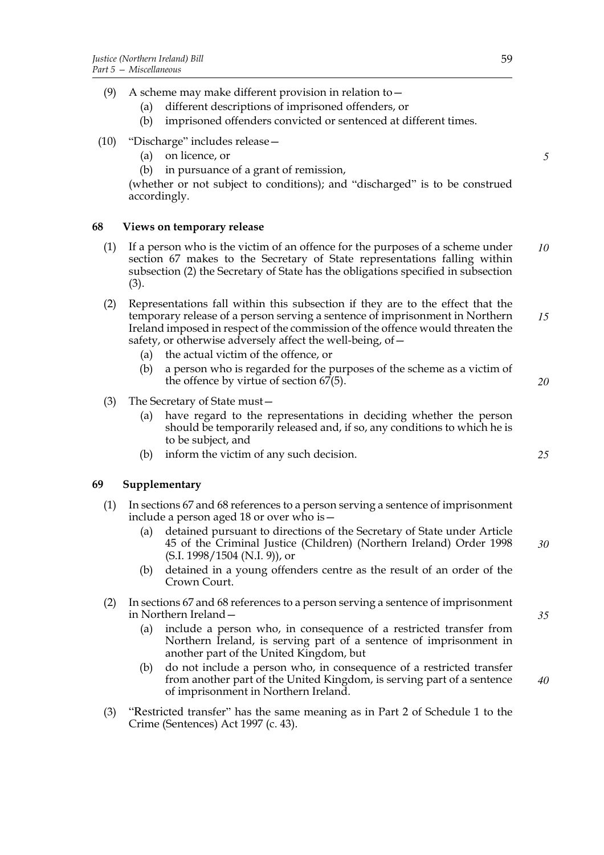|  |                                  |  | (9) A scheme may make different provision in relation to $-$ |  |
|--|----------------------------------|--|--------------------------------------------------------------|--|
|  | $\sim$ 1.66 $\sim$ 1 $\sim$ 1.50 |  |                                                              |  |

- (a) different descriptions of imprisoned offenders, or
- (b) imprisoned offenders convicted or sentenced at different times.
- (10) "Discharge" includes release—
	- (a) on licence, or
	- (b) in pursuance of a grant of remission,

(whether or not subject to conditions); and "discharged" is to be construed accordingly.

# **68 Views on temporary release**

- (1) If a person who is the victim of an offence for the purposes of a scheme under section 67 makes to the Secretary of State representations falling within subsection (2) the Secretary of State has the obligations specified in subsection (3). *10*
- (2) Representations fall within this subsection if they are to the effect that the temporary release of a person serving a sentence of imprisonment in Northern Ireland imposed in respect of the commission of the offence would threaten the safety, or otherwise adversely affect the well-being, of— *15*
	- (a) the actual victim of the offence, or
	- (b) a person who is regarded for the purposes of the scheme as a victim of the offence by virtue of section 67(5).
- (3) The Secretary of State must—
	- (a) have regard to the representations in deciding whether the person should be temporarily released and, if so, any conditions to which he is to be subject, and
	- (b) inform the victim of any such decision.

# **69 Supplementary**

- (1) In sections 67 and 68 references to a person serving a sentence of imprisonment include a person aged 18 or over who is—
	- (a) detained pursuant to directions of the Secretary of State under Article 45 of the Criminal Justice (Children) (Northern Ireland) Order 1998 (S.I. 1998/1504 (N.I. 9)), or *30*
	- (b) detained in a young offenders centre as the result of an order of the Crown Court.
- (2) In sections 67 and 68 references to a person serving a sentence of imprisonment in Northern Ireland—
	- (a) include a person who, in consequence of a restricted transfer from Northern Ireland, is serving part of a sentence of imprisonment in another part of the United Kingdom, but
	- (b) do not include a person who, in consequence of a restricted transfer from another part of the United Kingdom, is serving part of a sentence of imprisonment in Northern Ireland.
- (3) "Restricted transfer" has the same meaning as in Part 2 of Schedule 1 to the Crime (Sentences) Act 1997 (c. 43).

*5*

*25*

*20*

*35*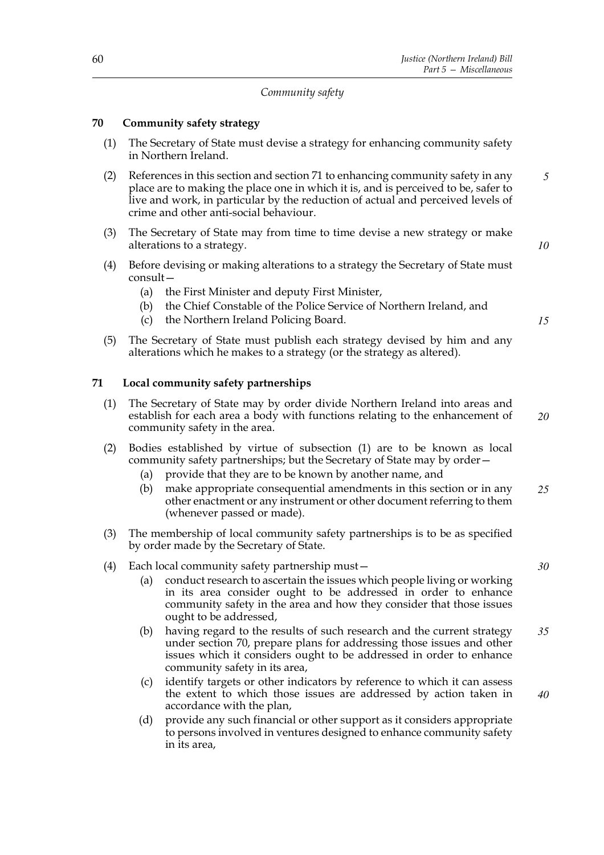# *Community safety*

# **70 Community safety strategy**

- (1) The Secretary of State must devise a strategy for enhancing community safety in Northern Ireland.
- (2) References in this section and section 71 to enhancing community safety in any place are to making the place one in which it is, and is perceived to be, safer to live and work, in particular by the reduction of actual and perceived levels of crime and other anti-social behaviour. *5*
- (3) The Secretary of State may from time to time devise a new strategy or make alterations to a strategy.
- (4) Before devising or making alterations to a strategy the Secretary of State must consult—
	- (a) the First Minister and deputy First Minister,
	- (b) the Chief Constable of the Police Service of Northern Ireland, and
	- (c) the Northern Ireland Policing Board.
- (5) The Secretary of State must publish each strategy devised by him and any alterations which he makes to a strategy (or the strategy as altered).

# **71 Local community safety partnerships**

- (1) The Secretary of State may by order divide Northern Ireland into areas and establish for each area a body with functions relating to the enhancement of community safety in the area. *20*
- (2) Bodies established by virtue of subsection (1) are to be known as local community safety partnerships; but the Secretary of State may by order—
	- (a) provide that they are to be known by another name, and
	- (b) make appropriate consequential amendments in this section or in any other enactment or any instrument or other document referring to them (whenever passed or made). *25*
- (3) The membership of local community safety partnerships is to be as specified by order made by the Secretary of State.
- (4) Each local community safety partnership must—
	- (a) conduct research to ascertain the issues which people living or working in its area consider ought to be addressed in order to enhance community safety in the area and how they consider that those issues ought to be addressed,
	- (b) having regard to the results of such research and the current strategy under section 70, prepare plans for addressing those issues and other issues which it considers ought to be addressed in order to enhance community safety in its area, *35*
	- (c) identify targets or other indicators by reference to which it can assess the extent to which those issues are addressed by action taken in accordance with the plan, *40*
	- (d) provide any such financial or other support as it considers appropriate to persons involved in ventures designed to enhance community safety in its area,

*10*

*15*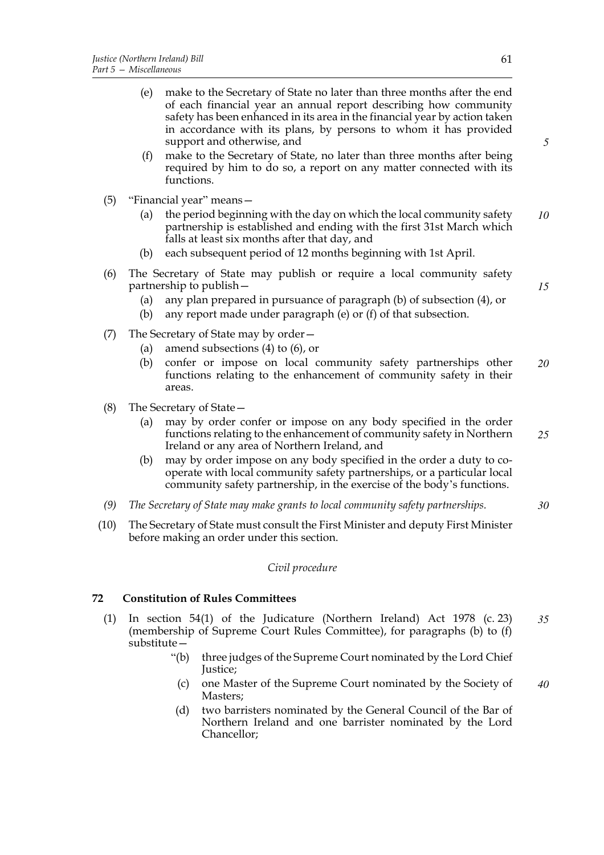- (e) make to the Secretary of State no later than three months after the end of each financial year an annual report describing how community safety has been enhanced in its area in the financial year by action taken in accordance with its plans, by persons to whom it has provided support and otherwise, and
- (f) make to the Secretary of State, no later than three months after being required by him to do so, a report on any matter connected with its functions.
- (5) "Financial year" means—
	- (a) the period beginning with the day on which the local community safety partnership is established and ending with the first 31st March which falls at least six months after that day, and *10*
	- (b) each subsequent period of 12 months beginning with 1st April.
- (6) The Secretary of State may publish or require a local community safety partnership to publish—
	- (a) any plan prepared in pursuance of paragraph (b) of subsection (4), or
	- (b) any report made under paragraph (e) or (f) of that subsection.
- (7) The Secretary of State may by order—
	- (a) amend subsections (4) to (6), or
	- (b) confer or impose on local community safety partnerships other functions relating to the enhancement of community safety in their areas. *20*
- (8) The Secretary of State—
	- (a) may by order confer or impose on any body specified in the order functions relating to the enhancement of community safety in Northern Ireland or any area of Northern Ireland, and *25*
	- (b) may by order impose on any body specified in the order a duty to cooperate with local community safety partnerships, or a particular local community safety partnership, in the exercise of the body's functions.
- *(9) The Secretary of State may make grants to local community safety partnerships.*
- (10) The Secretary of State must consult the First Minister and deputy First Minister before making an order under this section.

#### *Civil procedure*

# **72 Constitution of Rules Committees**

- (1) In section 54(1) of the Judicature (Northern Ireland) Act 1978 (c. 23) (membership of Supreme Court Rules Committee), for paragraphs (b) to (f) substitute— *35*
	- "(b) three judges of the Supreme Court nominated by the Lord Chief Justice;
	- (c) one Master of the Supreme Court nominated by the Society of Masters; *40*
	- (d) two barristers nominated by the General Council of the Bar of Northern Ireland and one barrister nominated by the Lord Chancellor;

*5*

*15*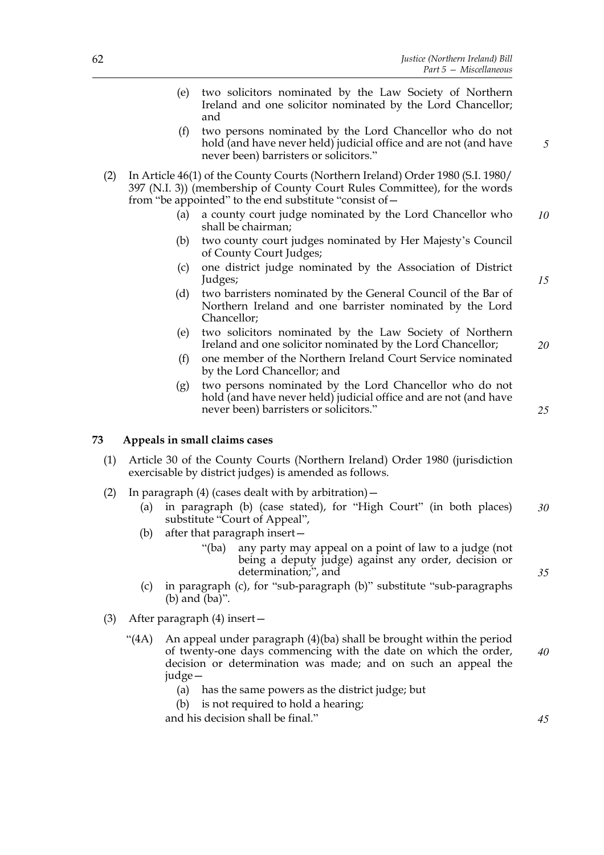- (e) two solicitors nominated by the Law Society of Northern Ireland and one solicitor nominated by the Lord Chancellor; and
- (f) two persons nominated by the Lord Chancellor who do not hold (and have never held) judicial office and are not (and have never been) barristers or solicitors."
- (2) In Article 46(1) of the County Courts (Northern Ireland) Order 1980 (S.I. 1980/ 397 (N.I. 3)) (membership of County Court Rules Committee), for the words from "be appointed" to the end substitute "consist of—
	- (a) a county court judge nominated by the Lord Chancellor who shall be chairman; *10*
	- (b) two county court judges nominated by Her Majesty's Council of County Court Judges;
	- (c) one district judge nominated by the Association of District Judges;
	- (d) two barristers nominated by the General Council of the Bar of Northern Ireland and one barrister nominated by the Lord Chancellor;
	- (e) two solicitors nominated by the Law Society of Northern Ireland and one solicitor nominated by the Lord Chancellor;
	- (f) one member of the Northern Ireland Court Service nominated by the Lord Chancellor; and
	- (g) two persons nominated by the Lord Chancellor who do not hold (and have never held) judicial office and are not (and have never been) barristers or solicitors."

# **73 Appeals in small claims cases**

- (1) Article 30 of the County Courts (Northern Ireland) Order 1980 (jurisdiction exercisable by district judges) is amended as follows.
- (2) In paragraph (4) (cases dealt with by arbitration)—
	- (a) in paragraph (b) (case stated), for "High Court" (in both places) substitute "Court of Appeal", *30*
	- (b) after that paragraph insert—
		- "(ba) any party may appeal on a point of law to a judge (not being a deputy judge) against any order, decision or determination;", and
	- (c) in paragraph (c), for "sub-paragraph (b)" substitute "sub-paragraphs (b) and (ba)".
- (3) After paragraph (4) insert—
	- "(4A) An appeal under paragraph (4)(ba) shall be brought within the period of twenty-one days commencing with the date on which the order, decision or determination was made; and on such an appeal the judge— *40*
		- (a) has the same powers as the district judge; but
		- (b) is not required to hold a hearing;

and his decision shall be final."

*20*

*15*

*5*

*25*

*35*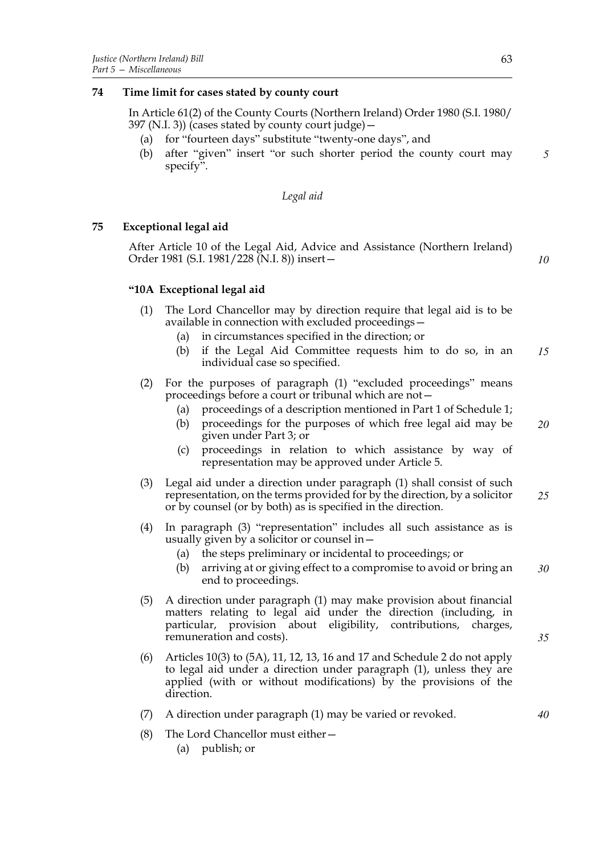# **74 Time limit for cases stated by county court**

In Article 61(2) of the County Courts (Northern Ireland) Order 1980 (S.I. 1980/ 397 (N.I. 3)) (cases stated by county court judge)—

- (a) for "fourteen days" substitute "twenty-one days", and
- (b) after "given" insert "or such shorter period the county court may specify". *5*

### *Legal aid*

# **75 Exceptional legal aid**

After Article 10 of the Legal Aid, Advice and Assistance (Northern Ireland) Order 1981 (S.I. 1981/228 (N.I. 8)) insert—

*10*

*35*

*40*

# **"10A Exceptional legal aid**

- (1) The Lord Chancellor may by direction require that legal aid is to be available in connection with excluded proceedings—
	- (a) in circumstances specified in the direction; or
	- (b) if the Legal Aid Committee requests him to do so, in an individual case so specified. *15*
- (2) For the purposes of paragraph (1) "excluded proceedings" means proceedings before a court or tribunal which are not—
	- (a) proceedings of a description mentioned in Part 1 of Schedule 1;
	- (b) proceedings for the purposes of which free legal aid may be given under Part 3; or *20*
	- (c) proceedings in relation to which assistance by way of representation may be approved under Article 5.
- (3) Legal aid under a direction under paragraph (1) shall consist of such representation, on the terms provided for by the direction, by a solicitor or by counsel (or by both) as is specified in the direction. *25*
- (4) In paragraph (3) "representation" includes all such assistance as is usually given by a solicitor or counsel in—
	- (a) the steps preliminary or incidental to proceedings; or
	- (b) arriving at or giving effect to a compromise to avoid or bring an end to proceedings. *30*
- (5) A direction under paragraph (1) may make provision about financial matters relating to legal aid under the direction (including, in particular, provision about eligibility, contributions, charges, remuneration and costs).
- (6) Articles 10(3) to (5A), 11, 12, 13, 16 and 17 and Schedule 2 do not apply to legal aid under a direction under paragraph (1), unless they are applied (with or without modifications) by the provisions of the direction.
- (7) A direction under paragraph (1) may be varied or revoked.
- (8) The Lord Chancellor must either—
	- (a) publish; or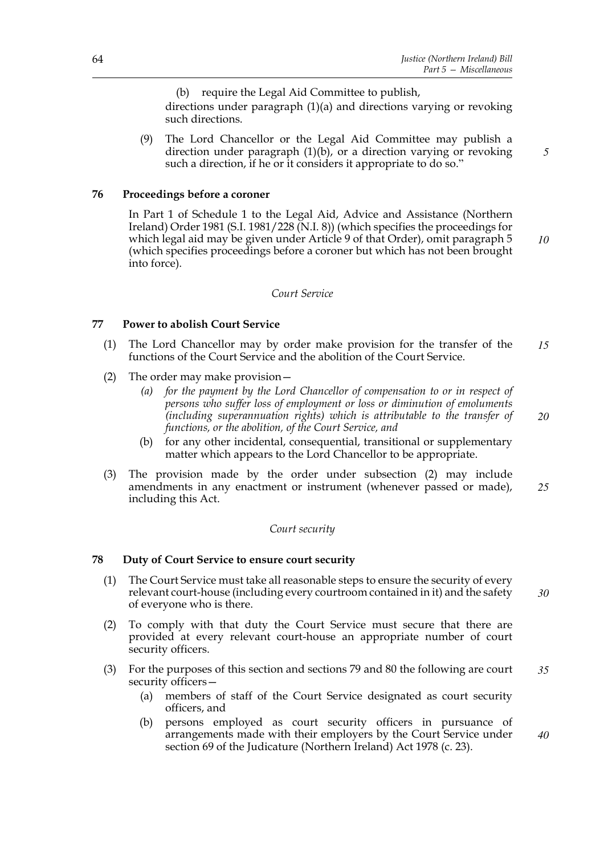(b) require the Legal Aid Committee to publish, directions under paragraph (1)(a) and directions varying or revoking such directions.

(9) The Lord Chancellor or the Legal Aid Committee may publish a direction under paragraph  $(1)(b)$ , or a direction varying or revoking such a direction, if he or it considers it appropriate to do so."

### **76 Proceedings before a coroner**

In Part 1 of Schedule 1 to the Legal Aid, Advice and Assistance (Northern Ireland) Order 1981 (S.I. 1981/228 (N.I. 8)) (which specifies the proceedings for which legal aid may be given under Article 9 of that Order), omit paragraph 5 (which specifies proceedings before a coroner but which has not been brought into force).

### *Court Service*

#### **77 Power to abolish Court Service**

- (1) The Lord Chancellor may by order make provision for the transfer of the functions of the Court Service and the abolition of the Court Service. *15*
- (2) The order may make provision—
	- *(a) for the payment by the Lord Chancellor of compensation to or in respect of persons who suffer loss of employment or loss or diminution of emoluments (including superannuation rights) which is attributable to the transfer of functions, or the abolition, of the Court Service, and*
	- (b) for any other incidental, consequential, transitional or supplementary matter which appears to the Lord Chancellor to be appropriate.
- (3) The provision made by the order under subsection (2) may include amendments in any enactment or instrument (whenever passed or made), including this Act. *25*

### *Court security*

### **78 Duty of Court Service to ensure court security**

- (1) The Court Service must take all reasonable steps to ensure the security of every relevant court-house (including every courtroom contained in it) and the safety of everyone who is there. *30*
- (2) To comply with that duty the Court Service must secure that there are provided at every relevant court-house an appropriate number of court security officers.
- (3) For the purposes of this section and sections 79 and 80 the following are court security officers— *35*
	- (a) members of staff of the Court Service designated as court security officers, and
	- (b) persons employed as court security officers in pursuance of arrangements made with their employers by the Court Service under section 69 of the Judicature (Northern Ireland) Act 1978 (c. 23). *40*

*10*

*5*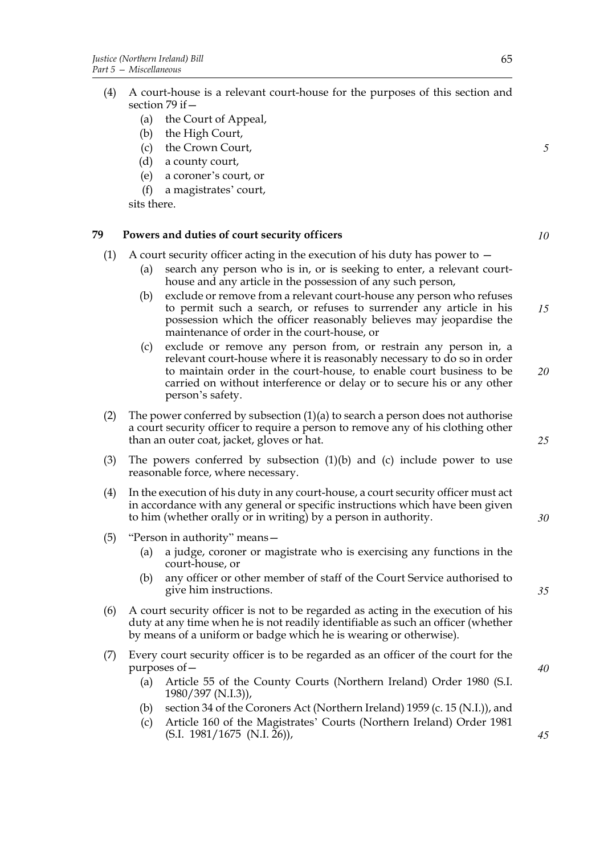- (a) the Court of Appeal,
- (b) the High Court,
- (c) the Crown Court,
- (d) a county court,
- (e) a coroner's court, or
- (f) a magistrates' court,

sits there.

# **79 Powers and duties of court security officers**

- (1) A court security officer acting in the execution of his duty has power to
	- (a) search any person who is in, or is seeking to enter, a relevant courthouse and any article in the possession of any such person,
	- (b) exclude or remove from a relevant court-house any person who refuses to permit such a search, or refuses to surrender any article in his possession which the officer reasonably believes may jeopardise the maintenance of order in the court-house, or *15*
	- (c) exclude or remove any person from, or restrain any person in, a relevant court-house where it is reasonably necessary to do so in order to maintain order in the court-house, to enable court business to be carried on without interference or delay or to secure his or any other person's safety.
- (2) The power conferred by subsection  $(1)(a)$  to search a person does not authorise a court security officer to require a person to remove any of his clothing other than an outer coat, jacket, gloves or hat.
- (3) The powers conferred by subsection (1)(b) and (c) include power to use reasonable force, where necessary.
- (4) In the execution of his duty in any court-house, a court security officer must act in accordance with any general or specific instructions which have been given to him (whether orally or in writing) by a person in authority.
- (5) "Person in authority" means—
	- (a) a judge, coroner or magistrate who is exercising any functions in the court-house, or
	- (b) any officer or other member of staff of the Court Service authorised to give him instructions.
- (6) A court security officer is not to be regarded as acting in the execution of his duty at any time when he is not readily identifiable as such an officer (whether by means of a uniform or badge which he is wearing or otherwise).
- (7) Every court security officer is to be regarded as an officer of the court for the purposes of—
	- (a) Article 55 of the County Courts (Northern Ireland) Order 1980 (S.I. 1980/397 (N.I.3)),
	- (b) section 34 of the Coroners Act (Northern Ireland) 1959 (c. 15 (N.I.)), and
	- (c) Article 160 of the Magistrates' Courts (Northern Ireland) Order 1981  $(S.I. 1981/1675 (N.I. 26)),$

*40*

*10*

*5*

*25*

*30*

*35*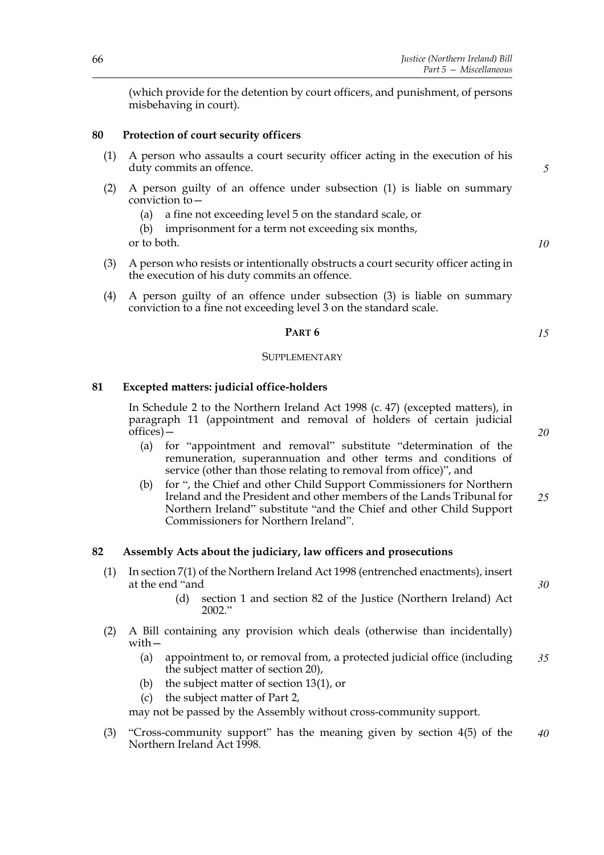(which provide for the detention by court officers, and punishment, of persons misbehaving in court).

### **80 Protection of court security officers**

- (1) A person who assaults a court security officer acting in the execution of his duty commits an offence.
- (2) A person guilty of an offence under subsection (1) is liable on summary conviction  $\overline{t}$ o $-$ 
	- (a) a fine not exceeding level 5 on the standard scale, or
	- (b) imprisonment for a term not exceeding six months,

or to both.

- (3) A person who resists or intentionally obstructs a court security officer acting in the execution of his duty commits an offence.
- (4) A person guilty of an offence under subsection (3) is liable on summary conviction to a fine not exceeding level 3 on the standard scale.

### **PART 6**

#### SUPPLEMENTARY

### **81 Excepted matters: judicial office-holders**

In Schedule 2 to the Northern Ireland Act 1998 (c. 47) (excepted matters), in paragraph 11 (appointment and removal of holders of certain judicial offices)—

- (a) for "appointment and removal" substitute "determination of the remuneration, superannuation and other terms and conditions of service (other than those relating to removal from office)", and
- (b) for ", the Chief and other Child Support Commissioners for Northern Ireland and the President and other members of the Lands Tribunal for Northern Ireland" substitute "and the Chief and other Child Support Commissioners for Northern Ireland".

### **82 Assembly Acts about the judiciary, law officers and prosecutions**

- (1) In section 7(1) of the Northern Ireland Act 1998 (entrenched enactments), insert at the end "and
	- (d) section 1 and section 82 of the Justice (Northern Ireland) Act 2002."
- (2) A Bill containing any provision which deals (otherwise than incidentally) with—
	- (a) appointment to, or removal from, a protected judicial office (including the subject matter of section 20), *35*
	- (b) the subject matter of section 13(1), or
	- (c) the subject matter of Part 2,

may not be passed by the Assembly without cross-community support.

(3) "Cross-community support" has the meaning given by section 4(5) of the Northern Ireland Act 1998. *40*

*5*

*10*

*15*

*20*

*25*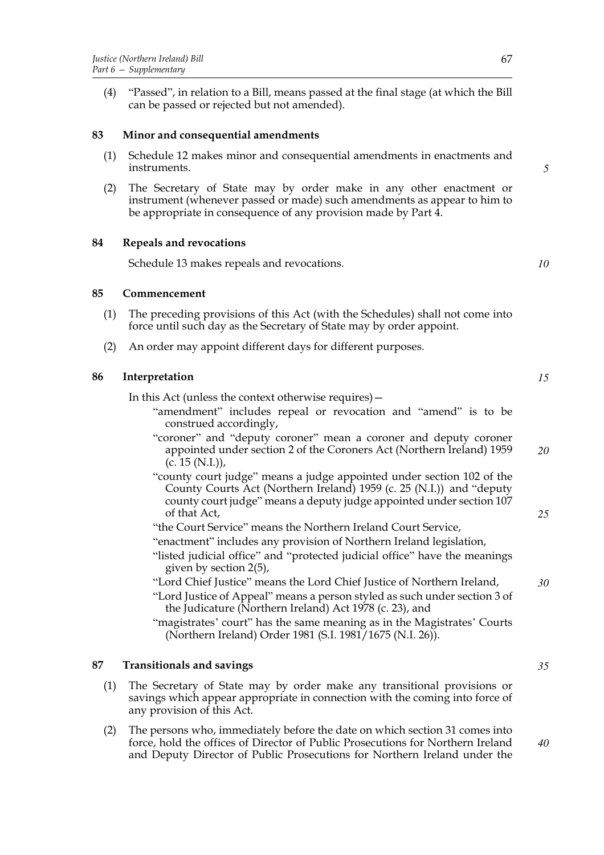(4) "Passed", in relation to a Bill, means passed at the final stage (at which the Bill can be passed or rejected but not amended).

### **83 Minor and consequential amendments**

- (1) Schedule 12 makes minor and consequential amendments in enactments and instruments.
- (2) The Secretary of State may by order make in any other enactment or instrument (whenever passed or made) such amendments as appear to him to be appropriate in consequence of any provision made by Part 4.

#### **84 Repeals and revocations**

Schedule 13 makes repeals and revocations.

#### **85 Commencement**

- (1) The preceding provisions of this Act (with the Schedules) shall not come into force until such day as the Secretary of State may by order appoint.
- (2) An order may appoint different days for different purposes.

### **86 Interpretation**

In this Act (unless the context otherwise requires)—

- "amendment" includes repeal or revocation and "amend" is to be construed accordingly,
- "coroner" and "deputy coroner" mean a coroner and deputy coroner appointed under section 2 of the Coroners Act (Northern Ireland) 1959  $(c. 15 (N.I.)),$ *20*
- "county court judge" means a judge appointed under section 102 of the County Courts Act (Northern Ireland) 1959 (c. 25 (N.I.)) and "deputy county court judge" means a deputy judge appointed under section 107 of that Act,
- "the Court Service" means the Northern Ireland Court Service,
- "enactment" includes any provision of Northern Ireland legislation,
- "listed judicial office" and "protected judicial office" have the meanings given by section 2(5),
- "Lord Chief Justice" means the Lord Chief Justice of Northern Ireland,
- "Lord Justice of Appeal" means a person styled as such under section 3 of the Judicature (Northern Ireland) Act 1978 (c. 23), and

"magistrates' court" has the same meaning as in the Magistrates' Courts (Northern Ireland) Order 1981 (S.I. 1981/1675 (N.I. 26)).

# **87 Transitionals and savings**

- (1) The Secretary of State may by order make any transitional provisions or savings which appear appropriate in connection with the coming into force of any provision of this Act.
- (2) The persons who, immediately before the date on which section 31 comes into force, hold the offices of Director of Public Prosecutions for Northern Ireland and Deputy Director of Public Prosecutions for Northern Ireland under the

*10*

*15*

*25*

*30*

*35*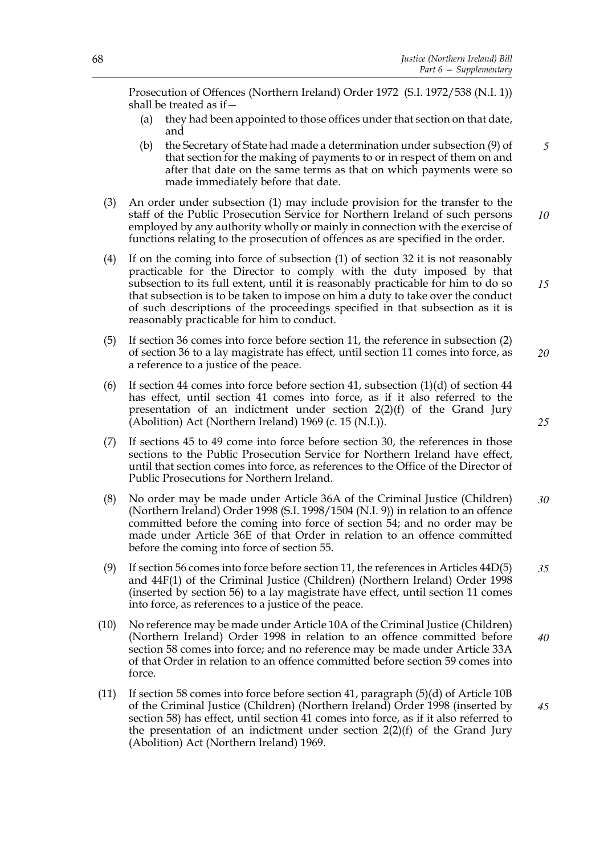Prosecution of Offences (Northern Ireland) Order 1972 (S.I. 1972/538 (N.I. 1)) shall be treated as if—

- (a) they had been appointed to those offices under that section on that date, and
- (b) the Secretary of State had made a determination under subsection (9) of that section for the making of payments to or in respect of them on and after that date on the same terms as that on which payments were so made immediately before that date. *5*
- (3) An order under subsection (1) may include provision for the transfer to the staff of the Public Prosecution Service for Northern Ireland of such persons employed by any authority wholly or mainly in connection with the exercise of functions relating to the prosecution of offences as are specified in the order. *10*
- (4) If on the coming into force of subsection (1) of section 32 it is not reasonably practicable for the Director to comply with the duty imposed by that subsection to its full extent, until it is reasonably practicable for him to do so that subsection is to be taken to impose on him a duty to take over the conduct of such descriptions of the proceedings specified in that subsection as it is reasonably practicable for him to conduct. *15*
- (5) If section 36 comes into force before section 11, the reference in subsection (2) of section 36 to a lay magistrate has effect, until section 11 comes into force, as a reference to a justice of the peace. *20*
- (6) If section 44 comes into force before section 41, subsection  $(1)(d)$  of section 44 has effect, until section 41 comes into force, as if it also referred to the presentation of an indictment under section 2(2)(f) of the Grand Jury (Abolition) Act (Northern Ireland) 1969 (c. 15 (N.I.)).
- (7) If sections 45 to 49 come into force before section 30, the references in those sections to the Public Prosecution Service for Northern Ireland have effect, until that section comes into force, as references to the Office of the Director of Public Prosecutions for Northern Ireland.
- (8) No order may be made under Article 36A of the Criminal Justice (Children) (Northern Ireland) Order 1998 (S.I. 1998/1504 (N.I. 9)) in relation to an offence committed before the coming into force of section 54; and no order may be made under Article 36E of that Order in relation to an offence committed before the coming into force of section 55. *30*
- (9) If section 56 comes into force before section 11, the references in Articles 44D(5) and 44F(1) of the Criminal Justice (Children) (Northern Ireland) Order 1998 (inserted by section 56) to a lay magistrate have effect, until section 11 comes into force, as references to a justice of the peace. *35*
- (10) No reference may be made under Article 10A of the Criminal Justice (Children) (Northern Ireland) Order 1998 in relation to an offence committed before section 58 comes into force; and no reference may be made under Article 33A of that Order in relation to an offence committed before section 59 comes into force. *40*
- (11) If section 58 comes into force before section 41, paragraph (5)(d) of Article 10B of the Criminal Justice (Children) (Northern Ireland) Order 1998 (inserted by section 58) has effect, until section 41 comes into force, as if it also referred to the presentation of an indictment under section  $2(2)(f)$  of the Grand Jury (Abolition) Act (Northern Ireland) 1969. *45*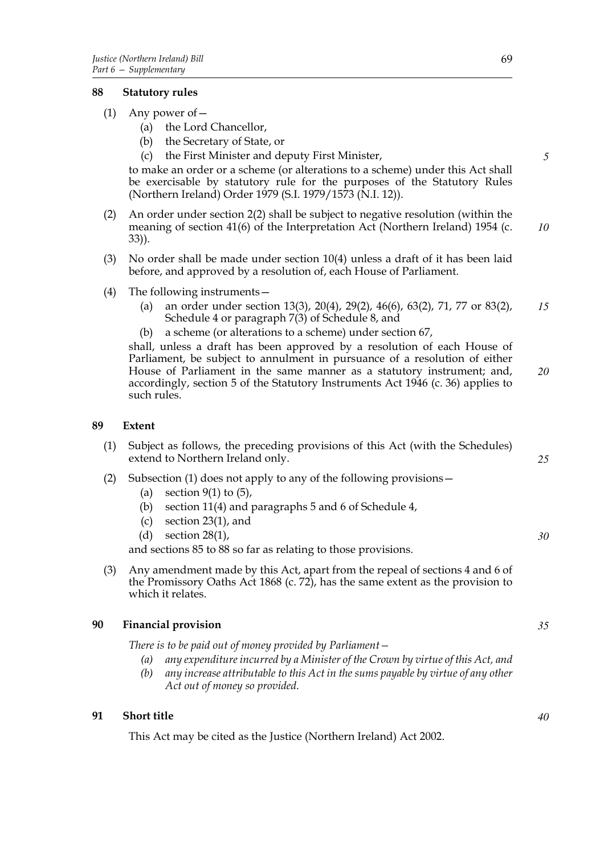## **88 Statutory rules**

- (1) Any power of—
	- (a) the Lord Chancellor,
	- (b) the Secretary of State, or
	- (c) the First Minister and deputy First Minister,

to make an order or a scheme (or alterations to a scheme) under this Act shall be exercisable by statutory rule for the purposes of the Statutory Rules (Northern Ireland) Order 1979 (S.I. 1979/1573 (N.I. 12)).

- (2) An order under section 2(2) shall be subject to negative resolution (within the meaning of section 41(6) of the Interpretation Act (Northern Ireland) 1954 (c. 33)). *10*
- (3) No order shall be made under section 10(4) unless a draft of it has been laid before, and approved by a resolution of, each House of Parliament.
- (4) The following instruments—
	- (a) an order under section 13(3), 20(4), 29(2), 46(6), 63(2), 71, 77 or 83(2), Schedule 4 or paragraph 7(3) of Schedule 8, and *15*
	- (b) a scheme (or alterations to a scheme) under section 67,

shall, unless a draft has been approved by a resolution of each House of Parliament, be subject to annulment in pursuance of a resolution of either House of Parliament in the same manner as a statutory instrument; and, accordingly, section 5 of the Statutory Instruments Act 1946 (c. 36) applies to such rules. *20*

#### **89 Extent**

(1) Subject as follows, the preceding provisions of this Act (with the Schedules) extend to Northern Ireland only.

#### (2) Subsection (1) does not apply to any of the following provisions—

- (a) section  $9(1)$  to  $(5)$ ,
- (b) section 11(4) and paragraphs 5 and 6 of Schedule 4,
- (c) section 23(1), and
- (d) section 28(1),

and sections 85 to 88 so far as relating to those provisions.

(3) Any amendment made by this Act, apart from the repeal of sections 4 and 6 of the Promissory Oaths Act 1868 (c. 72), has the same extent as the provision to which it relates.

#### **90 Financial provision**

*There is to be paid out of money provided by Parliament—*

- *(a) any expenditure incurred by a Minister of the Crown by virtue of this Act, and*
- *(b) any increase attributable to this Act in the sums payable by virtue of any other Act out of money so provided.*

## **91 Short title**

This Act may be cited as the Justice (Northern Ireland) Act 2002.

*5*

*25*

*30*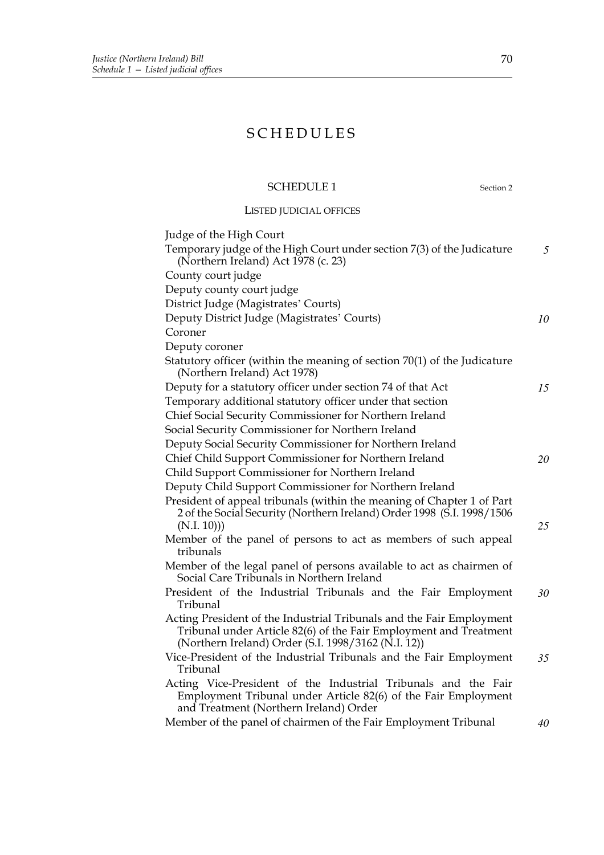# SCHEDULES

# SCHEDULE 1 Section 2

LISTED JUDICIAL OFFICES

| Judge of the High Court                                                                                                                                                                          |    |
|--------------------------------------------------------------------------------------------------------------------------------------------------------------------------------------------------|----|
| Temporary judge of the High Court under section 7(3) of the Judicature<br>(Northern Ireland) Act 1978 (c. 23)                                                                                    | 5  |
| County court judge                                                                                                                                                                               |    |
| Deputy county court judge                                                                                                                                                                        |    |
| District Judge (Magistrates' Courts)                                                                                                                                                             |    |
| Deputy District Judge (Magistrates' Courts)                                                                                                                                                      | 10 |
| Coroner                                                                                                                                                                                          |    |
| Deputy coroner                                                                                                                                                                                   |    |
| Statutory officer (within the meaning of section 70(1) of the Judicature<br>(Northern Ireland) Act 1978)                                                                                         |    |
| Deputy for a statutory officer under section 74 of that Act                                                                                                                                      | 15 |
| Temporary additional statutory officer under that section                                                                                                                                        |    |
| Chief Social Security Commissioner for Northern Ireland                                                                                                                                          |    |
| Social Security Commissioner for Northern Ireland                                                                                                                                                |    |
| Deputy Social Security Commissioner for Northern Ireland                                                                                                                                         |    |
| Chief Child Support Commissioner for Northern Ireland                                                                                                                                            | 20 |
| Child Support Commissioner for Northern Ireland                                                                                                                                                  |    |
| Deputy Child Support Commissioner for Northern Ireland                                                                                                                                           |    |
| President of appeal tribunals (within the meaning of Chapter 1 of Part<br>2 of the Social Security (Northern Ireland) Order 1998 (S.I. 1998/1506<br>(N.I. 10))                                   | 25 |
| Member of the panel of persons to act as members of such appeal<br>tribunals                                                                                                                     |    |
| Member of the legal panel of persons available to act as chairmen of<br>Social Care Tribunals in Northern Ireland                                                                                |    |
| President of the Industrial Tribunals and the Fair Employment<br>Tribunal                                                                                                                        | 30 |
| Acting President of the Industrial Tribunals and the Fair Employment<br>Tribunal under Article 82(6) of the Fair Employment and Treatment<br>(Northern Ireland) Order (S.I. 1998/3162 (N.I. 12)) |    |
| Vice-President of the Industrial Tribunals and the Fair Employment<br>Tribunal                                                                                                                   | 35 |
| Acting Vice-President of the Industrial Tribunals and the Fair<br>Employment Tribunal under Article 82(6) of the Fair Employment<br>and Treatment (Northern Ireland) Order                       |    |
| Member of the panel of chairmen of the Fair Employment Tribunal                                                                                                                                  | 40 |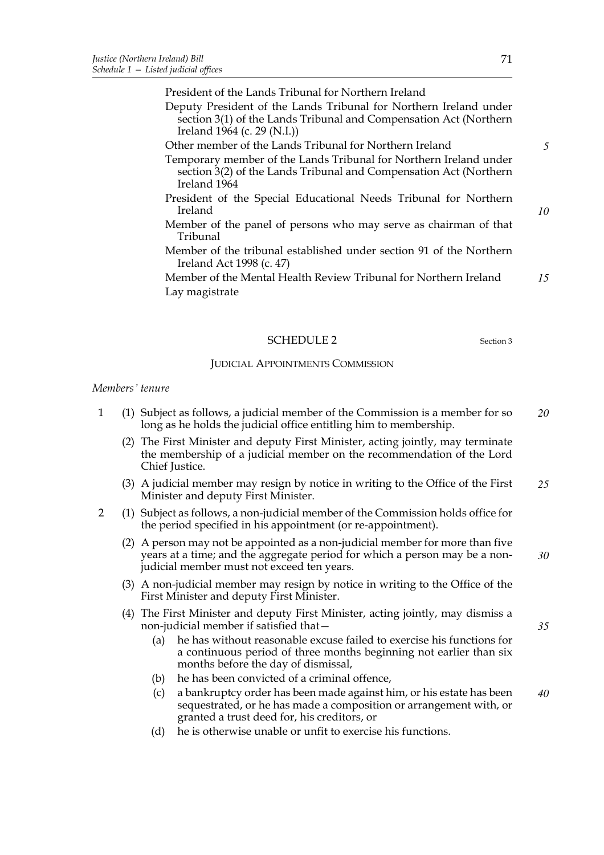President of the Lands Tribunal for Northern Ireland

Deputy President of the Lands Tribunal for Northern Ireland under section 3(1) of the Lands Tribunal and Compensation Act (Northern Ireland 1964 (c. 29 (N.I.))

#### Other member of the Lands Tribunal for Northern Ireland

- Temporary member of the Lands Tribunal for Northern Ireland under section 3(2) of the Lands Tribunal and Compensation Act (Northern Ireland 1964
- President of the Special Educational Needs Tribunal for Northern Ireland
- Member of the panel of persons who may serve as chairman of that Tribunal
- Member of the tribunal established under section 91 of the Northern Ireland Act 1998 (c. 47)
- Member of the Mental Health Review Tribunal for Northern Ireland Lay magistrate *15*

## SCHEDULE 2 Section 3

#### JUDICIAL APPOINTMENTS COMMISSION

#### *Members' tenure*

- 1 (1) Subject as follows, a judicial member of the Commission is a member for so long as he holds the judicial office entitling him to membership. *20*
	- (2) The First Minister and deputy First Minister, acting jointly, may terminate the membership of a judicial member on the recommendation of the Lord Chief Justice.
	- (3) A judicial member may resign by notice in writing to the Office of the First Minister and deputy First Minister. *25*
- 2 (1) Subject as follows, a non-judicial member of the Commission holds office for the period specified in his appointment (or re-appointment).
	- (2) A person may not be appointed as a non-judicial member for more than five years at a time; and the aggregate period for which a person may be a nonjudicial member must not exceed ten years. *30*
	- (3) A non-judicial member may resign by notice in writing to the Office of the First Minister and deputy First Minister.
	- (4) The First Minister and deputy First Minister, acting jointly, may dismiss a non-judicial member if satisfied that—
		- (a) he has without reasonable excuse failed to exercise his functions for a continuous period of three months beginning not earlier than six months before the day of dismissal,
		- (b) he has been convicted of a criminal offence,
		- (c) a bankruptcy order has been made against him, or his estate has been sequestrated, or he has made a composition or arrangement with, or granted a trust deed for, his creditors, or *40*
		- (d) he is otherwise unable or unfit to exercise his functions.

*5*

*10*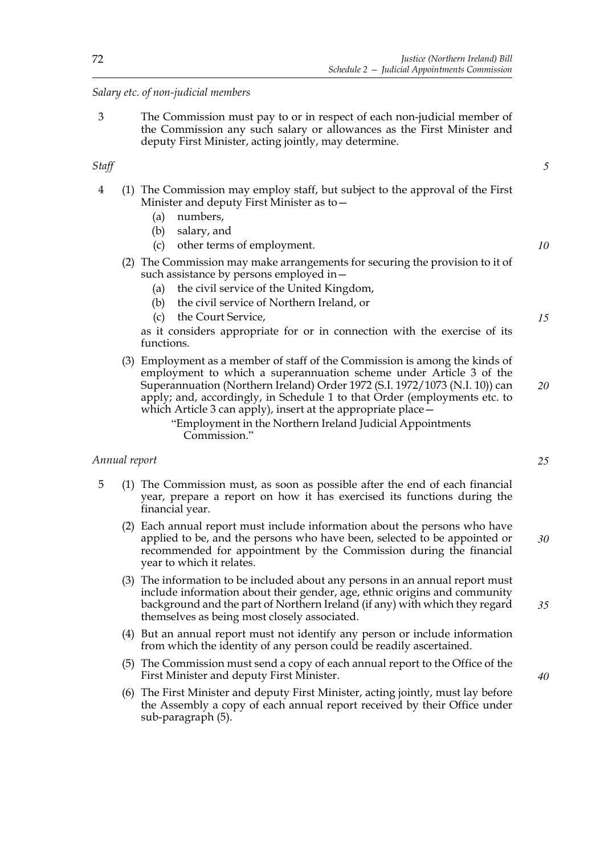## *Salary etc. of non-judicial members*

3 The Commission must pay to or in respect of each non-judicial member of the Commission any such salary or allowances as the First Minister and deputy First Minister, acting jointly, may determine.

## *Staff*

- 4 (1) The Commission may employ staff, but subject to the approval of the First Minister and deputy First Minister as to—
	- (a) numbers,
	- (b) salary, and
	- (c) other terms of employment.
	- (2) The Commission may make arrangements for securing the provision to it of such assistance by persons employed in—
		- (a) the civil service of the United Kingdom,
		- (b) the civil service of Northern Ireland, or
		- (c) the Court Service,

as it considers appropriate for or in connection with the exercise of its functions.

(3) Employment as a member of staff of the Commission is among the kinds of employment to which a superannuation scheme under Article 3 of the Superannuation (Northern Ireland) Order 1972 (S.I. 1972/1073 (N.I. 10)) can apply; and, accordingly, in Schedule 1 to that Order (employments etc. to which Article 3 can apply), insert at the appropriate place— *20*

"Employment in the Northern Ireland Judicial Appointments Commission."

## *Annual report*

- 5 (1) The Commission must, as soon as possible after the end of each financial year, prepare a report on how it has exercised its functions during the financial year.
	- (2) Each annual report must include information about the persons who have applied to be, and the persons who have been, selected to be appointed or recommended for appointment by the Commission during the financial year to which it relates. *30*
	- (3) The information to be included about any persons in an annual report must include information about their gender, age, ethnic origins and community background and the part of Northern Ireland (if any) with which they regard themselves as being most closely associated. *35*
	- (4) But an annual report must not identify any person or include information from which the identity of any person could be readily ascertained.
	- (5) The Commission must send a copy of each annual report to the Office of the First Minister and deputy First Minister.
	- (6) The First Minister and deputy First Minister, acting jointly, must lay before the Assembly a copy of each annual report received by their Office under sub-paragraph (5).

*5*

*10*

*15*

*25*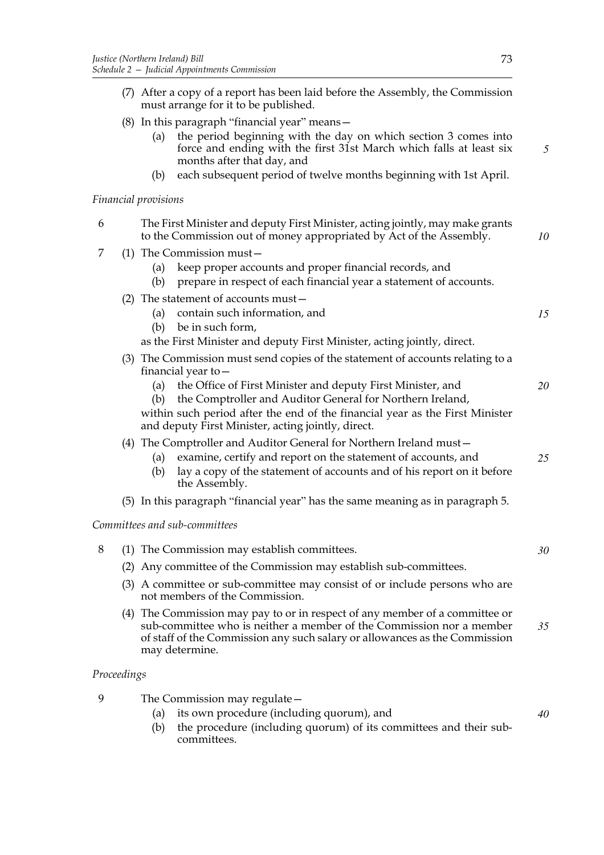| (a) the period beginning with the day on which section 3 comes into |  |
|---------------------------------------------------------------------|--|
| force and ending with the first 31st March which falls at least six |  |
| months after that day, and                                          |  |
|                                                                     |  |

(b) each subsequent period of twelve months beginning with 1st April.

*Financial provisions*

| 6           | The First Minister and deputy First Minister, acting jointly, may make grants<br>to the Commission out of money appropriated by Act of the Assembly.<br>10                                                                                                                   |    |  |  |
|-------------|------------------------------------------------------------------------------------------------------------------------------------------------------------------------------------------------------------------------------------------------------------------------------|----|--|--|
| 7           | $(1)$ The Commission must -<br>keep proper accounts and proper financial records, and<br>(a)<br>prepare in respect of each financial year a statement of accounts.<br>(b)                                                                                                    |    |  |  |
|             | (2) The statement of accounts must $-$<br>contain such information, and<br>(a)<br>be in such form,<br>(b)<br>as the First Minister and deputy First Minister, acting jointly, direct.                                                                                        | 15 |  |  |
|             | (3) The Commission must send copies of the statement of accounts relating to a<br>financial year to $-$                                                                                                                                                                      |    |  |  |
|             | the Office of First Minister and deputy First Minister, and<br>(a)<br>the Comptroller and Auditor General for Northern Ireland,<br>(b)<br>within such period after the end of the financial year as the First Minister<br>and deputy First Minister, acting jointly, direct. | 20 |  |  |
|             | (4) The Comptroller and Auditor General for Northern Ireland must-<br>examine, certify and report on the statement of accounts, and<br>(a)<br>lay a copy of the statement of accounts and of his report on it before<br>(b)<br>the Assembly.                                 | 25 |  |  |
|             | (5) In this paragraph "financial year" has the same meaning as in paragraph 5.                                                                                                                                                                                               |    |  |  |
|             | Committees and sub-committees                                                                                                                                                                                                                                                |    |  |  |
| 8           | (1) The Commission may establish committees.                                                                                                                                                                                                                                 | 30 |  |  |
|             | (2) Any committee of the Commission may establish sub-committees.                                                                                                                                                                                                            |    |  |  |
|             | (3) A committee or sub-committee may consist of or include persons who are<br>not members of the Commission.                                                                                                                                                                 |    |  |  |
|             | (4) The Commission may pay to or in respect of any member of a committee or<br>sub-committee who is neither a member of the Commission nor a member<br>of staff of the Commission any such salary or allowances as the Commission<br>may determine.                          | 35 |  |  |
| Proceedings |                                                                                                                                                                                                                                                                              |    |  |  |
| 9           | The Commission may regulate -<br>its own procedure (including quorum), and<br>(a)                                                                                                                                                                                            | 40 |  |  |

- (a) its own procedure (including quorum), and
- (b) the procedure (including quorum) of its committees and their subcommittees.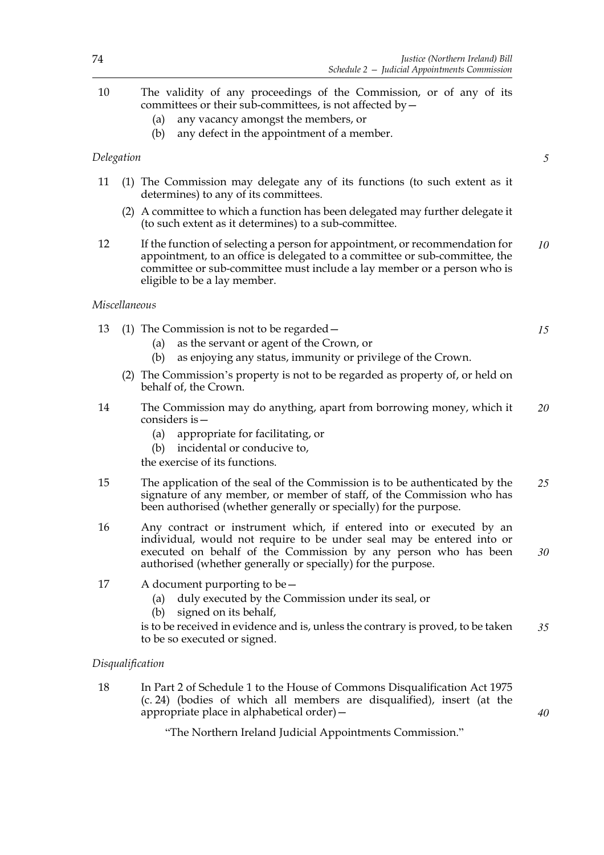- 10 The validity of any proceedings of the Commission, or of any of its committees or their sub-committees, is not affected by—
	- (a) any vacancy amongst the members, or
	- (b) any defect in the appointment of a member.

## *Delegation*

- 11 (1) The Commission may delegate any of its functions (to such extent as it determines) to any of its committees.
	- (2) A committee to which a function has been delegated may further delegate it (to such extent as it determines) to a sub-committee.
- 12 If the function of selecting a person for appointment, or recommendation for appointment, to an office is delegated to a committee or sub-committee, the committee or sub-committee must include a lay member or a person who is eligible to be a lay member. *10*

### *Miscellaneous*

|  | 13 (1) The Commission is not to be regarded $-$ |  |
|--|-------------------------------------------------|--|
|  | (a) as the servant or agent of the Crown, or    |  |

- (b) as enjoying any status, immunity or privilege of the Crown.
- (2) The Commission's property is not to be regarded as property of, or held on behalf of, the Crown.
- 14 The Commission may do anything, apart from borrowing money, which it considers is— *20*
	- (a) appropriate for facilitating, or
	- (b) incidental or conducive to,
	- the exercise of its functions.
- 15 The application of the seal of the Commission is to be authenticated by the signature of any member, or member of staff, of the Commission who has been authorised (whether generally or specially) for the purpose. *25*
- 16 Any contract or instrument which, if entered into or executed by an individual, would not require to be under seal may be entered into or executed on behalf of the Commission by any person who has been authorised (whether generally or specially) for the purpose. *30*
- 17 A document purporting to be—
	- (a) duly executed by the Commission under its seal, or
	- (b) signed on its behalf,

is to be received in evidence and is, unless the contrary is proved, to be taken to be so executed or signed. *35*

#### *Disqualification*

18 In Part 2 of Schedule 1 to the House of Commons Disqualification Act 1975 (c. 24) (bodies of which all members are disqualified), insert (at the appropriate place in alphabetical order)—

"The Northern Ireland Judicial Appointments Commission."

*5*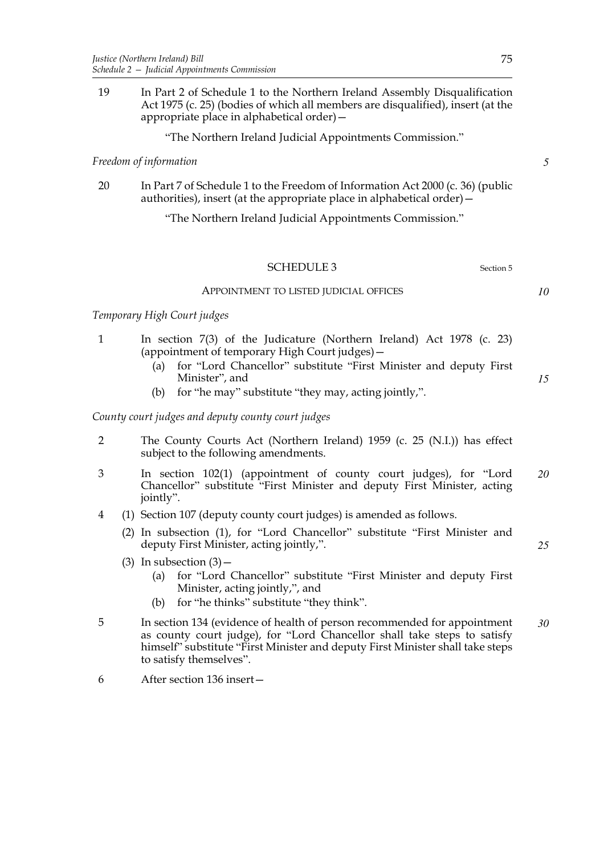19 In Part 2 of Schedule 1 to the Northern Ireland Assembly Disqualification Act 1975 (c. 25) (bodies of which all members are disqualified), insert (at the appropriate place in alphabetical order)—

"The Northern Ireland Judicial Appointments Commission."

#### *Freedom of information*

20 In Part 7 of Schedule 1 to the Freedom of Information Act 2000 (c. 36) (public authorities), insert (at the appropriate place in alphabetical order) $-$ 

"The Northern Ireland Judicial Appointments Commission."

## SCHEDULE 3 Section 5

#### APPOINTMENT TO LISTED JUDICIAL OFFICES

## *Temporary High Court judges*

- 1 In section 7(3) of the Judicature (Northern Ireland) Act 1978 (c. 23) (appointment of temporary High Court judges)—
	- (a) for "Lord Chancellor" substitute "First Minister and deputy First Minister", and
	- (b) for "he may" substitute "they may, acting jointly,".

# *County court judges and deputy county court judges*

- 2 The County Courts Act (Northern Ireland) 1959 (c. 25 (N.I.)) has effect subject to the following amendments.
- 3 In section 102(1) (appointment of county court judges), for "Lord Chancellor" substitute "First Minister and deputy First Minister, acting jointly". *20*
- 4 (1) Section 107 (deputy county court judges) is amended as follows.
	- (2) In subsection (1), for "Lord Chancellor" substitute "First Minister and deputy First Minister, acting jointly,".
	- (3) In subsection  $(3)$ 
		- (a) for "Lord Chancellor" substitute "First Minister and deputy First Minister, acting jointly,", and
		- (b) for "he thinks" substitute "they think".
- 5 In section 134 (evidence of health of person recommended for appointment as county court judge), for "Lord Chancellor shall take steps to satisfy himself" substitute "First Minister and deputy First Minister shall take steps to satisfy themselves". *30*
- 6 After section 136 insert—

*5*

*10*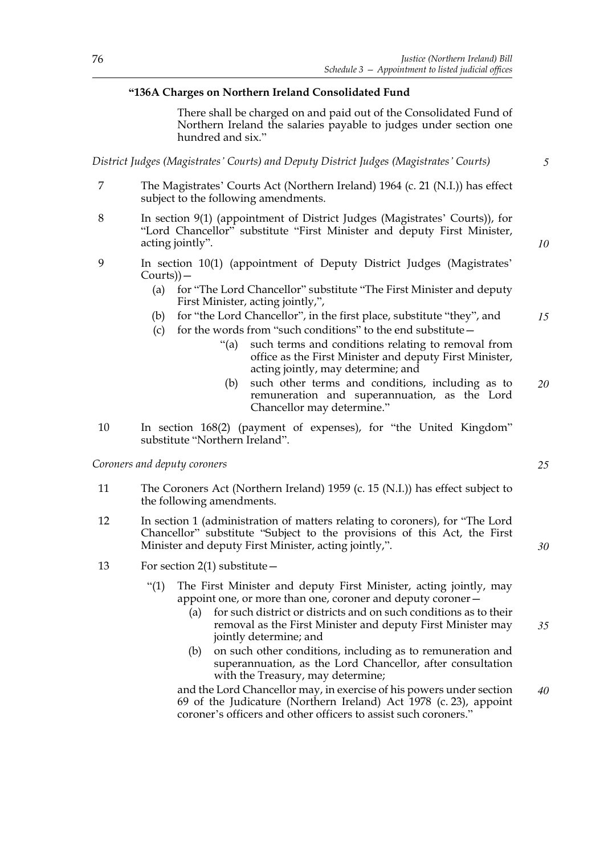## **"136A Charges on Northern Ireland Consolidated Fund**

There shall be charged on and paid out of the Consolidated Fund of Northern Ireland the salaries payable to judges under section one hundred and six."

*District Judges (Magistrates' Courts) and Deputy District Judges (Magistrates' Courts)*

- 7 The Magistrates' Courts Act (Northern Ireland) 1964 (c. 21 (N.I.)) has effect subject to the following amendments.
- 8 In section 9(1) (appointment of District Judges (Magistrates' Courts)), for "Lord Chancellor" substitute "First Minister and deputy First Minister, acting jointly".
- 9 In section 10(1) (appointment of Deputy District Judges (Magistrates' Courts))—
	- (a) for "The Lord Chancellor" substitute "The First Minister and deputy First Minister, acting jointly,",
	- (b) for "the Lord Chancellor", in the first place, substitute "they", and
	- (c) for the words from "such conditions" to the end substitute—
		- "(a) such terms and conditions relating to removal from office as the First Minister and deputy First Minister, acting jointly, may determine; and
		- (b) such other terms and conditions, including as to remuneration and superannuation, as the Lord Chancellor may determine." *20*
- 10 In section 168(2) (payment of expenses), for "the United Kingdom" substitute "Northern Ireland".

*Coroners and deputy coroners*

- 11 The Coroners Act (Northern Ireland) 1959 (c. 15 (N.I.)) has effect subject to the following amendments.
- 12 In section 1 (administration of matters relating to coroners), for "The Lord Chancellor" substitute "Subject to the provisions of this Act, the First Minister and deputy First Minister, acting jointly,".
- 13 For section 2(1) substitute—
	- "(1) The First Minister and deputy First Minister, acting jointly, may appoint one, or more than one, coroner and deputy coroner—
		- (a) for such district or districts and on such conditions as to their removal as the First Minister and deputy First Minister may jointly determine; and *35*
		- (b) on such other conditions, including as to remuneration and superannuation, as the Lord Chancellor, after consultation with the Treasury, may determine;

and the Lord Chancellor may, in exercise of his powers under section 69 of the Judicature (Northern Ireland) Act 1978 (c. 23), appoint coroner's officers and other officers to assist such coroners." *40*

*5*

*10*

*15*

*25*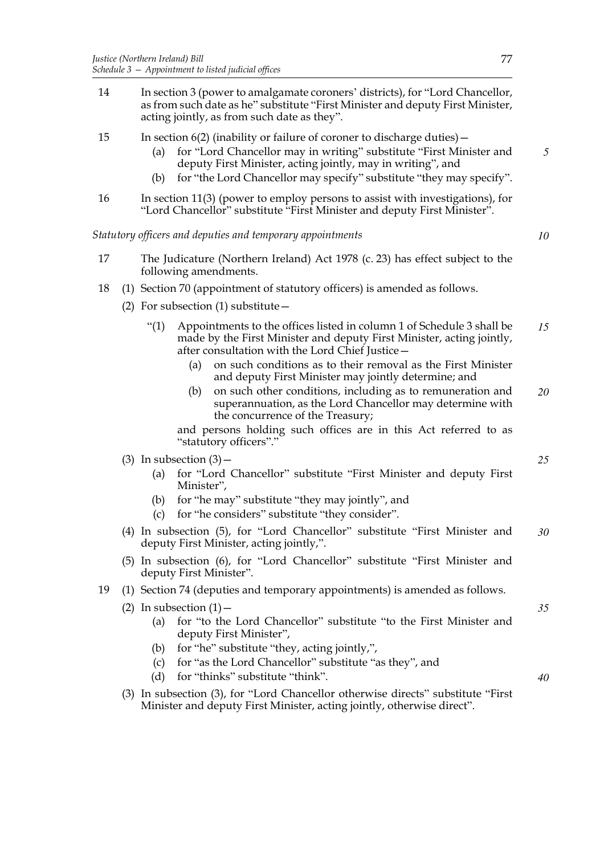- 14 In section 3 (power to amalgamate coroners' districts), for "Lord Chancellor, as from such date as he" substitute "First Minister and deputy First Minister, acting jointly, as from such date as they".
- 15 In section 6(2) (inability or failure of coroner to discharge duties)—
	- (a) for "Lord Chancellor may in writing" substitute "First Minister and deputy First Minister, acting jointly, may in writing", and
	- (b) for "the Lord Chancellor may specify" substitute "they may specify".
- 16 In section 11(3) (power to employ persons to assist with investigations), for "Lord Chancellor" substitute "First Minister and deputy First Minister".

*Statutory officers and deputies and temporary appointments*

- 17 The Judicature (Northern Ireland) Act 1978 (c. 23) has effect subject to the following amendments.
- 18 (1) Section 70 (appointment of statutory officers) is amended as follows.
	- (2) For subsection (1) substitute  $-$ 
		- "(1) Appointments to the offices listed in column 1 of Schedule 3 shall be made by the First Minister and deputy First Minister, acting jointly, after consultation with the Lord Chief Justice— *15*
			- (a) on such conditions as to their removal as the First Minister and deputy First Minister may jointly determine; and
			- (b) on such other conditions, including as to remuneration and superannuation, as the Lord Chancellor may determine with the concurrence of the Treasury; *20*

and persons holding such offices are in this Act referred to as "statutory officers"."

- (3) In subsection  $(3)$ 
	- (a) for "Lord Chancellor" substitute "First Minister and deputy First Minister",
	- (b) for "he may" substitute "they may jointly", and
	- (c) for "he considers" substitute "they consider".
- (4) In subsection (5), for "Lord Chancellor" substitute "First Minister and deputy First Minister, acting jointly,". *30*
- (5) In subsection (6), for "Lord Chancellor" substitute "First Minister and deputy First Minister".
- 19 (1) Section 74 (deputies and temporary appointments) is amended as follows.
	- (2) In subsection  $(1)$  -
		- (a) for "to the Lord Chancellor" substitute "to the First Minister and deputy First Minister",
		- (b) for "he" substitute "they, acting jointly,",
		- (c) for "as the Lord Chancellor" substitute "as they", and
		- (d) for "thinks" substitute "think".
	- (3) In subsection (3), for "Lord Chancellor otherwise directs" substitute "First Minister and deputy First Minister, acting jointly, otherwise direct".

*5*

*10*

*35*

*25*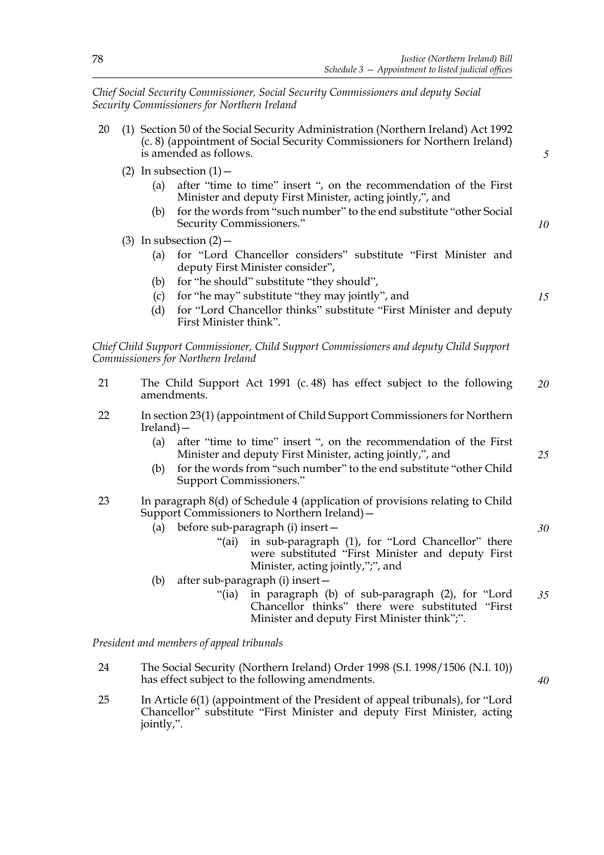*Chief Social Security Commissioner, Social Security Commissioners and deputy Social Security Commissioners for Northern Ireland*

- 20 (1) Section 50 of the Social Security Administration (Northern Ireland) Act 1992 (c. 8) (appointment of Social Security Commissioners for Northern Ireland) is amended as follows.
	- (2) In subsection  $(1)$ 
		- (a) after "time to time" insert ", on the recommendation of the First Minister and deputy First Minister, acting jointly,", and
		- (b) for the words from "such number" to the end substitute "other Social Security Commissioners."
	- (3) In subsection  $(2)$ 
		- (a) for "Lord Chancellor considers" substitute "First Minister and deputy First Minister consider",
		- (b) for "he should" substitute "they should",
		- (c) for "he may" substitute "they may jointly", and
		- (d) for "Lord Chancellor thinks" substitute "First Minister and deputy First Minister think".

*Chief Child Support Commissioner, Child Support Commissioners and deputy Child Support Commissioners for Northern Ireland*

- 21 The Child Support Act 1991 (c. 48) has effect subject to the following amendments. *20*
- 22 In section 23(1) (appointment of Child Support Commissioners for Northern Ireland)—
	- (a) after "time to time" insert ", on the recommendation of the First Minister and deputy First Minister, acting jointly,", and
	- (b) for the words from "such number" to the end substitute "other Child Support Commissioners."
- 23 In paragraph 8(d) of Schedule 4 (application of provisions relating to Child Support Commissioners to Northern Ireland)—
	- (a) before sub-paragraph (i) insert—
		- "(ai) in sub-paragraph (1), for "Lord Chancellor" there were substituted "First Minister and deputy First Minister, acting jointly,",", and
	- (b) after sub-paragraph (i) insert—
		- "(ia) in paragraph (b) of sub-paragraph (2), for "Lord Chancellor thinks" there were substituted "First Minister and deputy First Minister think";". *35*

*President and members of appeal tribunals*

- 24 The Social Security (Northern Ireland) Order 1998 (S.I. 1998/1506 (N.I. 10)) has effect subject to the following amendments.
- 25 In Article 6(1) (appointment of the President of appeal tribunals), for "Lord Chancellor" substitute "First Minister and deputy First Minister, acting jointly,".

*15*

*5*

*10*

*25*

*30*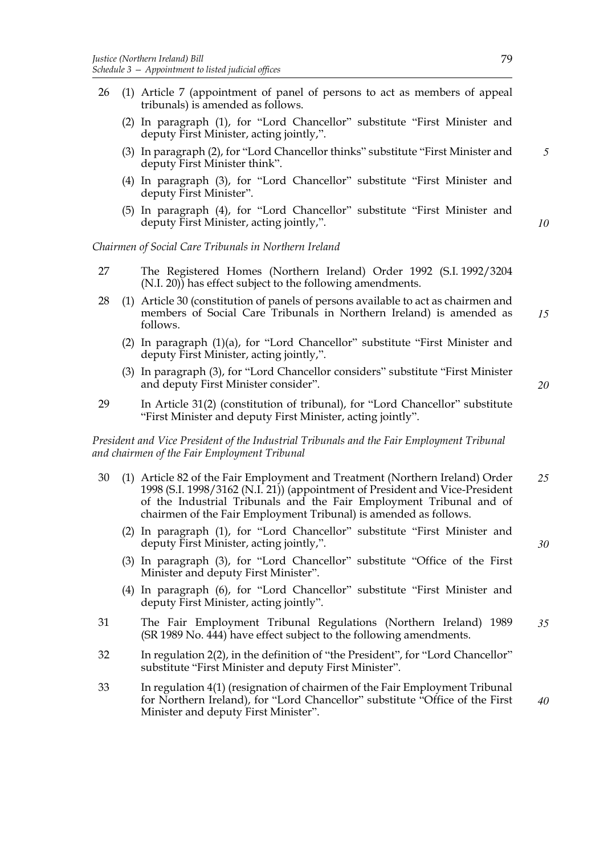- 26 (1) Article 7 (appointment of panel of persons to act as members of appeal tribunals) is amended as follows.
	- (2) In paragraph (1), for "Lord Chancellor" substitute "First Minister and deputy First Minister, acting jointly,".
	- (3) In paragraph (2), for "Lord Chancellor thinks" substitute "First Minister and deputy First Minister think".
	- (4) In paragraph (3), for "Lord Chancellor" substitute "First Minister and deputy First Minister".
	- (5) In paragraph (4), for "Lord Chancellor" substitute "First Minister and deputy First Minister, acting jointly,".

*Chairmen of Social Care Tribunals in Northern Ireland*

- 27 The Registered Homes (Northern Ireland) Order 1992 (S.I. 1992/3204 (N.I. 20)) has effect subject to the following amendments.
- 28 (1) Article 30 (constitution of panels of persons available to act as chairmen and members of Social Care Tribunals in Northern Ireland) is amended as follows. *15*
	- (2) In paragraph (1)(a), for "Lord Chancellor" substitute "First Minister and deputy First Minister, acting jointly,".
	- (3) In paragraph (3), for "Lord Chancellor considers" substitute "First Minister and deputy First Minister consider".
- 29 In Article 31(2) (constitution of tribunal), for "Lord Chancellor" substitute "First Minister and deputy First Minister, acting jointly".

*President and Vice President of the Industrial Tribunals and the Fair Employment Tribunal and chairmen of the Fair Employment Tribunal*

- 30 (1) Article 82 of the Fair Employment and Treatment (Northern Ireland) Order 1998 (S.I. 1998/3162 (N.I. 21)) (appointment of President and Vice-President of the Industrial Tribunals and the Fair Employment Tribunal and of chairmen of the Fair Employment Tribunal) is amended as follows. *25*
	- (2) In paragraph (1), for "Lord Chancellor" substitute "First Minister and deputy First Minister, acting jointly,".
	- (3) In paragraph (3), for "Lord Chancellor" substitute "Office of the First Minister and deputy First Minister".
	- (4) In paragraph (6), for "Lord Chancellor" substitute "First Minister and deputy First Minister, acting jointly".
- 31 The Fair Employment Tribunal Regulations (Northern Ireland) 1989 (SR 1989 No. 444) have effect subject to the following amendments. *35*
- 32 In regulation 2(2), in the definition of "the President", for "Lord Chancellor" substitute "First Minister and deputy First Minister".
- 33 In regulation 4(1) (resignation of chairmen of the Fair Employment Tribunal for Northern Ireland), for "Lord Chancellor" substitute "Office of the First Minister and deputy First Minister". *40*

*30*

*5*

*10*

79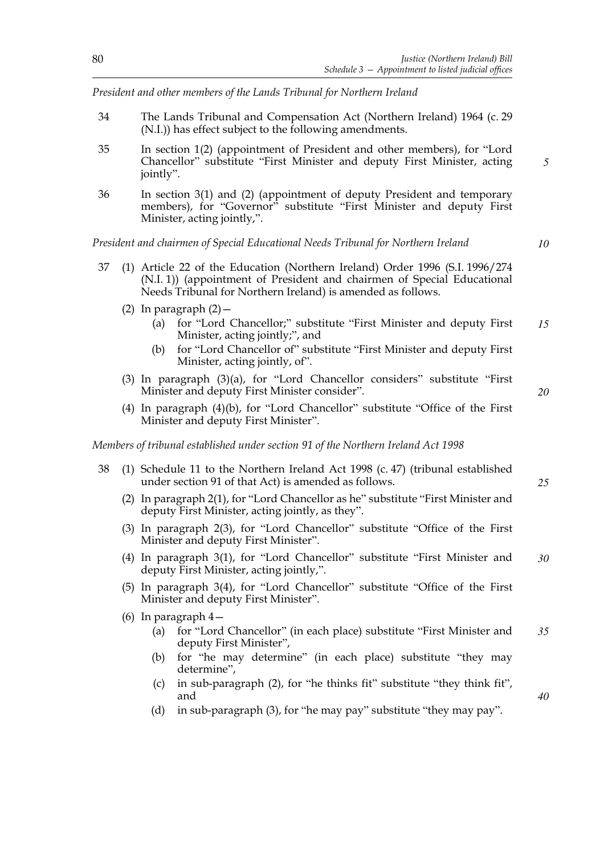*President and other members of the Lands Tribunal for Northern Ireland*

- 34 The Lands Tribunal and Compensation Act (Northern Ireland) 1964 (c. 29 (N.I.)) has effect subject to the following amendments.
- 35 In section 1(2) (appointment of President and other members), for "Lord Chancellor" substitute "First Minister and deputy First Minister, acting jointly". *5*
- 36 In section 3(1) and (2) (appointment of deputy President and temporary members), for "Governor" substitute "First Minister and deputy First Minister, acting jointly,".

*President and chairmen of Special Educational Needs Tribunal for Northern Ireland*

- 37 (1) Article 22 of the Education (Northern Ireland) Order 1996 (S.I. 1996/274 (N.I. 1)) (appointment of President and chairmen of Special Educational Needs Tribunal for Northern Ireland) is amended as follows.
	- (2) In paragraph  $(2)$  -
		- (a) for "Lord Chancellor;" substitute "First Minister and deputy First Minister, acting jointly;", and *15*
		- (b) for "Lord Chancellor of" substitute "First Minister and deputy First Minister, acting jointly, of".
	- (3) In paragraph (3)(a), for "Lord Chancellor considers" substitute "First Minister and deputy First Minister consider".
	- (4) In paragraph (4)(b), for "Lord Chancellor" substitute "Office of the First Minister and deputy First Minister".

*Members of tribunal established under section 91 of the Northern Ireland Act 1998*

- 38 (1) Schedule 11 to the Northern Ireland Act 1998 (c. 47) (tribunal established under section 91 of that Act) is amended as follows.
	- (2) In paragraph 2(1), for "Lord Chancellor as he" substitute "First Minister and deputy First Minister, acting jointly, as they".
	- (3) In paragraph 2(3), for "Lord Chancellor" substitute "Office of the First Minister and deputy First Minister".
	- (4) In paragraph 3(1), for "Lord Chancellor" substitute "First Minister and deputy First Minister, acting jointly,". *30*
	- (5) In paragraph 3(4), for "Lord Chancellor" substitute "Office of the First Minister and deputy First Minister".
	- (6) In paragraph 4—
		- (a) for "Lord Chancellor" (in each place) substitute "First Minister and deputy First Minister", *35*
		- (b) for "he may determine" (in each place) substitute "they may determine",
		- (c) in sub-paragraph (2), for "he thinks fit" substitute "they think fit", and
		- (d) in sub-paragraph (3), for "he may pay" substitute "they may pay".

*10*

*20*

*25*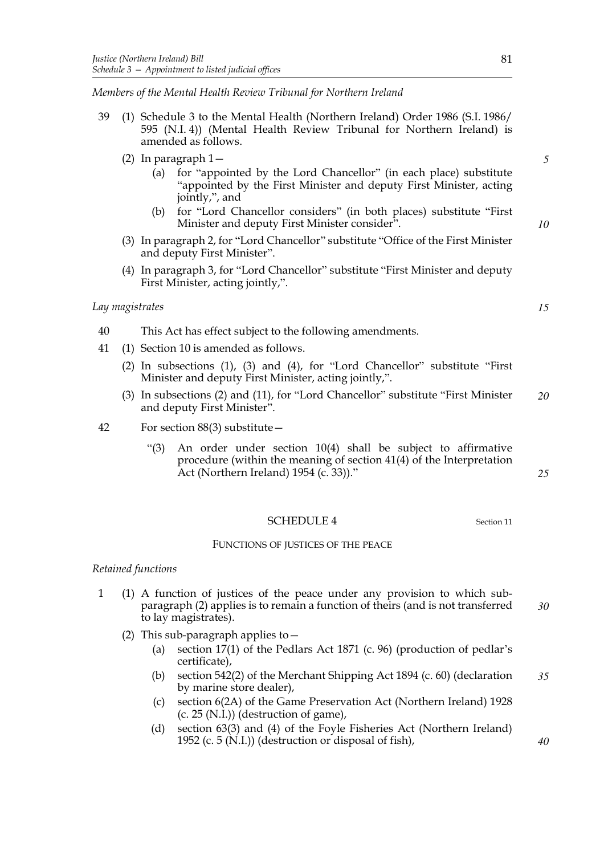*Members of the Mental Health Review Tribunal for Northern Ireland*

- 39 (1) Schedule 3 to the Mental Health (Northern Ireland) Order 1986 (S.I. 1986/ 595 (N.I. 4)) (Mental Health Review Tribunal for Northern Ireland) is amended as follows.
	- (2) In paragraph 1—
		- (a) for "appointed by the Lord Chancellor" (in each place) substitute "appointed by the First Minister and deputy First Minister, acting jointly,", and
		- (b) for "Lord Chancellor considers" (in both places) substitute "First Minister and deputy First Minister consider".
	- (3) In paragraph 2, for "Lord Chancellor" substitute "Office of the First Minister and deputy First Minister".
	- (4) In paragraph 3, for "Lord Chancellor" substitute "First Minister and deputy First Minister, acting jointly,".

#### *Lay magistrates*

- 40 This Act has effect subject to the following amendments.
- 41 (1) Section 10 is amended as follows.
	- (2) In subsections (1), (3) and (4), for "Lord Chancellor" substitute "First Minister and deputy First Minister, acting jointly,".
	- (3) In subsections (2) and (11), for "Lord Chancellor" substitute "First Minister and deputy First Minister". *20*
- 42 For section 88(3) substitute—
	- "(3) An order under section 10(4) shall be subject to affirmative procedure (within the meaning of section 41(4) of the Interpretation Act (Northern Ireland) 1954 (c. 33))."

#### SCHEDULE 4 Section 11

#### FUNCTIONS OF JUSTICES OF THE PEACE

#### *Retained functions*

- 1 (1) A function of justices of the peace under any provision to which subparagraph (2) applies is to remain a function of theirs (and is not transferred to lay magistrates). *30*
	- (2) This sub-paragraph applies to  $-$ 
		- (a) section 17(1) of the Pedlars Act 1871 (c. 96) (production of pedlar's certificate),
		- (b) section 542(2) of the Merchant Shipping Act 1894 (c. 60) (declaration by marine store dealer), *35*
		- (c) section 6(2A) of the Game Preservation Act (Northern Ireland) 1928  $(c. 25 (N.I.))$  (destruction of game),
		- (d) section 63(3) and (4) of the Foyle Fisheries Act (Northern Ireland) 1952 (c. 5 (N.I.)) (destruction or disposal of fish),

*10*

*5*

*15*

*25*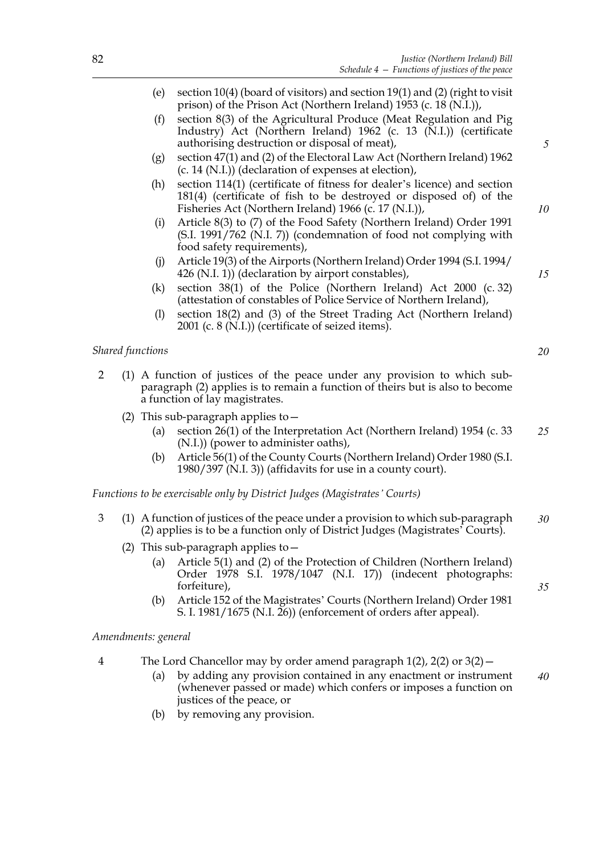- (e) section 10(4) (board of visitors) and section 19(1) and (2) (right to visit prison) of the Prison Act (Northern Ireland) 1953 (c. 18 (N.I.)),
- (f) section 8(3) of the Agricultural Produce (Meat Regulation and Pig Industry) Act (Northern Ireland) 1962 (c. 13 (N.I.)) (certificate authorising destruction or disposal of meat),
- (g) section 47(1) and (2) of the Electoral Law Act (Northern Ireland) 1962 (c. 14 (N.I.)) (declaration of expenses at election),
- (h) section 114(1) (certificate of fitness for dealer's licence) and section 181(4) (certificate of fish to be destroyed or disposed of) of the Fisheries Act (Northern Ireland) 1966 (c. 17 (N.I.)),
- (i) Article 8(3) to (7) of the Food Safety (Northern Ireland) Order 1991 (S.I. 1991/762 (N.I. 7)) (condemnation of food not complying with food safety requirements),
- (j) Article 19(3) of the Airports (Northern Ireland) Order 1994 (S.I. 1994/  $426$  (N.I. 1)) (declaration by airport constables),
- (k) section 38(1) of the Police (Northern Ireland) Act 2000 (c. 32) (attestation of constables of Police Service of Northern Ireland),
- (l) section 18(2) and (3) of the Street Trading Act (Northern Ireland) 2001 (c. 8 (N.I.)) (certificate of seized items).

## *Shared functions*

- 2 (1) A function of justices of the peace under any provision to which subparagraph (2) applies is to remain a function of theirs but is also to become a function of lay magistrates.
	- (2) This sub-paragraph applies to  $-$ 
		- (a) section 26(1) of the Interpretation Act (Northern Ireland) 1954 (c. 33 (N.I.)) (power to administer oaths), *25*
		- (b) Article 56(1) of the County Courts (Northern Ireland) Order 1980 (S.I. 1980/397 (N.I. 3)) (affidavits for use in a county court).

*Functions to be exercisable only by District Judges (Magistrates' Courts)*

- 3 (1) A function of justices of the peace under a provision to which sub-paragraph (2) applies is to be a function only of District Judges (Magistrates' Courts). *30*
	- (2) This sub-paragraph applies to  $-$ 
		- (a) Article 5(1) and (2) of the Protection of Children (Northern Ireland) Order 1978 S.I. 1978/1047 (N.I. 17)) (indecent photographs: forfeiture),
		- (b) Article 152 of the Magistrates' Courts (Northern Ireland) Order 1981 S. I. 1981/1675 (N.I. 26)) (enforcement of orders after appeal).

## *Amendments: general*

- 4 The Lord Chancellor may by order amend paragraph 1(2), 2(2) or 3(2)—
	- (a) by adding any provision contained in any enactment or instrument (whenever passed or made) which confers or imposes a function on justices of the peace, or *40*
	- (b) by removing any provision.

*5*

*10*

*15*

*20*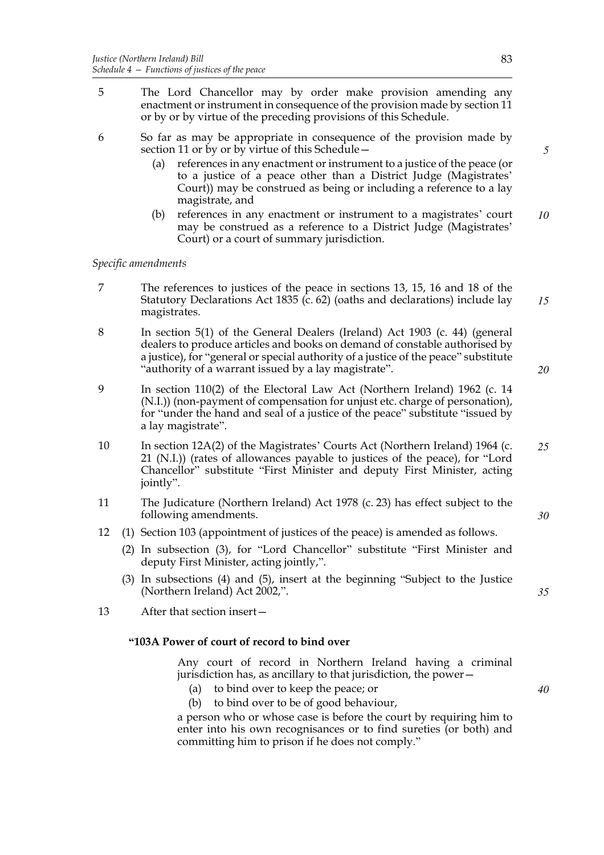- 5 The Lord Chancellor may by order make provision amending any enactment or instrument in consequence of the provision made by section 11 or by or by virtue of the preceding provisions of this Schedule.
- 6 So far as may be appropriate in consequence of the provision made by section 11 or by or by virtue of this Schedule -
	- (a) references in any enactment or instrument to a justice of the peace (or to a justice of a peace other than a District Judge (Magistrates' Court)) may be construed as being or including a reference to a lay magistrate, and
	- (b) references in any enactment or instrument to a magistrates' court may be construed as a reference to a District Judge (Magistrates' Court) or a court of summary jurisdiction. *10*

## *Specific amendments*

- 7 The references to justices of the peace in sections 13, 15, 16 and 18 of the Statutory Declarations Act 1835 (c. 62) (oaths and declarations) include lay magistrates. *15*
- 8 In section 5(1) of the General Dealers (Ireland) Act 1903 (c. 44) (general dealers to produce articles and books on demand of constable authorised by a justice), for "general or special authority of a justice of the peace" substitute "authority of a warrant issued by a lay magistrate".
- 9 In section 110(2) of the Electoral Law Act (Northern Ireland) 1962 (c. 14 (N.I.)) (non-payment of compensation for unjust etc. charge of personation), for "under the hand and seal of a justice of the peace" substitute "issued by a lay magistrate".
- 10 In section 12A(2) of the Magistrates' Courts Act (Northern Ireland) 1964 (c. 21 (N.I.)) (rates of allowances payable to justices of the peace), for "Lord Chancellor" substitute "First Minister and deputy First Minister, acting jointly". *25*
- 11 The Judicature (Northern Ireland) Act 1978 (c. 23) has effect subject to the following amendments.
- 12 (1) Section 103 (appointment of justices of the peace) is amended as follows.
	- (2) In subsection (3), for "Lord Chancellor" substitute "First Minister and deputy First Minister, acting jointly,".
	- (3) In subsections (4) and (5), insert at the beginning "Subject to the Justice (Northern Ireland) Act 2002,".
- 13 After that section insert—

## **"103A Power of court of record to bind over**

Any court of record in Northern Ireland having a criminal jurisdiction has, as ancillary to that jurisdiction, the power—

- (a) to bind over to keep the peace; or
- (b) to bind over to be of good behaviour,

a person who or whose case is before the court by requiring him to enter into his own recognisances or to find sureties (or both) and committing him to prison if he does not comply."

*5*

*20*

*30*

*35*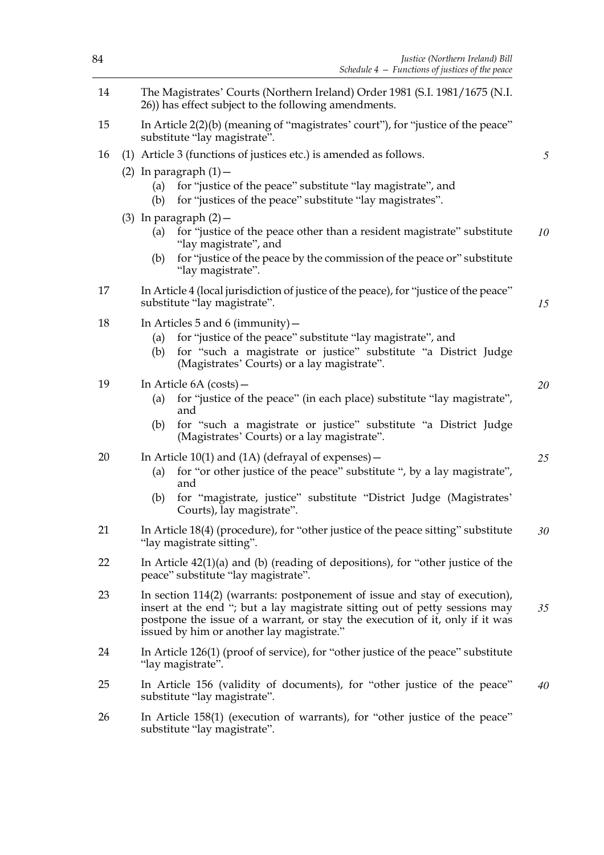| Justice (Northern Ireland) Bill<br>Schedule $4$ – Functions of justices of the peace                                                                                                                                                                                                   | 84 |  |  |  |
|----------------------------------------------------------------------------------------------------------------------------------------------------------------------------------------------------------------------------------------------------------------------------------------|----|--|--|--|
| The Magistrates' Courts (Northern Ireland) Order 1981 (S.I. 1981/1675 (N.I.<br>26)) has effect subject to the following amendments.                                                                                                                                                    |    |  |  |  |
| In Article 2(2)(b) (meaning of "magistrates' court"), for "justice of the peace"<br>substitute "lay magistrate".                                                                                                                                                                       |    |  |  |  |
| (1) Article 3 (functions of justices etc.) is amended as follows.                                                                                                                                                                                                                      |    |  |  |  |
| (2) In paragraph $(1)$ -<br>for "justice of the peace" substitute "lay magistrate", and<br>(a)<br>for "justices of the peace" substitute "lay magistrates".<br>(b)                                                                                                                     |    |  |  |  |
| $(3)$ In paragraph $(2)$ –<br>for "justice of the peace other than a resident magistrate" substitute<br>(a)<br>"lay magistrate", and<br>for "justice of the peace by the commission of the peace or" substitute<br>(b)                                                                 |    |  |  |  |
| "lay magistrate".                                                                                                                                                                                                                                                                      |    |  |  |  |
| In Article 4 (local jurisdiction of justice of the peace), for "justice of the peace"<br>substitute "lay magistrate".                                                                                                                                                                  |    |  |  |  |
| In Articles 5 and 6 (immunity) $-$<br>for "justice of the peace" substitute "lay magistrate", and<br>(a)<br>for "such a magistrate or justice" substitute "a District Judge<br>(b)<br>(Magistrates' Courts) or a lay magistrate".                                                      | 18 |  |  |  |
| In Article 6A (costs) –<br>for "justice of the peace" (in each place) substitute "lay magistrate",<br>(a)<br>and<br>for "such a magistrate or justice" substitute "a District Judge<br>(b)<br>(Magistrates' Courts) or a lay magistrate".                                              | 19 |  |  |  |
| In Article $10(1)$ and $(1A)$ (defrayal of expenses) –                                                                                                                                                                                                                                 | 20 |  |  |  |
| for "or other justice of the peace" substitute ", by a lay magistrate",<br>(a)<br>and                                                                                                                                                                                                  |    |  |  |  |
| for "magistrate, justice" substitute "District Judge (Magistrates'<br>(b)<br>Courts), lay magistrate".                                                                                                                                                                                 |    |  |  |  |
| In Article 18(4) (procedure), for "other justice of the peace sitting" substitute<br>"lay magistrate sitting".                                                                                                                                                                         |    |  |  |  |
| In Article $42(1)(a)$ and (b) (reading of depositions), for "other justice of the<br>peace" substitute "lay magistrate".                                                                                                                                                               |    |  |  |  |
| In section 114(2) (warrants: postponement of issue and stay of execution),<br>insert at the end "; but a lay magistrate sitting out of petty sessions may<br>postpone the issue of a warrant, or stay the execution of it, only if it was<br>issued by him or another lay magistrate." |    |  |  |  |
| In Article 126(1) (proof of service), for "other justice of the peace" substitute<br>"lay magistrate".                                                                                                                                                                                 |    |  |  |  |
| In Article 156 (validity of documents), for "other justice of the peace"<br>substitute "lay magistrate".                                                                                                                                                                               |    |  |  |  |
| In Article 158(1) (execution of warrants), for "other justice of the peace"<br>substitute "lay magistrate".                                                                                                                                                                            | 26 |  |  |  |

*5*

*10*

*15*

*20*

*25*

*30*

*35*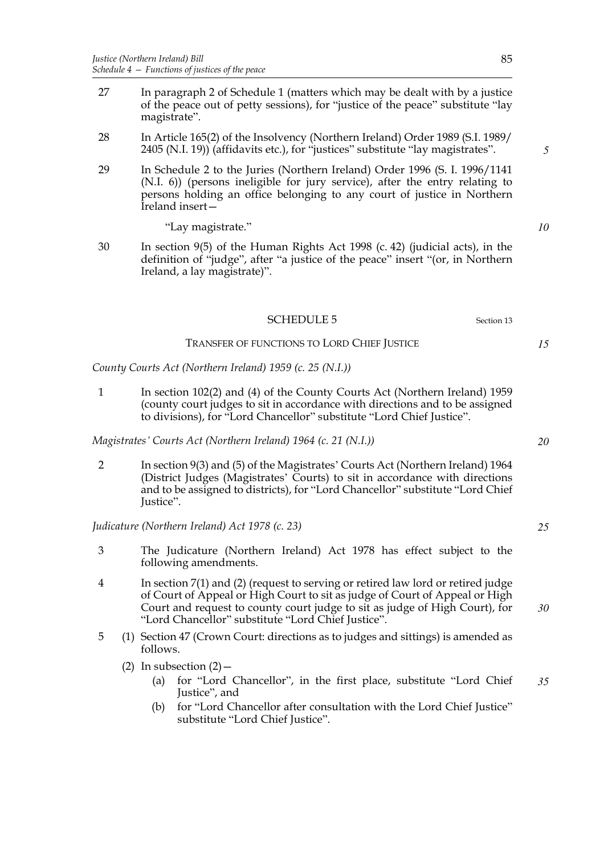- 27 In paragraph 2 of Schedule 1 (matters which may be dealt with by a justice of the peace out of petty sessions), for "justice of the peace" substitute "lay magistrate".
- 28 In Article 165(2) of the Insolvency (Northern Ireland) Order 1989 (S.I. 1989/ 2405 (N.I. 19)) (affidavits etc.), for "justices" substitute "lay magistrates".
- 29 In Schedule 2 to the Juries (Northern Ireland) Order 1996 (S. I. 1996/1141 (N.I. 6)) (persons ineligible for jury service), after the entry relating to persons holding an office belonging to any court of justice in Northern Ireland insert—

"Lay magistrate."

30 In section 9(5) of the Human Rights Act 1998 (c. 42) (judicial acts), in the definition of "judge", after "a justice of the peace" insert "(or, in Northern Ireland, a lay magistrate)".

## SCHEDULE 5 Section 13

## TRANSFER OF FUNCTIONS TO LORD CHIEF JUSTICE

*County Courts Act (Northern Ireland) 1959 (c. 25 (N.I.))*

1 In section 102(2) and (4) of the County Courts Act (Northern Ireland) 1959 (county court judges to sit in accordance with directions and to be assigned to divisions), for "Lord Chancellor" substitute "Lord Chief Justice".

*Magistrates' Courts Act (Northern Ireland) 1964 (c. 21 (N.I.))*

2 In section 9(3) and (5) of the Magistrates' Courts Act (Northern Ireland) 1964 (District Judges (Magistrates' Courts) to sit in accordance with directions and to be assigned to districts), for "Lord Chancellor" substitute "Lord Chief Justice".

## *Judicature (Northern Ireland) Act 1978 (c. 23)*

- 3 The Judicature (Northern Ireland) Act 1978 has effect subject to the following amendments.
- 4 In section 7(1) and (2) (request to serving or retired law lord or retired judge of Court of Appeal or High Court to sit as judge of Court of Appeal or High Court and request to county court judge to sit as judge of High Court), for "Lord Chancellor" substitute "Lord Chief Justice". *30*
- 5 (1) Section 47 (Crown Court: directions as to judges and sittings) is amended as follows.
	- (2) In subsection  $(2)$ 
		- (a) for "Lord Chancellor", in the first place, substitute "Lord Chief Justice", and *35*
		- (b) for "Lord Chancellor after consultation with the Lord Chief Justice" substitute "Lord Chief Justice".

*10*

*5*

*20*

*15*

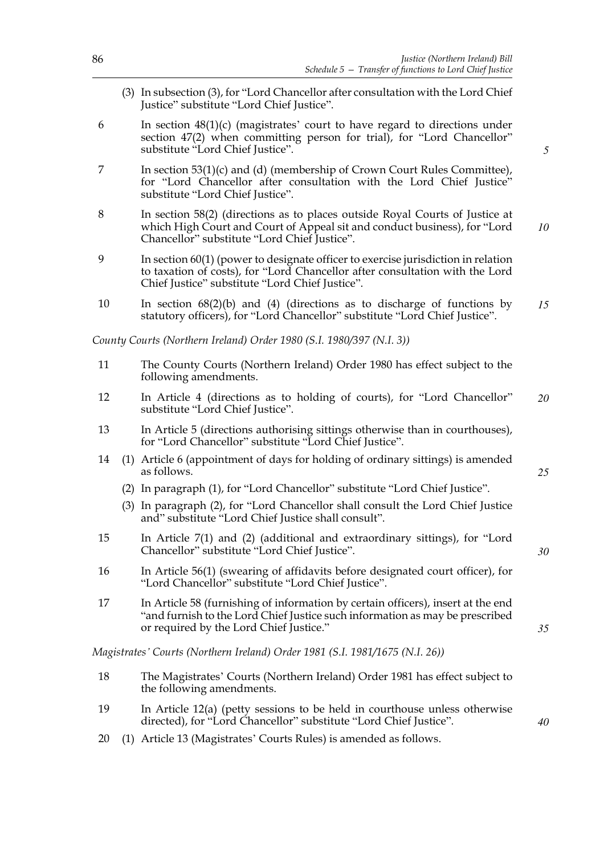- (3) In subsection (3), for "Lord Chancellor after consultation with the Lord Chief Justice" substitute "Lord Chief Justice".
- 6 In section 48(1)(c) (magistrates' court to have regard to directions under section 47(2) when committing person for trial), for "Lord Chancellor" substitute "Lord Chief Justice".
- 7 In section 53(1)(c) and (d) (membership of Crown Court Rules Committee), for "Lord Chancellor after consultation with the Lord Chief Justice" substitute "Lord Chief Justice".
- 8 In section 58(2) (directions as to places outside Royal Courts of Justice at which High Court and Court of Appeal sit and conduct business), for "Lord Chancellor" substitute "Lord Chief Justice". *10*
- 9 In section 60(1) (power to designate officer to exercise jurisdiction in relation to taxation of costs), for "Lord Chancellor after consultation with the Lord Chief Justice" substitute "Lord Chief Justice".
- 10 In section 68(2)(b) and (4) (directions as to discharge of functions by statutory officers), for "Lord Chancellor" substitute "Lord Chief Justice". *15*

*County Courts (Northern Ireland) Order 1980 (S.I. 1980/397 (N.I. 3))*

- 11 The County Courts (Northern Ireland) Order 1980 has effect subject to the following amendments.
- 12 In Article 4 (directions as to holding of courts), for "Lord Chancellor" substitute "Lord Chief Justice". *20*
- 13 In Article 5 (directions authorising sittings otherwise than in courthouses), for "Lord Chancellor" substitute "Lord Chief Justice".
- 14 (1) Article 6 (appointment of days for holding of ordinary sittings) is amended as follows.
	- (2) In paragraph (1), for "Lord Chancellor" substitute "Lord Chief Justice".
	- (3) In paragraph (2), for "Lord Chancellor shall consult the Lord Chief Justice and" substitute "Lord Chief Justice shall consult".
- 15 In Article 7(1) and (2) (additional and extraordinary sittings), for "Lord Chancellor" substitute "Lord Chief Justice".
- 16 In Article 56(1) (swearing of affidavits before designated court officer), for "Lord Chancellor" substitute "Lord Chief Justice".
- 17 In Article 58 (furnishing of information by certain officers), insert at the end "and furnish to the Lord Chief Justice such information as may be prescribed or required by the Lord Chief Justice."

*Magistrates' Courts (Northern Ireland) Order 1981 (S.I. 1981/1675 (N.I. 26))*

- 18 The Magistrates' Courts (Northern Ireland) Order 1981 has effect subject to the following amendments.
- 19 In Article 12(a) (petty sessions to be held in courthouse unless otherwise directed), for "Lord Chancellor" substitute "Lord Chief Justice".
- 20 (1) Article 13 (Magistrates' Courts Rules) is amended as follows.

*5*

*25*

*35*

*40*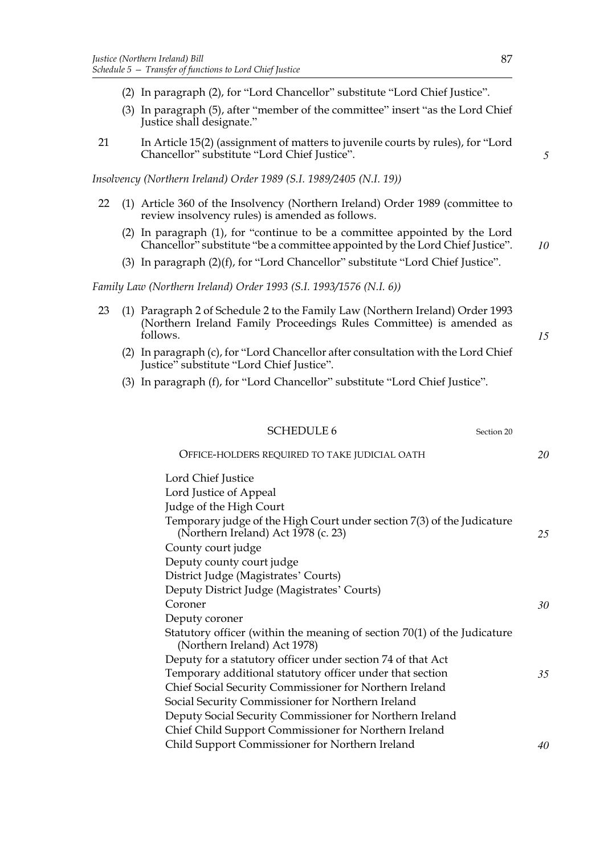- (2) In paragraph (2), for "Lord Chancellor" substitute "Lord Chief Justice".
- (3) In paragraph (5), after "member of the committee" insert "as the Lord Chief Justice shall designate."
- 21 In Article 15(2) (assignment of matters to juvenile courts by rules), for "Lord Chancellor" substitute "Lord Chief Justice".

*Insolvency (Northern Ireland) Order 1989 (S.I. 1989/2405 (N.I. 19))*

- 22 (1) Article 360 of the Insolvency (Northern Ireland) Order 1989 (committee to review insolvency rules) is amended as follows.
	- (2) In paragraph (1), for "continue to be a committee appointed by the Lord Chancellor" substitute "be a committee appointed by the Lord Chief Justice".
	- (3) In paragraph (2)(f), for "Lord Chancellor" substitute "Lord Chief Justice".

*Family Law (Northern Ireland) Order 1993 (S.I. 1993/1576 (N.I. 6))*

- 23 (1) Paragraph 2 of Schedule 2 to the Family Law (Northern Ireland) Order 1993 (Northern Ireland Family Proceedings Rules Committee) is amended as follows.
	- (2) In paragraph (c), for "Lord Chancellor after consultation with the Lord Chief Justice" substitute "Lord Chief Justice".
	- (3) In paragraph (f), for "Lord Chancellor" substitute "Lord Chief Justice".

#### SCHEDULE 6 Section 20

OFFICE-HOLDERS REQUIRED TO TAKE JUDICIAL OATH Lord Chief Justice Lord Justice of Appeal Judge of the High Court Temporary judge of the High Court under section 7(3) of the Judicature (Northern Ireland) Act 1978 (c. 23) County court judge Deputy county court judge District Judge (Magistrates' Courts) Deputy District Judge (Magistrates' Courts) Coroner Deputy coroner Statutory officer (within the meaning of section 70(1) of the Judicature (Northern Ireland) Act 1978) Deputy for a statutory officer under section 74 of that Act Temporary additional statutory officer under that section Chief Social Security Commissioner for Northern Ireland Social Security Commissioner for Northern Ireland Deputy Social Security Commissioner for Northern Ireland Chief Child Support Commissioner for Northern Ireland Child Support Commissioner for Northern Ireland *20 25 30 35 40*

*5*

*10*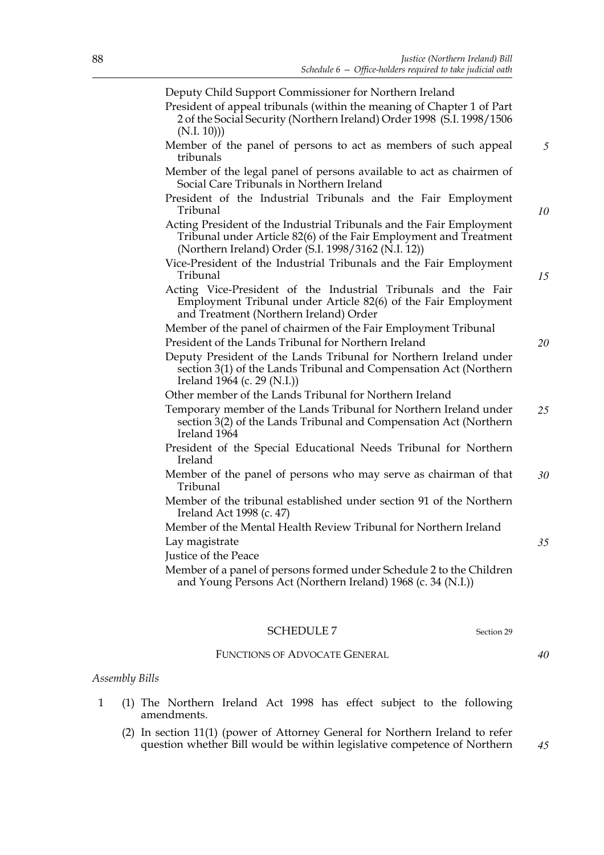Deputy Child Support Commissioner for Northern Ireland

- President of appeal tribunals (within the meaning of Chapter 1 of Part 2 of the Social Security (Northern Ireland) Order 1998 (S.I. 1998/1506 (N.I. 10)))
- Member of the panel of persons to act as members of such appeal tribunals
- Member of the legal panel of persons available to act as chairmen of Social Care Tribunals in Northern Ireland
- President of the Industrial Tribunals and the Fair Employment Tribunal
- Acting President of the Industrial Tribunals and the Fair Employment Tribunal under Article 82(6) of the Fair Employment and Treatment (Northern Ireland) Order (S.I. 1998/3162 (N.I. 12))
- Vice-President of the Industrial Tribunals and the Fair Employment Tribunal
- Acting Vice-President of the Industrial Tribunals and the Fair Employment Tribunal under Article 82(6) of the Fair Employment and Treatment (Northern Ireland) Order
- Member of the panel of chairmen of the Fair Employment Tribunal
- President of the Lands Tribunal for Northern Ireland
- Deputy President of the Lands Tribunal for Northern Ireland under section 3(1) of the Lands Tribunal and Compensation Act (Northern Ireland 1964 (c. 29 (N.I.))
- Other member of the Lands Tribunal for Northern Ireland

Temporary member of the Lands Tribunal for Northern Ireland under section 3(2) of the Lands Tribunal and Compensation Act (Northern Ireland 1964 *25*

- President of the Special Educational Needs Tribunal for Northern Ireland
- Member of the panel of persons who may serve as chairman of that Tribunal *30*
- Member of the tribunal established under section 91 of the Northern Ireland Act 1998 (c. 47)
- Member of the Mental Health Review Tribunal for Northern Ireland Lay magistrate
- Justice of the Peace
- Member of a panel of persons formed under Schedule 2 to the Children and Young Persons Act (Northern Ireland) 1968 (c. 34 (N.I.))

### SCHEDULE 7 Section 29

#### FUNCTIONS OF ADVOCATE GENERAL

#### *Assembly Bills*

- 1 (1) The Northern Ireland Act 1998 has effect subject to the following amendments.
	- (2) In section 11(1) (power of Attorney General for Northern Ireland to refer question whether Bill would be within legislative competence of Northern

*45*

*40*

*35*

*5*

*10*

*15*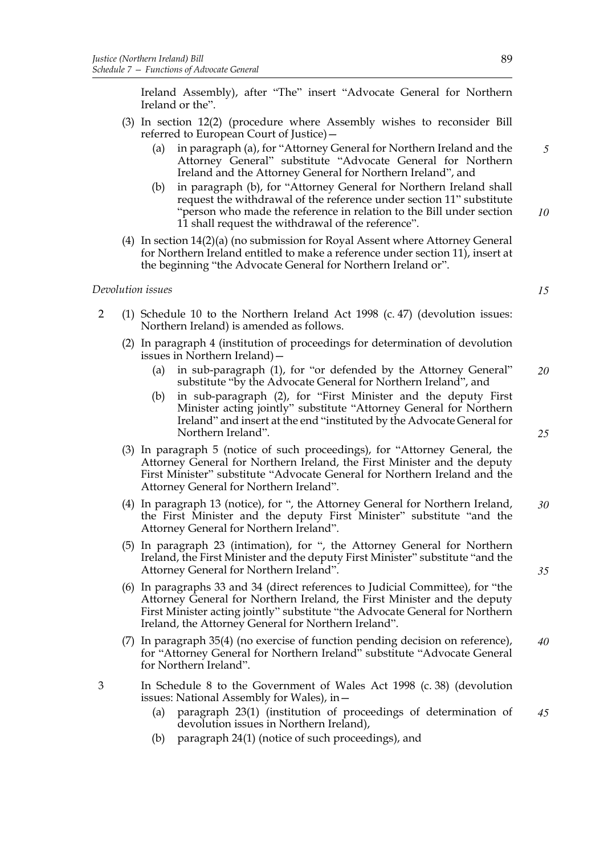Ireland Assembly), after "The" insert "Advocate General for Northern Ireland or the".

- (3) In section 12(2) (procedure where Assembly wishes to reconsider Bill referred to European Court of Justice)—
	- (a) in paragraph (a), for "Attorney General for Northern Ireland and the Attorney General" substitute "Advocate General for Northern Ireland and the Attorney General for Northern Ireland", and
	- in paragraph (b), for "Attorney General for Northern Ireland shall request the withdrawal of the reference under section 11" substitute "person who made the reference in relation to the Bill under section 11 shall request the withdrawal of the reference". *10*
- (4) In section 14(2)(a) (no submission for Royal Assent where Attorney General for Northern Ireland entitled to make a reference under section 11), insert at the beginning "the Advocate General for Northern Ireland or".

#### *Devolution issues*

- 2 (1) Schedule 10 to the Northern Ireland Act 1998 (c. 47) (devolution issues: Northern Ireland) is amended as follows.
	- (2) In paragraph 4 (institution of proceedings for determination of devolution issues in Northern Ireland)—
		- (a) in sub-paragraph (1), for "or defended by the Attorney General" substitute "by the Advocate General for Northern Ireland", and *20*
		- (b) in sub-paragraph (2), for "First Minister and the deputy First Minister acting jointly" substitute "Attorney General for Northern Ireland" and insert at the end "instituted by the Advocate General for Northern Ireland".
	- (3) In paragraph 5 (notice of such proceedings), for "Attorney General, the Attorney General for Northern Ireland, the First Minister and the deputy First Minister" substitute "Advocate General for Northern Ireland and the Attorney General for Northern Ireland".
	- (4) In paragraph 13 (notice), for ", the Attorney General for Northern Ireland, the First Minister and the deputy First Minister" substitute "and the Attorney General for Northern Ireland". *30*
	- (5) In paragraph 23 (intimation), for ", the Attorney General for Northern Ireland, the First Minister and the deputy First Minister" substitute "and the Attorney General for Northern Ireland".
	- (6) In paragraphs 33 and 34 (direct references to Judicial Committee), for "the Attorney General for Northern Ireland, the First Minister and the deputy First Minister acting jointly" substitute "the Advocate General for Northern Ireland, the Attorney General for Northern Ireland".
	- (7) In paragraph 35(4) (no exercise of function pending decision on reference), for "Attorney General for Northern Ireland" substitute "Advocate General for Northern Ireland". *40*
- 3 In Schedule 8 to the Government of Wales Act 1998 (c. 38) (devolution issues: National Assembly for Wales), in—
	- (a) paragraph 23(1) (institution of proceedings of determination of devolution issues in Northern Ireland), *45*
	- (b) paragraph 24(1) (notice of such proceedings), and

*25*

*35*

*15*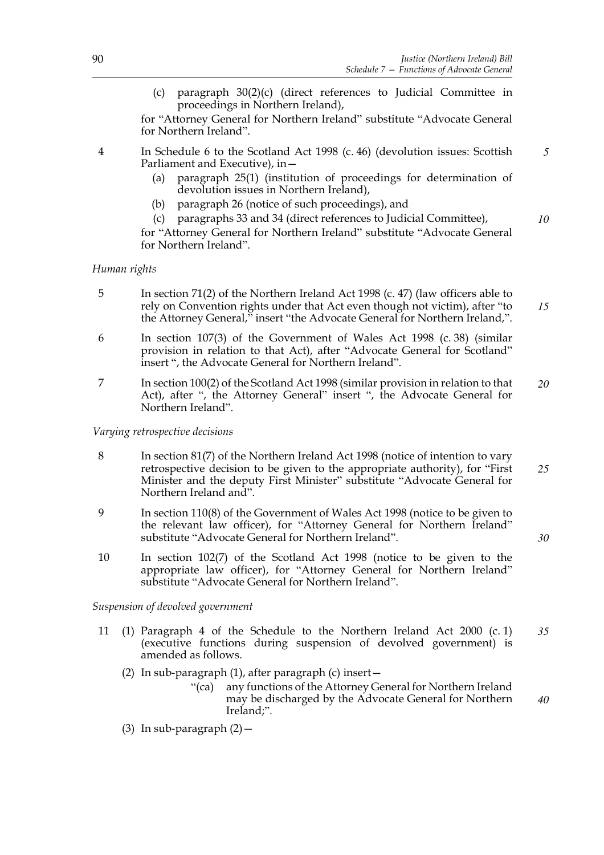*10*

*30*

(c) paragraph 30(2)(c) (direct references to Judicial Committee in proceedings in Northern Ireland),

for "Attorney General for Northern Ireland" substitute "Advocate General for Northern Ireland".

4 In Schedule 6 to the Scotland Act 1998 (c. 46) (devolution issues: Scottish Parliament and Executive), in— *5*

- (a) paragraph 25(1) (institution of proceedings for determination of devolution issues in Northern Ireland),
- (b) paragraph 26 (notice of such proceedings), and
- (c) paragraphs 33 and 34 (direct references to Judicial Committee),

for "Attorney General for Northern Ireland" substitute "Advocate General for Northern Ireland".

## *Human rights*

- 5 In section 71(2) of the Northern Ireland Act 1998 (c. 47) (law officers able to rely on Convention rights under that Act even though not victim), after "to the Attorney General," insert "the Advocate General for Northern Ireland,". *15*
- 6 In section 107(3) of the Government of Wales Act 1998 (c. 38) (similar provision in relation to that Act), after "Advocate General for Scotland" insert ", the Advocate General for Northern Ireland".
- 7 In section 100(2) of the Scotland Act 1998 (similar provision in relation to that Act), after ", the Attorney General" insert ", the Advocate General for Northern Ireland". *20*

*Varying retrospective decisions*

- 8 In section 81(7) of the Northern Ireland Act 1998 (notice of intention to vary retrospective decision to be given to the appropriate authority), for "First Minister and the deputy First Minister" substitute "Advocate General for Northern Ireland and". *25*
- 9 In section 110(8) of the Government of Wales Act 1998 (notice to be given to the relevant law officer), for "Attorney General for Northern Ireland" substitute "Advocate General for Northern Ireland".
- 10 In section 102(7) of the Scotland Act 1998 (notice to be given to the appropriate law officer), for "Attorney General for Northern Ireland" substitute "Advocate General for Northern Ireland".

*Suspension of devolved government*

- 11 (1) Paragraph 4 of the Schedule to the Northern Ireland Act 2000 (c. 1) (executive functions during suspension of devolved government) is amended as follows. *35*
	- (2) In sub-paragraph  $(1)$ , after paragraph  $(c)$  insert  $-$ 
		- "(ca) any functions of the Attorney General for Northern Ireland may be discharged by the Advocate General for Northern Ireland;". *40*
	- (3) In sub-paragraph  $(2)$  -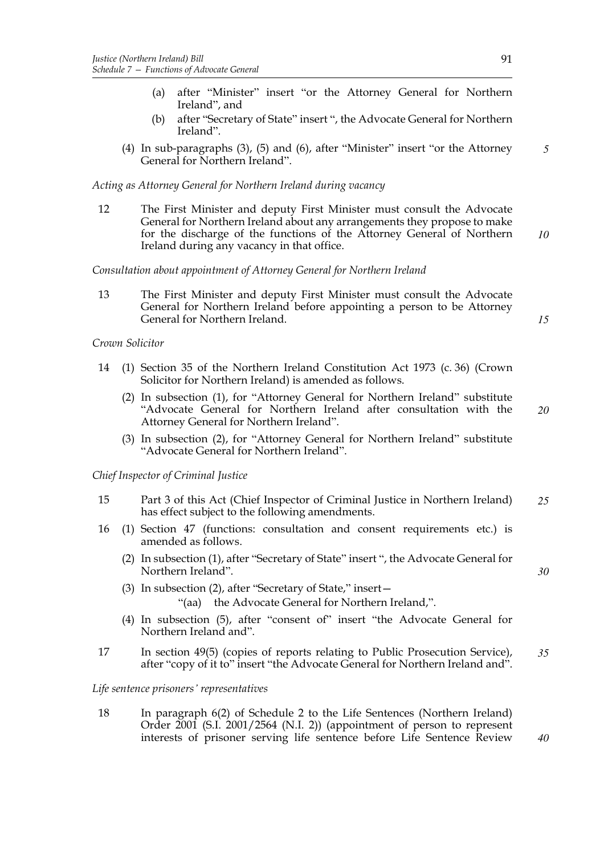- (a) after "Minister" insert "or the Attorney General for Northern Ireland", and
- (b) after "Secretary of State" insert ", the Advocate General for Northern Ireland".
- (4) In sub-paragraphs (3), (5) and (6), after "Minister" insert "or the Attorney General for Northern Ireland". *5*

*Acting as Attorney General for Northern Ireland during vacancy*

12 The First Minister and deputy First Minister must consult the Advocate General for Northern Ireland about any arrangements they propose to make for the discharge of the functions of the Attorney General of Northern Ireland during any vacancy in that office. *10*

*Consultation about appointment of Attorney General for Northern Ireland*

13 The First Minister and deputy First Minister must consult the Advocate General for Northern Ireland before appointing a person to be Attorney General for Northern Ireland. *15*

*Crown Solicitor*

- 14 (1) Section 35 of the Northern Ireland Constitution Act 1973 (c. 36) (Crown Solicitor for Northern Ireland) is amended as follows.
	- (2) In subsection (1), for "Attorney General for Northern Ireland" substitute "Advocate General for Northern Ireland after consultation with the Attorney General for Northern Ireland". *20*
	- (3) In subsection (2), for "Attorney General for Northern Ireland" substitute "Advocate General for Northern Ireland".

*Chief Inspector of Criminal Justice*

- 15 Part 3 of this Act (Chief Inspector of Criminal Justice in Northern Ireland) has effect subject to the following amendments. *25*
- 16 (1) Section 47 (functions: consultation and consent requirements etc.) is amended as follows.
	- (2) In subsection (1), after "Secretary of State" insert ", the Advocate General for Northern Ireland".
	- (3) In subsection (2), after "Secretary of State," insert— "(aa) the Advocate General for Northern Ireland,".
	- (4) In subsection (5), after "consent of" insert "the Advocate General for Northern Ireland and".
- 17 In section 49(5) (copies of reports relating to Public Prosecution Service), after "copy of it to" insert "the Advocate General for Northern Ireland and". *35*

*Life sentence prisoners' representatives*

18 In paragraph 6(2) of Schedule 2 to the Life Sentences (Northern Ireland) Order 2001 (S.I. 2001/2564 (N.I. 2)) (appointment of person to represent interests of prisoner serving life sentence before Life Sentence Review

*40*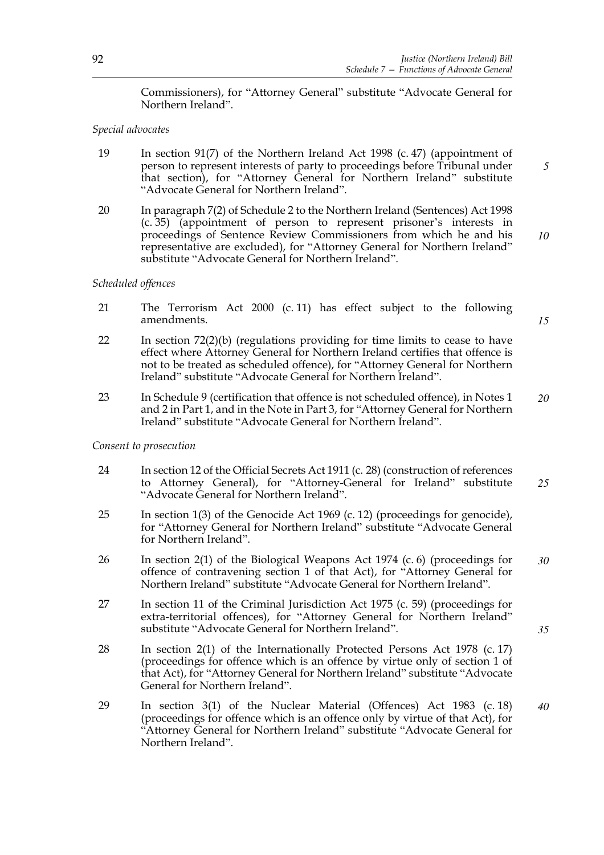Commissioners), for "Attorney General" substitute "Advocate General for Northern Ireland".

## *Special advocates*

- 19 In section 91(7) of the Northern Ireland Act 1998 (c. 47) (appointment of person to represent interests of party to proceedings before Tribunal under that section), for "Attorney General for Northern Ireland" substitute "Advocate General for Northern Ireland".
- 20 In paragraph 7(2) of Schedule 2 to the Northern Ireland (Sentences) Act 1998 (c. 35) (appointment of person to represent prisoner's interests in proceedings of Sentence Review Commissioners from which he and his representative are excluded), for "Attorney General for Northern Ireland" substitute "Advocate General for Northern Ireland".

#### *Scheduled offences*

- 21 The Terrorism Act 2000 (c. 11) has effect subject to the following amendments.
- 22 In section 72(2)(b) (regulations providing for time limits to cease to have effect where Attorney General for Northern Ireland certifies that offence is not to be treated as scheduled offence), for "Attorney General for Northern Ireland" substitute "Advocate General for Northern Ireland".
- 23 In Schedule 9 (certification that offence is not scheduled offence), in Notes 1 and 2 in Part 1, and in the Note in Part 3, for "Attorney General for Northern Ireland" substitute "Advocate General for Northern Ireland". *20*

#### *Consent to prosecution*

- 24 In section 12 of the Official Secrets Act 1911 (c. 28) (construction of references to Attorney General), for "Attorney-General for Ireland" substitute "Advocate General for Northern Ireland". *25*
- 25 In section 1(3) of the Genocide Act 1969 (c. 12) (proceedings for genocide), for "Attorney General for Northern Ireland" substitute "Advocate General for Northern Ireland".
- 26 In section 2(1) of the Biological Weapons Act 1974 (c. 6) (proceedings for offence of contravening section 1 of that Act), for "Attorney General for Northern Ireland" substitute "Advocate General for Northern Ireland". *30*
- 27 In section 11 of the Criminal Jurisdiction Act 1975 (c. 59) (proceedings for extra-territorial offences), for "Attorney General for Northern Ireland" substitute "Advocate General for Northern Ireland".
- 28 In section 2(1) of the Internationally Protected Persons Act 1978 (c. 17) (proceedings for offence which is an offence by virtue only of section 1 of that Act), for "Attorney General for Northern Ireland" substitute "Advocate General for Northern Ireland".
- 29 In section 3(1) of the Nuclear Material (Offences) Act 1983 (c. 18) (proceedings for offence which is an offence only by virtue of that Act), for "Attorney General for Northern Ireland" substitute "Advocate General for Northern Ireland". *40*

*10*

*5*

*15*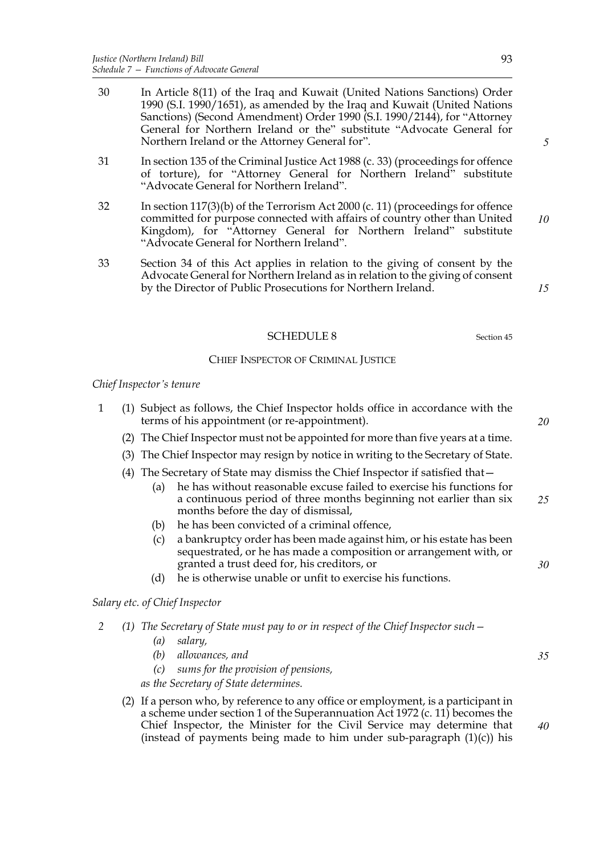- 30 In Article 8(11) of the Iraq and Kuwait (United Nations Sanctions) Order 1990 (S.I. 1990/1651), as amended by the Iraq and Kuwait (United Nations Sanctions) (Second Amendment) Order 1990 (S.I. 1990/2144), for "Attorney General for Northern Ireland or the" substitute "Advocate General for Northern Ireland or the Attorney General for".
- 31 In section 135 of the Criminal Justice Act 1988 (c. 33) (proceedings for offence of torture), for "Attorney General for Northern Ireland" substitute "Advocate General for Northern Ireland".
- 32 In section 117(3)(b) of the Terrorism Act 2000 (c. 11) (proceedings for offence committed for purpose connected with affairs of country other than United Kingdom), for "Attorney General for Northern Ireland" substitute "Advocate General for Northern Ireland". *10*
- 33 Section 34 of this Act applies in relation to the giving of consent by the Advocate General for Northern Ireland as in relation to the giving of consent by the Director of Public Prosecutions for Northern Ireland.

## SCHEDULE 8 Section 45

## CHIEF INSPECTOR OF CRIMINAL JUSTICE

#### *Chief Inspector's tenure*

- 1 (1) Subject as follows, the Chief Inspector holds office in accordance with the terms of his appointment (or re-appointment).
	- (2) The Chief Inspector must not be appointed for more than five years at a time.
	- (3) The Chief Inspector may resign by notice in writing to the Secretary of State.
	- (4) The Secretary of State may dismiss the Chief Inspector if satisfied that—
		- (a) he has without reasonable excuse failed to exercise his functions for a continuous period of three months beginning not earlier than six months before the day of dismissal, *25*
		- (b) he has been convicted of a criminal offence,
		- (c) a bankruptcy order has been made against him, or his estate has been sequestrated, or he has made a composition or arrangement with, or granted a trust deed for, his creditors, or
		- (d) he is otherwise unable or unfit to exercise his functions.

*Salary etc. of Chief Inspector*

- *2 (1) The Secretary of State must pay to or in respect of the Chief Inspector such—*
	- *(a) salary,*
	- *(b) allowances, and*
	- *(c) sums for the provision of pensions,*

*as the Secretary of State determines.*

(2) If a person who, by reference to any office or employment, is a participant in a scheme under section 1 of the Superannuation Act 1972 (c. 11) becomes the Chief Inspector, the Minister for the Civil Service may determine that (instead of payments being made to him under sub-paragraph  $(1)(c)$ ) his *40*

*5*

*20*

*15*

*35*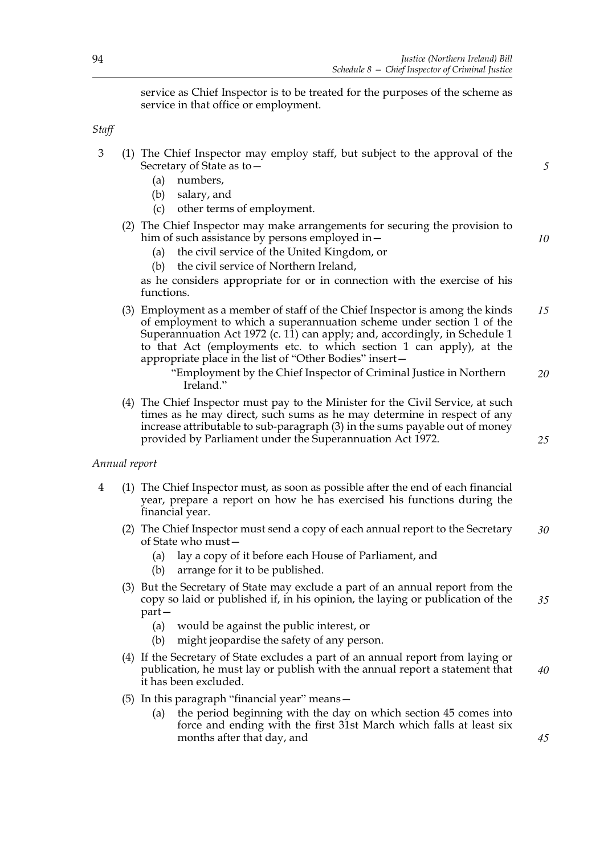service as Chief Inspector is to be treated for the purposes of the scheme as service in that office or employment.

*Staff*

- 3 (1) The Chief Inspector may employ staff, but subject to the approval of the Secretary of State as to—
	- (a) numbers,
	- (b) salary, and
	- (c) other terms of employment.
	- (2) The Chief Inspector may make arrangements for securing the provision to him of such assistance by persons employed in—
		- (a) the civil service of the United Kingdom, or
		- (b) the civil service of Northern Ireland,

as he considers appropriate for or in connection with the exercise of his functions.

(3) Employment as a member of staff of the Chief Inspector is among the kinds of employment to which a superannuation scheme under section 1 of the Superannuation Act 1972 (c. 11) can apply; and, accordingly, in Schedule 1 to that Act (employments etc. to which section 1 can apply), at the appropriate place in the list of "Other Bodies" insert— *15*

> "Employment by the Chief Inspector of Criminal Justice in Northern Ireland." *20*

(4) The Chief Inspector must pay to the Minister for the Civil Service, at such times as he may direct, such sums as he may determine in respect of any increase attributable to sub-paragraph (3) in the sums payable out of money provided by Parliament under the Superannuation Act 1972.

*Annual report*

- 4 (1) The Chief Inspector must, as soon as possible after the end of each financial year, prepare a report on how he has exercised his functions during the financial year.
	- (2) The Chief Inspector must send a copy of each annual report to the Secretary of State who must— *30*
		- (a) lay a copy of it before each House of Parliament, and
		- (b) arrange for it to be published.
	- (3) But the Secretary of State may exclude a part of an annual report from the copy so laid or published if, in his opinion, the laying or publication of the part— *35*
		- (a) would be against the public interest, or
		- (b) might jeopardise the safety of any person.
	- (4) If the Secretary of State excludes a part of an annual report from laying or publication, he must lay or publish with the annual report a statement that it has been excluded. *40*
	- (5) In this paragraph "financial year" means—
		- (a) the period beginning with the day on which section 45 comes into force and ending with the first 31st March which falls at least six months after that day, and

*45*

*5*

*10*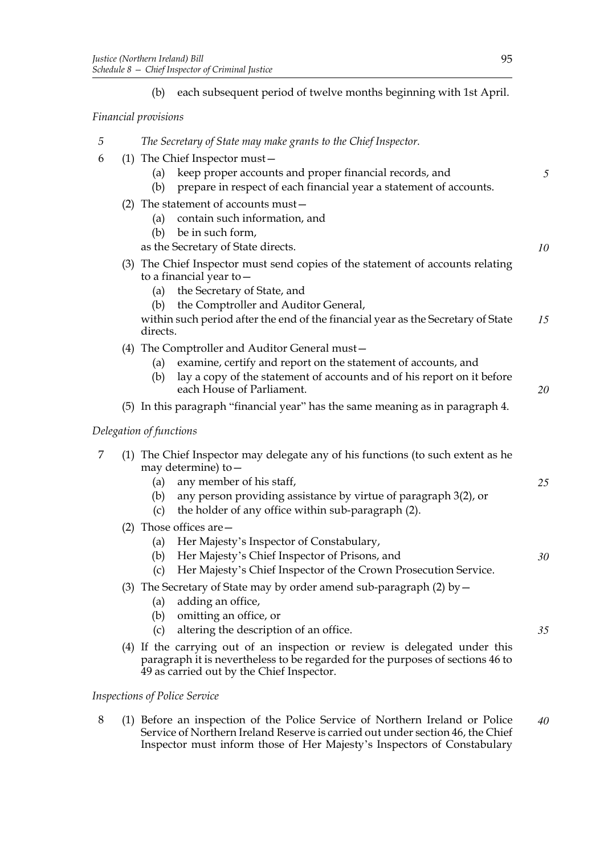(b) each subsequent period of twelve months beginning with 1st April.

## *Financial provisions*

- *5 The Secretary of State may make grants to the Chief Inspector.*
- 6 (1) The Chief Inspector must—
	- (a) keep proper accounts and proper financial records, and
	- (b) prepare in respect of each financial year a statement of accounts.
	- (2) The statement of accounts must—
		- (a) contain such information, and
		- (b) be in such form,
		- as the Secretary of State directs.
	- (3) The Chief Inspector must send copies of the statement of accounts relating to a financial year to—
		- (a) the Secretary of State, and
		- (b) the Comptroller and Auditor General,

within such period after the end of the financial year as the Secretary of State directs. *15*

- (4) The Comptroller and Auditor General must—
	- (a) examine, certify and report on the statement of accounts, and
	- (b) lay a copy of the statement of accounts and of his report on it before each House of Parliament.
- (5) In this paragraph "financial year" has the same meaning as in paragraph 4.

# *Delegation of functions*

- 7 (1) The Chief Inspector may delegate any of his functions (to such extent as he may determine) to—
	- (a) any member of his staff,
	- (b) any person providing assistance by virtue of paragraph 3(2), or
	- (c) the holder of any office within sub-paragraph (2).
	- (2) Those offices are—
		- (a) Her Majesty's Inspector of Constabulary,
		- (b) Her Majesty's Chief Inspector of Prisons, and *30*
		- (c) Her Majesty's Chief Inspector of the Crown Prosecution Service.
	- (3) The Secretary of State may by order amend sub-paragraph (2) by  $-$ 
		- (a) adding an office,
		- (b) omitting an office, or
		- (c) altering the description of an office.
	- (4) If the carrying out of an inspection or review is delegated under this paragraph it is nevertheless to be regarded for the purposes of sections 46 to 49 as carried out by the Chief Inspector.

## *Inspections of Police Service*

8 (1) Before an inspection of the Police Service of Northern Ireland or Police Service of Northern Ireland Reserve is carried out under section 46, the Chief Inspector must inform those of Her Majesty's Inspectors of Constabulary *40*

*5*

*10*

*20*

*25*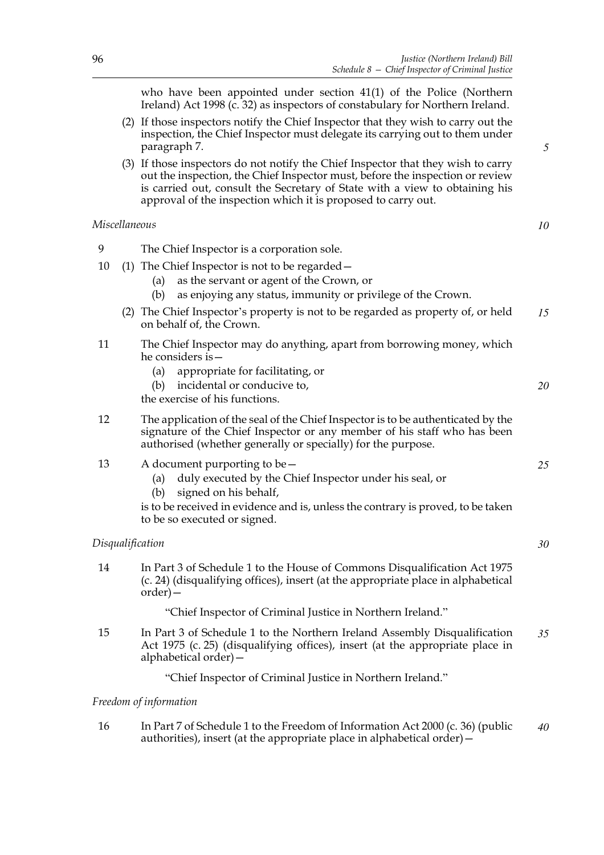*5*

*10*

*20*

*25*

*30*

who have been appointed under section 41(1) of the Police (Northern Ireland) Act 1998 (c. 32) as inspectors of constabulary for Northern Ireland.

- (2) If those inspectors notify the Chief Inspector that they wish to carry out the inspection, the Chief Inspector must delegate its carrying out to them under paragraph 7.
- (3) If those inspectors do not notify the Chief Inspector that they wish to carry out the inspection, the Chief Inspector must, before the inspection or review is carried out, consult the Secretary of State with a view to obtaining his approval of the inspection which it is proposed to carry out.

## *Miscellaneous*

| Q | The Chief Inspector is a corporation sole. |
|---|--------------------------------------------|
|---|--------------------------------------------|

- 10 (1) The Chief Inspector is not to be regarded—
	- (a) as the servant or agent of the Crown, or
	- (b) as enjoying any status, immunity or privilege of the Crown.
	- (2) The Chief Inspector's property is not to be regarded as property of, or held on behalf of, the Crown. *15*
- 11 The Chief Inspector may do anything, apart from borrowing money, which he considers is—
	- (a) appropriate for facilitating, or
	- (b) incidental or conducive to,

the exercise of his functions.

- 12 The application of the seal of the Chief Inspector is to be authenticated by the signature of the Chief Inspector or any member of his staff who has been authorised (whether generally or specially) for the purpose.
- 13 A document purporting to be—
	- (a) duly executed by the Chief Inspector under his seal, or
	- (b) signed on his behalf,

is to be received in evidence and is, unless the contrary is proved, to be taken to be so executed or signed.

#### *Disqualification*

14 In Part 3 of Schedule 1 to the House of Commons Disqualification Act 1975 (c. 24) (disqualifying offices), insert (at the appropriate place in alphabetical order)—

"Chief Inspector of Criminal Justice in Northern Ireland."

15 In Part 3 of Schedule 1 to the Northern Ireland Assembly Disqualification Act 1975 (c. 25) (disqualifying offices), insert (at the appropriate place in alphabetical order)— *35*

"Chief Inspector of Criminal Justice in Northern Ireland."

## *Freedom of information*

16 In Part 7 of Schedule 1 to the Freedom of Information Act 2000 (c. 36) (public authorities), insert (at the appropriate place in alphabetical order)  $-\frac{1}{2}$ *40*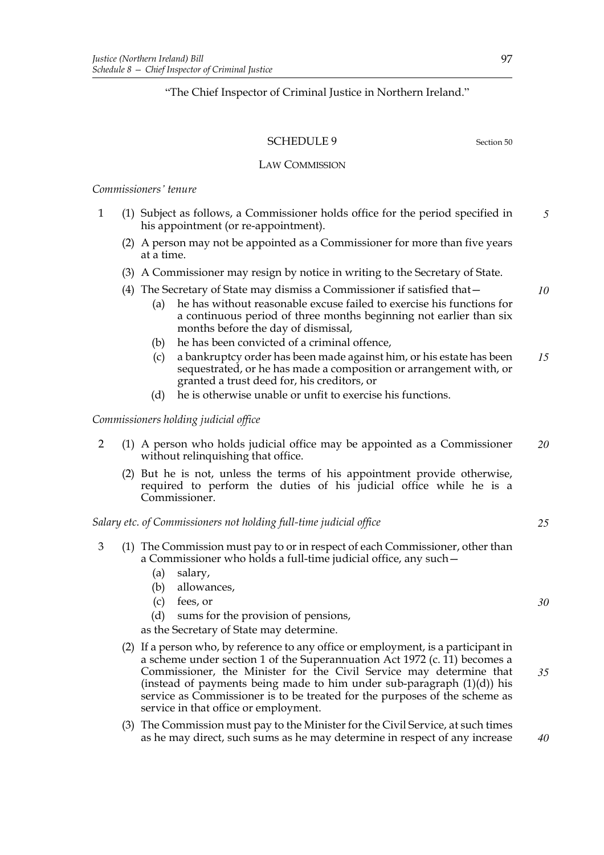"The Chief Inspector of Criminal Justice in Northern Ireland."

## SCHEDULE 9 Section 50

*10*

#### LAW COMMISSION

#### *Commissioners' tenure*

- 1 (1) Subject as follows, a Commissioner holds office for the period specified in his appointment (or re-appointment). *5*
	- (2) A person may not be appointed as a Commissioner for more than five years at a time.
	- (3) A Commissioner may resign by notice in writing to the Secretary of State.
	- (4) The Secretary of State may dismiss a Commissioner if satisfied that—
		- (a) he has without reasonable excuse failed to exercise his functions for a continuous period of three months beginning not earlier than six months before the day of dismissal,
		- (b) he has been convicted of a criminal offence,
		- (c) a bankruptcy order has been made against him, or his estate has been sequestrated, or he has made a composition or arrangement with, or granted a trust deed for, his creditors, or *15*
		- (d) he is otherwise unable or unfit to exercise his functions.

*Commissioners holding judicial office*

- 2 (1) A person who holds judicial office may be appointed as a Commissioner without relinquishing that office. *20*
	- (2) But he is not, unless the terms of his appointment provide otherwise, required to perform the duties of his judicial office while he is a Commissioner.

#### *Salary etc. of Commissioners not holding full-time judicial office*

- 3 (1) The Commission must pay to or in respect of each Commissioner, other than a Commissioner who holds a full-time judicial office, any such—
	- (a) salary,
	- (b) allowances,
	- (c) fees, or
	- (d) sums for the provision of pensions,

as the Secretary of State may determine.

- (2) If a person who, by reference to any office or employment, is a participant in a scheme under section 1 of the Superannuation Act 1972 (c. 11) becomes a Commissioner, the Minister for the Civil Service may determine that (instead of payments being made to him under sub-paragraph  $(1)(d)$ ) his service as Commissioner is to be treated for the purposes of the scheme as service in that office or employment. *35*
- (3) The Commission must pay to the Minister for the Civil Service, at such times as he may direct, such sums as he may determine in respect of any increase

*25*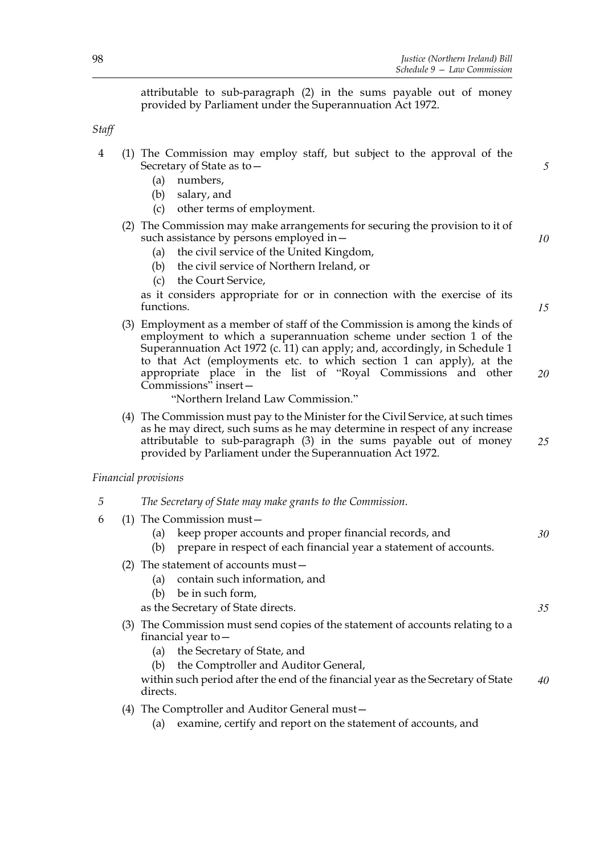*5*

*10*

*15*

*35*

attributable to sub-paragraph (2) in the sums payable out of money provided by Parliament under the Superannuation Act 1972.

*Staff*

- 4 (1) The Commission may employ staff, but subject to the approval of the Secretary of State as to—
	- (a) numbers,
	- (b) salary, and
	- (c) other terms of employment.
	- (2) The Commission may make arrangements for securing the provision to it of such assistance by persons employed in—
		- (a) the civil service of the United Kingdom,
		- (b) the civil service of Northern Ireland, or
		- (c) the Court Service,

as it considers appropriate for or in connection with the exercise of its functions.

(3) Employment as a member of staff of the Commission is among the kinds of employment to which a superannuation scheme under section 1 of the Superannuation Act 1972 (c. 11) can apply; and, accordingly, in Schedule 1 to that Act (employments etc. to which section 1 can apply), at the appropriate place in the list of "Royal Commissions and other Commissions" insert— *20*

"Northern Ireland Law Commission."

(4) The Commission must pay to the Minister for the Civil Service, at such times as he may direct, such sums as he may determine in respect of any increase attributable to sub-paragraph (3) in the sums payable out of money provided by Parliament under the Superannuation Act 1972. *25*

*Financial provisions*

- *5 The Secretary of State may make grants to the Commission.*
- 6 (1) The Commission must—
	- (a) keep proper accounts and proper financial records, and *30*
	- (b) prepare in respect of each financial year a statement of accounts.
	- (2) The statement of accounts must—
		- (a) contain such information, and
		- (b) be in such form,

as the Secretary of State directs.

- (3) The Commission must send copies of the statement of accounts relating to a financial year to—
	- (a) the Secretary of State, and
	- (b) the Comptroller and Auditor General,

within such period after the end of the financial year as the Secretary of State directs. *40*

(4) The Comptroller and Auditor General must—

(a) examine, certify and report on the statement of accounts, and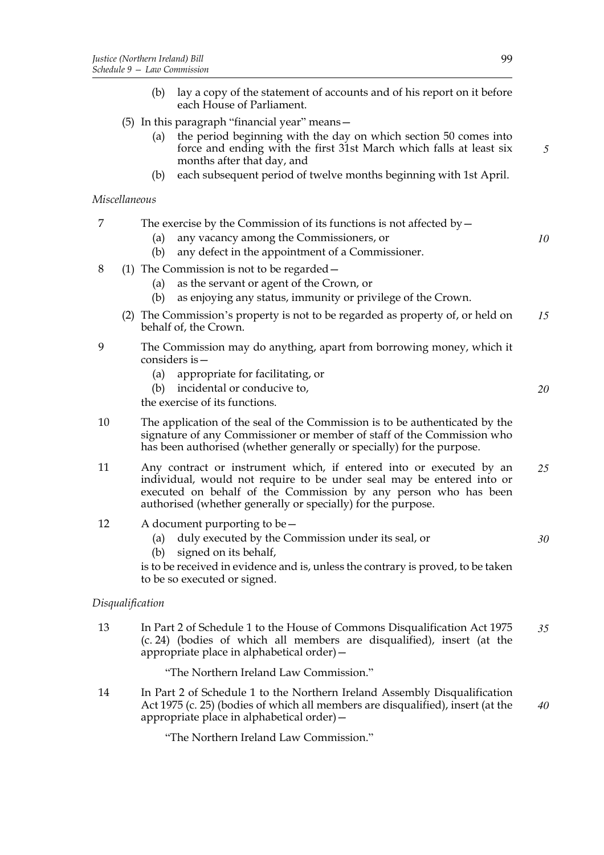- (b) lay a copy of the statement of accounts and of his report on it before each House of Parliament.
- (5) In this paragraph "financial year" means—
	- (a) the period beginning with the day on which section 50 comes into force and ending with the first 31st March which falls at least six months after that day, and
	- (b) each subsequent period of twelve months beginning with 1st April.

## *Miscellaneous*

|  |  | The exercise by the Commission of its functions is not affected by $-$ |  |
|--|--|------------------------------------------------------------------------|--|
|  |  |                                                                        |  |

- (a) any vacancy among the Commissioners, or
- (b) any defect in the appointment of a Commissioner.
- 8 (1) The Commission is not to be regarded—
	- (a) as the servant or agent of the Crown, or
	- (b) as enjoying any status, immunity or privilege of the Crown.
	- (2) The Commission's property is not to be regarded as property of, or held on behalf of, the Crown. *15*
- 9 The Commission may do anything, apart from borrowing money, which it considers is—
	- (a) appropriate for facilitating, or
	- (b) incidental or conducive to,

the exercise of its functions.

- 10 The application of the seal of the Commission is to be authenticated by the signature of any Commissioner or member of staff of the Commission who has been authorised (whether generally or specially) for the purpose.
- 11 Any contract or instrument which, if entered into or executed by an individual, would not require to be under seal may be entered into or executed on behalf of the Commission by any person who has been authorised (whether generally or specially) for the purpose. *25*
- 12 A document purporting to be—
	- (a) duly executed by the Commission under its seal, or
	- (b) signed on its behalf,

is to be received in evidence and is, unless the contrary is proved, to be taken to be so executed or signed.

## *Disqualification*

13 In Part 2 of Schedule 1 to the House of Commons Disqualification Act 1975 (c. 24) (bodies of which all members are disqualified), insert (at the appropriate place in alphabetical order)— *35*

"The Northern Ireland Law Commission."

14 In Part 2 of Schedule 1 to the Northern Ireland Assembly Disqualification Act 1975 (c. 25) (bodies of which all members are disqualified), insert (at the appropriate place in alphabetical order)— *40*

"The Northern Ireland Law Commission."

*5*

*10*

*20*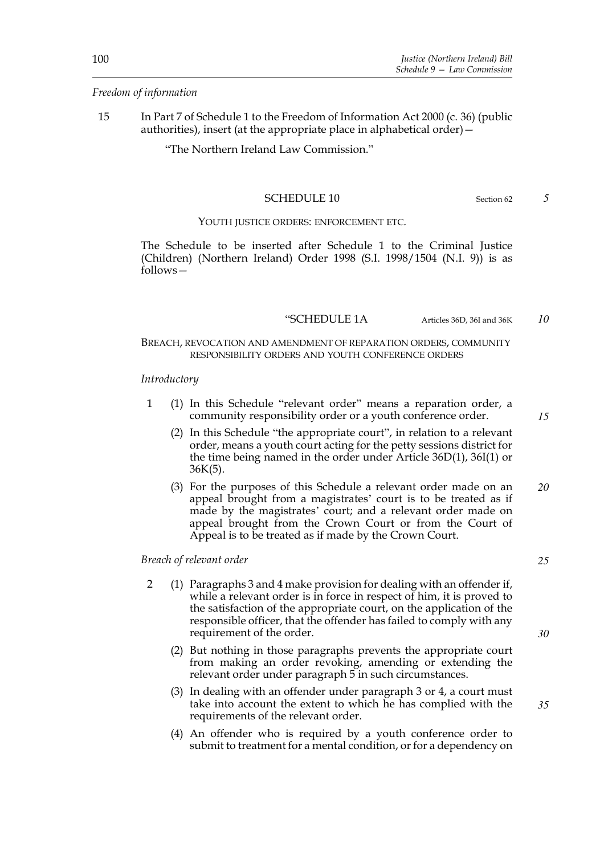## *Freedom of information*

15 In Part 7 of Schedule 1 to the Freedom of Information Act 2000 (c. 36) (public authorities), insert (at the appropriate place in alphabetical order)—

"The Northern Ireland Law Commission."

## SCHEDULE 10 Section 62

#### YOUTH JUSTICE ORDERS: ENFORCEMENT ETC.

 The Schedule to be inserted after Schedule 1 to the Criminal Justice (Children) (Northern Ireland) Order 1998 (S.I. 1998/1504 (N.I. 9)) is as follows—

"SCHEDULE 1A Articles 36D, 36I and 36K

# BREACH, REVOCATION AND AMENDMENT OF REPARATION ORDERS, COMMUNITY RESPONSIBILITY ORDERS AND YOUTH CONFERENCE ORDERS

#### *Introductory*

- 1 (1) In this Schedule "relevant order" means a reparation order, a community responsibility order or a youth conference order.
	- (2) In this Schedule "the appropriate court", in relation to a relevant order, means a youth court acting for the petty sessions district for the time being named in the order under Article 36D(1), 36I(1) or  $36K(5)$ .
	- (3) For the purposes of this Schedule a relevant order made on an appeal brought from a magistrates' court is to be treated as if made by the magistrates' court; and a relevant order made on appeal brought from the Crown Court or from the Court of Appeal is to be treated as if made by the Crown Court. *20*

*Breach of relevant order*

- 2 (1) Paragraphs 3 and 4 make provision for dealing with an offender if, while a relevant order is in force in respect of him, it is proved to the satisfaction of the appropriate court, on the application of the responsible officer, that the offender has failed to comply with any requirement of the order.
	- (2) But nothing in those paragraphs prevents the appropriate court from making an order revoking, amending or extending the relevant order under paragraph 5 in such circumstances.
	- (3) In dealing with an offender under paragraph 3 or 4, a court must take into account the extent to which he has complied with the requirements of the relevant order.
	- (4) An offender who is required by a youth conference order to submit to treatment for a mental condition, or for a dependency on

*5*

*15*

*10*

*25*

*30*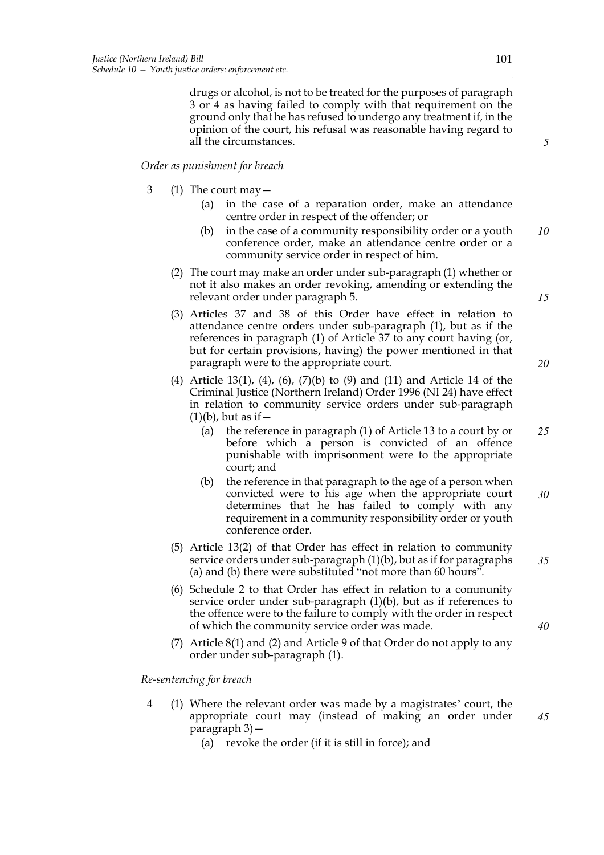drugs or alcohol, is not to be treated for the purposes of paragraph 3 or 4 as having failed to comply with that requirement on the ground only that he has refused to undergo any treatment if, in the opinion of the court, his refusal was reasonable having regard to all the circumstances.

## *Order as punishment for breach*

- 3 (1) The court may—
	- (a) in the case of a reparation order, make an attendance centre order in respect of the offender; or
	- (b) in the case of a community responsibility order or a youth conference order, make an attendance centre order or a community service order in respect of him. *10*
	- (2) The court may make an order under sub-paragraph (1) whether or not it also makes an order revoking, amending or extending the relevant order under paragraph 5.
	- (3) Articles 37 and 38 of this Order have effect in relation to attendance centre orders under sub-paragraph (1), but as if the references in paragraph (1) of Article 37 to any court having (or, but for certain provisions, having) the power mentioned in that paragraph were to the appropriate court.
	- (4) Article 13(1), (4), (6), (7)(b) to (9) and (11) and Article 14 of the Criminal Justice (Northern Ireland) Order 1996 (NI 24) have effect in relation to community service orders under sub-paragraph  $(1)(b)$ , but as if  $-$ 
		- (a) the reference in paragraph (1) of Article 13 to a court by or before which a person is convicted of an offence punishable with imprisonment were to the appropriate court; and *25*
		- (b) the reference in that paragraph to the age of a person when convicted were to his age when the appropriate court determines that he has failed to comply with any requirement in a community responsibility order or youth conference order. *30*
	- (5) Article 13(2) of that Order has effect in relation to community service orders under sub-paragraph (1)(b), but as if for paragraphs (a) and (b) there were substituted "not more than 60 hours".
	- (6) Schedule 2 to that Order has effect in relation to a community service order under sub-paragraph (1)(b), but as if references to the offence were to the failure to comply with the order in respect of which the community service order was made.
	- (7) Article 8(1) and (2) and Article 9 of that Order do not apply to any order under sub-paragraph (1).

*Re-sentencing for breach*

- 4 (1) Where the relevant order was made by a magistrates' court, the appropriate court may (instead of making an order under paragraph 3)—
	- (a) revoke the order (if it is still in force); and

*20*

*15*

*5*

*35*

*40*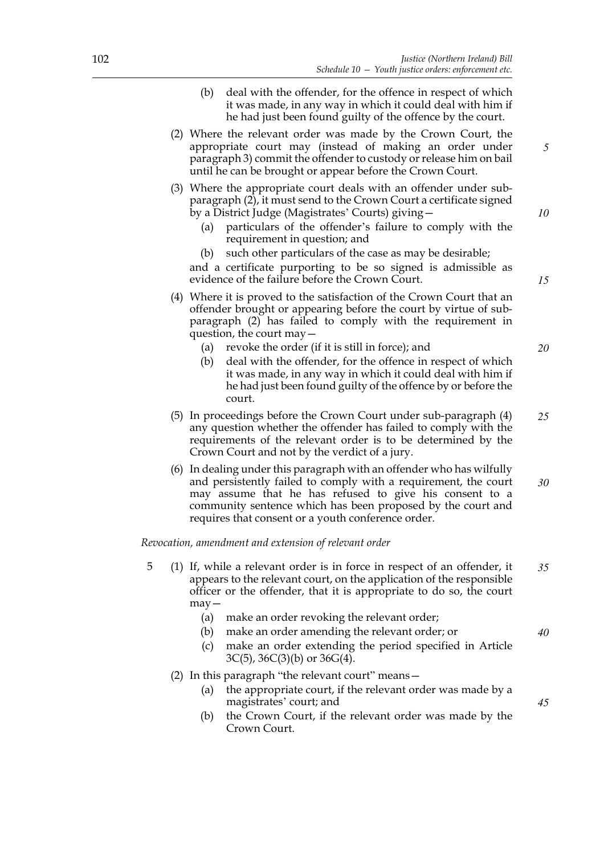- (b) deal with the offender, for the offence in respect of which it was made, in any way in which it could deal with him if he had just been found guilty of the offence by the court.
- (2) Where the relevant order was made by the Crown Court, the appropriate court may (instead of making an order under paragraph 3) commit the offender to custody or release him on bail until he can be brought or appear before the Crown Court.
- (3) Where the appropriate court deals with an offender under subparagraph (2), it must send to the Crown Court a certificate signed by a District Judge (Magistrates' Courts) giving—
	- (a) particulars of the offender's failure to comply with the requirement in question; and
	- (b) such other particulars of the case as may be desirable;

and a certificate purporting to be so signed is admissible as evidence of the failure before the Crown Court.

- (4) Where it is proved to the satisfaction of the Crown Court that an offender brought or appearing before the court by virtue of subparagraph (2) has failed to comply with the requirement in question, the court may—
	- (a) revoke the order (if it is still in force); and
	- (b) deal with the offender, for the offence in respect of which it was made, in any way in which it could deal with him if he had just been found guilty of the offence by or before the court.
- (5) In proceedings before the Crown Court under sub-paragraph (4) any question whether the offender has failed to comply with the requirements of the relevant order is to be determined by the Crown Court and not by the verdict of a jury. *25*
- (6) In dealing under this paragraph with an offender who has wilfully and persistently failed to comply with a requirement, the court may assume that he has refused to give his consent to a community sentence which has been proposed by the court and requires that consent or a youth conference order. *30*

*Revocation, amendment and extension of relevant order*

- 5 (1) If, while a relevant order is in force in respect of an offender, it appears to the relevant court, on the application of the responsible officer or the offender, that it is appropriate to do so, the court may— *35*
	- (a) make an order revoking the relevant order;
	- (b) make an order amending the relevant order; or
	- (c) make an order extending the period specified in Article  $3C(5)$ ,  $36C(3)(b)$  or  $36G(4)$ .
	- (2) In this paragraph "the relevant court" means—
		- (a) the appropriate court, if the relevant order was made by a magistrates' court; and
		- (b) the Crown Court, if the relevant order was made by the Crown Court.

*10*

*5*

*20*

*40*

*45*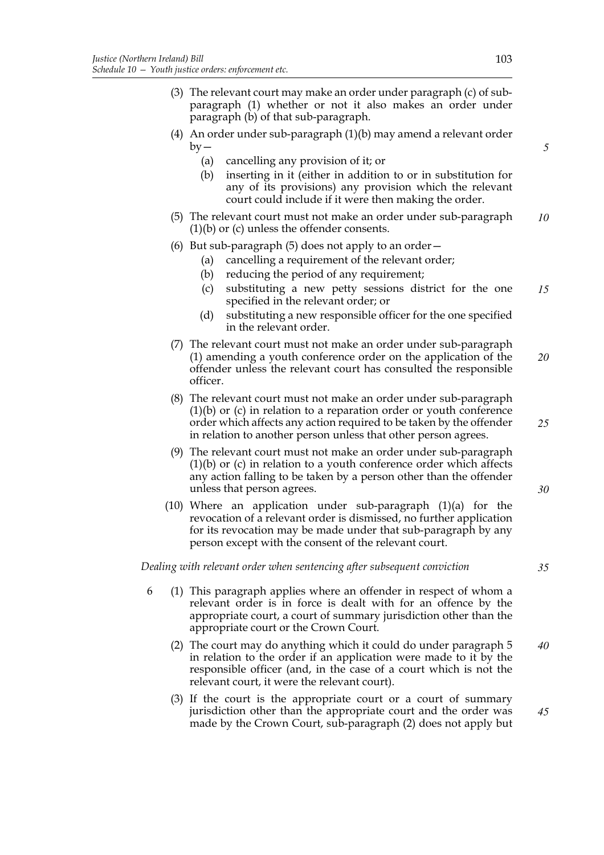- (3) The relevant court may make an order under paragraph (c) of subparagraph (1) whether or not it also makes an order under paragraph (b) of that sub-paragraph.
- (4) An order under sub-paragraph (1)(b) may amend a relevant order  $by -$ 
	- (a) cancelling any provision of it; or
	- (b) inserting in it (either in addition to or in substitution for any of its provisions) any provision which the relevant court could include if it were then making the order.
- (5) The relevant court must not make an order under sub-paragraph (1)(b) or (c) unless the offender consents. *10*
- (6) But sub-paragraph (5) does not apply to an order—
	- (a) cancelling a requirement of the relevant order;
	- (b) reducing the period of any requirement;
	- (c) substituting a new petty sessions district for the one specified in the relevant order; or *15*
	- (d) substituting a new responsible officer for the one specified in the relevant order.
- (7) The relevant court must not make an order under sub-paragraph (1) amending a youth conference order on the application of the offender unless the relevant court has consulted the responsible officer. *20*
- (8) The relevant court must not make an order under sub-paragraph (1)(b) or (c) in relation to a reparation order or youth conference order which affects any action required to be taken by the offender in relation to another person unless that other person agrees. *25*
- (9) The relevant court must not make an order under sub-paragraph (1)(b) or (c) in relation to a youth conference order which affects any action falling to be taken by a person other than the offender unless that person agrees.
- (10) Where an application under sub-paragraph (1)(a) for the revocation of a relevant order is dismissed, no further application for its revocation may be made under that sub-paragraph by any person except with the consent of the relevant court.

*Dealing with relevant order when sentencing after subsequent conviction*

- 6 (1) This paragraph applies where an offender in respect of whom a relevant order is in force is dealt with for an offence by the appropriate court, a court of summary jurisdiction other than the appropriate court or the Crown Court.
	- (2) The court may do anything which it could do under paragraph 5 in relation to the order if an application were made to it by the responsible officer (and, in the case of a court which is not the relevant court, it were the relevant court). *40*
	- (3) If the court is the appropriate court or a court of summary jurisdiction other than the appropriate court and the order was made by the Crown Court, sub-paragraph (2) does not apply but *45*

*5*

*30*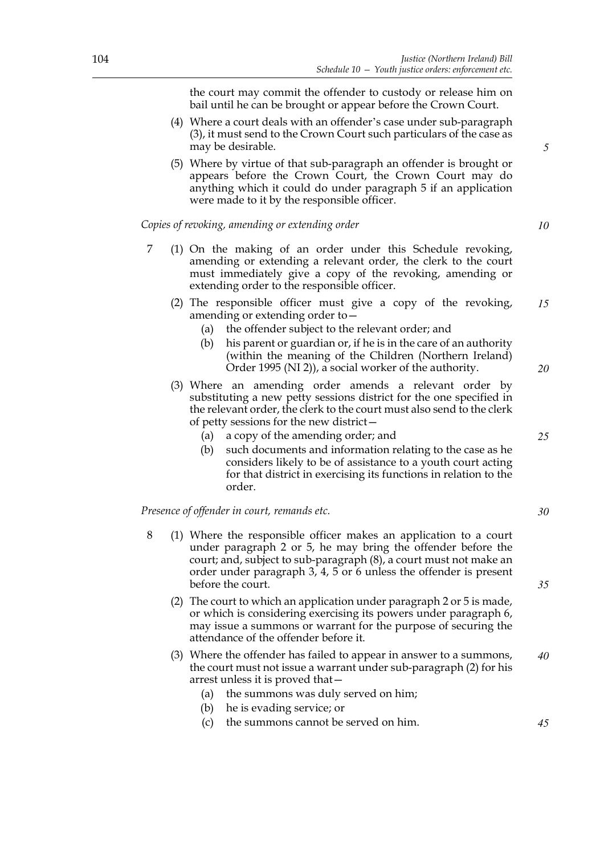the court may commit the offender to custody or release him on bail until he can be brought or appear before the Crown Court.

- (4) Where a court deals with an offender's case under sub-paragraph (3), it must send to the Crown Court such particulars of the case as may be desirable.
- (5) Where by virtue of that sub-paragraph an offender is brought or appears before the Crown Court, the Crown Court may do anything which it could do under paragraph 5 if an application were made to it by the responsible officer.

*Copies of revoking, amending or extending order*

- 7 (1) On the making of an order under this Schedule revoking, amending or extending a relevant order, the clerk to the court must immediately give a copy of the revoking, amending or extending order to the responsible officer.
	- (2) The responsible officer must give a copy of the revoking, amending or extending order to— *15*
		- (a) the offender subject to the relevant order; and
		- (b) his parent or guardian or, if he is in the care of an authority (within the meaning of the Children (Northern Ireland) Order 1995 (NI 2)), a social worker of the authority.
	- (3) Where an amending order amends a relevant order by substituting a new petty sessions district for the one specified in the relevant order, the clerk to the court must also send to the clerk of petty sessions for the new district—
		- (a) a copy of the amending order; and
		- (b) such documents and information relating to the case as he considers likely to be of assistance to a youth court acting for that district in exercising its functions in relation to the order.

*Presence of offender in court, remands etc.*

- 8 (1) Where the responsible officer makes an application to a court under paragraph 2 or 5, he may bring the offender before the court; and, subject to sub-paragraph (8), a court must not make an order under paragraph 3, 4, 5 or 6 unless the offender is present before the court.
	- (2) The court to which an application under paragraph 2 or 5 is made, or which is considering exercising its powers under paragraph 6, may issue a summons or warrant for the purpose of securing the attendance of the offender before it.
	- (3) Where the offender has failed to appear in answer to a summons, the court must not issue a warrant under sub-paragraph (2) for his arrest unless it is proved that— *40*
		- (a) the summons was duly served on him;
		- (b) he is evading service; or
		- (c) the summons cannot be served on him.

*45*

*10*

*5*

*25*

*30*

*35*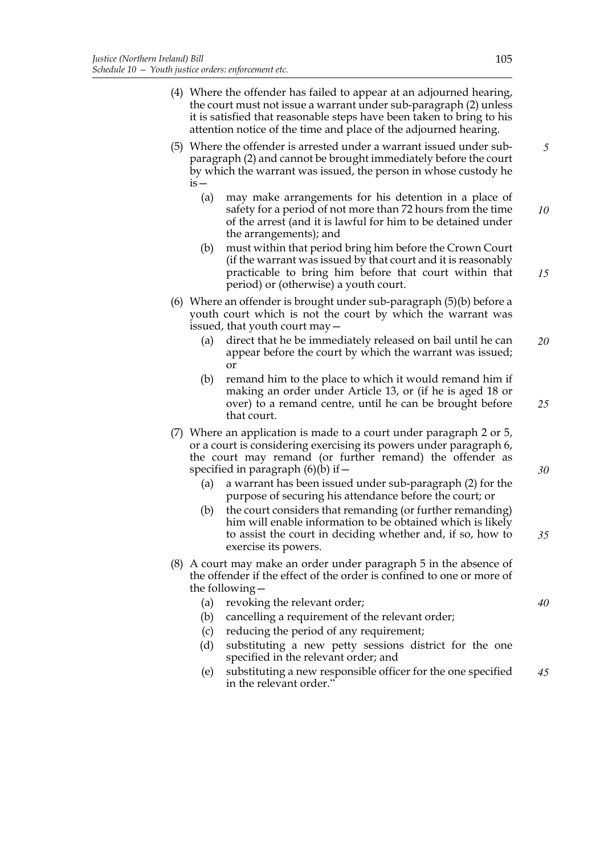- (4) Where the offender has failed to appear at an adjourned hearing, the court must not issue a warrant under sub-paragraph (2) unless it is satisfied that reasonable steps have been taken to bring to his attention notice of the time and place of the adjourned hearing.
- (5) Where the offender is arrested under a warrant issued under subparagraph (2) and cannot be brought immediately before the court by which the warrant was issued, the person in whose custody he  $is-$ *5*
	- (a) may make arrangements for his detention in a place of safety for a period of not more than 72 hours from the time of the arrest (and it is lawful for him to be detained under the arrangements); and *10*
	- (b) must within that period bring him before the Crown Court (if the warrant was issued by that court and it is reasonably practicable to bring him before that court within that period) or (otherwise) a youth court. *15*
- (6) Where an offender is brought under sub-paragraph (5)(b) before a youth court which is not the court by which the warrant was issued, that youth court may—
	- (a) direct that he be immediately released on bail until he can appear before the court by which the warrant was issued; or *20*
	- (b) remand him to the place to which it would remand him if making an order under Article 13, or (if he is aged 18 or over) to a remand centre, until he can be brought before that court.
- (7) Where an application is made to a court under paragraph 2 or 5, or a court is considering exercising its powers under paragraph 6, the court may remand (or further remand) the offender as specified in paragraph  $(6)(b)$  if  $-$ 
	- (a) a warrant has been issued under sub-paragraph (2) for the purpose of securing his attendance before the court; or
	- (b) the court considers that remanding (or further remanding) him will enable information to be obtained which is likely to assist the court in deciding whether and, if so, how to exercise its powers.
- (8) A court may make an order under paragraph 5 in the absence of the offender if the effect of the order is confined to one or more of the following—
	- (a) revoking the relevant order;
	- (b) cancelling a requirement of the relevant order;
	- (c) reducing the period of any requirement;
	- (d) substituting a new petty sessions district for the one specified in the relevant order; and
	- (e) substituting a new responsible officer for the one specified in the relevant order." *45*

*25*

*30*

*35*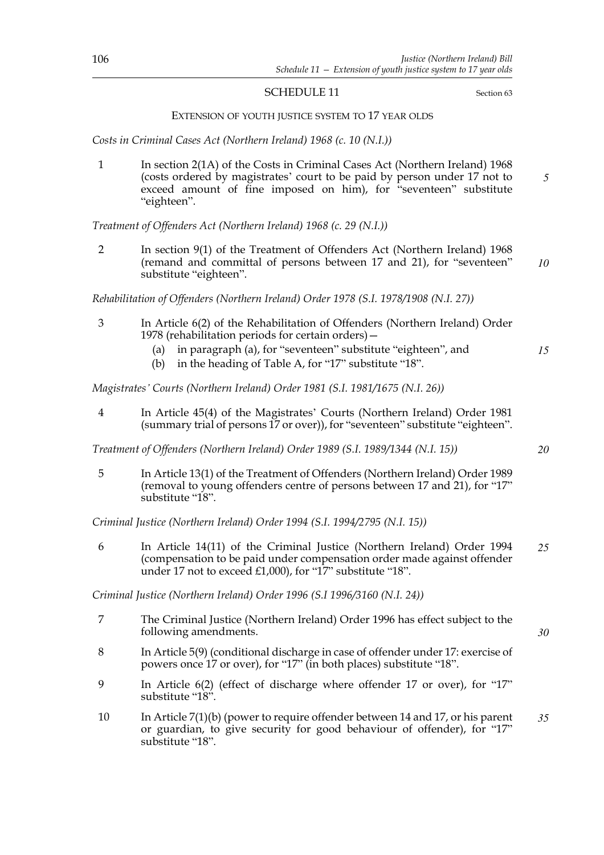#### SCHEDULE 11 Section 63

#### EXTENSION OF YOUTH JUSTICE SYSTEM TO 17 YEAR OLDS

*Costs in Criminal Cases Act (Northern Ireland) 1968 (c. 10 (N.I.))*

1 In section 2(1A) of the Costs in Criminal Cases Act (Northern Ireland) 1968 (costs ordered by magistrates' court to be paid by person under 17 not to exceed amount of fine imposed on him), for "seventeen" substitute "eighteen". *5*

*Treatment of Offenders Act (Northern Ireland) 1968 (c. 29 (N.I.))*

2 In section 9(1) of the Treatment of Offenders Act (Northern Ireland) 1968 (remand and committal of persons between 17 and 21), for "seventeen" substitute "eighteen". *10*

*Rehabilitation of Offenders (Northern Ireland) Order 1978 (S.I. 1978/1908 (N.I. 27))*

- 3 In Article 6(2) of the Rehabilitation of Offenders (Northern Ireland) Order 1978 (rehabilitation periods for certain orders)—
	- (a) in paragraph (a), for "seventeen" substitute "eighteen", and
	- (b) in the heading of Table A, for "17" substitute "18".

*Magistrates' Courts (Northern Ireland) Order 1981 (S.I. 1981/1675 (N.I. 26))*

4 In Article 45(4) of the Magistrates' Courts (Northern Ireland) Order 1981 (summary trial of persons 17 or over)), for "seventeen" substitute "eighteen".

*Treatment of Offenders (Northern Ireland) Order 1989 (S.I. 1989/1344 (N.I. 15))*

5 In Article 13(1) of the Treatment of Offenders (Northern Ireland) Order 1989 (removal to young offenders centre of persons between 17 and 21), for "17" substitute "18".

*Criminal Justice (Northern Ireland) Order 1994 (S.I. 1994/2795 (N.I. 15))*

6 In Article 14(11) of the Criminal Justice (Northern Ireland) Order 1994 (compensation to be paid under compensation order made against offender under 17 not to exceed £1,000), for "17" substitute "18". *25*

*Criminal Justice (Northern Ireland) Order 1996 (S.I 1996/3160 (N.I. 24))*

- 7 The Criminal Justice (Northern Ireland) Order 1996 has effect subject to the following amendments.
- 8 In Article 5(9) (conditional discharge in case of offender under 17: exercise of powers once 17 or over), for "17" (in both places) substitute "18".
- 9 In Article 6(2) (effect of discharge where offender 17 or over), for "17" substitute "18".
- 10 In Article 7(1)(b) (power to require offender between 14 and 17, or his parent or guardian, to give security for good behaviour of offender), for "17" substitute "18". *35*

*20*

*15*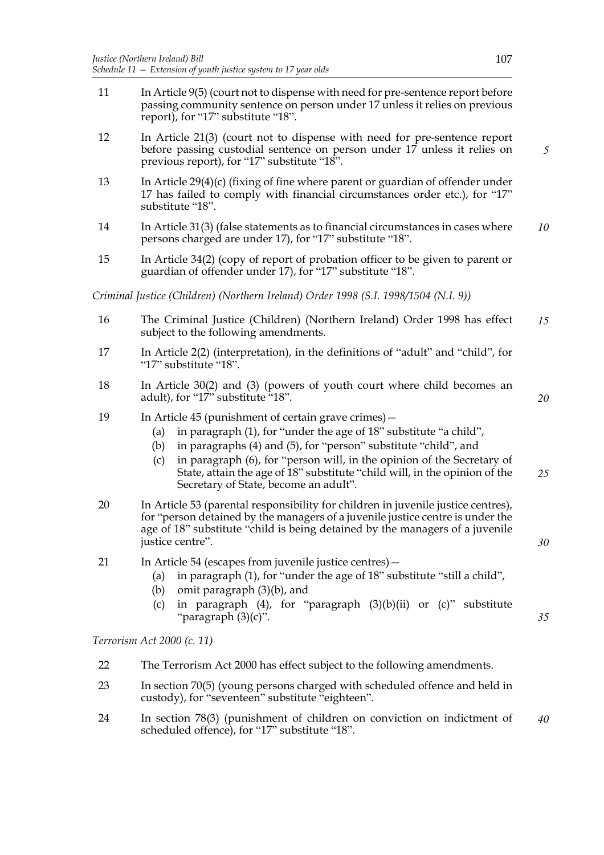11 In Article 9(5) (court not to dispense with need for pre-sentence report before passing community sentence on person under 17 unless it relies on previous report), for "17" substitute "18". 12 In Article 21(3) (court not to dispense with need for pre-sentence report before passing custodial sentence on person under 17 unless it relies on previous report), for "17" substitute "18". 13 In Article 29(4)(c) (fixing of fine where parent or guardian of offender under 17 has failed to comply with financial circumstances order etc.), for "17" substitute "18". 14 In Article 31(3) (false statements as to financial circumstances in cases where persons charged are under 17), for "17" substitute "18". 15 In Article 34(2) (copy of report of probation officer to be given to parent or guardian of offender under 17), for "17" substitute "18". *Criminal Justice (Children) (Northern Ireland) Order 1998 (S.I. 1998/1504 (N.I. 9))* 16 The Criminal Justice (Children) (Northern Ireland) Order 1998 has effect subject to the following amendments. 17 In Article 2(2) (interpretation), in the definitions of "adult" and "child", for "17" substitute "18". 18 In Article 30(2) and (3) (powers of youth court where child becomes an adult), for "17" substitute "18". 19 In Article 45 (punishment of certain grave crimes) – (a) in paragraph (1), for "under the age of 18" substitute "a child", (b) in paragraphs (4) and (5), for "person" substitute "child", and (c) in paragraph (6), for "person will, in the opinion of the Secretary of State, attain the age of 18" substitute "child will, in the opinion of the Secretary of State, become an adult". 20 In Article 53 (parental responsibility for children in juvenile justice centres), for "person detained by the managers of a juvenile justice centre is under the age of 18" substitute "child is being detained by the managers of a juvenile justice centre". 21 In Article 54 (escapes from juvenile justice centres)— (a) in paragraph (1), for "under the age of 18" substitute "still a child", (b) omit paragraph (3)(b), and (c) in paragraph (4), for "paragraph (3)(b)(ii) or (c)" substitute "paragraph (3)(c)". *5 10 15 20 25 30 35*

*Terrorism Act 2000 (c. 11)*

- 22 The Terrorism Act 2000 has effect subject to the following amendments.
- 23 In section 70(5) (young persons charged with scheduled offence and held in custody), for "seventeen" substitute "eighteen".
- 24 In section 78(3) (punishment of children on conviction on indictment of scheduled offence), for "17" substitute "18". *40*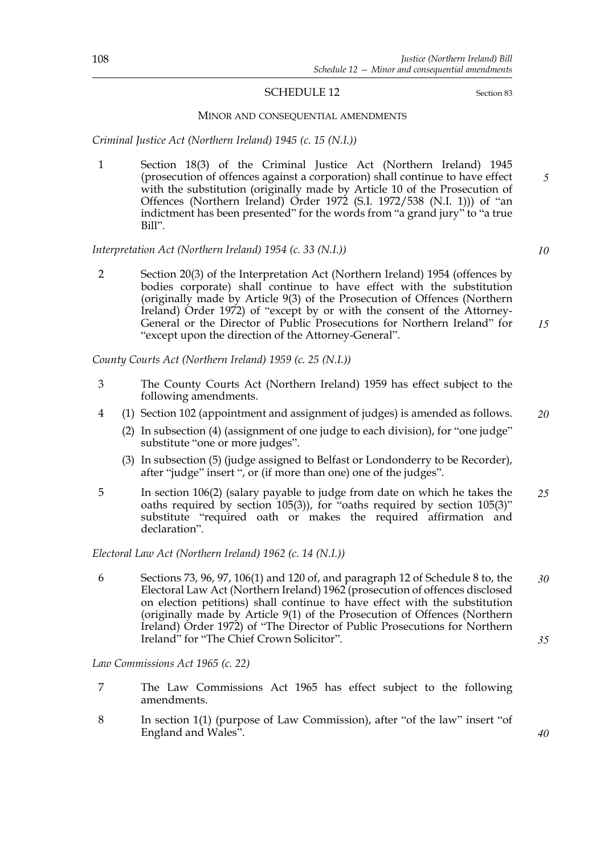## SCHEDULE 12 Section 83

#### MINOR AND CONSEQUENTIAL AMENDMENTS

*Criminal Justice Act (Northern Ireland) 1945 (c. 15 (N.I.))*

1 Section 18(3) of the Criminal Justice Act (Northern Ireland) 1945 (prosecution of offences against a corporation) shall continue to have effect with the substitution (originally made by Article 10 of the Prosecution of Offences (Northern Ireland) Order 1972 (S.I. 1972/538 (N.I. 1))) of "an indictment has been presented" for the words from "a grand jury" to "a true Bill". *5*

*Interpretation Act (Northern Ireland) 1954 (c. 33 (N.I.))*

2 Section 20(3) of the Interpretation Act (Northern Ireland) 1954 (offences by bodies corporate) shall continue to have effect with the substitution (originally made by Article 9(3) of the Prosecution of Offences (Northern Ireland) Order 1972) of "except by or with the consent of the Attorney-General or the Director of Public Prosecutions for Northern Ireland" for "except upon the direction of the Attorney-General". *15*

*County Courts Act (Northern Ireland) 1959 (c. 25 (N.I.))*

- 3 The County Courts Act (Northern Ireland) 1959 has effect subject to the following amendments.
- 4 (1) Section 102 (appointment and assignment of judges) is amended as follows.
	- (2) In subsection (4) (assignment of one judge to each division), for "one judge" substitute "one or more judges".
	- (3) In subsection (5) (judge assigned to Belfast or Londonderry to be Recorder), after "judge" insert ", or (if more than one) one of the judges".
- 5 In section 106(2) (salary payable to judge from date on which he takes the oaths required by section 105(3)), for "oaths required by section 105(3)" substitute "required oath or makes the required affirmation and declaration". *25*

*Electoral Law Act (Northern Ireland) 1962 (c. 14 (N.I.))*

6 Sections 73, 96, 97, 106(1) and 120 of, and paragraph 12 of Schedule 8 to, the Electoral Law Act (Northern Ireland) 1962 (prosecution of offences disclosed on election petitions) shall continue to have effect with the substitution (originally made by Article 9(1) of the Prosecution of Offences (Northern Ireland) Order 1972) of "The Director of Public Prosecutions for Northern Ireland" for "The Chief Crown Solicitor". *30 35*

*Law Commissions Act 1965 (c. 22)*

- 7 The Law Commissions Act 1965 has effect subject to the following amendments.
- 8 In section 1(1) (purpose of Law Commission), after "of the law" insert "of England and Wales".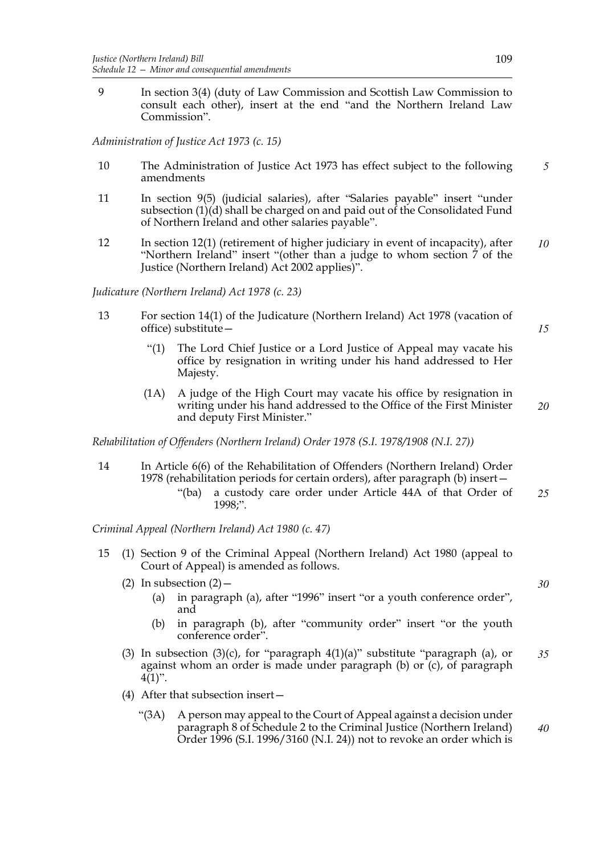9 In section 3(4) (duty of Law Commission and Scottish Law Commission to consult each other), insert at the end "and the Northern Ireland Law Commission".

*Administration of Justice Act 1973 (c. 15)*

- 10 The Administration of Justice Act 1973 has effect subject to the following amendments *5*
- 11 In section 9(5) (judicial salaries), after "Salaries payable" insert "under subsection  $(1)(d)$  shall be charged on and paid out of the Consolidated Fund of Northern Ireland and other salaries payable".
- 12 In section 12(1) (retirement of higher judiciary in event of incapacity), after "Northern Ireland" insert "(other than a judge to whom section 7 of the Justice (Northern Ireland) Act 2002 applies)". *10*

*Judicature (Northern Ireland) Act 1978 (c. 23)*

- 13 For section 14(1) of the Judicature (Northern Ireland) Act 1978 (vacation of office) substitute—
	- "(1) The Lord Chief Justice or a Lord Justice of Appeal may vacate his office by resignation in writing under his hand addressed to Her Majesty.
	- (1A) A judge of the High Court may vacate his office by resignation in writing under his hand addressed to the Office of the First Minister and deputy First Minister."

*Rehabilitation of Offenders (Northern Ireland) Order 1978 (S.I. 1978/1908 (N.I. 27))*

- 14 In Article 6(6) of the Rehabilitation of Offenders (Northern Ireland) Order 1978 (rehabilitation periods for certain orders), after paragraph (b) insert—
	- "(ba) a custody care order under Article 44A of that Order of 1998;". *25*

*Criminal Appeal (Northern Ireland) Act 1980 (c. 47)*

- 15 (1) Section 9 of the Criminal Appeal (Northern Ireland) Act 1980 (appeal to Court of Appeal) is amended as follows.
	- (2) In subsection  $(2)$ 
		- (a) in paragraph (a), after "1996" insert "or a youth conference order", and
		- (b) in paragraph (b), after "community order" insert "or the youth conference order".
	- (3) In subsection (3)(c), for "paragraph  $4(1)(a)$ " substitute "paragraph (a), or against whom an order is made under paragraph (b) or (c), of paragraph  $4(1)$ ". *35*
	- (4) After that subsection insert—
		- "(3A) A person may appeal to the Court of Appeal against a decision under paragraph 8 of Schedule 2 to the Criminal Justice (Northern Ireland) Order 1996 (S.I. 1996/3160 (N.I. 24)) not to revoke an order which is *40*

*30*

*15*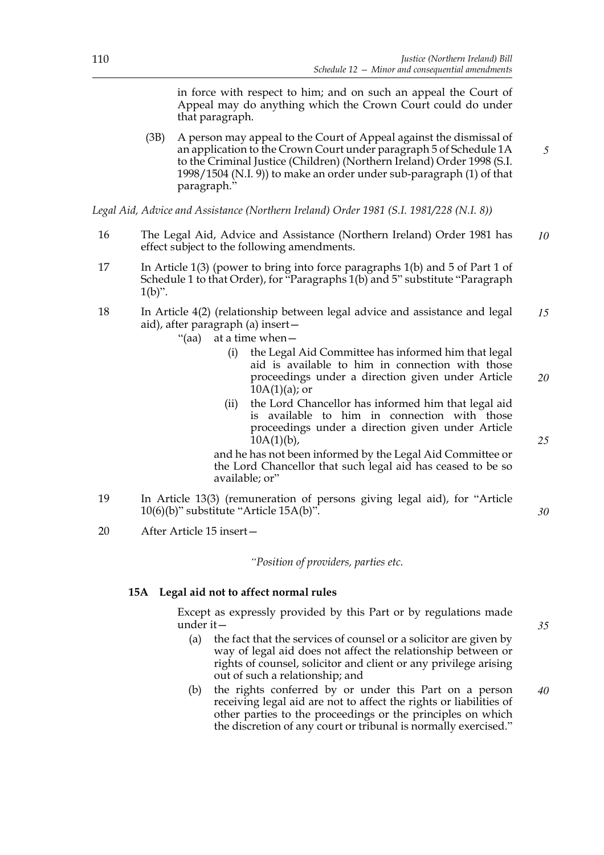in force with respect to him; and on such an appeal the Court of Appeal may do anything which the Crown Court could do under that paragraph.

(3B) A person may appeal to the Court of Appeal against the dismissal of an application to the Crown Court under paragraph 5 of Schedule 1A to the Criminal Justice (Children) (Northern Ireland) Order 1998 (S.I. 1998/1504 (N.I. 9)) to make an order under sub-paragraph (1) of that paragraph."

*Legal Aid, Advice and Assistance (Northern Ireland) Order 1981 (S.I. 1981/228 (N.I. 8))*

- 16 The Legal Aid, Advice and Assistance (Northern Ireland) Order 1981 has effect subject to the following amendments. *10*
- 17 In Article 1(3) (power to bring into force paragraphs 1(b) and 5 of Part 1 of Schedule 1 to that Order), for "Paragraphs 1(b) and 5" substitute "Paragraph  $1(b)$ ".
- 18 In Article 4(2) (relationship between legal advice and assistance and legal aid), after paragraph (a) insert— *15*
	- "(aa) at a time when—
		- (i) the Legal Aid Committee has informed him that legal aid is available to him in connection with those proceedings under a direction given under Article  $10A(1)(a)$ ; or *20*
		- (ii) the Lord Chancellor has informed him that legal aid is available to him in connection with those proceedings under a direction given under Article  $10A(1)(b)$ ,

and he has not been informed by the Legal Aid Committee or the Lord Chancellor that such legal aid has ceased to be so available; or"

- 19 In Article 13(3) (remuneration of persons giving legal aid), for "Article 10(6)(b)" substitute "Article 15A(b)".
- 20 After Article 15 insert—

*"Position of providers, parties etc.*

### **15A Legal aid not to affect normal rules**

Except as expressly provided by this Part or by regulations made under it—

- (a) the fact that the services of counsel or a solicitor are given by way of legal aid does not affect the relationship between or rights of counsel, solicitor and client or any privilege arising out of such a relationship; and
- (b) the rights conferred by or under this Part on a person receiving legal aid are not to affect the rights or liabilities of other parties to the proceedings or the principles on which the discretion of any court or tribunal is normally exercised." *40*

*35*

*25*

*30*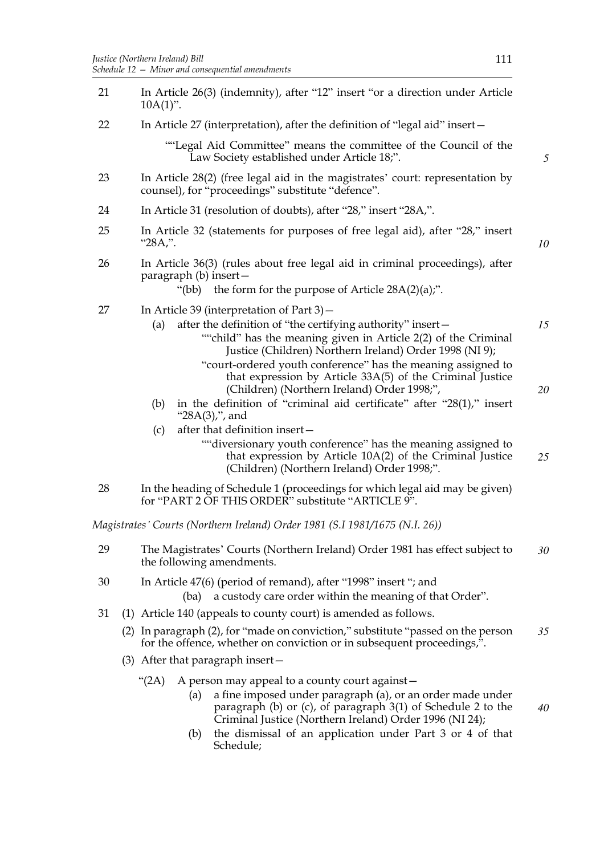- 21 In Article 26(3) (indemnity), after "12" insert "or a direction under Article  $10A(1)$ ". 22 In Article 27 (interpretation), after the definition of "legal aid" insert— ""Legal Aid Committee" means the committee of the Council of the Law Society established under Article 18;". 23 In Article 28(2) (free legal aid in the magistrates' court: representation by counsel), for "proceedings" substitute "defence". 24 In Article 31 (resolution of doubts), after "28," insert "28A,". 25 In Article 32 (statements for purposes of free legal aid), after "28," insert "28A,". 26 In Article 36(3) (rules about free legal aid in criminal proceedings), after paragraph (b) insert— "(bb) the form for the purpose of Article  $28A(2)(a)$ ;". 27 In Article 39 (interpretation of Part 3)— (a) after the definition of "the certifying authority" insert— ""child" has the meaning given in Article 2(2) of the Criminal Justice (Children) Northern Ireland) Order 1998 (NI 9); "court-ordered youth conference" has the meaning assigned to that expression by Article 33A(5) of the Criminal Justice (Children) (Northern Ireland) Order 1998;", (b) in the definition of "criminal aid certificate" after "28(1)," insert "28A(3),", and (c) after that definition insert— ""diversionary youth conference" has the meaning assigned to that expression by Article 10A(2) of the Criminal Justice (Children) (Northern Ireland) Order 1998;". 28 In the heading of Schedule 1 (proceedings for which legal aid may be given) for "PART 2 OF THIS ORDER" substitute "ARTICLE 9". *Magistrates' Courts (Northern Ireland) Order 1981 (S.I 1981/1675 (N.I. 26))* 29 The Magistrates' Courts (Northern Ireland) Order 1981 has effect subject to the following amendments. 30 In Article 47(6) (period of remand), after "1998" insert "; and (ba) a custody care order within the meaning of that Order". 31 (1) Article 140 (appeals to county court) is amended as follows. (2) In paragraph (2), for "made on conviction," substitute "passed on the person for the offence, whether on conviction or in subsequent proceedings,". (3) After that paragraph insert— "(2A) A person may appeal to a county court against— (a) a fine imposed under paragraph (a), or an order made under paragraph (b) or (c), of paragraph 3(1) of Schedule 2 to the Criminal Justice (Northern Ireland) Order 1996 (NI 24); *5 10 15 20 25 30 35 40*
	- (b) the dismissal of an application under Part 3 or 4 of that Schedule;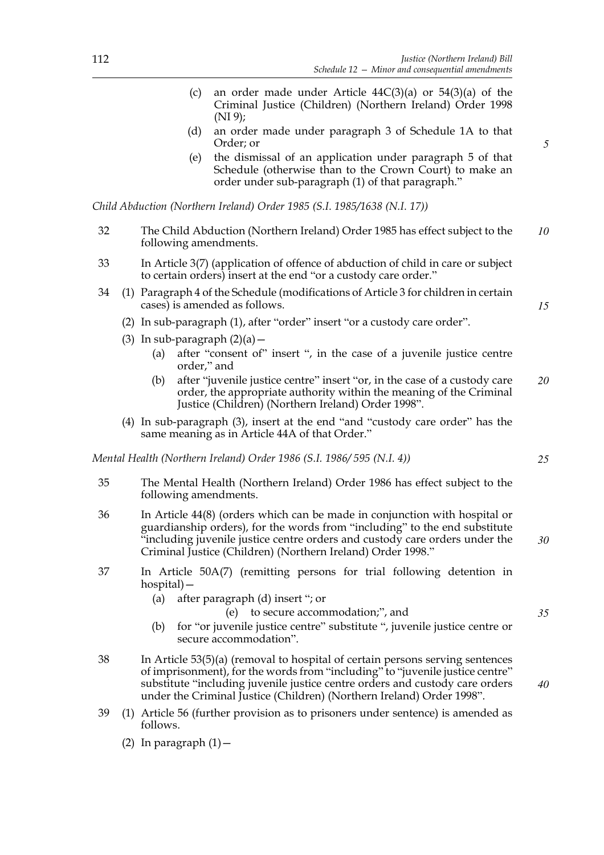- (c) an order made under Article  $44C(3)(a)$  or  $54(3)(a)$  of the Criminal Justice (Children) (Northern Ireland) Order 1998 (NI 9);
- (d) an order made under paragraph 3 of Schedule 1A to that Order; or
- (e) the dismissal of an application under paragraph 5 of that Schedule (otherwise than to the Crown Court) to make an order under sub-paragraph (1) of that paragraph."

*Child Abduction (Northern Ireland) Order 1985 (S.I. 1985/1638 (N.I. 17))*

- 32 The Child Abduction (Northern Ireland) Order 1985 has effect subject to the following amendments. *10*
- 33 In Article 3(7) (application of offence of abduction of child in care or subject to certain orders) insert at the end "or a custody care order."
- 34 (1) Paragraph 4 of the Schedule (modifications of Article 3 for children in certain cases) is amended as follows.
	- (2) In sub-paragraph (1), after "order" insert "or a custody care order".
	- (3) In sub-paragraph  $(2)(a)$ 
		- (a) after "consent of" insert ", in the case of a juvenile justice centre order," and
		- (b) after "juvenile justice centre" insert "or, in the case of a custody care order, the appropriate authority within the meaning of the Criminal Justice (Children) (Northern Ireland) Order 1998". *20*
	- (4) In sub-paragraph (3), insert at the end "and "custody care order" has the same meaning as in Article 44A of that Order."

*Mental Health (Northern Ireland) Order 1986 (S.I. 1986/ 595 (N.I. 4))*

- 35 The Mental Health (Northern Ireland) Order 1986 has effect subject to the following amendments.
- 36 In Article 44(8) (orders which can be made in conjunction with hospital or guardianship orders), for the words from "including" to the end substitute  $\dddot{\mathbf{v}}$  including juvenile justice centre orders and custody care orders under the Criminal Justice (Children) (Northern Ireland) Order 1998."
- 37 In Article 50A(7) (remitting persons for trial following detention in hospital)—
	- (a) after paragraph (d) insert "; or
		- (e) to secure accommodation;", and
	- (b) for "or juvenile justice centre" substitute ", juvenile justice centre or secure accommodation".
- 38 In Article 53(5)(a) (removal to hospital of certain persons serving sentences of imprisonment), for the words from "including" to "juvenile justice centre" substitute "including juvenile justice centre orders and custody care orders under the Criminal Justice (Children) (Northern Ireland) Order 1998".
- 39 (1) Article 56 (further provision as to prisoners under sentence) is amended as follows.
	- (2) In paragraph  $(1)$  -

*25*

*15*

*5*

*30*

*35*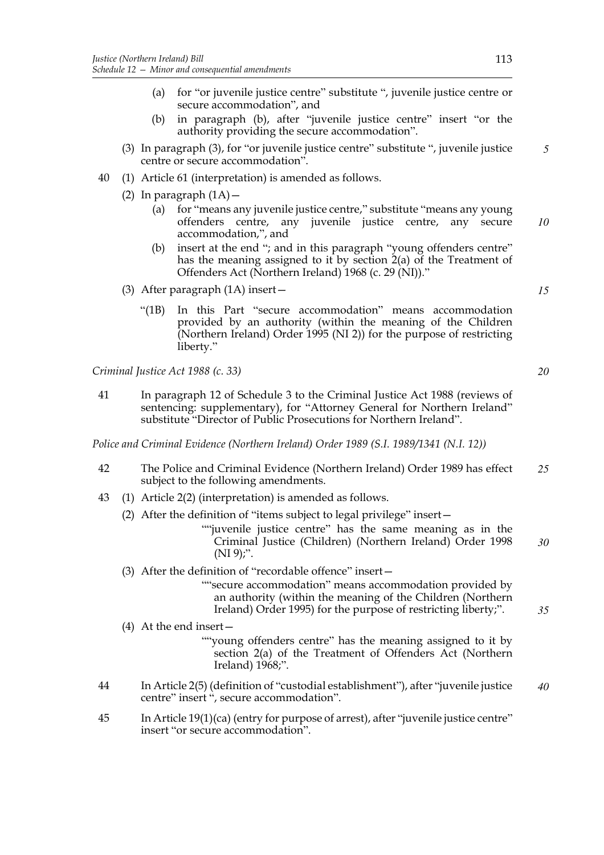- (a) for "or juvenile justice centre" substitute ", juvenile justice centre or secure accommodation", and
- (b) in paragraph (b), after "juvenile justice centre" insert "or the authority providing the secure accommodation".
- (3) In paragraph (3), for "or juvenile justice centre" substitute ", juvenile justice centre or secure accommodation". *5*
- 40 (1) Article 61 (interpretation) is amended as follows.
	- (2) In paragraph  $(1A)$  -
		- (a) for "means any juvenile justice centre," substitute "means any young offenders centre, any juvenile justice centre, any secure accommodation,", and *10*
		- (b) insert at the end "; and in this paragraph "young offenders centre" has the meaning assigned to it by section 2(a) of the Treatment of Offenders Act (Northern Ireland) 1968 (c. 29 (NI))."
	- (3) After paragraph (1A) insert—
		- "(1B) In this Part "secure accommodation" means accommodation provided by an authority (within the meaning of the Children (Northern Ireland) Order 1995 (NI 2)) for the purpose of restricting liberty."

*Criminal Justice Act 1988 (c. 33)*

41 In paragraph 12 of Schedule 3 to the Criminal Justice Act 1988 (reviews of sentencing: supplementary), for "Attorney General for Northern Ireland" substitute "Director of Public Prosecutions for Northern Ireland".

*Police and Criminal Evidence (Northern Ireland) Order 1989 (S.I. 1989/1341 (N.I. 12))*

- 42 The Police and Criminal Evidence (Northern Ireland) Order 1989 has effect subject to the following amendments. *25*
- 43 (1) Article 2(2) (interpretation) is amended as follows.
	- (2) After the definition of "items subject to legal privilege" insert—
		- ""juvenile justice centre" has the same meaning as in the Criminal Justice (Children) (Northern Ireland) Order 1998  $(NI 9)$ ;". *30*
	- (3) After the definition of "recordable offence" insert—
		- ""secure accommodation" means accommodation provided by an authority (within the meaning of the Children (Northern Ireland) Order 1995) for the purpose of restricting liberty;".
	- (4) At the end insert—
		- ""young offenders centre" has the meaning assigned to it by section 2(a) of the Treatment of Offenders Act (Northern Ireland) 1968;".
- 44 In Article 2(5) (definition of "custodial establishment"), after "juvenile justice centre" insert ", secure accommodation". *40*
- 45 In Article 19(1)(ca) (entry for purpose of arrest), after "juvenile justice centre" insert "or secure accommodation".

*15*

*20*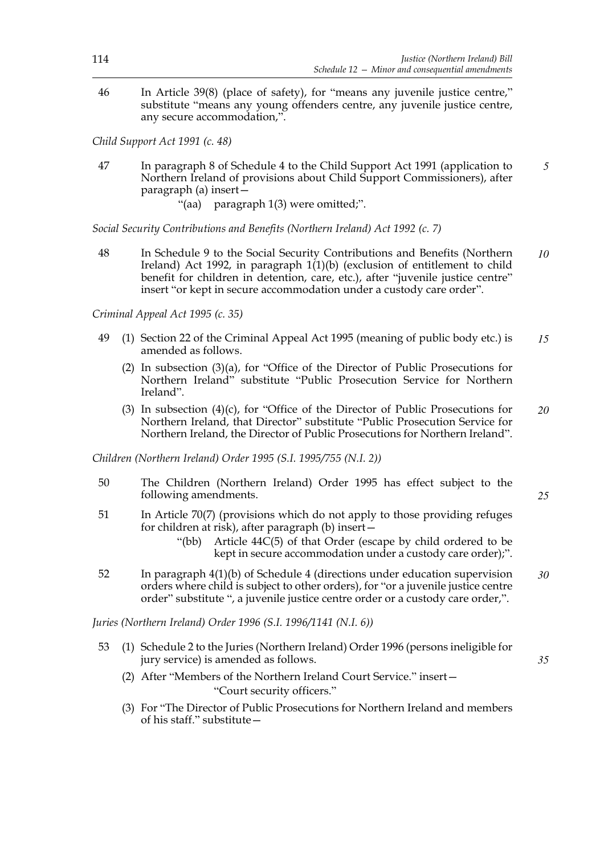46 In Article 39(8) (place of safety), for "means any juvenile justice centre," substitute "means any young offenders centre, any juvenile justice centre, any secure accommodation,".

*Child Support Act 1991 (c. 48)*

- 47 In paragraph 8 of Schedule 4 to the Child Support Act 1991 (application to Northern Ireland of provisions about Child Support Commissioners), after paragraph (a) insert— *5*
	- "(aa) paragraph 1(3) were omitted;".

*Social Security Contributions and Benefits (Northern Ireland) Act 1992 (c. 7)*

48 In Schedule 9 to the Social Security Contributions and Benefits (Northern Ireland) Act 1992, in paragraph 1(1)(b) (exclusion of entitlement to child benefit for children in detention, care, etc.), after "juvenile justice centre" insert "or kept in secure accommodation under a custody care order". *10*

*Criminal Appeal Act 1995 (c. 35)*

- 49 (1) Section 22 of the Criminal Appeal Act 1995 (meaning of public body etc.) is amended as follows. *15*
	- (2) In subsection (3)(a), for "Office of the Director of Public Prosecutions for Northern Ireland" substitute "Public Prosecution Service for Northern Ireland".
	- (3) In subsection (4)(c), for "Office of the Director of Public Prosecutions for Northern Ireland, that Director" substitute "Public Prosecution Service for Northern Ireland, the Director of Public Prosecutions for Northern Ireland". *20*

*Children (Northern Ireland) Order 1995 (S.I. 1995/755 (N.I. 2))*

- 50 The Children (Northern Ireland) Order 1995 has effect subject to the following amendments.
- 51 In Article 70(7) (provisions which do not apply to those providing refuges for children at risk), after paragraph (b) insert—
	- "(bb) Article 44C(5) of that Order (escape by child ordered to be kept in secure accommodation under a custody care order);".
- 52 In paragraph 4(1)(b) of Schedule 4 (directions under education supervision orders where child is subject to other orders), for "or a juvenile justice centre order" substitute ", a juvenile justice centre order or a custody care order,". *30*

*Juries (Northern Ireland) Order 1996 (S.I. 1996/1141 (N.I. 6))*

- 53 (1) Schedule 2 to the Juries (Northern Ireland) Order 1996 (persons ineligible for jury service) is amended as follows.
	- (2) After "Members of the Northern Ireland Court Service." insert— "Court security officers."
	- (3) For "The Director of Public Prosecutions for Northern Ireland and members of his staff." substitute—

*25*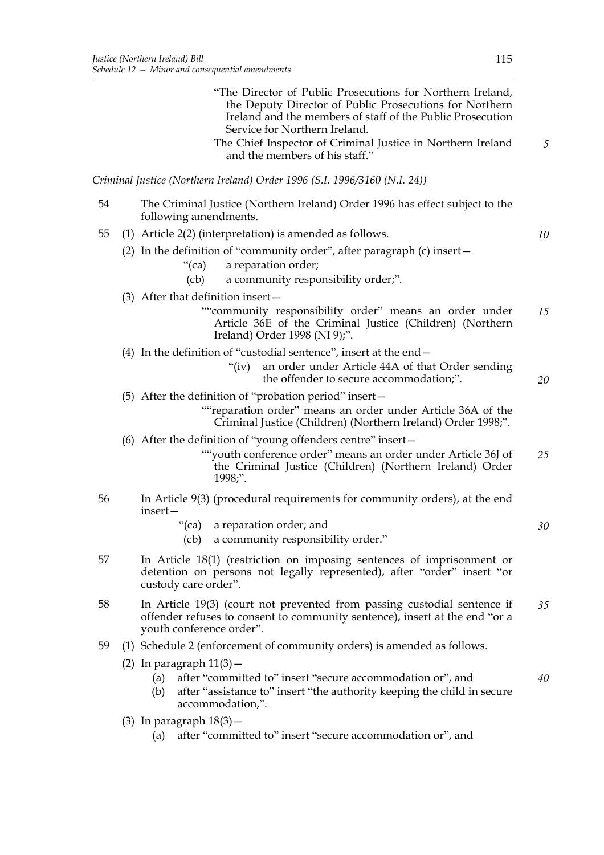|    | "The Director of Public Prosecutions for Northern Ireland,<br>the Deputy Director of Public Prosecutions for Northern<br>Ireland and the members of staff of the Public Prosecution<br>Service for Northern Ireland.<br>The Chief Inspector of Criminal Justice in Northern Ireland<br>and the members of his staff." | 5  |
|----|-----------------------------------------------------------------------------------------------------------------------------------------------------------------------------------------------------------------------------------------------------------------------------------------------------------------------|----|
|    | Criminal Justice (Northern Ireland) Order 1996 (S.I. 1996/3160 (N.I. 24))                                                                                                                                                                                                                                             |    |
| 54 | The Criminal Justice (Northern Ireland) Order 1996 has effect subject to the<br>following amendments.                                                                                                                                                                                                                 |    |
| 55 | (1) Article $2(2)$ (interpretation) is amended as follows.                                                                                                                                                                                                                                                            | 10 |
|    | (2) In the definition of "community order", after paragraph (c) insert-<br>a reparation order;<br>"(ca)                                                                                                                                                                                                               |    |
|    | a community responsibility order;".<br>(cb)                                                                                                                                                                                                                                                                           |    |
|    | (3) After that definition insert $-$<br>""community responsibility order" means an order under<br>Article 36E of the Criminal Justice (Children) (Northern<br>Ireland) Order 1998 (NI 9);".                                                                                                                           | 15 |
|    | (4) In the definition of "custodial sentence", insert at the end $-$<br>an order under Article 44A of that Order sending<br>" $(iv)$<br>the offender to secure accommodation;".                                                                                                                                       | 20 |
|    | (5) After the definition of "probation period" insert -                                                                                                                                                                                                                                                               |    |
|    | ""reparation order" means an order under Article 36A of the<br>Criminal Justice (Children) (Northern Ireland) Order 1998;".                                                                                                                                                                                           |    |
|    | (6) After the definition of "young offenders centre" insert-<br>""youth conference order" means an order under Article 36J of<br>the Criminal Justice (Children) (Northern Ireland) Order<br>1998;".                                                                                                                  | 25 |
| 56 | In Article 9(3) (procedural requirements for community orders), at the end<br>insert-                                                                                                                                                                                                                                 |    |
|    | "(ca) a reparation order; and<br>a community responsibility order."<br>$\left($ c $\mathsf{b}\right)$                                                                                                                                                                                                                 | 30 |
| 57 | In Article 18(1) (restriction on imposing sentences of imprisonment or<br>detention on persons not legally represented), after "order" insert "or<br>custody care order".                                                                                                                                             |    |
| 58 | In Article 19(3) (court not prevented from passing custodial sentence if<br>offender refuses to consent to community sentence), insert at the end "or a<br>youth conference order".                                                                                                                                   | 35 |
| 59 | (1) Schedule 2 (enforcement of community orders) is amended as follows.                                                                                                                                                                                                                                               |    |
|    | $(2)$ In paragraph $11(3)$ –                                                                                                                                                                                                                                                                                          |    |
|    | after "committed to" insert "secure accommodation or", and<br>(a)<br>after "assistance to" insert "the authority keeping the child in secure<br>(b)<br>accommodation,".                                                                                                                                               | 40 |
|    | $(3)$ In paragraph $18(3)$ –                                                                                                                                                                                                                                                                                          |    |
|    | $\alpha$ often "committed to" in eat" "cogure accommodation an" and                                                                                                                                                                                                                                                   |    |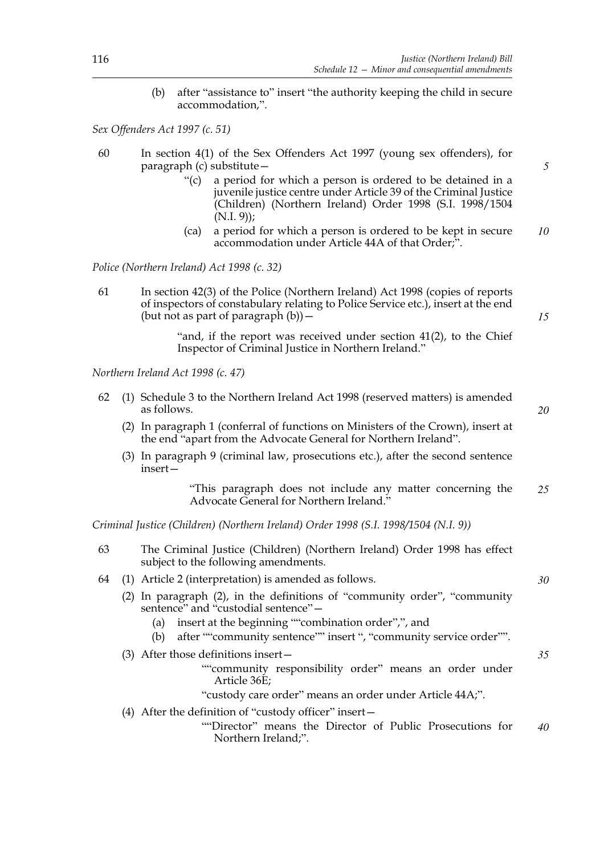(b) after "assistance to" insert "the authority keeping the child in secure accommodation,".

*Sex Offenders Act 1997 (c. 51)*

- 60 In section 4(1) of the Sex Offenders Act 1997 (young sex offenders), for paragraph (c) substitute—
	- "(c) a period for which a person is ordered to be detained in a juvenile justice centre under Article 39 of the Criminal Justice (Children) (Northern Ireland) Order 1998 (S.I. 1998/1504  $(N.I. 9)$ ;
	- (ca) a period for which a person is ordered to be kept in secure accommodation under Article 44A of that Order;". *10*

*Police (Northern Ireland) Act 1998 (c. 32)*

61 In section 42(3) of the Police (Northern Ireland) Act 1998 (copies of reports of inspectors of constabulary relating to Police Service etc.), insert at the end (but not as part of paragraph  $(b)$ ) –

> "and, if the report was received under section 41(2), to the Chief Inspector of Criminal Justice in Northern Ireland."

*Northern Ireland Act 1998 (c. 47)*

- 62 (1) Schedule 3 to the Northern Ireland Act 1998 (reserved matters) is amended as follows.
	- (2) In paragraph 1 (conferral of functions on Ministers of the Crown), insert at the end "apart from the Advocate General for Northern Ireland".
	- (3) In paragraph 9 (criminal law, prosecutions etc.), after the second sentence insert—

"This paragraph does not include any matter concerning the Advocate General for Northern Ireland." *25*

*Criminal Justice (Children) (Northern Ireland) Order 1998 (S.I. 1998/1504 (N.I. 9))*

- 63 The Criminal Justice (Children) (Northern Ireland) Order 1998 has effect subject to the following amendments.
- 64 (1) Article 2 (interpretation) is amended as follows.
	- (2) In paragraph (2), in the definitions of "community order", "community sentence" and "custodial sentence" -
		- (a) insert at the beginning ""combination order",", and
		- (b) after ""community sentence"" insert ", "community service order"".
	- (3) After those definitions insert—

""community responsibility order" means an order under Article 36E;

"custody care order" means an order under Article 44A;".

- (4) After the definition of "custody officer" insert—
	- ""Director" means the Director of Public Prosecutions for Northern Ireland;". *40*

*5*

*15*

*20*

*30*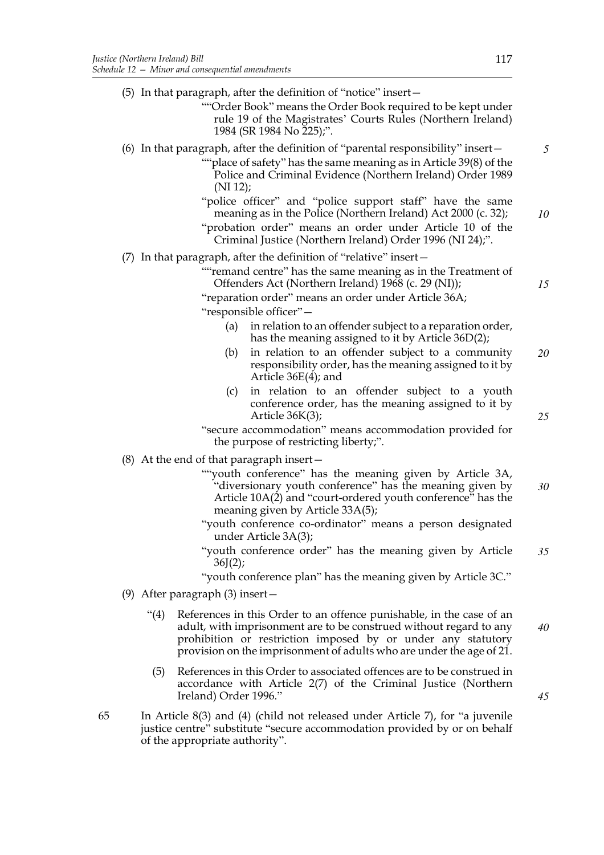|    |     |                                      | (5) In that paragraph, after the definition of "notice" insert-<br>"Order Book" means the Order Book required to be kept under<br>rule 19 of the Magistrates' Courts Rules (Northern Ireland)<br>1984 (SR 1984 No 225);".                                                          |  |
|----|-----|--------------------------------------|------------------------------------------------------------------------------------------------------------------------------------------------------------------------------------------------------------------------------------------------------------------------------------|--|
|    |     |                                      | (6) In that paragraph, after the definition of "parental responsibility" insert –<br>"place of safety" has the same meaning as in Article 39(8) of the<br>Police and Criminal Evidence (Northern Ireland) Order 1989                                                               |  |
|    |     |                                      | (NI 12);<br>"police officer" and "police support staff" have the same<br>meaning as in the Police (Northern Ireland) Act 2000 (c. 32);<br>"probation order" means an order under Article 10 of the                                                                                 |  |
|    |     |                                      | Criminal Justice (Northern Ireland) Order 1996 (NI 24);".                                                                                                                                                                                                                          |  |
|    | (7) |                                      | In that paragraph, after the definition of "relative" insert -<br>""remand centre" has the same meaning as in the Treatment of<br>Offenders Act (Northern Ireland) 1968 (c. 29 (NI));                                                                                              |  |
|    |     |                                      | "reparation order" means an order under Article 36A;<br>"responsible officer"-                                                                                                                                                                                                     |  |
|    |     |                                      | in relation to an offender subject to a reparation order,<br>(a)<br>has the meaning assigned to it by Article 36D(2);                                                                                                                                                              |  |
|    |     |                                      | in relation to an offender subject to a community<br>(b)<br>responsibility order, has the meaning assigned to it by<br>Article $36E(4)$ ; and                                                                                                                                      |  |
|    |     |                                      | in relation to an offender subject to a youth<br>(c)<br>conference order, has the meaning assigned to it by<br>Article $36K(3)$ ;                                                                                                                                                  |  |
|    |     |                                      | "secure accommodation" means accommodation provided for<br>the purpose of restricting liberty;".                                                                                                                                                                                   |  |
|    |     |                                      | $(8)$ At the end of that paragraph insert –                                                                                                                                                                                                                                        |  |
|    |     |                                      | ""youth conference" has the meaning given by Article 3A,<br>"diversionary youth conference" has the meaning given by<br>Article 10A(2) and "court-ordered youth conference" has the<br>meaning given by Article 33A(5);                                                            |  |
|    |     |                                      | "youth conference co-ordinator" means a person designated<br>under Article 3A(3);                                                                                                                                                                                                  |  |
|    |     |                                      | "youth conference order" has the meaning given by Article<br>36J(2);                                                                                                                                                                                                               |  |
|    |     |                                      | "youth conference plan" has the meaning given by Article 3C."                                                                                                                                                                                                                      |  |
|    |     | $(9)$ After paragraph $(3)$ insert – |                                                                                                                                                                                                                                                                                    |  |
|    |     | (4)                                  | References in this Order to an offence punishable, in the case of an<br>adult, with imprisonment are to be construed without regard to any<br>prohibition or restriction imposed by or under any statutory<br>provision on the imprisonment of adults who are under the age of 21. |  |
|    |     | (5)                                  | References in this Order to associated offences are to be construed in<br>accordance with Article 2(7) of the Criminal Justice (Northern<br>Ireland) Order 1996."                                                                                                                  |  |
| 65 |     | of the appropriate authority".       | In Article 8(3) and (4) (child not released under Article 7), for "a juvenile<br>justice centre" substitute "secure accommodation provided by or on behalf                                                                                                                         |  |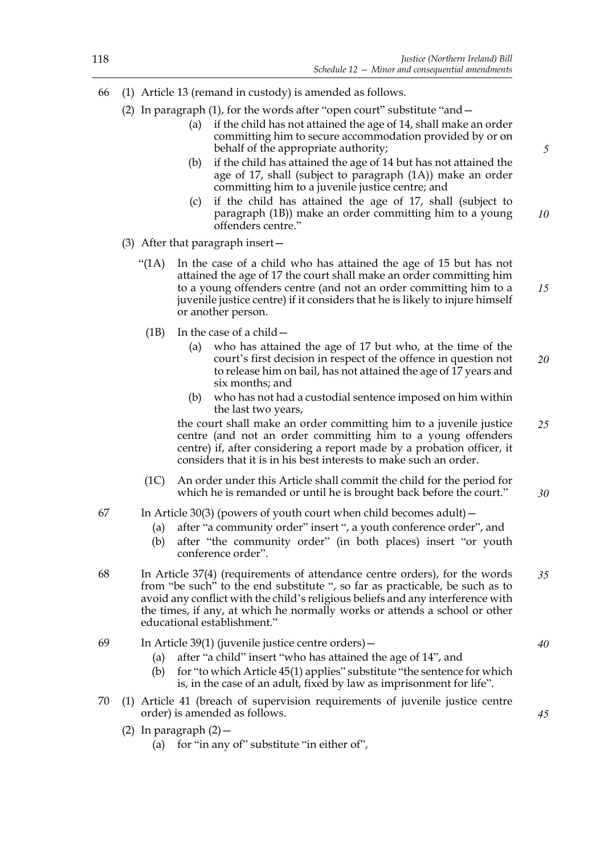- 66 (1) Article 13 (remand in custody) is amended as follows.
	- (2) In paragraph (1), for the words after "open court" substitute "and—
		- (a) if the child has not attained the age of 14, shall make an order committing him to secure accommodation provided by or on behalf of the appropriate authority;
		- (b) if the child has attained the age of 14 but has not attained the age of 17, shall (subject to paragraph (1A)) make an order committing him to a juvenile justice centre; and
		- (c) if the child has attained the age of 17, shall (subject to paragraph (1B)) make an order committing him to a young offenders centre." *10*
	- (3) After that paragraph insert—
		- "(1A) In the case of a child who has attained the age of 15 but has not attained the age of 17 the court shall make an order committing him to a young offenders centre (and not an order committing him to a juvenile justice centre) if it considers that he is likely to injure himself or another person. *15*
		- (1B) In the case of a child—
			- (a) who has attained the age of 17 but who, at the time of the court's first decision in respect of the offence in question not to release him on bail, has not attained the age of 17 years and six months; and *20*
			- (b) who has not had a custodial sentence imposed on him within the last two years,

the court shall make an order committing him to a juvenile justice centre (and not an order committing him to a young offenders centre) if, after considering a report made by a probation officer, it considers that it is in his best interests to make such an order. *25*

- (1C) An order under this Article shall commit the child for the period for which he is remanded or until he is brought back before the court." *30*
- 67 In Article 30(3) (powers of youth court when child becomes adult)—
	- (a) after "a community order" insert ", a youth conference order", and
	- (b) after "the community order" (in both places) insert "or youth conference order".
- 68 In Article 37(4) (requirements of attendance centre orders), for the words from "be such" to the end substitute ", so far as practicable, be such as to avoid any conflict with the child's religious beliefs and any interference with the times, if any, at which he normally works or attends a school or other educational establishment." *35*
- 69 In Article 39(1) (juvenile justice centre orders)—
	- (a) after "a child" insert "who has attained the age of 14", and
	- (b) for "to which Article 45(1) applies" substitute "the sentence for which is, in the case of an adult, fixed by law as imprisonment for life".
- 70 (1) Article 41 (breach of supervision requirements of juvenile justice centre order) is amended as follows.
	- (2) In paragraph  $(2)$  -
		- (a) for "in any of" substitute "in either of",

*5*

*40*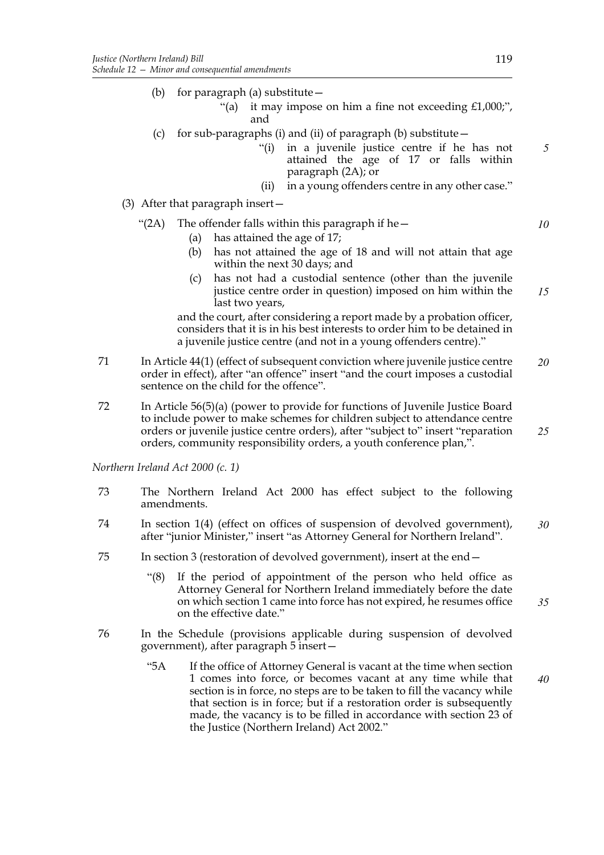- (b) for paragraph (a) substitute—
	- "(a) it may impose on him a fine not exceeding  $£1,000;$ ", and
- (c) for sub-paragraphs (i) and (ii) of paragraph (b) substitute  $-$ 
	- "(i) in a juvenile justice centre if he has not attained the age of 17 or falls within paragraph (2A); or
	- (ii) in a young offenders centre in any other case."
- (3) After that paragraph insert—

### "(2A) The offender falls within this paragraph if he $-$

- (a) has attained the age of 17;
- (b) has not attained the age of 18 and will not attain that age within the next 30 days; and
- (c) has not had a custodial sentence (other than the juvenile justice centre order in question) imposed on him within the last two years, *15*

and the court, after considering a report made by a probation officer, considers that it is in his best interests to order him to be detained in a juvenile justice centre (and not in a young offenders centre)."

- 71 In Article 44(1) (effect of subsequent conviction where juvenile justice centre order in effect), after "an offence" insert "and the court imposes a custodial sentence on the child for the offence". *20*
- 72 In Article 56(5)(a) (power to provide for functions of Juvenile Justice Board to include power to make schemes for children subject to attendance centre orders or juvenile justice centre orders), after "subject to" insert "reparation orders, community responsibility orders, a youth conference plan,".

*Northern Ireland Act 2000 (c. 1)*

- 73 The Northern Ireland Act 2000 has effect subject to the following amendments.
- 74 In section 1(4) (effect on offices of suspension of devolved government), after "junior Minister," insert "as Attorney General for Northern Ireland". *30*
- 75 In section 3 (restoration of devolved government), insert at the end—
	- "(8) If the period of appointment of the person who held office as Attorney General for Northern Ireland immediately before the date on which section 1 came into force has not expired, he resumes office on the effective date." *35*
- 76 In the Schedule (provisions applicable during suspension of devolved government), after paragraph 5 insert—
	- "5A If the office of Attorney General is vacant at the time when section 1 comes into force, or becomes vacant at any time while that section is in force, no steps are to be taken to fill the vacancy while that section is in force; but if a restoration order is subsequently made, the vacancy is to be filled in accordance with section 23 of the Justice (Northern Ireland) Act 2002." *40*

*10*

*5*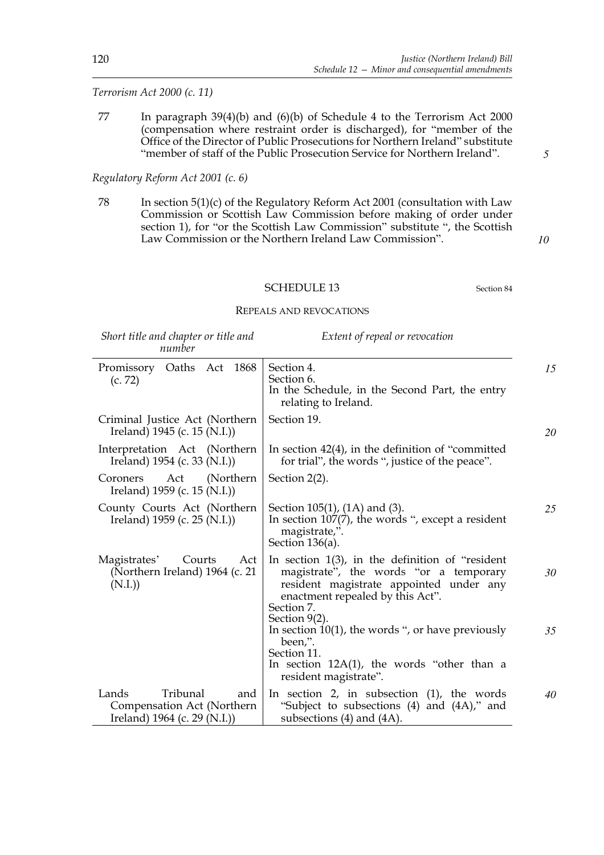# *Terrorism Act 2000 (c. 11)*

77 In paragraph 39(4)(b) and (6)(b) of Schedule 4 to the Terrorism Act 2000 (compensation where restraint order is discharged), for "member of the Office of the Director of Public Prosecutions for Northern Ireland" substitute "member of staff of the Public Prosecution Service for Northern Ireland".

# *Regulatory Reform Act 2001 (c. 6)*

78 In section 5(1)(c) of the Regulatory Reform Act 2001 (consultation with Law Commission or Scottish Law Commission before making of order under section 1), for "or the Scottish Law Commission" substitute ", the Scottish Law Commission or the Northern Ireland Law Commission".

*10*

*5*

## SCHEDULE 13 Section 84

#### REPEALS AND REVOCATIONS

|  | Short title and chapter or title and |  |  |
|--|--------------------------------------|--|--|
|  | number                               |  |  |

*Extent of repeal or revocation*

| Promissory Oaths Act 1868<br>(c. 72)                                                     | Section 4.<br>Section 6.<br>In the Schedule, in the Second Part, the entry<br>relating to Ireland.                                                                                                          |
|------------------------------------------------------------------------------------------|-------------------------------------------------------------------------------------------------------------------------------------------------------------------------------------------------------------|
| Criminal Justice Act (Northern)<br>Ireland) $1945$ (c. 15 (N.I.))                        | Section 19.                                                                                                                                                                                                 |
| Interpretation Act (Northern<br>Ireland) 1954 (c. 33 (N.I.))                             | In section $42(4)$ , in the definition of "committed"<br>for trial", the words ", justice of the peace".                                                                                                    |
| (Northern)<br>Act<br>Coroners<br>Ireland) 1959 (c. 15 (N.I.))                            | Section $2(2)$ .                                                                                                                                                                                            |
| County Courts Act (Northern<br>Ireland) 1959 (c. 25 (N.I.))                              | Section 105(1), (1A) and (3).<br>In section $107(7)$ , the words ", except a resident<br>magistrate,".<br>Section $136(a)$ .                                                                                |
| Magistrates'<br>Courts<br>Act<br>(Northern Ireland) 1964 (c. 21<br>(N.I.)                | In section $1(3)$ , in the definition of "resident"<br>magistrate", the words "or a temporary<br>resident magistrate appointed under any<br>enactment repealed by this Act".<br>Section 7.<br>Section 9(2). |
|                                                                                          | In section $10(1)$ , the words ", or have previously<br>been,".<br>Section 11.<br>In section $12A(1)$ , the words "other than a<br>resident magistrate".                                                    |
| Tribunal<br>Lands<br>and<br>Compensation Act (Northern<br>Ireland) $1964$ (c. 29 (N.I.)) | In section 2, in subsection $(1)$ , the words<br>"Subject to subsections (4) and (4A)," and<br>subsections $(4)$ and $(4A)$ .                                                                               |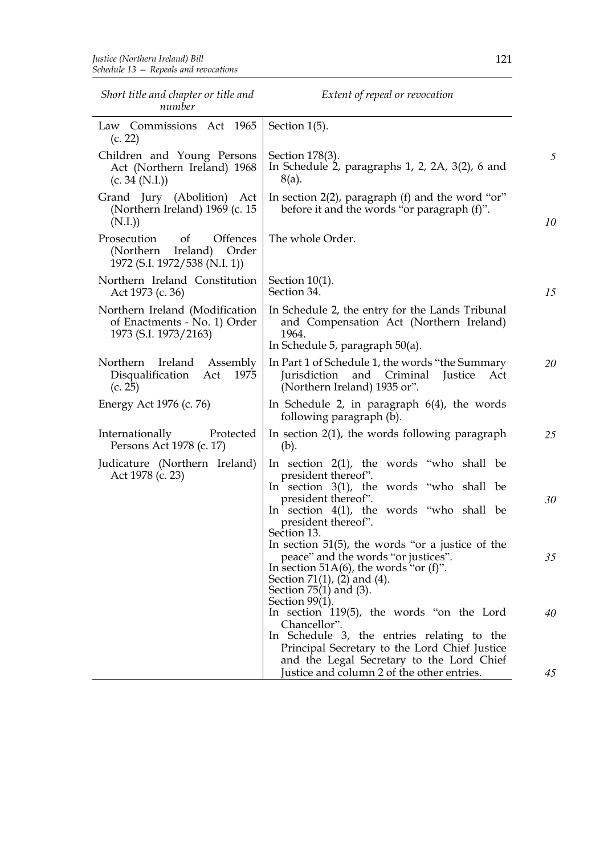| Short title and chapter or title and<br>number                                                        | Extent of repeal or revocation                                                                                                                                                                                                     |    |
|-------------------------------------------------------------------------------------------------------|------------------------------------------------------------------------------------------------------------------------------------------------------------------------------------------------------------------------------------|----|
| Law Commissions Act 1965<br>(c. 22)                                                                   | Section $1(5)$ .                                                                                                                                                                                                                   |    |
| Children and Young Persons<br>Act (Northern Ireland) 1968<br>(c. 34 (N.I.))                           | Section 178(3).<br>In Schedule 2, paragraphs $1, 2, 2A, 3(2), 6$ and<br>8(a).                                                                                                                                                      | 5  |
| Grand Jury (Abolition) Act<br>(Northern Ireland) 1969 (c. 15<br>(N.I.)                                | In section 2(2), paragraph (f) and the word "or"<br>before it and the words "or paragraph (f)".                                                                                                                                    | 10 |
| Offences<br>Prosecution<br><sub>of</sub><br>(Northern Ireland) Order<br>1972 (S.I. 1972/538 (N.I. 1)) | The whole Order.                                                                                                                                                                                                                   |    |
| Northern Ireland Constitution<br>Act 1973 (c. 36)                                                     | Section $10(1)$ .<br>Section 34.                                                                                                                                                                                                   | 15 |
| Northern Ireland (Modification<br>of Enactments - No. 1) Order<br>1973 (S.I. 1973/2163)               | In Schedule 2, the entry for the Lands Tribunal<br>and Compensation Act (Northern Ireland)<br>1964.<br>In Schedule 5, paragraph $50(a)$ .                                                                                          |    |
| Northern Ireland Assembly<br>Disqualification<br>Act<br>1975<br>(c. 25)                               | In Part 1 of Schedule 1, the words "the Summary<br>and Criminal<br>Jurisdiction<br>Justice<br>Act<br>(Northern Ireland) 1935 or".                                                                                                  | 20 |
| Energy Act 1976 (c. 76)                                                                               | In Schedule 2, in paragraph $6(4)$ , the words<br>following paragraph (b).                                                                                                                                                         |    |
| Internationally<br>Protected<br>Persons Act 1978 (c. 17)                                              | In section $2(1)$ , the words following paragraph<br>(b).                                                                                                                                                                          | 25 |
| Judicature (Northern Ireland)<br>Act 1978 (c. 23)                                                     | In section $2(1)$ , the words "who shall be<br>president thereof".<br>In section $3(1)$ , the words "who shall be                                                                                                                  |    |
|                                                                                                       | president thereof".<br>In section $4(1)$ , the words "who shall be<br>president thereof".<br>Section 13.                                                                                                                           | 30 |
|                                                                                                       | In section $51(5)$ , the words "or a justice of the<br>peace" and the words "or justices".<br>In section 51A(6), the words "or $(f)$ ".<br>Section $71(1)$ , $(2)$ and $(4)$ .<br>Section $75(1)$ and $(3)$ .<br>Section $99(1)$ . | 35 |
|                                                                                                       | In section 119(5), the words "on the Lord<br>Chancellor".<br>In Schedule 3, the entries relating to the<br>Principal Secretary to the Lord Chief Justice<br>and the Legal Secretary to the Lord Chief                              | 40 |
|                                                                                                       | Justice and column 2 of the other entries.                                                                                                                                                                                         | 45 |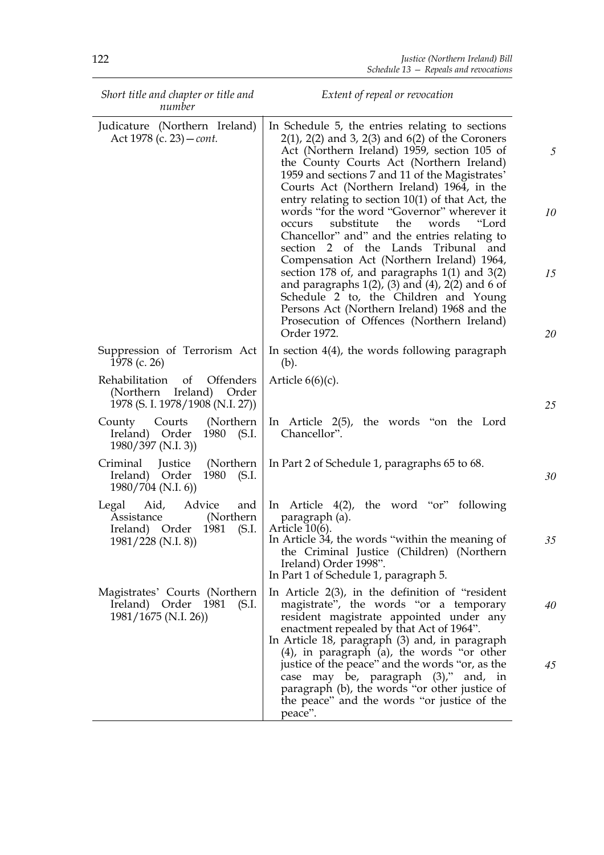| Short title and chapter or title and<br>number                                                                | Extent of repeal or revocation                                                                                                                                                                                                                                                                                                                                                                                                                                                                                                                                                                                                                                                                                                                                                                                                                                              |                |
|---------------------------------------------------------------------------------------------------------------|-----------------------------------------------------------------------------------------------------------------------------------------------------------------------------------------------------------------------------------------------------------------------------------------------------------------------------------------------------------------------------------------------------------------------------------------------------------------------------------------------------------------------------------------------------------------------------------------------------------------------------------------------------------------------------------------------------------------------------------------------------------------------------------------------------------------------------------------------------------------------------|----------------|
| Judicature (Northern Ireland)<br>Act 1978 (c. 23) – <i>cont.</i>                                              | In Schedule 5, the entries relating to sections<br>$2(1)$ , $2(2)$ and 3, $2(3)$ and $6(2)$ of the Coroners<br>Act (Northern Ireland) 1959, section 105 of<br>the County Courts Act (Northern Ireland)<br>1959 and sections 7 and 11 of the Magistrates'<br>Courts Act (Northern Ireland) 1964, in the<br>entry relating to section $10(1)$ of that Act, the<br>words "for the word "Governor" wherever it<br>substitute<br>the<br>words<br>"Lord<br>occurs<br>Chancellor" and" and the entries relating to<br>section 2 of the Lands<br>Tribunal<br>and<br>Compensation Act (Northern Ireland) 1964,<br>section 178 of, and paragraphs $1(1)$ and $3(2)$<br>and paragraphs $1(2)$ , $(3)$ and $(4)$ , $2(2)$ and 6 of<br>Schedule 2 to, the Children and Young<br>Persons Act (Northern Ireland) 1968 and the<br>Prosecution of Offences (Northern Ireland)<br>Order 1972. | 10<br>15<br>20 |
| Suppression of Terrorism Act<br>1978 (c. 26)                                                                  | In section $4(4)$ , the words following paragraph<br>(b).                                                                                                                                                                                                                                                                                                                                                                                                                                                                                                                                                                                                                                                                                                                                                                                                                   |                |
| Rehabilitation<br>of<br><b>Offenders</b><br>(Northern Ireland)<br>Order<br>1978 (S. I. 1978/1908 (N.I. 27))   | Article $6(6)(c)$ .                                                                                                                                                                                                                                                                                                                                                                                                                                                                                                                                                                                                                                                                                                                                                                                                                                                         | 25             |
| (Northern)<br>County Courts<br>Ireland) Order<br>1980 (S.I.<br>1980/397 (N.I. 3))                             | In Article $2(5)$ , the words "on the Lord<br>Chancellor".                                                                                                                                                                                                                                                                                                                                                                                                                                                                                                                                                                                                                                                                                                                                                                                                                  |                |
| Criminal<br>(Northern)<br>Justice<br>Ireland) Order<br>1980<br>(S.I.<br>1980/704 (N.I. 6))                    | In Part 2 of Schedule 1, paragraphs 65 to 68.                                                                                                                                                                                                                                                                                                                                                                                                                                                                                                                                                                                                                                                                                                                                                                                                                               | 30             |
| Advice<br>and<br>Legal Aid,<br>(Northern)<br>Assistance<br>Ireland) Order 1981<br>(S.I.<br>1981/228 (N.I. 8)) | In Article $4(2)$ , the word "or" following<br>paragraph (a).<br>Article $10(6)$ .<br>In Article 34, the words "within the meaning of<br>the Criminal Justice (Children) (Northern<br>Ireland) Order 1998".<br>In Part 1 of Schedule 1, paragraph 5.                                                                                                                                                                                                                                                                                                                                                                                                                                                                                                                                                                                                                        | 35             |
| Magistrates' Courts (Northern<br>Ireland) Order 1981<br>(S.I.<br>1981/1675 (N.I. 26))                         | In Article $2(3)$ , in the definition of "resident"<br>magistrate", the words "or a temporary<br>resident magistrate appointed under any<br>enactment repealed by that Act of 1964".<br>In Article 18, paragraph (3) and, in paragraph<br>$(4)$ , in paragraph $(a)$ , the words "or other                                                                                                                                                                                                                                                                                                                                                                                                                                                                                                                                                                                  | 40             |
|                                                                                                               | justice of the peace" and the words "or, as the<br>case may be, paragraph (3)," and, in<br>paragraph (b), the words "or other justice of<br>the peace" and the words "or justice of the<br>peace".                                                                                                                                                                                                                                                                                                                                                                                                                                                                                                                                                                                                                                                                          | 45             |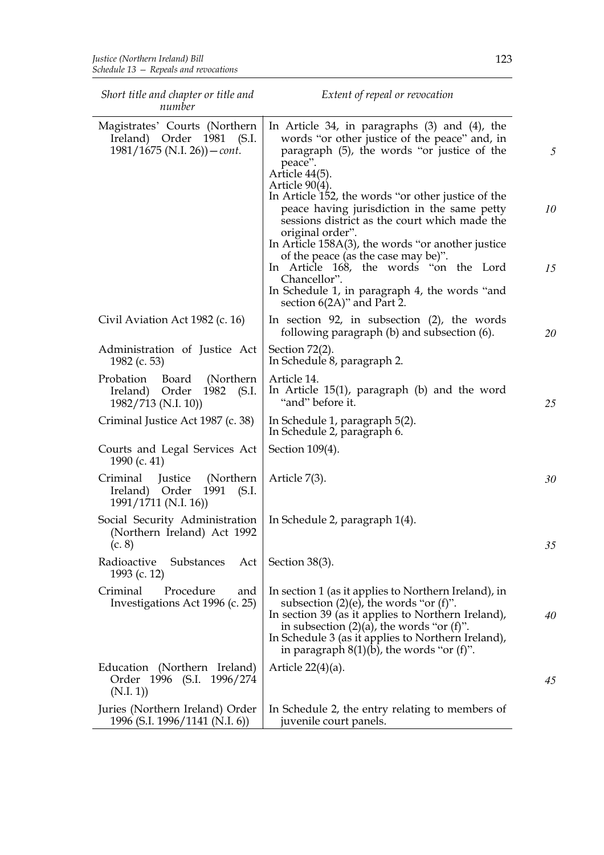| Short title and chapter or title and<br>number                                                  | Extent of repeal or revocation                                                                                                                                                                                                                                                                                                                                                                                                                                                                                                                                                                                            |               |
|-------------------------------------------------------------------------------------------------|---------------------------------------------------------------------------------------------------------------------------------------------------------------------------------------------------------------------------------------------------------------------------------------------------------------------------------------------------------------------------------------------------------------------------------------------------------------------------------------------------------------------------------------------------------------------------------------------------------------------------|---------------|
| Magistrates' Courts (Northern<br>Ireland) Order 1981<br>(S.I.<br>$1981/1675$ (N.I. 26)) – cont. | In Article 34, in paragraphs $(3)$ and $(4)$ , the<br>words "or other justice of the peace" and, in<br>paragraph (5), the words "or justice of the<br>peace".<br>Article 44(5).<br>Article $90(4)$ .<br>In Article 152, the words "or other justice of the<br>peace having jurisdiction in the same petty<br>sessions district as the court which made the<br>original order".<br>In Article $158A(3)$ , the words "or another justice<br>of the peace (as the case may be)".<br>In Article 168, the words "on the Lord<br>Chancellor".<br>In Schedule 1, in paragraph 4, the words "and<br>section $6(2A)$ " and Part 2. | 5<br>10<br>15 |
| Civil Aviation Act 1982 (c. 16)                                                                 | In section 92, in subsection $(2)$ , the words<br>following paragraph (b) and subsection (6).                                                                                                                                                                                                                                                                                                                                                                                                                                                                                                                             | 20            |
| Administration of Justice Act<br>1982 (c. 53)                                                   | Section $72(2)$ .<br>In Schedule 8, paragraph 2.                                                                                                                                                                                                                                                                                                                                                                                                                                                                                                                                                                          |               |
| Probation<br>Board<br>(Northern)<br>Order<br>Ireland)<br>1982<br>(S.I.<br>1982/713 (N.I. 10))   | Article 14.<br>In Article $15(1)$ , paragraph (b) and the word<br>"and" before it.                                                                                                                                                                                                                                                                                                                                                                                                                                                                                                                                        | 25            |
| Criminal Justice Act 1987 (c. 38)                                                               | In Schedule 1, paragraph 5(2).<br>In Schedule 2, paragraph 6.                                                                                                                                                                                                                                                                                                                                                                                                                                                                                                                                                             |               |
| Courts and Legal Services Act<br>1990 (c. 41)                                                   | Section 109(4).                                                                                                                                                                                                                                                                                                                                                                                                                                                                                                                                                                                                           |               |
| Criminal<br>(Northern)<br>Justice<br>Ireland) Order<br>1991<br>(S.I.<br>1991/1711 (N.I. 16))    | Article 7(3).                                                                                                                                                                                                                                                                                                                                                                                                                                                                                                                                                                                                             | 30            |
| Social Security Administration<br>(Northern Ireland) Act 1992<br>(c. 8)                         | In Schedule 2, paragraph 1(4).                                                                                                                                                                                                                                                                                                                                                                                                                                                                                                                                                                                            | 35            |
| Radioactive<br>Substances<br>Act<br>1993 (c. 12)                                                | Section $38(3)$ .                                                                                                                                                                                                                                                                                                                                                                                                                                                                                                                                                                                                         |               |
| Criminal<br>Procedure<br>and<br>Investigations Act 1996 (c. 25)                                 | In section 1 (as it applies to Northern Ireland), in<br>subsection $(2)(e)$ , the words "or $(f)$ ".<br>In section 39 (as it applies to Northern Ireland),<br>in subsection $(2)(a)$ , the words "or $(f)$ ".<br>In Schedule 3 (as it applies to Northern Ireland),<br>in paragraph $8(1)(b)$ , the words "or (f)".                                                                                                                                                                                                                                                                                                       | 40            |
| Education (Northern Ireland)<br>Order 1996 (S.I. 1996/274<br>(N.I. 1))                          | Article $22(4)(a)$ .                                                                                                                                                                                                                                                                                                                                                                                                                                                                                                                                                                                                      | 45            |
| Juries (Northern Ireland) Order<br>1996 (S.I. 1996/1141 (N.I. 6))                               | In Schedule 2, the entry relating to members of<br>juvenile court panels.                                                                                                                                                                                                                                                                                                                                                                                                                                                                                                                                                 |               |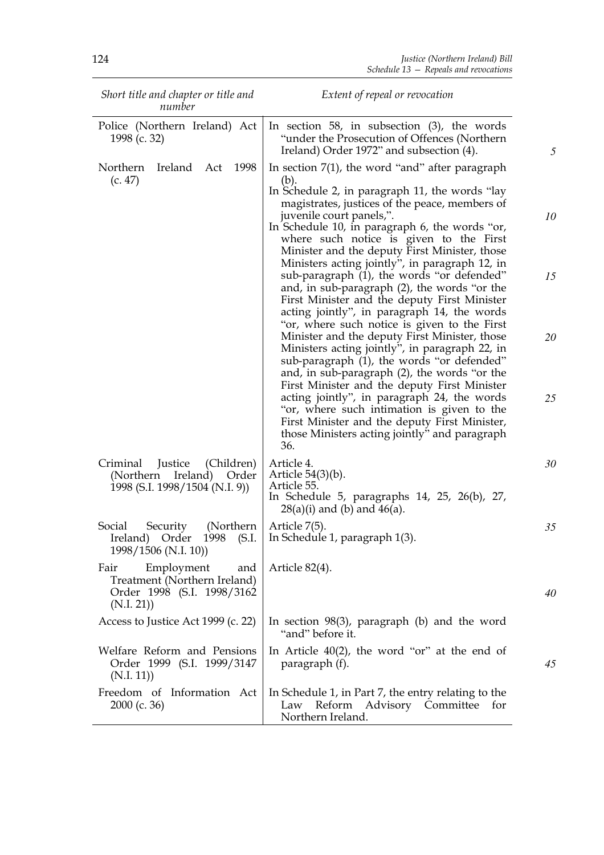| Short title and chapter or title and<br>number                                                         | Extent of repeal or revocation                                                                                                                                                                                                                                                                                                                                                                                                                                                                                                                                                                                                                                                                                                                                                                                                                                                                                                                                                                                                                                                                  |                      |
|--------------------------------------------------------------------------------------------------------|-------------------------------------------------------------------------------------------------------------------------------------------------------------------------------------------------------------------------------------------------------------------------------------------------------------------------------------------------------------------------------------------------------------------------------------------------------------------------------------------------------------------------------------------------------------------------------------------------------------------------------------------------------------------------------------------------------------------------------------------------------------------------------------------------------------------------------------------------------------------------------------------------------------------------------------------------------------------------------------------------------------------------------------------------------------------------------------------------|----------------------|
| Police (Northern Ireland) Act<br>1998 (c. 32)                                                          | In section 58, in subsection $(3)$ , the words<br>"under the Prosecution of Offences (Northern)<br>Ireland) Order 1972" and subsection (4).                                                                                                                                                                                                                                                                                                                                                                                                                                                                                                                                                                                                                                                                                                                                                                                                                                                                                                                                                     | 5                    |
| 1998<br>Northern<br>Ireland<br>Act<br>(c. 47)                                                          | In section $7(1)$ , the word "and" after paragraph<br>(b).<br>In Schedule 2, in paragraph 11, the words "lay"<br>magistrates, justices of the peace, members of<br>juvenile court panels,".<br>In Schedule 10, in paragraph 6, the words "or,<br>where such notice is given to the First<br>Minister and the deputy First Minister, those<br>Ministers acting jointly", in paragraph 12, in<br>sub-paragraph (1), the words "or defended"<br>and, in sub-paragraph (2), the words "or the<br>First Minister and the deputy First Minister<br>acting jointly", in paragraph 14, the words<br>"or, where such notice is given to the First<br>Minister and the deputy First Minister, those<br>Ministers acting jointly", in paragraph 22, in<br>sub-paragraph (1), the words "or defended"<br>and, in sub-paragraph (2), the words "or the<br>First Minister and the deputy First Minister<br>acting jointly", in paragraph 24, the words<br>"or, where such intimation is given to the<br>First Minister and the deputy First Minister,<br>those Ministers acting jointly" and paragraph<br>36. | 10<br>15<br>20<br>25 |
| (Children)<br>Criminal<br>Justice<br>Ireland)<br>(Northern)<br>Order<br>1998 (S.I. 1998/1504 (N.I. 9)) | Article 4.<br>Article $54(3)(b)$ .<br>Article 55.<br>In Schedule 5, paragraphs 14, 25, 26(b), 27,<br>$28(a)(i)$ and (b) and $46(a)$ .                                                                                                                                                                                                                                                                                                                                                                                                                                                                                                                                                                                                                                                                                                                                                                                                                                                                                                                                                           | 30                   |
| Social<br>Security<br>(Northern)<br>Ireland)<br>1998<br>(S.I.<br>Order<br>1998/1506 (N.I. 10))         | Article 7(5).<br>In Schedule 1, paragraph 1(3).                                                                                                                                                                                                                                                                                                                                                                                                                                                                                                                                                                                                                                                                                                                                                                                                                                                                                                                                                                                                                                                 | 35                   |
| Employment<br>Fair<br>and<br>Treatment (Northern Ireland)<br>Order 1998 (S.I. 1998/3162<br>(N.I. 21)   | Article 82(4).                                                                                                                                                                                                                                                                                                                                                                                                                                                                                                                                                                                                                                                                                                                                                                                                                                                                                                                                                                                                                                                                                  | 40                   |
| Access to Justice Act 1999 (c. 22)                                                                     | In section $98(3)$ , paragraph (b) and the word<br>"and" before it.                                                                                                                                                                                                                                                                                                                                                                                                                                                                                                                                                                                                                                                                                                                                                                                                                                                                                                                                                                                                                             |                      |
| Welfare Reform and Pensions<br>Order 1999 (S.I. 1999/3147<br>(N.I. 11)                                 | In Article $40(2)$ , the word "or" at the end of<br>paragraph (f).                                                                                                                                                                                                                                                                                                                                                                                                                                                                                                                                                                                                                                                                                                                                                                                                                                                                                                                                                                                                                              | 45                   |
| Freedom of Information Act<br>$2000$ (c. 36)                                                           | In Schedule 1, in Part 7, the entry relating to the<br>Reform Advisory Committee<br>for<br>Law<br>Northern Ireland.                                                                                                                                                                                                                                                                                                                                                                                                                                                                                                                                                                                                                                                                                                                                                                                                                                                                                                                                                                             |                      |